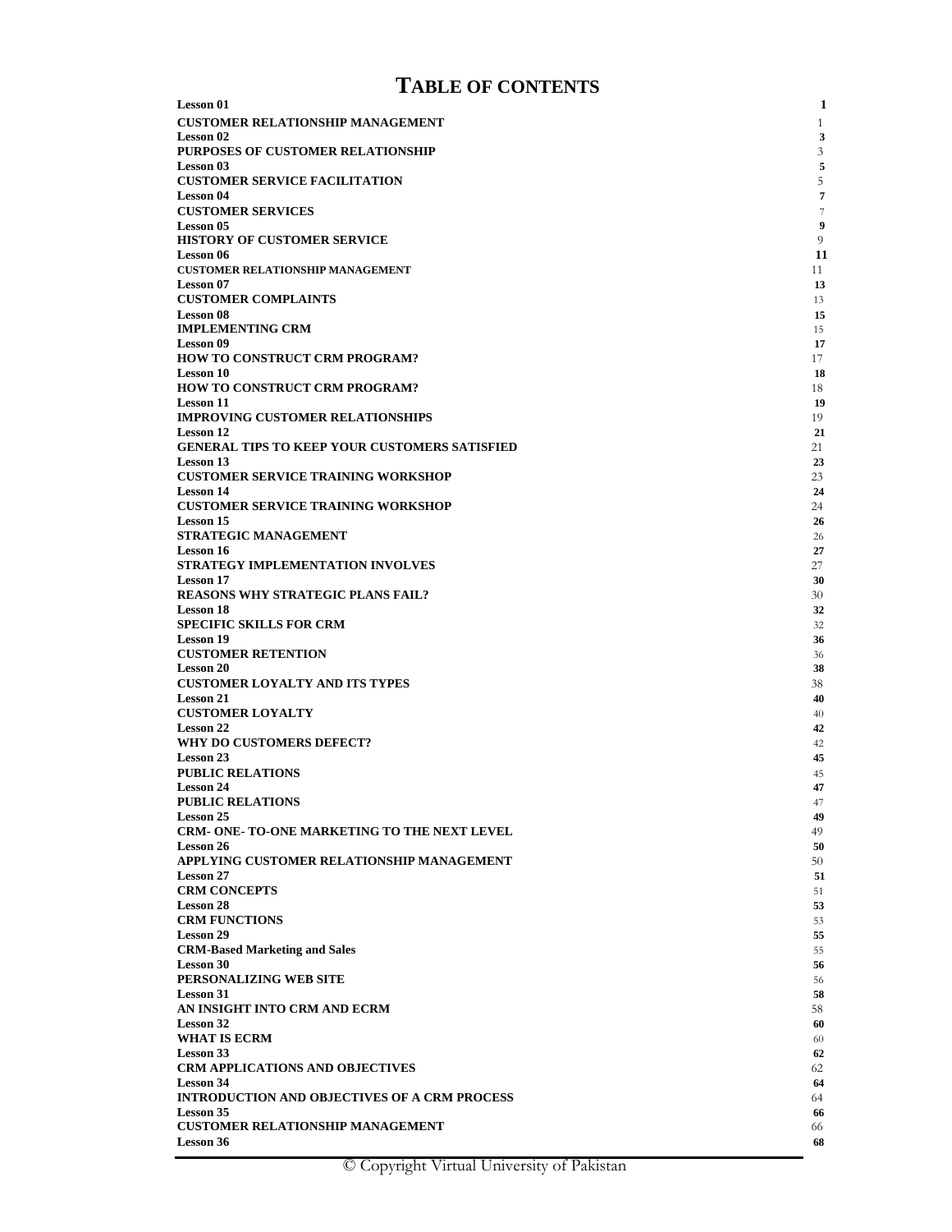# **TABLE OF CONTENTS**

| <b>Lesson 01</b>                                                        | $\mathbf{1}$   |
|-------------------------------------------------------------------------|----------------|
| <b>CUSTOMER RELATIONSHIP MANAGEMENT</b>                                 | $\mathbf{1}$   |
| <b>Lesson</b> 02<br><b>PURPOSES OF CUSTOMER RELATIONSHIP</b>            | 3<br>3         |
| <b>Lesson 03</b>                                                        | 5              |
| <b>CUSTOMER SERVICE FACILITATION</b><br><b>Lesson 04</b>                | 5<br>7         |
| <b>CUSTOMER SERVICES</b>                                                | $\overline{7}$ |
| <b>Lesson 05</b>                                                        | 9              |
| <b>HISTORY OF CUSTOMER SERVICE</b>                                      | 9              |
| <b>Lesson 06</b><br><b>CUSTOMER RELATIONSHIP MANAGEMENT</b>             | 11<br>11       |
| <b>Lesson 07</b>                                                        | 13             |
| <b>CUSTOMER COMPLAINTS</b>                                              | 13             |
| <b>Lesson 08</b><br><b>IMPLEMENTING CRM</b>                             | 15<br>15       |
| <b>Lesson 09</b>                                                        | 17             |
| <b>HOW TO CONSTRUCT CRM PROGRAM?</b>                                    | 17             |
| <b>Lesson 10</b><br>HOW TO CONSTRUCT CRM PROGRAM?                       | 18<br>18       |
| <b>Lesson 11</b>                                                        | 19             |
| <b>IMPROVING CUSTOMER RELATIONSHIPS</b>                                 | 19             |
| <b>Lesson 12</b><br>GENERAL TIPS TO KEEP YOUR CUSTOMERS SATISFIED       | 21<br>21       |
| <b>Lesson 13</b>                                                        | 23             |
| <b>CUSTOMER SERVICE TRAINING WORKSHOP</b>                               | 23             |
| <b>Lesson 14</b><br><b>CUSTOMER SERVICE TRAINING WORKSHOP</b>           | 24<br>24       |
| <b>Lesson 15</b>                                                        | 26             |
| <b>STRATEGIC MANAGEMENT</b>                                             | 26             |
| <b>Lesson 16</b><br>STRATEGY IMPLEMENTATION INVOLVES                    | 27<br>27       |
| <b>Lesson 17</b>                                                        | 30             |
| <b>REASONS WHY STRATEGIC PLANS FAIL?</b>                                | 30             |
| <b>Lesson 18</b><br><b>SPECIFIC SKILLS FOR CRM</b>                      | 32<br>32       |
| <b>Lesson 19</b>                                                        | 36             |
| <b>CUSTOMER RETENTION</b>                                               | 36             |
| <b>Lesson 20</b><br><b>CUSTOMER LOYALTY AND ITS TYPES</b>               | 38<br>38       |
| <b>Lesson 21</b>                                                        | 40             |
| <b>CUSTOMER LOYALTY</b>                                                 | 40             |
| <b>Lesson 22</b><br>WHY DO CUSTOMERS DEFECT?                            | 42<br>42       |
| Lesson 23                                                               | 45             |
| <b>PUBLIC RELATIONS</b>                                                 | 45             |
| <b>Lesson 24</b><br><b>PUBLIC RELATIONS</b>                             | 47<br>47       |
| <b>Lesson 25</b>                                                        | 49             |
| <b>CRM- ONE- TO-ONE MARKETING TO THE NEXT LEVEL</b><br><b>Lesson 26</b> | 49<br>50       |
| APPLYING CUSTOMER RELATIONSHIP MANAGEMENT                               | 50             |
| <b>Lesson 27</b>                                                        | 51             |
| <b>CRM CONCEPTS</b><br><b>Lesson 28</b>                                 | 51<br>53       |
| <b>CRM FUNCTIONS</b>                                                    | 53             |
| <b>Lesson 29</b>                                                        | 55             |
| <b>CRM-Based Marketing and Sales</b><br>Lesson 30                       | 55<br>56       |
| PERSONALIZING WEB SITE                                                  | 56             |
| <b>Lesson 31</b>                                                        | 58             |
| AN INSIGHT INTO CRM AND ECRM<br><b>Lesson 32</b>                        | 58<br>60       |
| <b>WHAT IS ECRM</b>                                                     | 60             |
| <b>Lesson 33</b>                                                        | 62             |
| <b>CRM APPLICATIONS AND OBJECTIVES</b><br><b>Lesson 34</b>              | 62             |
| <b>INTRODUCTION AND OBJECTIVES OF A CRM PROCESS</b>                     | 64<br>64       |
| <b>Lesson 35</b>                                                        | 66             |
| <b>CUSTOMER RELATIONSHIP MANAGEMENT</b><br><b>Lesson 36</b>             | 66             |
|                                                                         | 68             |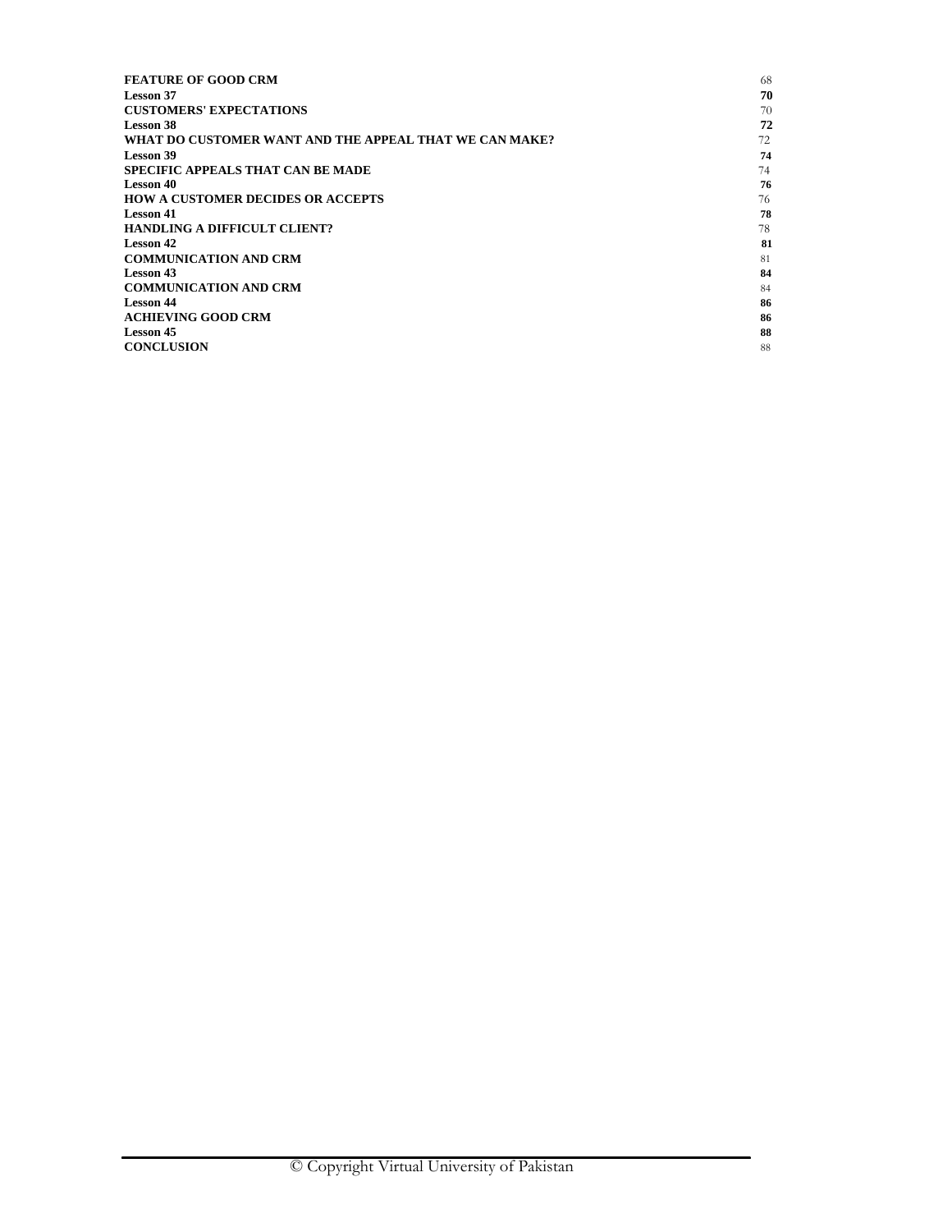| <b>FEATURE OF GOOD CRM</b>                             | 68 |
|--------------------------------------------------------|----|
| Lesson 37                                              | 70 |
| <b>CUSTOMERS' EXPECTATIONS</b>                         | 70 |
| Lesson 38                                              | 72 |
| WHAT DO CUSTOMER WANT AND THE APPEAL THAT WE CAN MAKE? | 72 |
| Lesson 39                                              | 74 |
| <b>SPECIFIC APPEALS THAT CAN BE MADE</b>               | 74 |
| Lesson 40                                              | 76 |
| <b>HOW A CUSTOMER DECIDES OR ACCEPTS</b>               | 76 |
| Lesson 41                                              | 78 |
| <b>HANDLING A DIFFICULT CLIENT?</b>                    | 78 |
| Lesson 42                                              | 81 |
| <b>COMMUNICATION AND CRM</b>                           | 81 |
| Lesson 43                                              | 84 |
| <b>COMMUNICATION AND CRM</b>                           | 84 |
| <b>Lesson 44</b>                                       | 86 |
| <b>ACHIEVING GOOD CRM</b>                              | 86 |
| Lesson 45                                              | 88 |
| <b>CONCLUSION</b>                                      | 88 |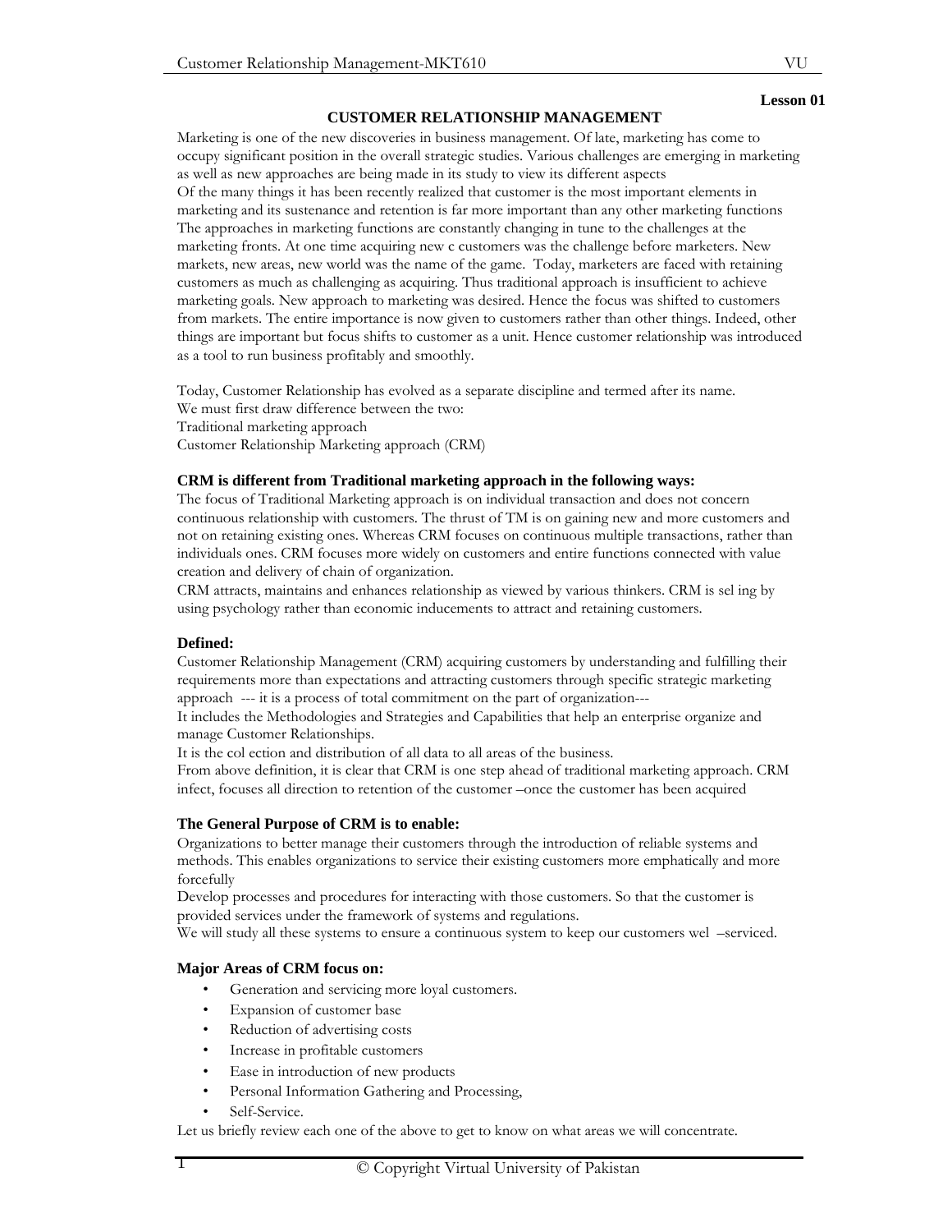#### **CUSTOMER RELATIONSHIP MANAGEMENT**

Marketing is one of the new discoveries in business management. Of late, marketing has come to occupy significant position in the overall strategic studies. Various challenges are emerging in marketing as well as new approaches are being made in its study to view its different aspects Of the many things it has been recently realized that customer is the most important elements in marketing and its sustenance and retention is far more important than any other marketing functions The approaches in marketing functions are constantly changing in tune to the challenges at the marketing fronts. At one time acquiring new c customers was the challenge before marketers. New markets, new areas, new world was the name of the game. Today, marketers are faced with retaining customers as much as challenging as acquiring. Thus traditional approach is insufficient to achieve marketing goals. New approach to marketing was desired. Hence the focus was shifted to customers from markets. The entire importance is now given to customers rather than other things. Indeed, other things are important but focus shifts to customer as a unit. Hence customer relationship was introduced as a tool to run business profitably and smoothly.

Today, Customer Relationship has evolved as a separate discipline and termed after its name. We must first draw difference between the two: Traditional marketing approach Customer Relationship Marketing approach (CRM)

#### **CRM is different from Traditional marketing approach in the following ways:**

The focus of Traditional Marketing approach is on individual transaction and does not concern continuous relationship with customers. The thrust of TM is on gaining new and more customers and not on retaining existing ones. Whereas CRM focuses on continuous multiple transactions, rather than individuals ones. CRM focuses more widely on customers and entire functions connected with value creation and delivery of chain of organization.

CRM attracts, maintains and enhances relationship as viewed by various thinkers. CRM is sel ing by using psychology rather than economic inducements to attract and retaining customers.

#### **Defined:**

Customer Relationship Management (CRM) acquiring customers by understanding and fulfilling their requirements more than expectations and attracting customers through specific strategic marketing approach --- it is a process of total commitment on the part of organization---

It includes the Methodologies and Strategies and Capabilities that help an enterprise organize and manage Customer Relationships.

It is the col ection and distribution of all data to all areas of the business.

From above definition, it is clear that CRM is one step ahead of traditional marketing approach. CRM infect, focuses all direction to retention of the customer –once the customer has been acquired

#### **The General Purpose of CRM is to enable:**

Organizations to better manage their customers through the introduction of reliable systems and methods. This enables organizations to service their existing customers more emphatically and more forcefully

Develop processes and procedures for interacting with those customers. So that the customer is provided services under the framework of systems and regulations.

We will study all these systems to ensure a continuous system to keep our customers wel –serviced.

#### **Major Areas of CRM focus on:**

- Generation and servicing more loyal customers.
- Expansion of customer base
- Reduction of advertising costs
- Increase in profitable customers
- Ease in introduction of new products
- Personal Information Gathering and Processing,
- Self-Service.

Let us briefly review each one of the above to get to know on what areas we will concentrate.

VU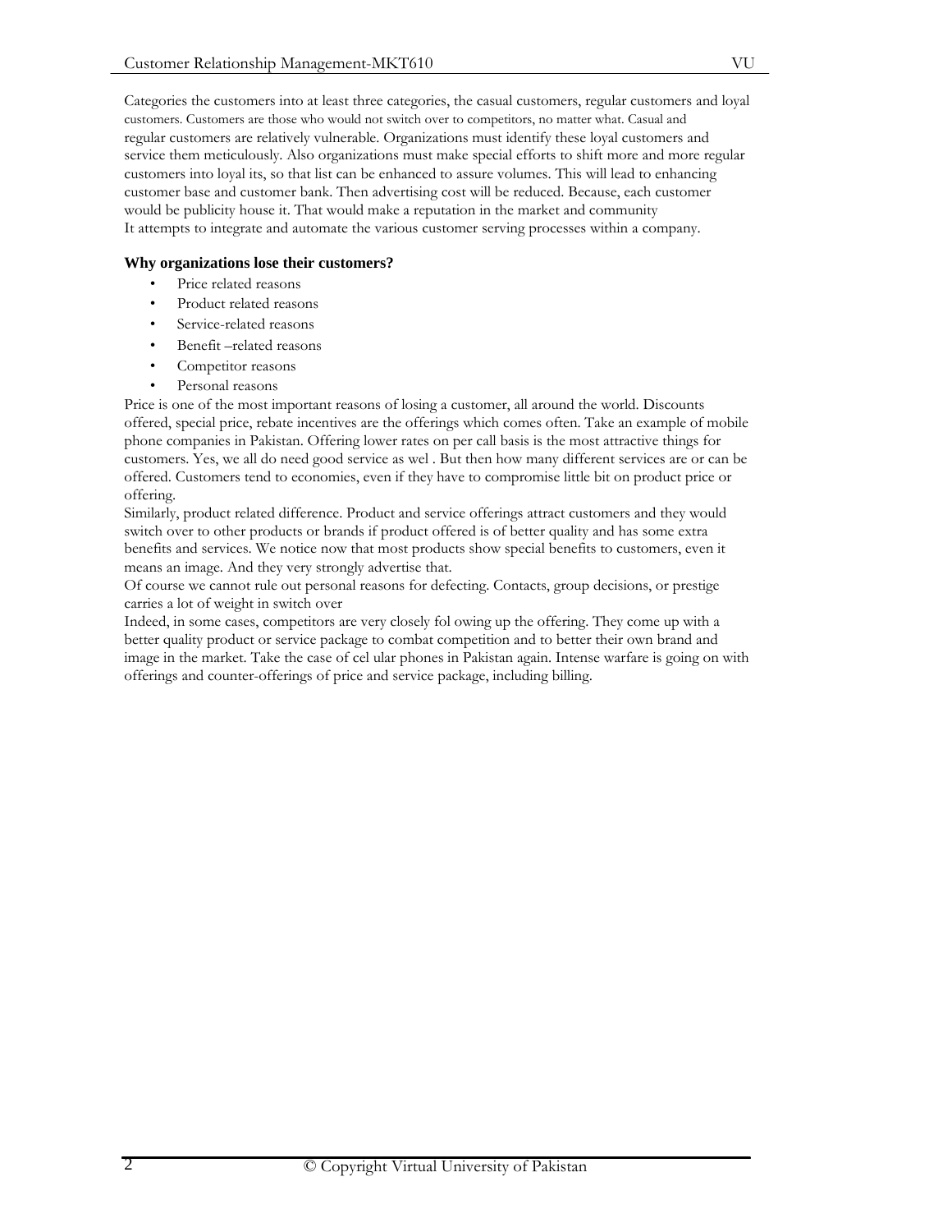Categories the customers into at least three categories, the casual customers, regular customers and loyal customers. Customers are those who would not switch over to competitors, no matter what. Casual and regular customers are relatively vulnerable. Organizations must identify these loyal customers and service them meticulously. Also organizations must make special efforts to shift more and more regular customers into loyal its, so that list can be enhanced to assure volumes. This will lead to enhancing customer base and customer bank. Then advertising cost will be reduced. Because, each customer would be publicity house it. That would make a reputation in the market and community It attempts to integrate and automate the various customer serving processes within a company.

# **Why organizations lose their customers?**

- Price related reasons
- Product related reasons
- Service-related reasons
- Benefit –related reasons
- Competitor reasons
- Personal reasons

Price is one of the most important reasons of losing a customer, all around the world. Discounts offered, special price, rebate incentives are the offerings which comes often. Take an example of mobile phone companies in Pakistan. Offering lower rates on per call basis is the most attractive things for customers. Yes, we all do need good service as wel . But then how many different services are or can be offered. Customers tend to economies, even if they have to compromise little bit on product price or offering.

Similarly, product related difference. Product and service offerings attract customers and they would switch over to other products or brands if product offered is of better quality and has some extra benefits and services. We notice now that most products show special benefits to customers, even it means an image. And they very strongly advertise that.

Of course we cannot rule out personal reasons for defecting. Contacts, group decisions, or prestige carries a lot of weight in switch over

Indeed, in some cases, competitors are very closely fol owing up the offering. They come up with a better quality product or service package to combat competition and to better their own brand and image in the market. Take the case of cel ular phones in Pakistan again. Intense warfare is going on with offerings and counter-offerings of price and service package, including billing.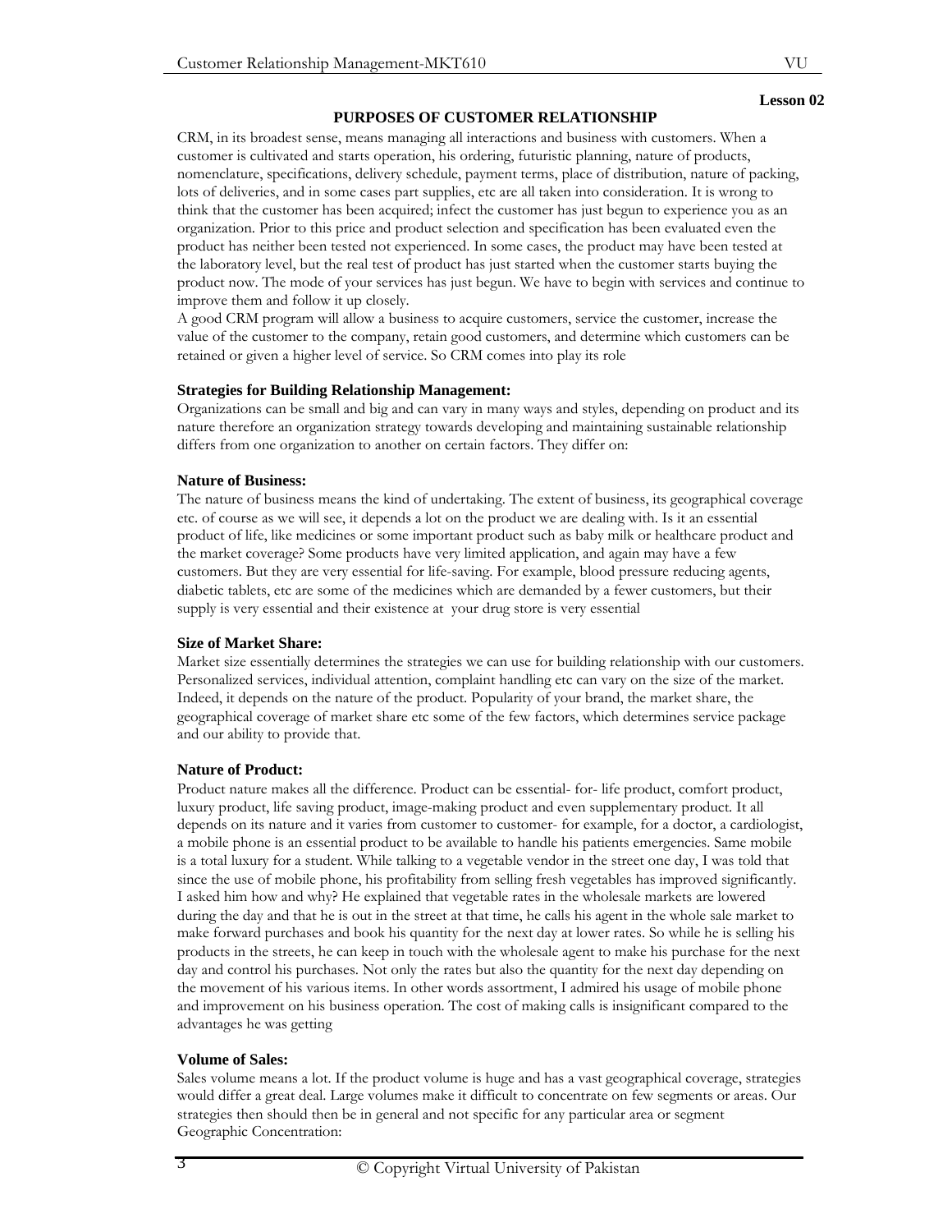#### **PURPOSES OF CUSTOMER RELATIONSHIP**

CRM, in its broadest sense, means managing all interactions and business with customers. When a customer is cultivated and starts operation, his ordering, futuristic planning, nature of products, nomenclature, specifications, delivery schedule, payment terms, place of distribution, nature of packing, lots of deliveries, and in some cases part supplies, etc are all taken into consideration. It is wrong to think that the customer has been acquired; infect the customer has just begun to experience you as an organization. Prior to this price and product selection and specification has been evaluated even the product has neither been tested not experienced. In some cases, the product may have been tested at the laboratory level, but the real test of product has just started when the customer starts buying the product now. The mode of your services has just begun. We have to begin with services and continue to improve them and follow it up closely.

A good CRM program will allow a business to acquire customers, service the customer, increase the value of the customer to the company, retain good customers, and determine which customers can be retained or given a higher level of service. So CRM comes into play its role

#### **Strategies for Building Relationship Management:**

Organizations can be small and big and can vary in many ways and styles, depending on product and its nature therefore an organization strategy towards developing and maintaining sustainable relationship differs from one organization to another on certain factors. They differ on:

#### **Nature of Business:**

The nature of business means the kind of undertaking. The extent of business, its geographical coverage etc. of course as we will see, it depends a lot on the product we are dealing with. Is it an essential product of life, like medicines or some important product such as baby milk or healthcare product and the market coverage? Some products have very limited application, and again may have a few customers. But they are very essential for life-saving. For example, blood pressure reducing agents, diabetic tablets, etc are some of the medicines which are demanded by a fewer customers, but their supply is very essential and their existence at your drug store is very essential

#### **Size of Market Share:**

Market size essentially determines the strategies we can use for building relationship with our customers. Personalized services, individual attention, complaint handling etc can vary on the size of the market. Indeed, it depends on the nature of the product. Popularity of your brand, the market share, the geographical coverage of market share etc some of the few factors, which determines service package and our ability to provide that.

## **Nature of Product:**

Product nature makes all the difference. Product can be essential- for- life product, comfort product, luxury product, life saving product, image-making product and even supplementary product. It all depends on its nature and it varies from customer to customer- for example, for a doctor, a cardiologist, a mobile phone is an essential product to be available to handle his patients emergencies. Same mobile is a total luxury for a student. While talking to a vegetable vendor in the street one day, I was told that since the use of mobile phone, his profitability from selling fresh vegetables has improved significantly. I asked him how and why? He explained that vegetable rates in the wholesale markets are lowered during the day and that he is out in the street at that time, he calls his agent in the whole sale market to make forward purchases and book his quantity for the next day at lower rates. So while he is selling his products in the streets, he can keep in touch with the wholesale agent to make his purchase for the next day and control his purchases. Not only the rates but also the quantity for the next day depending on the movement of his various items. In other words assortment, I admired his usage of mobile phone and improvement on his business operation. The cost of making calls is insignificant compared to the advantages he was getting

#### **Volume of Sales:**

Sales volume means a lot. If the product volume is huge and has a vast geographical coverage, strategies would differ a great deal. Large volumes make it difficult to concentrate on few segments or areas. Our strategies then should then be in general and not specific for any particular area or segment Geographic Concentration:

# **Lesson 02**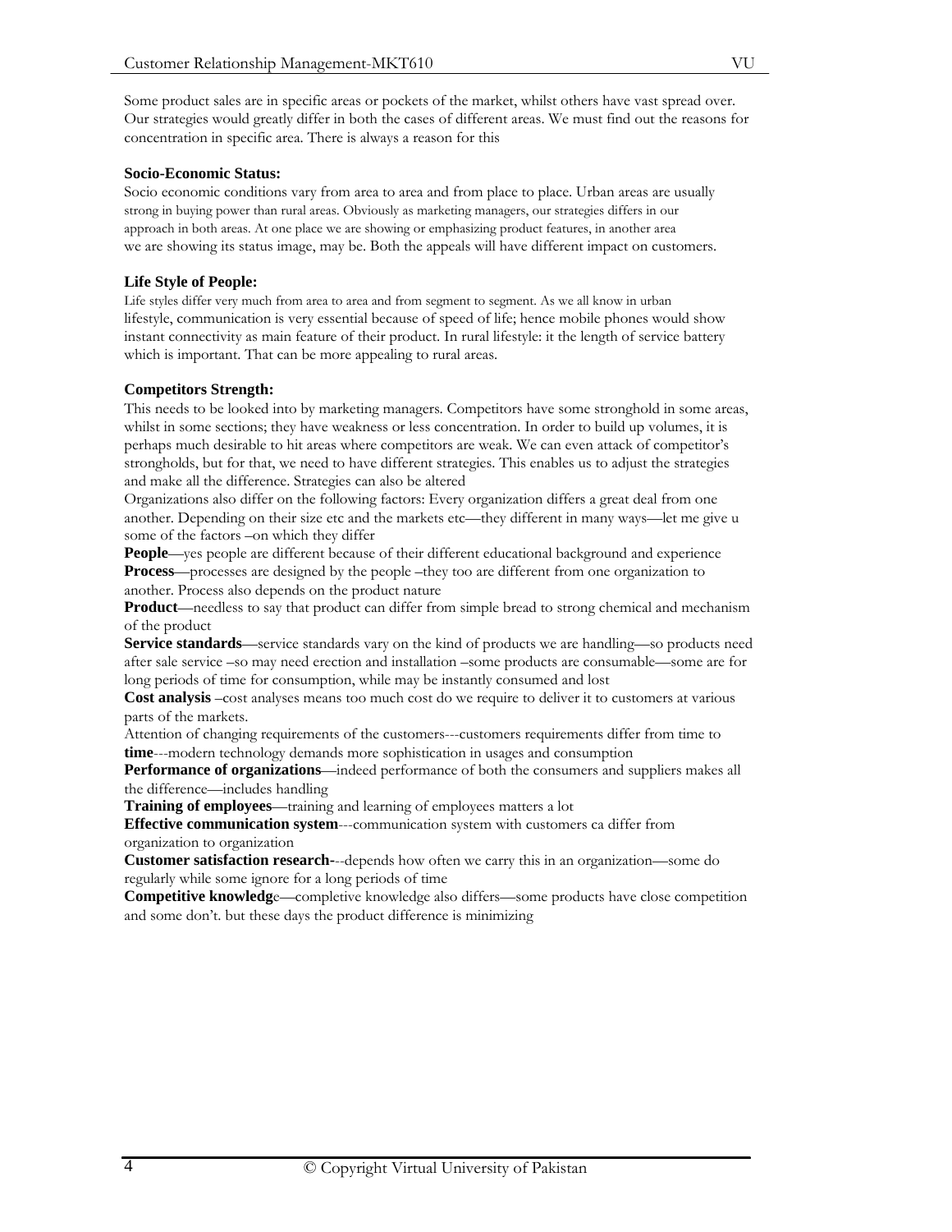Some product sales are in specific areas or pockets of the market, whilst others have vast spread over. Our strategies would greatly differ in both the cases of different areas. We must find out the reasons for concentration in specific area. There is always a reason for this

#### **Socio-Economic Status:**

Socio economic conditions vary from area to area and from place to place. Urban areas are usually strong in buying power than rural areas. Obviously as marketing managers, our strategies differs in our approach in both areas. At one place we are showing or emphasizing product features, in another area we are showing its status image, may be. Both the appeals will have different impact on customers.

## **Life Style of People:**

Life styles differ very much from area to area and from segment to segment. As we all know in urban lifestyle, communication is very essential because of speed of life; hence mobile phones would show instant connectivity as main feature of their product. In rural lifestyle: it the length of service battery which is important. That can be more appealing to rural areas.

## **Competitors Strength:**

This needs to be looked into by marketing managers. Competitors have some stronghold in some areas, whilst in some sections; they have weakness or less concentration. In order to build up volumes, it is perhaps much desirable to hit areas where competitors are weak. We can even attack of competitor's strongholds, but for that, we need to have different strategies. This enables us to adjust the strategies and make all the difference. Strategies can also be altered

Organizations also differ on the following factors: Every organization differs a great deal from one another. Depending on their size etc and the markets etc—they different in many ways—let me give u some of the factors –on which they differ

**People**—yes people are different because of their different educational background and experience **Process**—processes are designed by the people –they too are different from one organization to another. Process also depends on the product nature

**Product**—needless to say that product can differ from simple bread to strong chemical and mechanism of the product

**Service standards**—service standards vary on the kind of products we are handling—so products need after sale service –so may need erection and installation –some products are consumable—some are for long periods of time for consumption, while may be instantly consumed and lost

**Cost analysis** –cost analyses means too much cost do we require to deliver it to customers at various parts of the markets.

Attention of changing requirements of the customers---customers requirements differ from time to **time**---modern technology demands more sophistication in usages and consumption

**Performance of organizations**—indeed performance of both the consumers and suppliers makes all the difference—includes handling

**Training of employees**—training and learning of employees matters a lot

**Effective communication system**---communication system with customers ca differ from organization to organization

**Customer satisfaction research-**--depends how often we carry this in an organization—some do regularly while some ignore for a long periods of time

**Competitive knowledg**e—completive knowledge also differs—some products have close competition and some don't. but these days the product difference is minimizing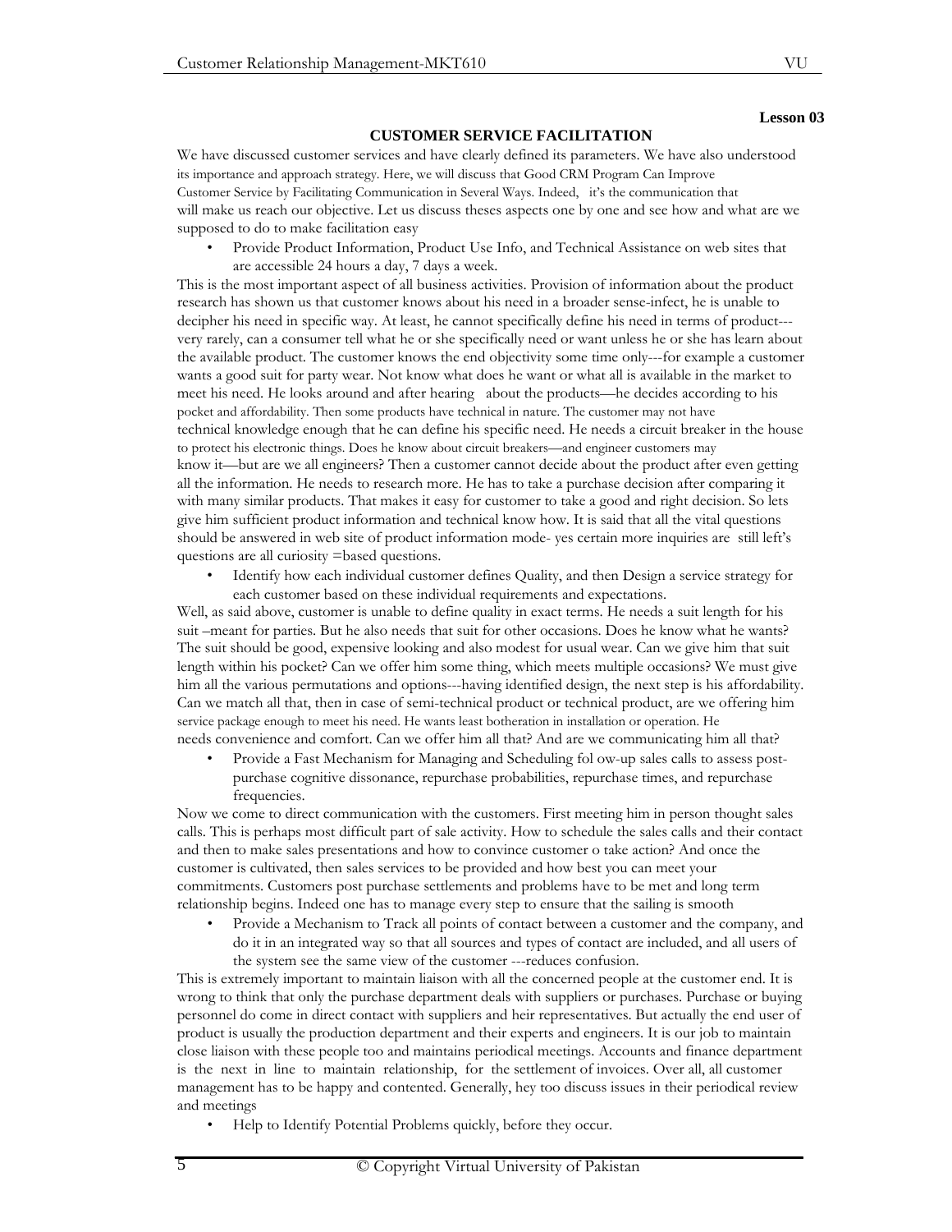#### **Lesson 03**

#### **CUSTOMER SERVICE FACILITATION**

We have discussed customer services and have clearly defined its parameters. We have also understood its importance and approach strategy. Here, we will discuss that Good CRM Program Can Improve Customer Service by Facilitating Communication in Several Ways. Indeed, it's the communication that will make us reach our objective. Let us discuss theses aspects one by one and see how and what are we supposed to do to make facilitation easy

• Provide Product Information, Product Use Info, and Technical Assistance on web sites that are accessible 24 hours a day, 7 days a week.

This is the most important aspect of all business activities. Provision of information about the product research has shown us that customer knows about his need in a broader sense-infect, he is unable to decipher his need in specific way. At least, he cannot specifically define his need in terms of product-- very rarely, can a consumer tell what he or she specifically need or want unless he or she has learn about the available product. The customer knows the end objectivity some time only---for example a customer wants a good suit for party wear. Not know what does he want or what all is available in the market to meet his need. He looks around and after hearing about the products—he decides according to his pocket and affordability. Then some products have technical in nature. The customer may not have technical knowledge enough that he can define his specific need. He needs a circuit breaker in the house to protect his electronic things. Does he know about circuit breakers—and engineer customers may know it—but are we all engineers? Then a customer cannot decide about the product after even getting all the information. He needs to research more. He has to take a purchase decision after comparing it with many similar products. That makes it easy for customer to take a good and right decision. So lets give him sufficient product information and technical know how. It is said that all the vital questions should be answered in web site of product information mode- yes certain more inquiries are still left's questions are all curiosity =based questions.

• Identify how each individual customer defines Quality, and then Design a service strategy for each customer based on these individual requirements and expectations.

Well, as said above, customer is unable to define quality in exact terms. He needs a suit length for his suit –meant for parties. But he also needs that suit for other occasions. Does he know what he wants? The suit should be good, expensive looking and also modest for usual wear. Can we give him that suit length within his pocket? Can we offer him some thing, which meets multiple occasions? We must give him all the various permutations and options---having identified design, the next step is his affordability. Can we match all that, then in case of semi-technical product or technical product, are we offering him service package enough to meet his need. He wants least botheration in installation or operation. He needs convenience and comfort. Can we offer him all that? And are we communicating him all that?

• Provide a Fast Mechanism for Managing and Scheduling fol ow-up sales calls to assess postpurchase cognitive dissonance, repurchase probabilities, repurchase times, and repurchase frequencies.

Now we come to direct communication with the customers. First meeting him in person thought sales calls. This is perhaps most difficult part of sale activity. How to schedule the sales calls and their contact and then to make sales presentations and how to convince customer o take action? And once the customer is cultivated, then sales services to be provided and how best you can meet your commitments. Customers post purchase settlements and problems have to be met and long term relationship begins. Indeed one has to manage every step to ensure that the sailing is smooth

• Provide a Mechanism to Track all points of contact between a customer and the company, and do it in an integrated way so that all sources and types of contact are included, and all users of the system see the same view of the customer ---reduces confusion.

This is extremely important to maintain liaison with all the concerned people at the customer end. It is wrong to think that only the purchase department deals with suppliers or purchases. Purchase or buying personnel do come in direct contact with suppliers and heir representatives. But actually the end user of product is usually the production department and their experts and engineers. It is our job to maintain close liaison with these people too and maintains periodical meetings. Accounts and finance department is the next in line to maintain relationship, for the settlement of invoices. Over all, all customer management has to be happy and contented. Generally, hey too discuss issues in their periodical review and meetings

• Help to Identify Potential Problems quickly, before they occur.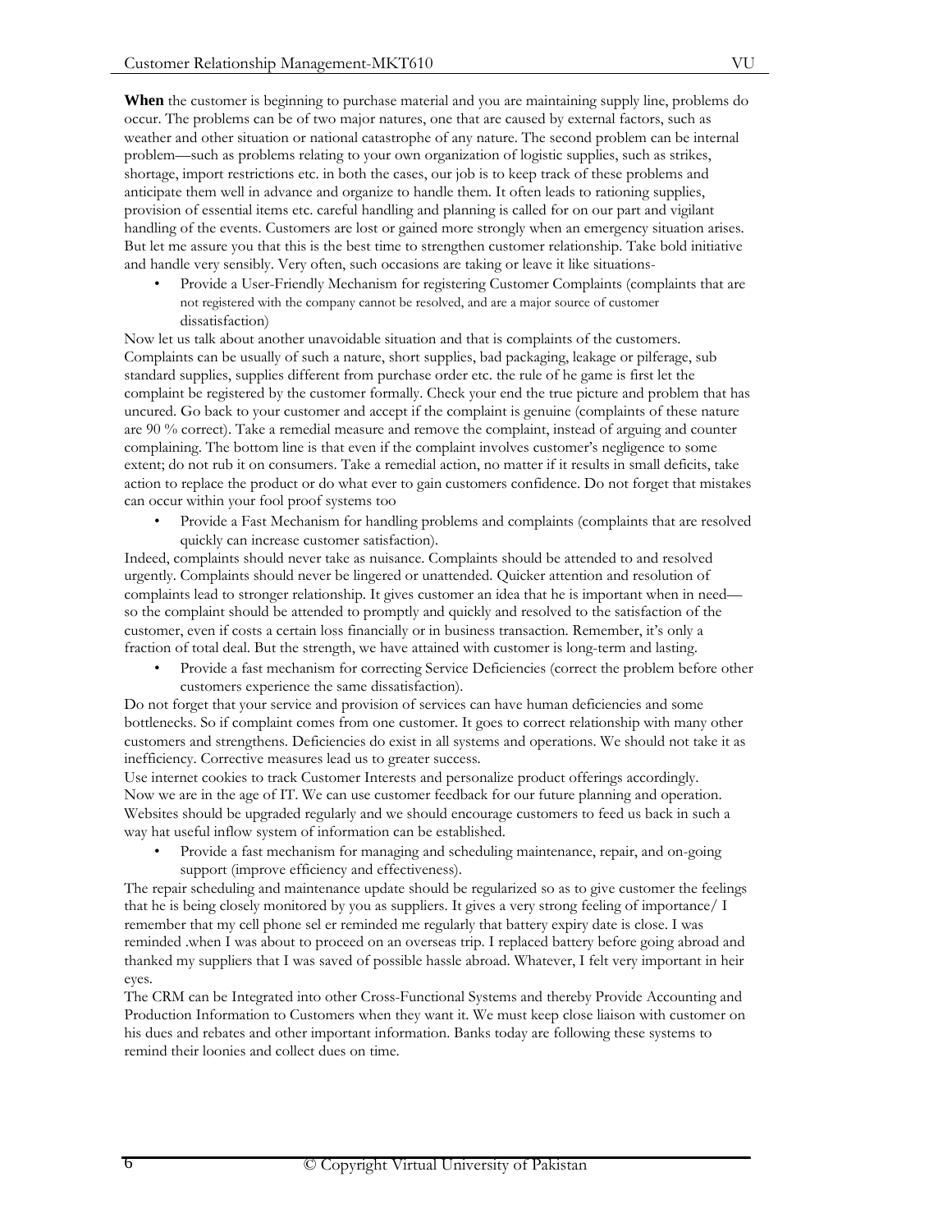**When** the customer is beginning to purchase material and you are maintaining supply line, problems do occur. The problems can be of two major natures, one that are caused by external factors, such as weather and other situation or national catastrophe of any nature. The second problem can be internal problem—such as problems relating to your own organization of logistic supplies, such as strikes, shortage, import restrictions etc. in both the cases, our job is to keep track of these problems and anticipate them well in advance and organize to handle them. It often leads to rationing supplies, provision of essential items etc. careful handling and planning is called for on our part and vigilant handling of the events. Customers are lost or gained more strongly when an emergency situation arises. But let me assure you that this is the best time to strengthen customer relationship. Take bold initiative and handle very sensibly. Very often, such occasions are taking or leave it like situations-

• Provide a User-Friendly Mechanism for registering Customer Complaints (complaints that are not registered with the company cannot be resolved, and are a major source of customer dissatisfaction)

Now let us talk about another unavoidable situation and that is complaints of the customers. Complaints can be usually of such a nature, short supplies, bad packaging, leakage or pilferage, sub standard supplies, supplies different from purchase order etc. the rule of he game is first let the complaint be registered by the customer formally. Check your end the true picture and problem that has uncured. Go back to your customer and accept if the complaint is genuine (complaints of these nature are 90 % correct). Take a remedial measure and remove the complaint, instead of arguing and counter complaining. The bottom line is that even if the complaint involves customer's negligence to some extent; do not rub it on consumers. Take a remedial action, no matter if it results in small deficits, take action to replace the product or do what ever to gain customers confidence. Do not forget that mistakes can occur within your fool proof systems too

• Provide a Fast Mechanism for handling problems and complaints (complaints that are resolved quickly can increase customer satisfaction).

Indeed, complaints should never take as nuisance. Complaints should be attended to and resolved urgently. Complaints should never be lingered or unattended. Quicker attention and resolution of complaints lead to stronger relationship. It gives customer an idea that he is important when in need so the complaint should be attended to promptly and quickly and resolved to the satisfaction of the customer, even if costs a certain loss financially or in business transaction. Remember, it's only a fraction of total deal. But the strength, we have attained with customer is long-term and lasting.

• Provide a fast mechanism for correcting Service Deficiencies (correct the problem before other customers experience the same dissatisfaction).

Do not forget that your service and provision of services can have human deficiencies and some bottlenecks. So if complaint comes from one customer. It goes to correct relationship with many other customers and strengthens. Deficiencies do exist in all systems and operations. We should not take it as inefficiency. Corrective measures lead us to greater success.

Use internet cookies to track Customer Interests and personalize product offerings accordingly. Now we are in the age of IT. We can use customer feedback for our future planning and operation. Websites should be upgraded regularly and we should encourage customers to feed us back in such a way hat useful inflow system of information can be established.

• Provide a fast mechanism for managing and scheduling maintenance, repair, and on-going support (improve efficiency and effectiveness).

The repair scheduling and maintenance update should be regularized so as to give customer the feelings that he is being closely monitored by you as suppliers. It gives a very strong feeling of importance/ I remember that my cell phone sel er reminded me regularly that battery expiry date is close. I was reminded .when I was about to proceed on an overseas trip. I replaced battery before going abroad and thanked my suppliers that I was saved of possible hassle abroad. Whatever, I felt very important in heir eyes.

The CRM can be Integrated into other Cross-Functional Systems and thereby Provide Accounting and Production Information to Customers when they want it. We must keep close liaison with customer on his dues and rebates and other important information. Banks today are following these systems to remind their loonies and collect dues on time.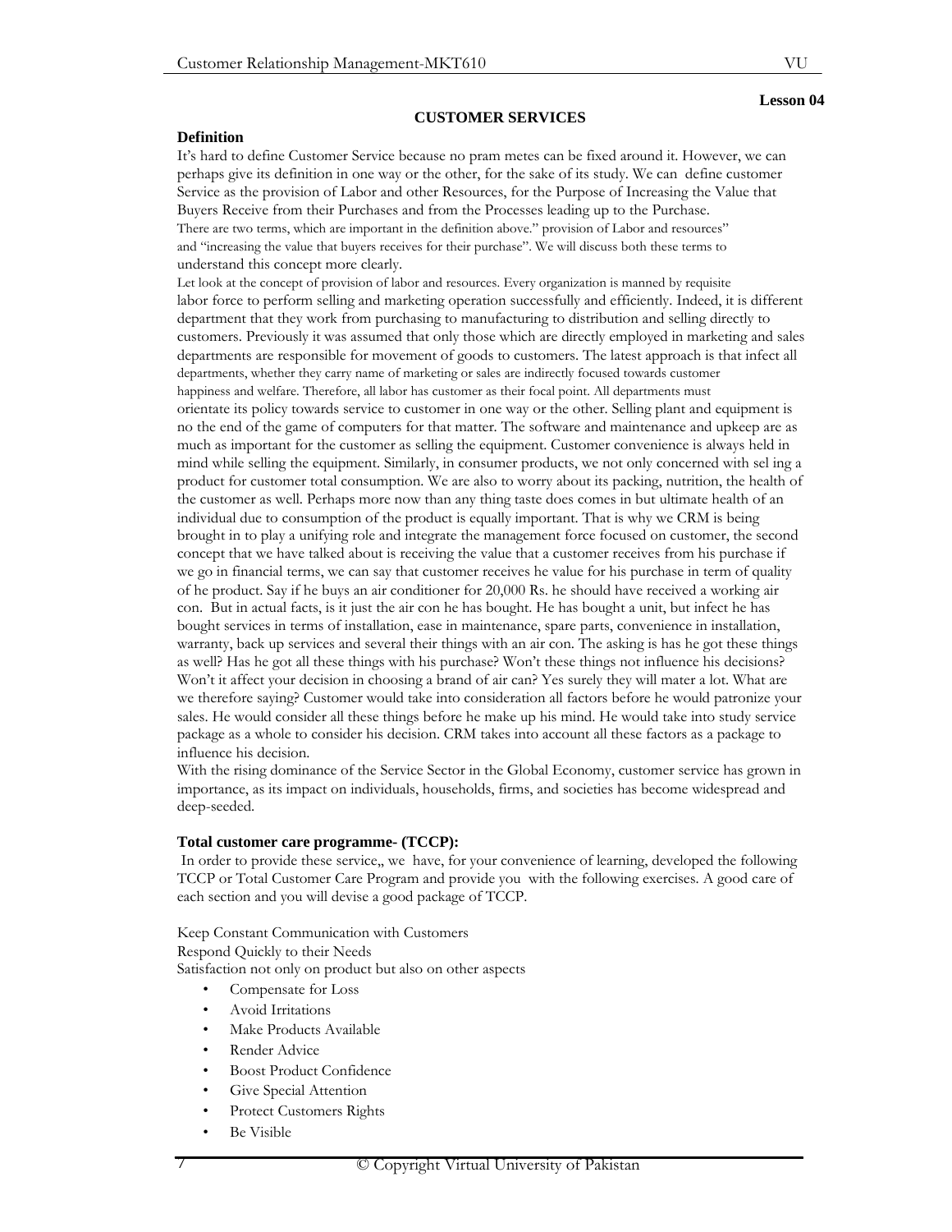VU

#### **CUSTOMER SERVICES**

## **Definition**

It's hard to define Customer Service because no pram metes can be fixed around it. However, we can perhaps give its definition in one way or the other, for the sake of its study. We can define customer Service as the provision of Labor and other Resources, for the Purpose of Increasing the Value that Buyers Receive from their Purchases and from the Processes leading up to the Purchase. There are two terms, which are important in the definition above." provision of Labor and resources" and "increasing the value that buyers receives for their purchase". We will discuss both these terms to understand this concept more clearly.

Let look at the concept of provision of labor and resources. Every organization is manned by requisite labor force to perform selling and marketing operation successfully and efficiently. Indeed, it is different department that they work from purchasing to manufacturing to distribution and selling directly to customers. Previously it was assumed that only those which are directly employed in marketing and sales departments are responsible for movement of goods to customers. The latest approach is that infect all departments, whether they carry name of marketing or sales are indirectly focused towards customer happiness and welfare. Therefore, all labor has customer as their focal point. All departments must orientate its policy towards service to customer in one way or the other. Selling plant and equipment is no the end of the game of computers for that matter. The software and maintenance and upkeep are as much as important for the customer as selling the equipment. Customer convenience is always held in mind while selling the equipment. Similarly, in consumer products, we not only concerned with sel ing a product for customer total consumption. We are also to worry about its packing, nutrition, the health of the customer as well. Perhaps more now than any thing taste does comes in but ultimate health of an individual due to consumption of the product is equally important. That is why we CRM is being brought in to play a unifying role and integrate the management force focused on customer, the second concept that we have talked about is receiving the value that a customer receives from his purchase if we go in financial terms, we can say that customer receives he value for his purchase in term of quality of he product. Say if he buys an air conditioner for 20,000 Rs. he should have received a working air con. But in actual facts, is it just the air con he has bought. He has bought a unit, but infect he has bought services in terms of installation, ease in maintenance, spare parts, convenience in installation, warranty, back up services and several their things with an air con. The asking is has he got these things as well? Has he got all these things with his purchase? Won't these things not influence his decisions? Won't it affect your decision in choosing a brand of air can? Yes surely they will mater a lot. What are we therefore saying? Customer would take into consideration all factors before he would patronize your sales. He would consider all these things before he make up his mind. He would take into study service package as a whole to consider his decision. CRM takes into account all these factors as a package to influence his decision.

With the rising dominance of the Service Sector in the Global Economy, customer service has grown in importance, as its impact on individuals, households, firms, and societies has become widespread and deep-seeded.

#### **Total customer care programme- (TCCP):**

 In order to provide these service,, we have, for your convenience of learning, developed the following TCCP or Total Customer Care Program and provide you with the following exercises. A good care of each section and you will devise a good package of TCCP.

Keep Constant Communication with Customers

Respond Quickly to their Needs

Satisfaction not only on product but also on other aspects

- Compensate for Loss
- Avoid Irritations
- Make Products Available
- Render Advice
- Boost Product Confidence
- Give Special Attention
- Protect Customers Rights
- Be Visible

#### **Lesson 04**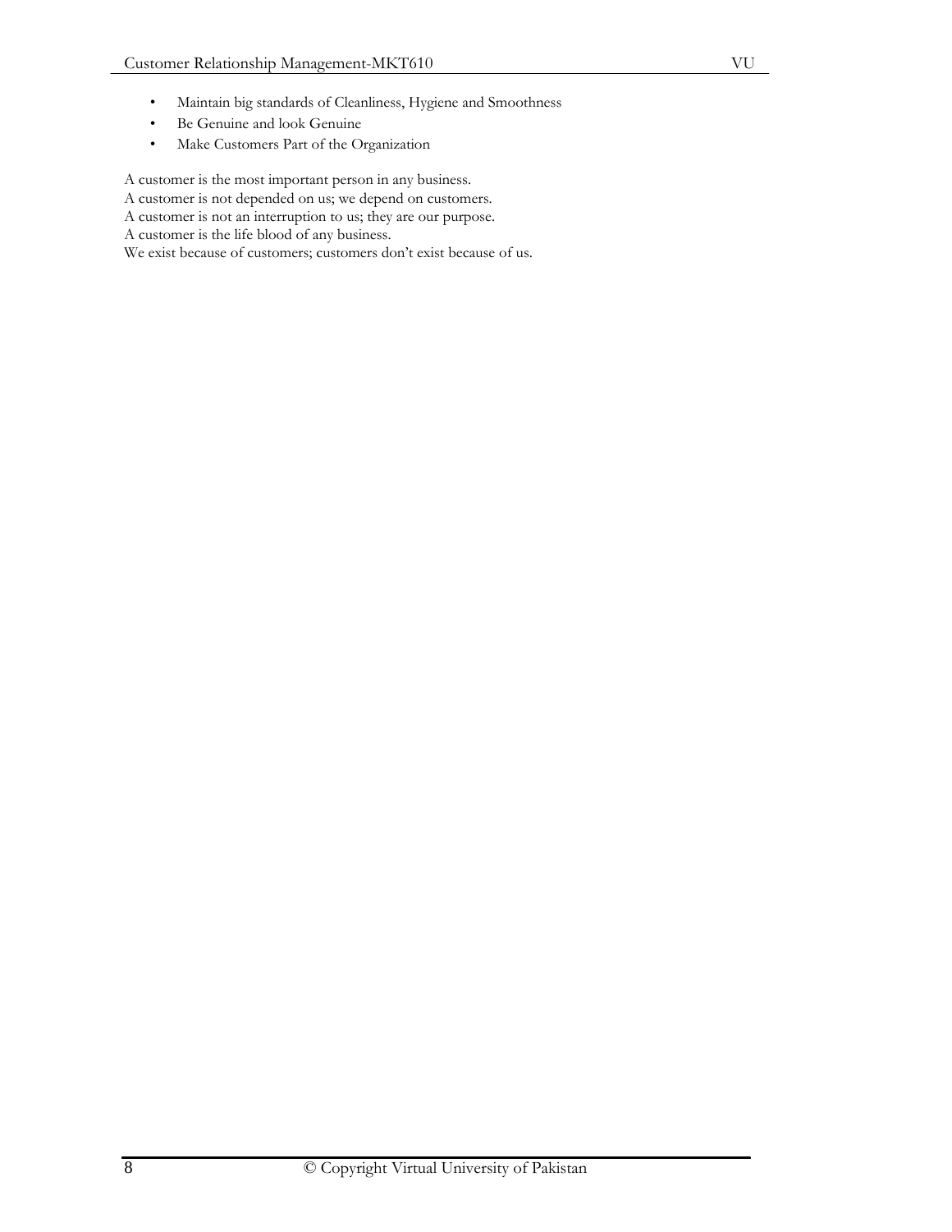- Maintain big standards of Cleanliness, Hygiene and Smoothness
- Be Genuine and look Genuine
- Make Customers Part of the Organization

A customer is the most important person in any business. A customer is not depended on us; we depend on customers. A customer is not an interruption to us; they are our purpose.

A customer is the life blood of any business.

We exist because of customers; customers don't exist because of us.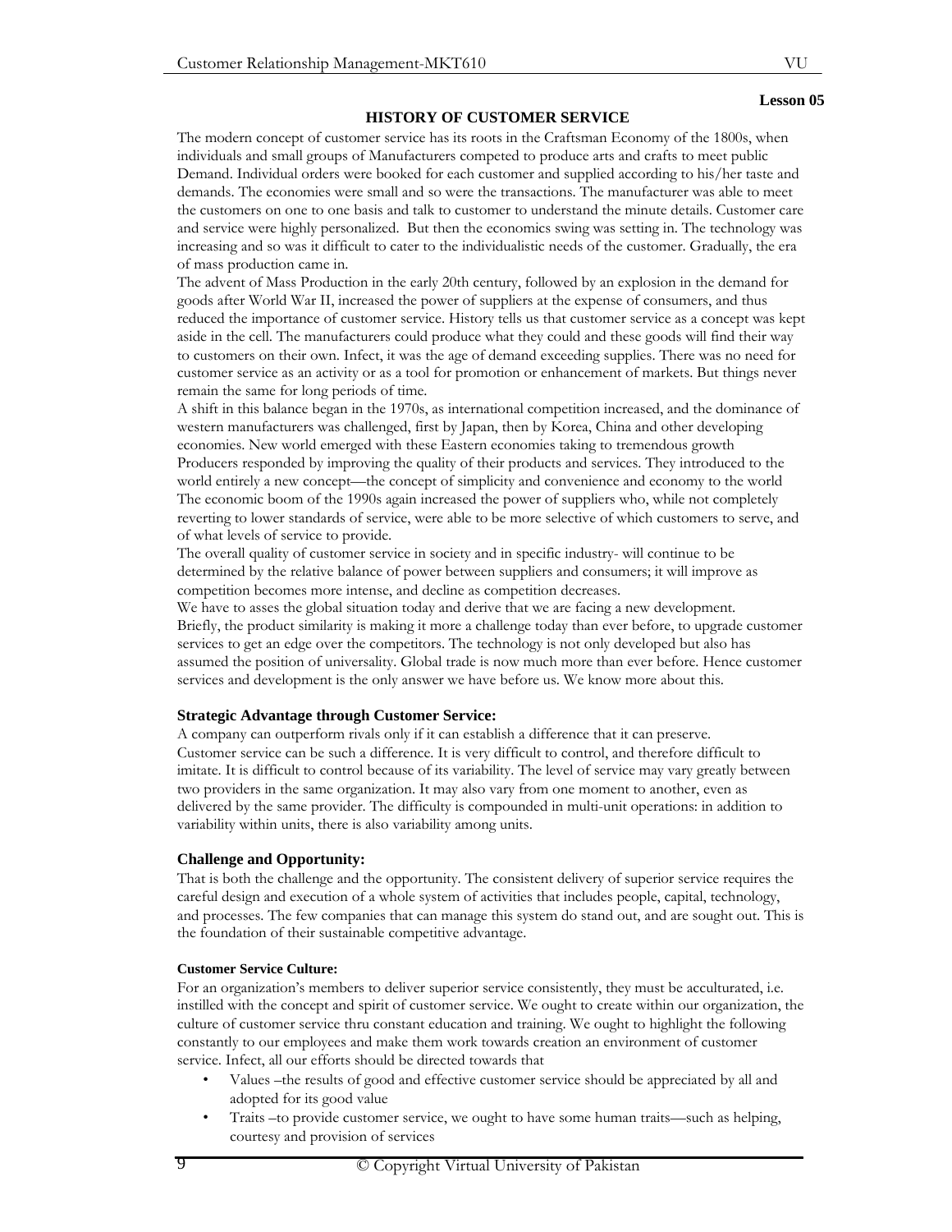# VU **Lesson 05**

#### **HISTORY OF CUSTOMER SERVICE**

The modern concept of customer service has its roots in the Craftsman Economy of the 1800s, when individuals and small groups of Manufacturers competed to produce arts and crafts to meet public Demand. Individual orders were booked for each customer and supplied according to his/her taste and demands. The economies were small and so were the transactions. The manufacturer was able to meet the customers on one to one basis and talk to customer to understand the minute details. Customer care and service were highly personalized. But then the economics swing was setting in. The technology was increasing and so was it difficult to cater to the individualistic needs of the customer. Gradually, the era of mass production came in.

The advent of Mass Production in the early 20th century, followed by an explosion in the demand for goods after World War II, increased the power of suppliers at the expense of consumers, and thus reduced the importance of customer service. History tells us that customer service as a concept was kept aside in the cell. The manufacturers could produce what they could and these goods will find their way to customers on their own. Infect, it was the age of demand exceeding supplies. There was no need for customer service as an activity or as a tool for promotion or enhancement of markets. But things never remain the same for long periods of time.

A shift in this balance began in the 1970s, as international competition increased, and the dominance of western manufacturers was challenged, first by Japan, then by Korea, China and other developing economies. New world emerged with these Eastern economies taking to tremendous growth Producers responded by improving the quality of their products and services. They introduced to the world entirely a new concept—the concept of simplicity and convenience and economy to the world The economic boom of the 1990s again increased the power of suppliers who, while not completely reverting to lower standards of service, were able to be more selective of which customers to serve, and of what levels of service to provide.

The overall quality of customer service in society and in specific industry- will continue to be determined by the relative balance of power between suppliers and consumers; it will improve as competition becomes more intense, and decline as competition decreases.

We have to asses the global situation today and derive that we are facing a new development. Briefly, the product similarity is making it more a challenge today than ever before, to upgrade customer services to get an edge over the competitors. The technology is not only developed but also has assumed the position of universality. Global trade is now much more than ever before. Hence customer services and development is the only answer we have before us. We know more about this.

#### **Strategic Advantage through Customer Service:**

A company can outperform rivals only if it can establish a difference that it can preserve. Customer service can be such a difference. It is very difficult to control, and therefore difficult to imitate. It is difficult to control because of its variability. The level of service may vary greatly between two providers in the same organization. It may also vary from one moment to another, even as delivered by the same provider. The difficulty is compounded in multi-unit operations: in addition to variability within units, there is also variability among units.

## **Challenge and Opportunity:**

That is both the challenge and the opportunity. The consistent delivery of superior service requires the careful design and execution of a whole system of activities that includes people, capital, technology, and processes. The few companies that can manage this system do stand out, and are sought out. This is the foundation of their sustainable competitive advantage.

#### **Customer Service Culture:**

For an organization's members to deliver superior service consistently, they must be acculturated, i.e. instilled with the concept and spirit of customer service. We ought to create within our organization, the culture of customer service thru constant education and training. We ought to highlight the following constantly to our employees and make them work towards creation an environment of customer service. Infect, all our efforts should be directed towards that

- Values –the results of good and effective customer service should be appreciated by all and adopted for its good value
- Traits –to provide customer service, we ought to have some human traits—such as helping, courtesy and provision of services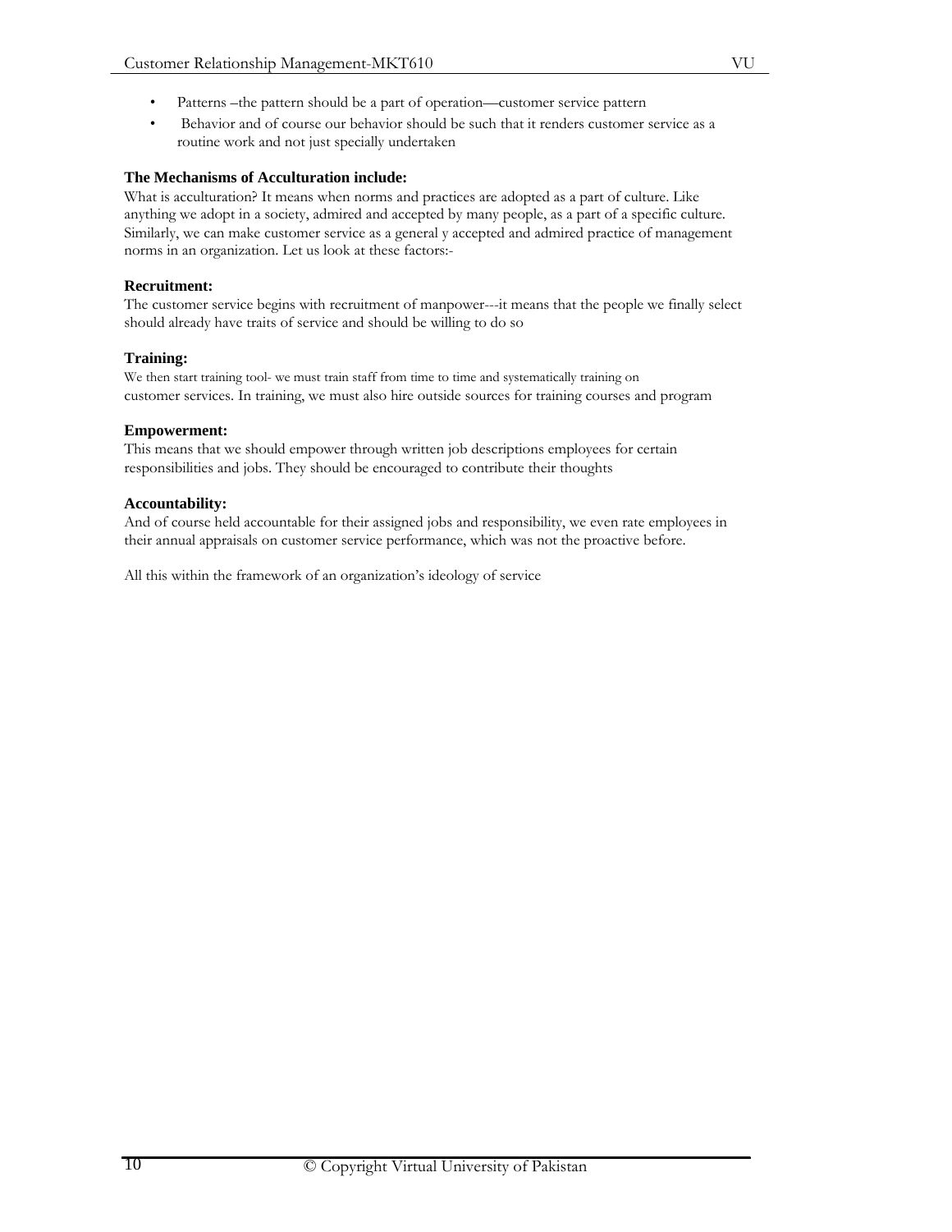• Behavior and of course our behavior should be such that it renders customer service as a routine work and not just specially undertaken

# **The Mechanisms of Acculturation include:**

What is acculturation? It means when norms and practices are adopted as a part of culture. Like anything we adopt in a society, admired and accepted by many people, as a part of a specific culture. Similarly, we can make customer service as a general y accepted and admired practice of management norms in an organization. Let us look at these factors:-

# **Recruitment:**

The customer service begins with recruitment of manpower---it means that the people we finally select should already have traits of service and should be willing to do so

# **Training:**

We then start training tool- we must train staff from time to time and systematically training on customer services. In training, we must also hire outside sources for training courses and program

# **Empowerment:**

This means that we should empower through written job descriptions employees for certain responsibilities and jobs. They should be encouraged to contribute their thoughts

# **Accountability:**

And of course held accountable for their assigned jobs and responsibility, we even rate employees in their annual appraisals on customer service performance, which was not the proactive before.

All this within the framework of an organization's ideology of service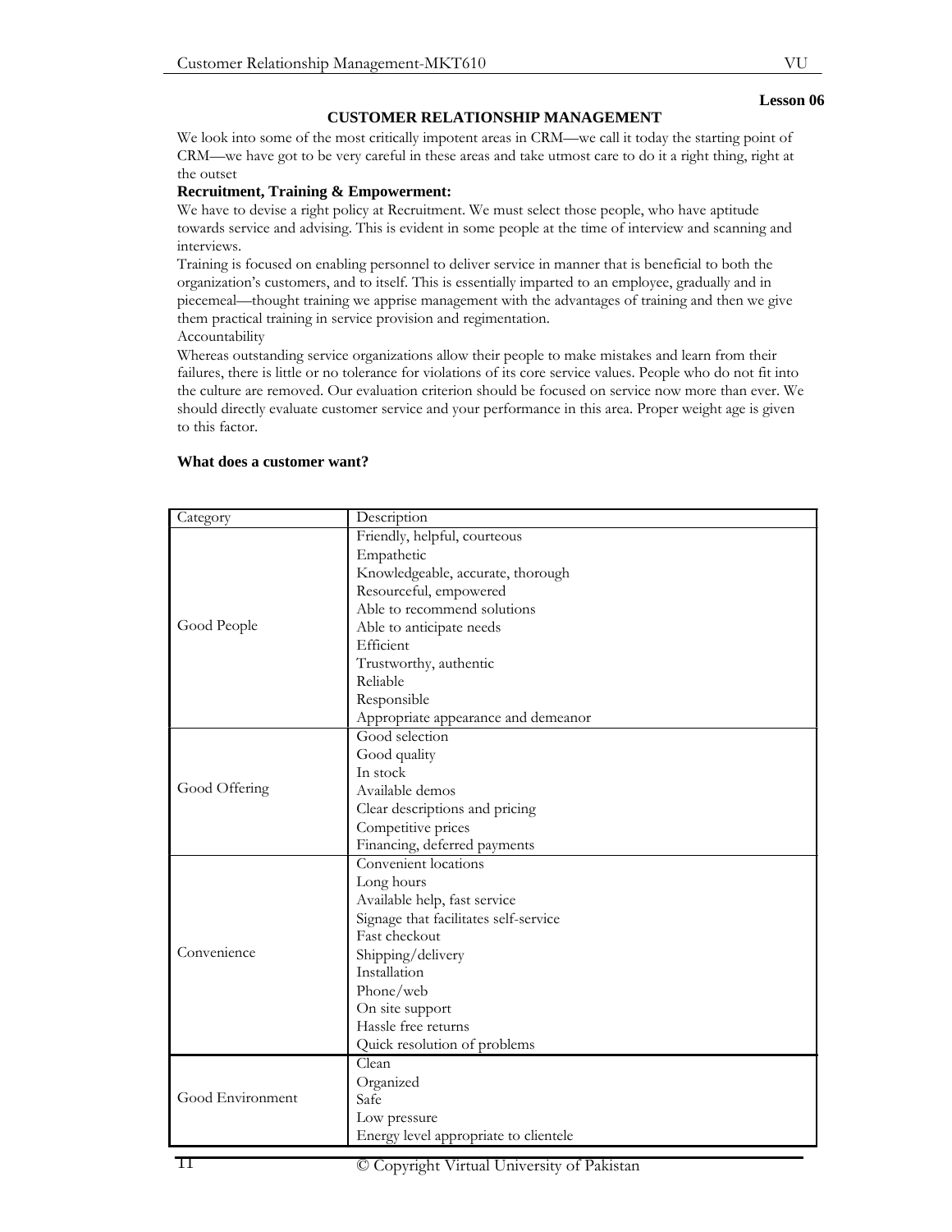# **CUSTOMER RELATIONSHIP MANAGEMENT**

We look into some of the most critically impotent areas in CRM—we call it today the starting point of CRM—we have got to be very careful in these areas and take utmost care to do it a right thing, right at the outset

#### **Recruitment, Training & Empowerment:**

We have to devise a right policy at Recruitment. We must select those people, who have aptitude towards service and advising. This is evident in some people at the time of interview and scanning and interviews.

Training is focused on enabling personnel to deliver service in manner that is beneficial to both the organization's customers, and to itself. This is essentially imparted to an employee, gradually and in piecemeal—thought training we apprise management with the advantages of training and then we give them practical training in service provision and regimentation.

Accountability

Whereas outstanding service organizations allow their people to make mistakes and learn from their failures, there is little or no tolerance for violations of its core service values. People who do not fit into the culture are removed. Our evaluation criterion should be focused on service now more than ever. We should directly evaluate customer service and your performance in this area. Proper weight age is given to this factor.

| Category         | Description                           |
|------------------|---------------------------------------|
| Good People      | Friendly, helpful, courteous          |
|                  | Empathetic                            |
|                  | Knowledgeable, accurate, thorough     |
|                  | Resourceful, empowered                |
|                  | Able to recommend solutions           |
|                  | Able to anticipate needs              |
|                  | Efficient                             |
|                  | Trustworthy, authentic                |
|                  | Reliable                              |
|                  | Responsible                           |
|                  | Appropriate appearance and demeanor   |
|                  | Good selection                        |
|                  | Good quality                          |
|                  | In stock                              |
| Good Offering    | Available demos                       |
|                  | Clear descriptions and pricing        |
|                  | Competitive prices                    |
|                  | Financing, deferred payments          |
|                  | Convenient locations                  |
| Convenience      | Long hours                            |
|                  | Available help, fast service          |
|                  | Signage that facilitates self-service |
|                  | Fast checkout                         |
|                  | Shipping/delivery                     |
|                  | Installation                          |
|                  | Phone/web                             |
|                  | On site support                       |
|                  | Hassle free returns                   |
|                  | Quick resolution of problems          |
| Good Environment | Clean                                 |
|                  | Organized                             |
|                  | Safe                                  |
|                  | Low pressure                          |
|                  | Energy level appropriate to clientele |

#### **What does a customer want?**

#### **Lesson 06**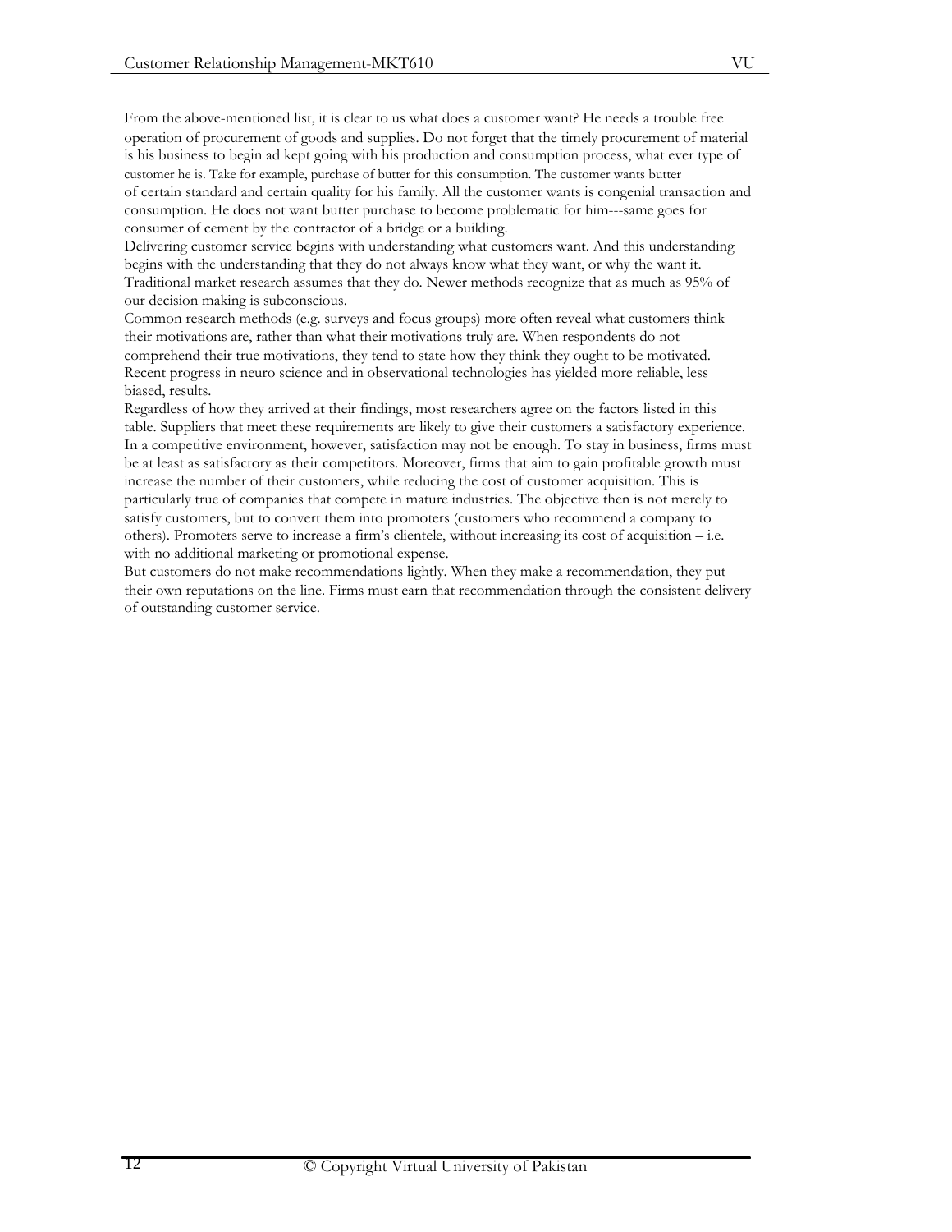From the above-mentioned list, it is clear to us what does a customer want? He needs a trouble free operation of procurement of goods and supplies. Do not forget that the timely procurement of material is his business to begin ad kept going with his production and consumption process, what ever type of customer he is. Take for example, purchase of butter for this consumption. The customer wants butter of certain standard and certain quality for his family. All the customer wants is congenial transaction and consumption. He does not want butter purchase to become problematic for him---same goes for consumer of cement by the contractor of a bridge or a building.

Delivering customer service begins with understanding what customers want. And this understanding begins with the understanding that they do not always know what they want, or why the want it. Traditional market research assumes that they do. Newer methods recognize that as much as 95% of our decision making is subconscious.

Common research methods (e.g. surveys and focus groups) more often reveal what customers think their motivations are, rather than what their motivations truly are. When respondents do not comprehend their true motivations, they tend to state how they think they ought to be motivated. Recent progress in neuro science and in observational technologies has yielded more reliable, less biased, results.

Regardless of how they arrived at their findings, most researchers agree on the factors listed in this table. Suppliers that meet these requirements are likely to give their customers a satisfactory experience. In a competitive environment, however, satisfaction may not be enough. To stay in business, firms must be at least as satisfactory as their competitors. Moreover, firms that aim to gain profitable growth must increase the number of their customers, while reducing the cost of customer acquisition. This is particularly true of companies that compete in mature industries. The objective then is not merely to satisfy customers, but to convert them into promoters (customers who recommend a company to others). Promoters serve to increase a firm's clientele, without increasing its cost of acquisition – i.e. with no additional marketing or promotional expense.

But customers do not make recommendations lightly. When they make a recommendation, they put their own reputations on the line. Firms must earn that recommendation through the consistent delivery of outstanding customer service.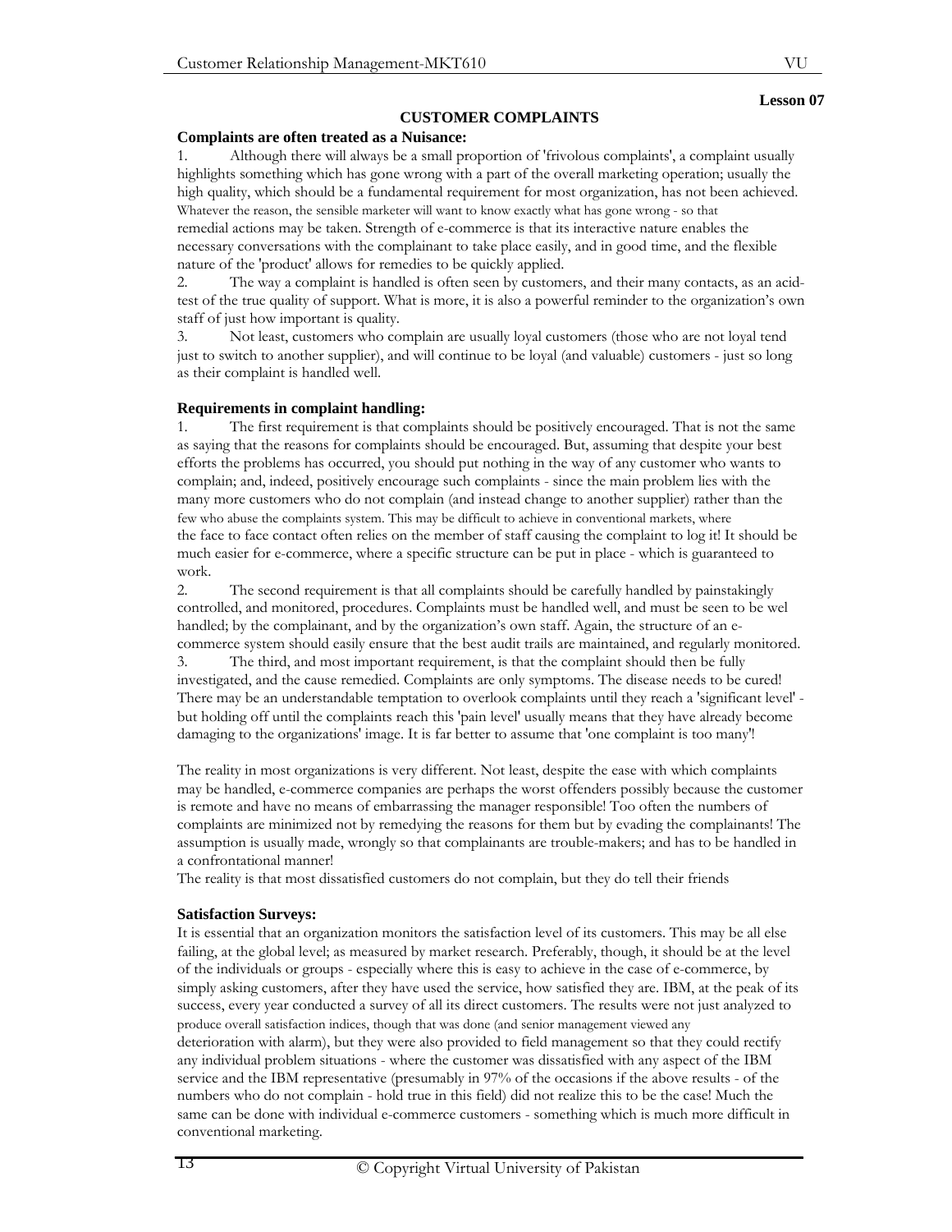# **CUSTOMER COMPLAINTS**

# **Complaints are often treated as a Nuisance:**

1. Although there will always be a small proportion of 'frivolous complaints', a complaint usually highlights something which has gone wrong with a part of the overall marketing operation; usually the high quality, which should be a fundamental requirement for most organization, has not been achieved. Whatever the reason, the sensible marketer will want to know exactly what has gone wrong - so that remedial actions may be taken. Strength of e-commerce is that its interactive nature enables the necessary conversations with the complainant to take place easily, and in good time, and the flexible nature of the 'product' allows for remedies to be quickly applied.

2. The way a complaint is handled is often seen by customers, and their many contacts, as an acidtest of the true quality of support. What is more, it is also a powerful reminder to the organization's own staff of just how important is quality.

3. Not least, customers who complain are usually loyal customers (those who are not loyal tend just to switch to another supplier), and will continue to be loyal (and valuable) customers - just so long as their complaint is handled well.

## **Requirements in complaint handling:**

1. The first requirement is that complaints should be positively encouraged. That is not the same as saying that the reasons for complaints should be encouraged. But, assuming that despite your best efforts the problems has occurred, you should put nothing in the way of any customer who wants to complain; and, indeed, positively encourage such complaints - since the main problem lies with the many more customers who do not complain (and instead change to another supplier) rather than the few who abuse the complaints system. This may be difficult to achieve in conventional markets, where the face to face contact often relies on the member of staff causing the complaint to log it! It should be much easier for e-commerce, where a specific structure can be put in place - which is guaranteed to work.

2. The second requirement is that all complaints should be carefully handled by painstakingly controlled, and monitored, procedures. Complaints must be handled well, and must be seen to be wel handled; by the complainant, and by the organization's own staff. Again, the structure of an ecommerce system should easily ensure that the best audit trails are maintained, and regularly monitored.

3. The third, and most important requirement, is that the complaint should then be fully investigated, and the cause remedied. Complaints are only symptoms. The disease needs to be cured! There may be an understandable temptation to overlook complaints until they reach a 'significant level' but holding off until the complaints reach this 'pain level' usually means that they have already become damaging to the organizations' image. It is far better to assume that 'one complaint is too many'!

The reality in most organizations is very different. Not least, despite the ease with which complaints may be handled, e-commerce companies are perhaps the worst offenders possibly because the customer is remote and have no means of embarrassing the manager responsible! Too often the numbers of complaints are minimized not by remedying the reasons for them but by evading the complainants! The assumption is usually made, wrongly so that complainants are trouble-makers; and has to be handled in a confrontational manner!

The reality is that most dissatisfied customers do not complain, but they do tell their friends

## **Satisfaction Surveys:**

It is essential that an organization monitors the satisfaction level of its customers. This may be all else failing, at the global level; as measured by market research. Preferably, though, it should be at the level of the individuals or groups - especially where this is easy to achieve in the case of e-commerce, by simply asking customers, after they have used the service, how satisfied they are. IBM, at the peak of its success, every year conducted a survey of all its direct customers. The results were not just analyzed to produce overall satisfaction indices, though that was done (and senior management viewed any deterioration with alarm), but they were also provided to field management so that they could rectify any individual problem situations - where the customer was dissatisfied with any aspect of the IBM service and the IBM representative (presumably in 97% of the occasions if the above results - of the numbers who do not complain - hold true in this field) did not realize this to be the case! Much the same can be done with individual e-commerce customers - something which is much more difficult in conventional marketing.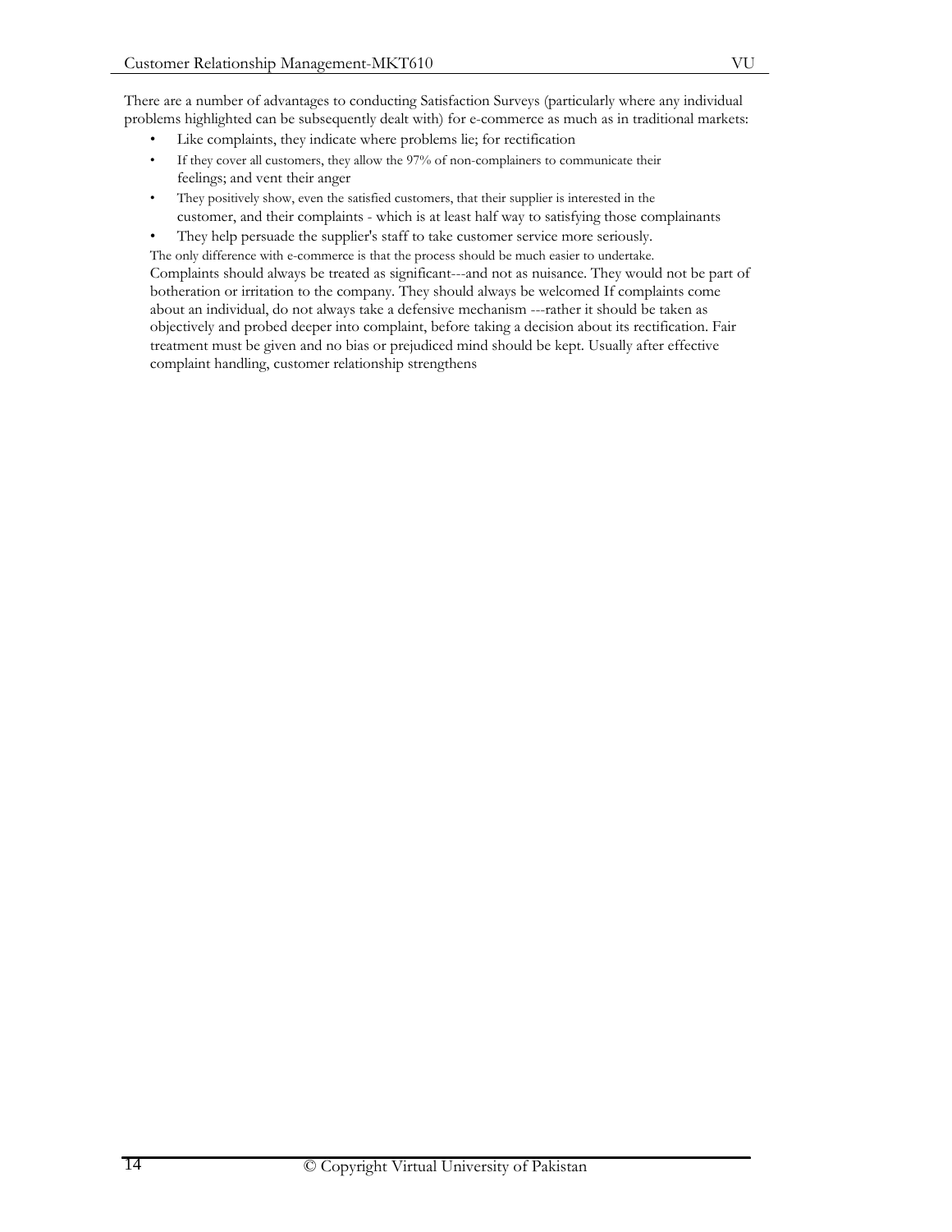There are a number of advantages to conducting Satisfaction Surveys (particularly where any individual problems highlighted can be subsequently dealt with) for e-commerce as much as in traditional markets:

- Like complaints, they indicate where problems lie; for rectification
- If they cover all customers, they allow the 97% of non-complainers to communicate their feelings; and vent their anger
- They positively show, even the satisfied customers, that their supplier is interested in the customer, and their complaints - which is at least half way to satisfying those complainants
- They help persuade the supplier's staff to take customer service more seriously.

The only difference with e-commerce is that the process should be much easier to undertake. Complaints should always be treated as significant---and not as nuisance. They would not be part of botheration or irritation to the company. They should always be welcomed If complaints come about an individual, do not always take a defensive mechanism ---rather it should be taken as objectively and probed deeper into complaint, before taking a decision about its rectification. Fair treatment must be given and no bias or prejudiced mind should be kept. Usually after effective complaint handling, customer relationship strengthens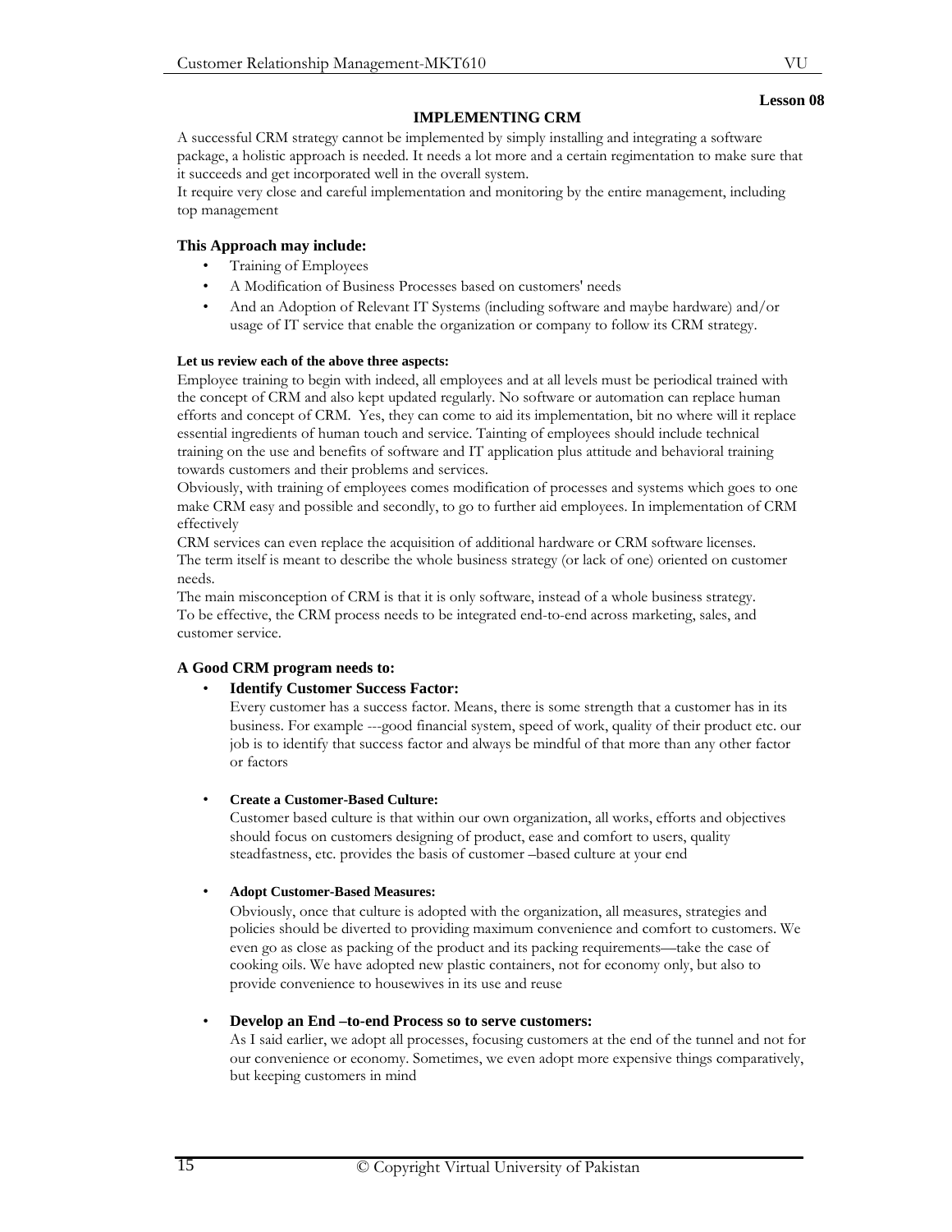# **IMPLEMENTING CRM**

A successful CRM strategy cannot be implemented by simply installing and integrating a software package, a holistic approach is needed. It needs a lot more and a certain regimentation to make sure that it succeeds and get incorporated well in the overall system.

It require very close and careful implementation and monitoring by the entire management, including top management

# **This Approach may include:**

- Training of Employees
- A Modification of Business Processes based on customers' needs
- And an Adoption of Relevant IT Systems (including software and maybe hardware) and/or usage of IT service that enable the organization or company to follow its CRM strategy.

# **Let us review each of the above three aspects:**

Employee training to begin with indeed, all employees and at all levels must be periodical trained with the concept of CRM and also kept updated regularly. No software or automation can replace human efforts and concept of CRM. Yes, they can come to aid its implementation, bit no where will it replace essential ingredients of human touch and service. Tainting of employees should include technical training on the use and benefits of software and IT application plus attitude and behavioral training towards customers and their problems and services.

Obviously, with training of employees comes modification of processes and systems which goes to one make CRM easy and possible and secondly, to go to further aid employees. In implementation of CRM effectively

CRM services can even replace the acquisition of additional hardware or CRM software licenses. The term itself is meant to describe the whole business strategy (or lack of one) oriented on customer needs.

The main misconception of CRM is that it is only software, instead of a whole business strategy. To be effective, the CRM process needs to be integrated end-to-end across marketing, sales, and customer service.

# **A Good CRM program needs to:**

## • **Identify Customer Success Factor:**

Every customer has a success factor. Means, there is some strength that a customer has in its business. For example ---good financial system, speed of work, quality of their product etc. our job is to identify that success factor and always be mindful of that more than any other factor or factors

## • **Create a Customer-Based Culture:**

Customer based culture is that within our own organization, all works, efforts and objectives should focus on customers designing of product, ease and comfort to users, quality steadfastness, etc. provides the basis of customer –based culture at your end

## • **Adopt Customer-Based Measures:**

Obviously, once that culture is adopted with the organization, all measures, strategies and policies should be diverted to providing maximum convenience and comfort to customers. We even go as close as packing of the product and its packing requirements—take the case of cooking oils. We have adopted new plastic containers, not for economy only, but also to provide convenience to housewives in its use and reuse

## • **Develop an End –to-end Process so to serve customers:**

As I said earlier, we adopt all processes, focusing customers at the end of the tunnel and not for our convenience or economy. Sometimes, we even adopt more expensive things comparatively, but keeping customers in mind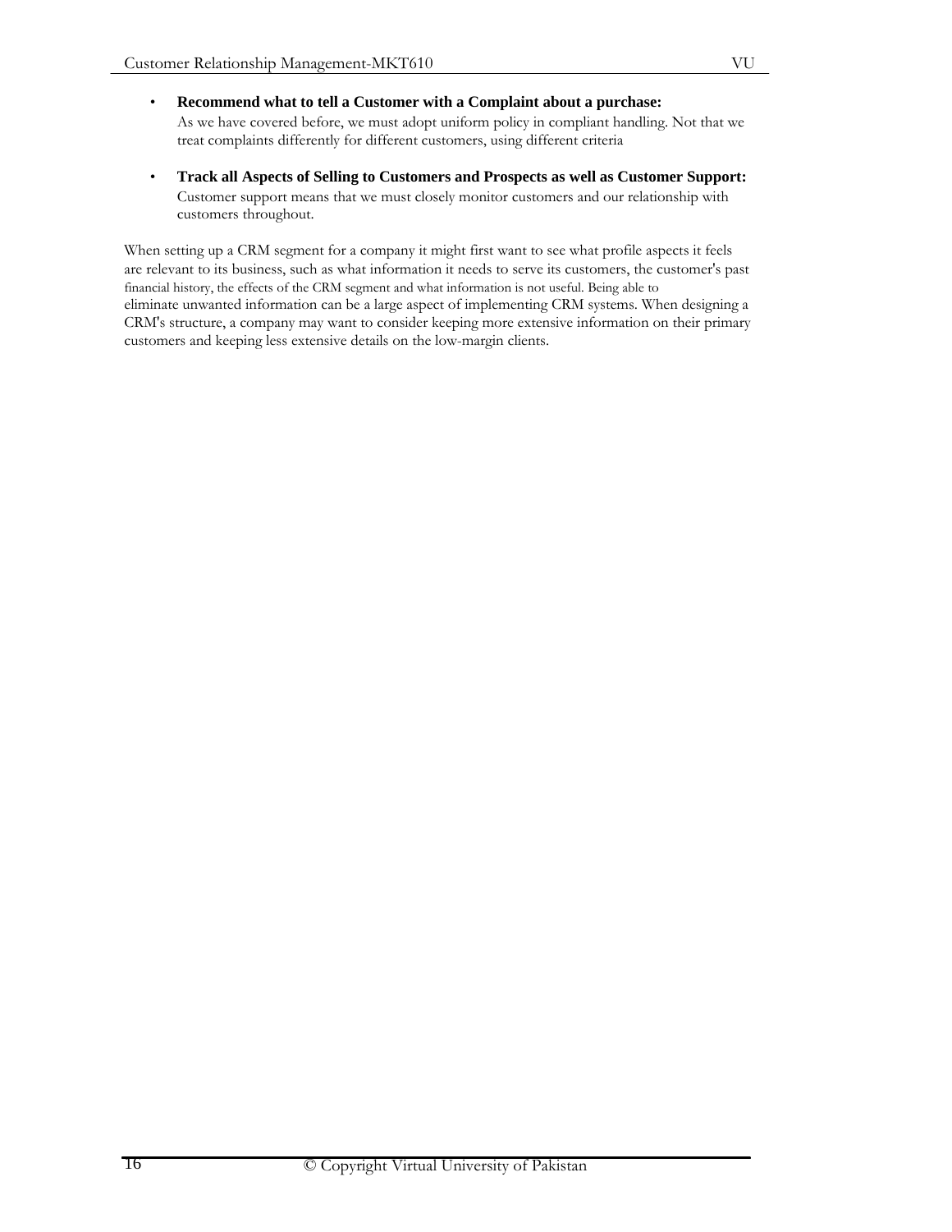- **Recommend what to tell a Customer with a Complaint about a purchase:**  As we have covered before, we must adopt uniform policy in compliant handling. Not that we treat complaints differently for different customers, using different criteria
- **Track all Aspects of Selling to Customers and Prospects as well as Customer Support:**  Customer support means that we must closely monitor customers and our relationship with customers throughout.

When setting up a CRM segment for a company it might first want to see what profile aspects it feels are relevant to its business, such as what information it needs to serve its customers, the customer's past financial history, the effects of the CRM segment and what information is not useful. Being able to eliminate unwanted information can be a large aspect of implementing CRM systems. When designing a CRM's structure, a company may want to consider keeping more extensive information on their primary customers and keeping less extensive details on the low-margin clients.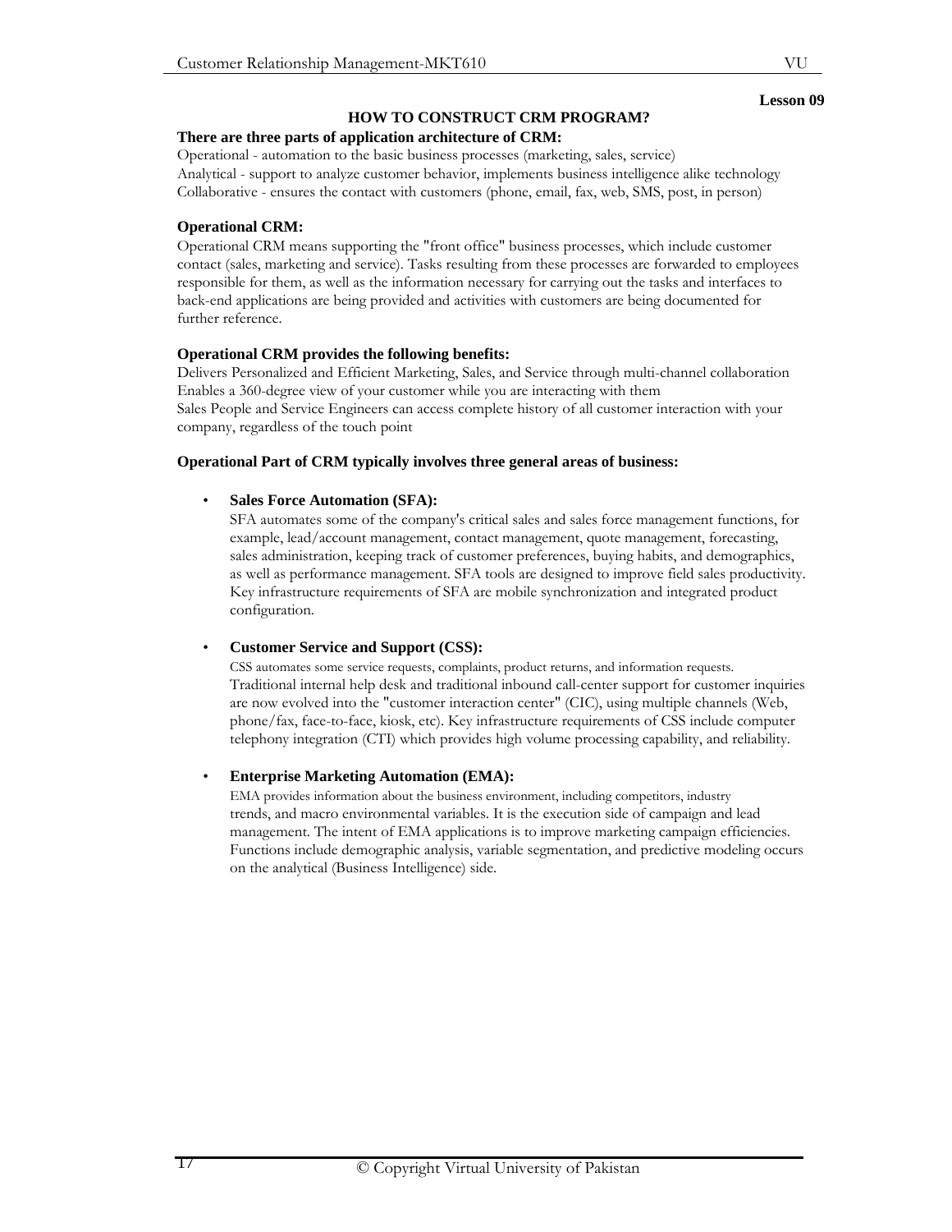VU

# **HOW TO CONSTRUCT CRM PROGRAM?**

# **There are three parts of application architecture of CRM:**

Operational - automation to the basic business processes (marketing, sales, service) Analytical - support to analyze customer behavior, implements business intelligence alike technology Collaborative - ensures the contact with customers (phone, email, fax, web, SMS, post, in person)

# **Operational CRM:**

Operational CRM means supporting the "front office" business processes, which include customer contact (sales, marketing and service). Tasks resulting from these processes are forwarded to employees responsible for them, as well as the information necessary for carrying out the tasks and interfaces to back-end applications are being provided and activities with customers are being documented for further reference.

# **Operational CRM provides the following benefits:**

Delivers Personalized and Efficient Marketing, Sales, and Service through multi-channel collaboration Enables a 360-degree view of your customer while you are interacting with them Sales People and Service Engineers can access complete history of all customer interaction with your company, regardless of the touch point

# **Operational Part of CRM typically involves three general areas of business:**

# • **Sales Force Automation (SFA):**

SFA automates some of the company's critical sales and sales force management functions, for example, lead/account management, contact management, quote management, forecasting, sales administration, keeping track of customer preferences, buying habits, and demographics, as well as performance management. SFA tools are designed to improve field sales productivity. Key infrastructure requirements of SFA are mobile synchronization and integrated product configuration.

## • **Customer Service and Support (CSS):**

CSS automates some service requests, complaints, product returns, and information requests. Traditional internal help desk and traditional inbound call-center support for customer inquiries are now evolved into the "customer interaction center" (CIC), using multiple channels (Web, phone/fax, face-to-face, kiosk, etc). Key infrastructure requirements of CSS include computer telephony integration (CTI) which provides high volume processing capability, and reliability.

# • **Enterprise Marketing Automation (EMA):**

EMA provides information about the business environment, including competitors, industry trends, and macro environmental variables. It is the execution side of campaign and lead management. The intent of EMA applications is to improve marketing campaign efficiencies. Functions include demographic analysis, variable segmentation, and predictive modeling occurs on the analytical (Business Intelligence) side.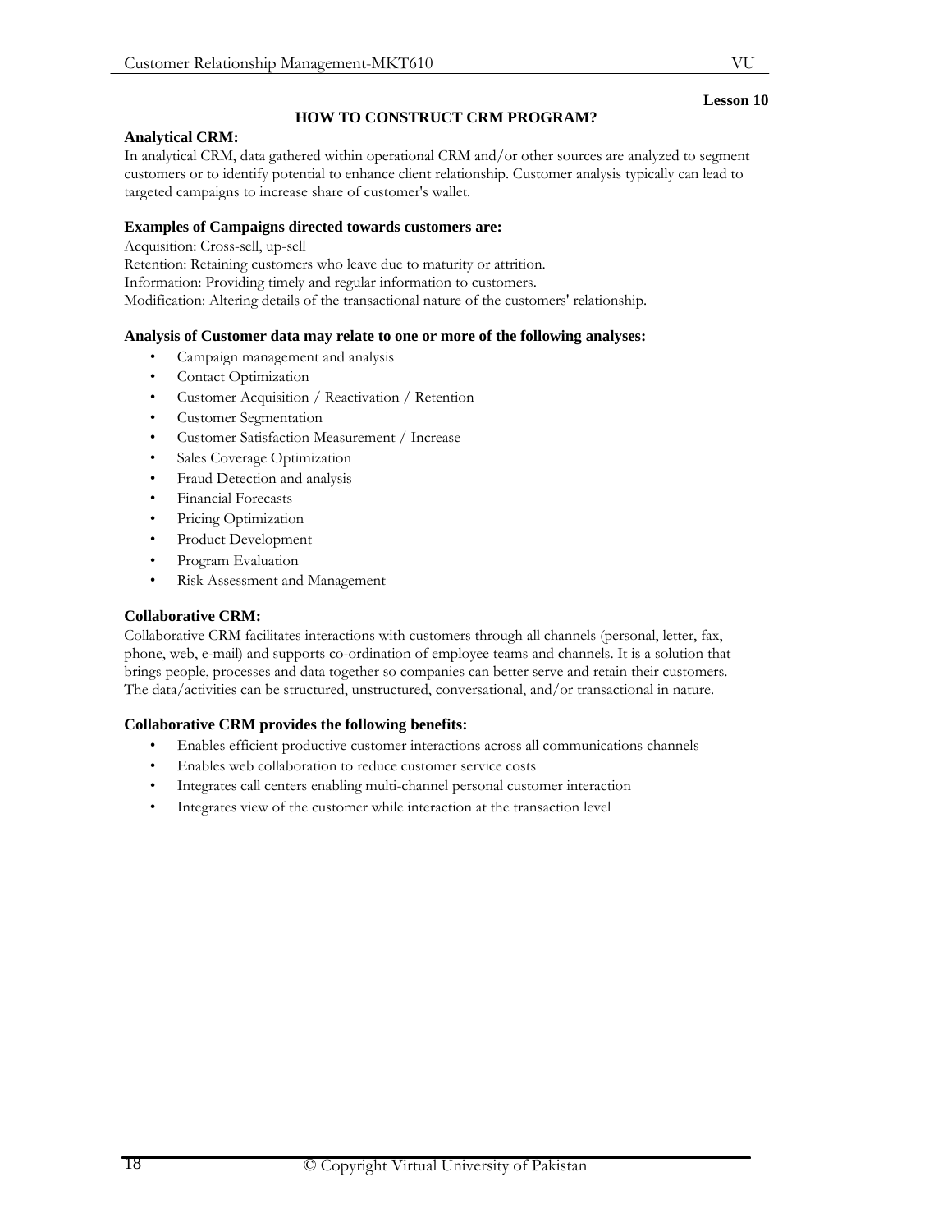# **Lesson 10**

# **HOW TO CONSTRUCT CRM PROGRAM?**

#### **Analytical CRM:**

In analytical CRM, data gathered within operational CRM and/or other sources are analyzed to segment customers or to identify potential to enhance client relationship. Customer analysis typically can lead to targeted campaigns to increase share of customer's wallet.

## **Examples of Campaigns directed towards customers are:**

Acquisition: Cross-sell, up-sell Retention: Retaining customers who leave due to maturity or attrition. Information: Providing timely and regular information to customers. Modification: Altering details of the transactional nature of the customers' relationship.

# **Analysis of Customer data may relate to one or more of the following analyses:**

- Campaign management and analysis
- Contact Optimization
- Customer Acquisition / Reactivation / Retention
- Customer Segmentation
- Customer Satisfaction Measurement / Increase
- Sales Coverage Optimization
- Fraud Detection and analysis
- Financial Forecasts
- Pricing Optimization
- Product Development
- Program Evaluation
- Risk Assessment and Management

# **Collaborative CRM:**

Collaborative CRM facilitates interactions with customers through all channels (personal, letter, fax, phone, web, e-mail) and supports co-ordination of employee teams and channels. It is a solution that brings people, processes and data together so companies can better serve and retain their customers. The data/activities can be structured, unstructured, conversational, and/or transactional in nature.

## **Collaborative CRM provides the following benefits:**

- Enables efficient productive customer interactions across all communications channels
- Enables web collaboration to reduce customer service costs
- Integrates call centers enabling multi-channel personal customer interaction
- Integrates view of the customer while interaction at the transaction level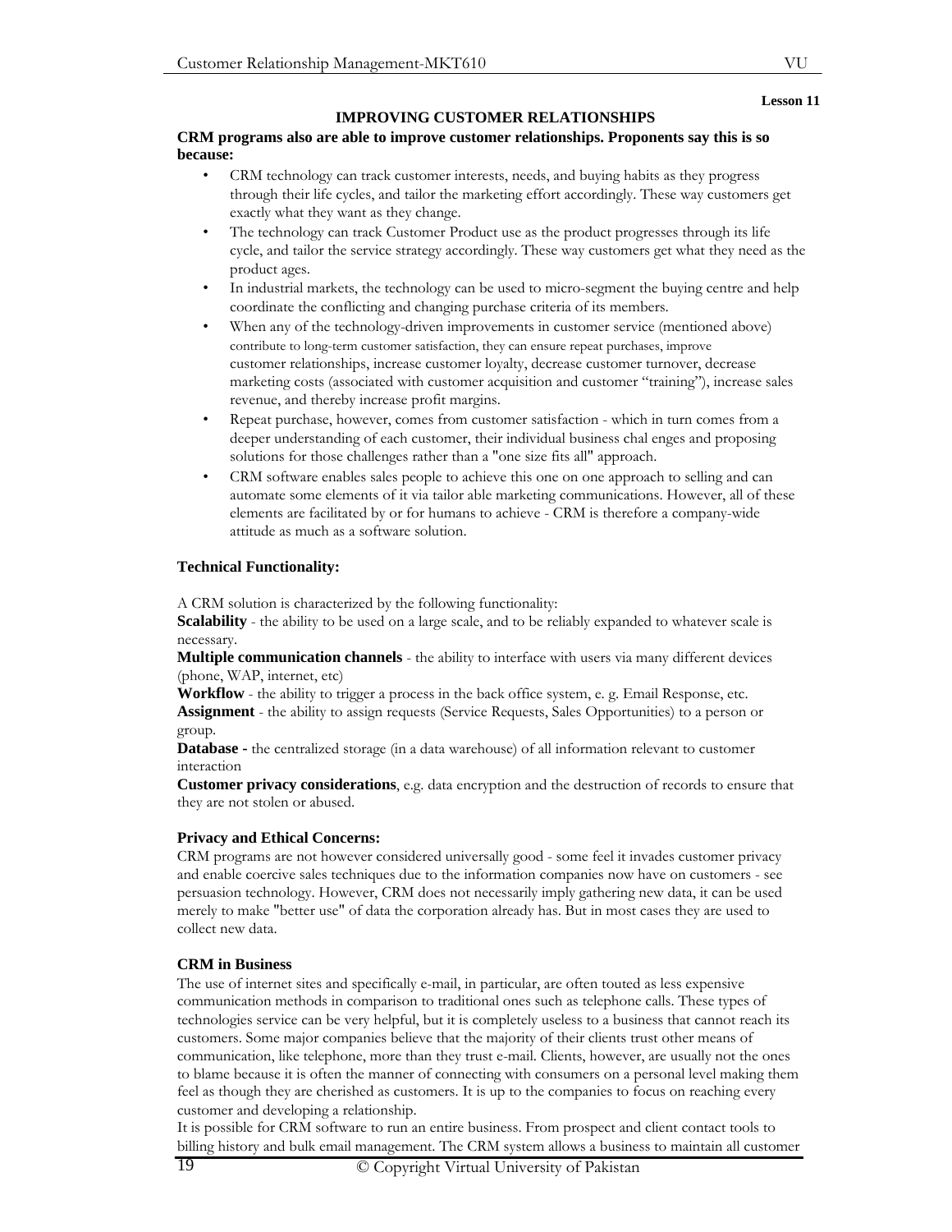#### **Lesson 11**

# **IMPROVING CUSTOMER RELATIONSHIPS**

# **CRM programs also are able to improve customer relationships. Proponents say this is so because:**

- CRM technology can track customer interests, needs, and buying habits as they progress through their life cycles, and tailor the marketing effort accordingly. These way customers get exactly what they want as they change.
- The technology can track Customer Product use as the product progresses through its life cycle, and tailor the service strategy accordingly. These way customers get what they need as the product ages.
- In industrial markets, the technology can be used to micro-segment the buying centre and help coordinate the conflicting and changing purchase criteria of its members.
- When any of the technology-driven improvements in customer service (mentioned above) contribute to long-term customer satisfaction, they can ensure repeat purchases, improve customer relationships, increase customer loyalty, decrease customer turnover, decrease marketing costs (associated with customer acquisition and customer "training"), increase sales revenue, and thereby increase profit margins.
- Repeat purchase, however, comes from customer satisfaction which in turn comes from a deeper understanding of each customer, their individual business chal enges and proposing solutions for those challenges rather than a "one size fits all" approach.
- CRM software enables sales people to achieve this one on one approach to selling and can automate some elements of it via tailor able marketing communications. However, all of these elements are facilitated by or for humans to achieve - CRM is therefore a company-wide attitude as much as a software solution.

# **Technical Functionality:**

A CRM solution is characterized by the following functionality:

**Scalability** - the ability to be used on a large scale, and to be reliably expanded to whatever scale is necessary.

**Multiple communication channels** - the ability to interface with users via many different devices (phone, WAP, internet, etc)

**Workflow** - the ability to trigger a process in the back office system, e. g. Email Response, etc.

**Assignment** - the ability to assign requests (Service Requests, Sales Opportunities) to a person or group.

**Database -** the centralized storage (in a data warehouse) of all information relevant to customer interaction

**Customer privacy considerations**, e.g. data encryption and the destruction of records to ensure that they are not stolen or abused.

# **Privacy and Ethical Concerns:**

CRM programs are not however considered universally good - some feel it invades customer privacy and enable coercive sales techniques due to the information companies now have on customers - see persuasion technology. However, CRM does not necessarily imply gathering new data, it can be used merely to make "better use" of data the corporation already has. But in most cases they are used to collect new data.

# **CRM in Business**

The use of internet sites and specifically e-mail, in particular, are often touted as less expensive communication methods in comparison to traditional ones such as telephone calls. These types of technologies service can be very helpful, but it is completely useless to a business that cannot reach its customers. Some major companies believe that the majority of their clients trust other means of communication, like telephone, more than they trust e-mail. Clients, however, are usually not the ones to blame because it is often the manner of connecting with consumers on a personal level making them feel as though they are cherished as customers. It is up to the companies to focus on reaching every customer and developing a relationship.

It is possible for CRM software to run an entire business. From prospect and client contact tools to billing history and bulk email management. The CRM system allows a business to maintain all customer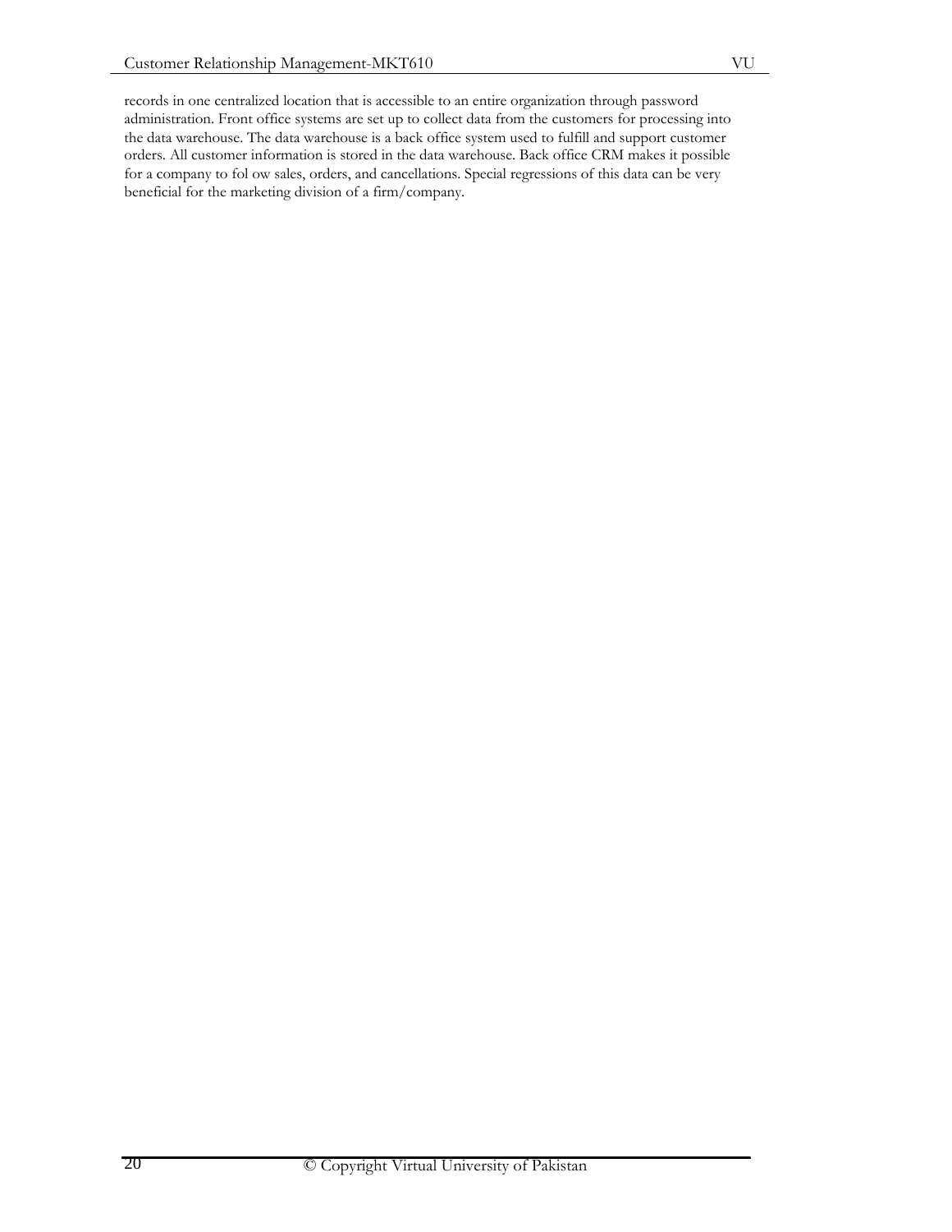records in one centralized location that is accessible to an entire organization through password administration. Front office systems are set up to collect data from the customers for processing into the data warehouse. The data warehouse is a back office system used to fulfill and support customer orders. All customer information is stored in the data warehouse. Back office CRM makes it possible for a company to fol ow sales, orders, and cancellations. Special regressions of this data can be very beneficial for the marketing division of a firm/company.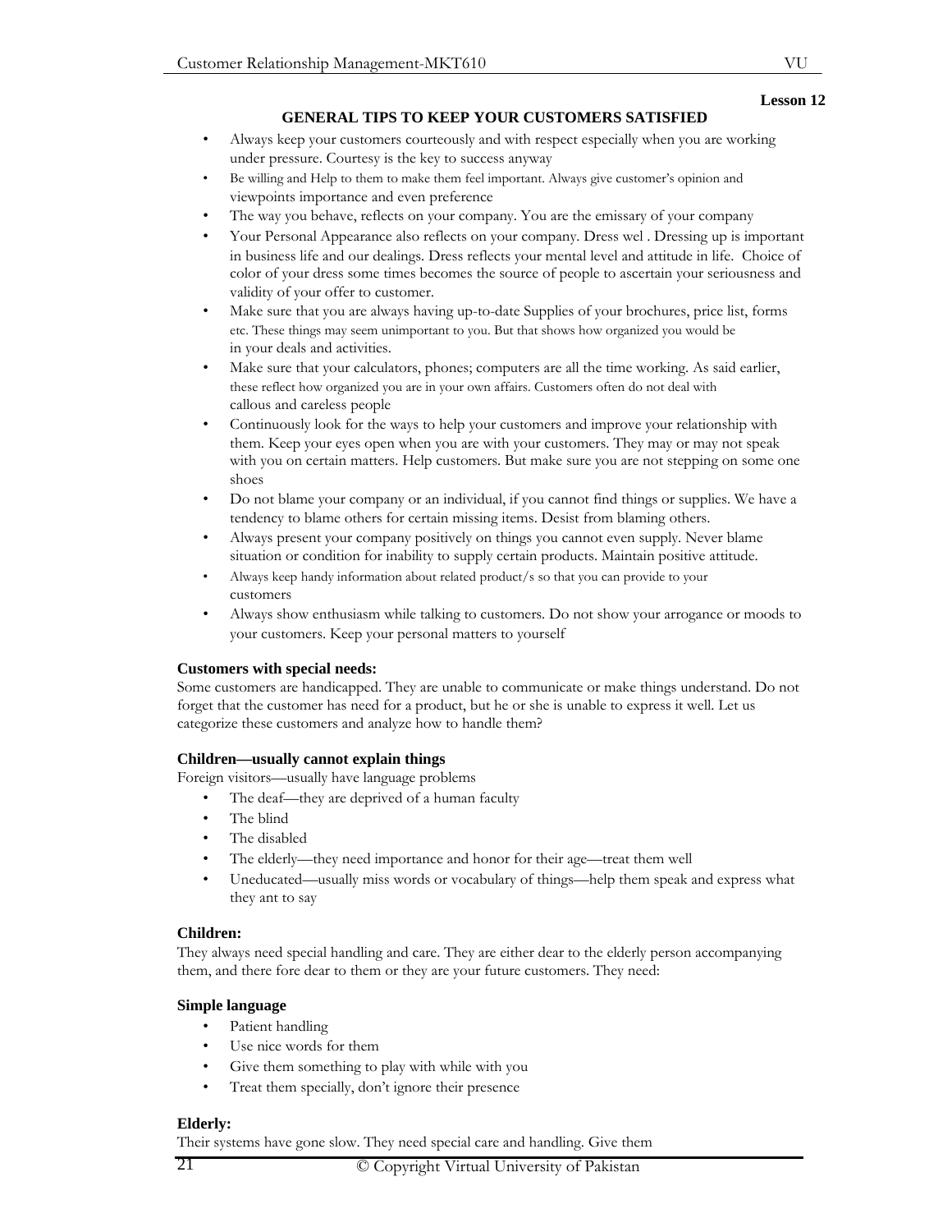# VU **Lesson 12**

# **GENERAL TIPS TO KEEP YOUR CUSTOMERS SATISFIED**

- Always keep your customers courteously and with respect especially when you are working under pressure. Courtesy is the key to success anyway
- Be willing and Help to them to make them feel important. Always give customer's opinion and viewpoints importance and even preference
- The way you behave, reflects on your company. You are the emissary of your company
- Your Personal Appearance also reflects on your company. Dress wel . Dressing up is important in business life and our dealings. Dress reflects your mental level and attitude in life. Choice of color of your dress some times becomes the source of people to ascertain your seriousness and validity of your offer to customer.
- Make sure that you are always having up-to-date Supplies of your brochures, price list, forms etc. These things may seem unimportant to you. But that shows how organized you would be in your deals and activities.
- Make sure that your calculators, phones; computers are all the time working. As said earlier, these reflect how organized you are in your own affairs. Customers often do not deal with callous and careless people
- Continuously look for the ways to help your customers and improve your relationship with them. Keep your eyes open when you are with your customers. They may or may not speak with you on certain matters. Help customers. But make sure you are not stepping on some one shoes
- Do not blame your company or an individual, if you cannot find things or supplies. We have a tendency to blame others for certain missing items. Desist from blaming others.
- Always present your company positively on things you cannot even supply. Never blame situation or condition for inability to supply certain products. Maintain positive attitude.
- Always keep handy information about related product/s so that you can provide to your customers
- Always show enthusiasm while talking to customers. Do not show your arrogance or moods to your customers. Keep your personal matters to yourself

## **Customers with special needs:**

Some customers are handicapped. They are unable to communicate or make things understand. Do not forget that the customer has need for a product, but he or she is unable to express it well. Let us categorize these customers and analyze how to handle them?

#### **Children—usually cannot explain things**

Foreign visitors—usually have language problems

- The deaf—they are deprived of a human faculty
- The blind
- The disabled
- The elderly—they need importance and honor for their age—treat them well
- Uneducated—usually miss words or vocabulary of things—help them speak and express what they ant to say

## **Children:**

They always need special handling and care. They are either dear to the elderly person accompanying them, and there fore dear to them or they are your future customers. They need:

#### **Simple language**

- Patient handling
- Use nice words for them
- Give them something to play with while with you
- Treat them specially, don't ignore their presence

## **Elderly:**

Their systems have gone slow. They need special care and handling. Give them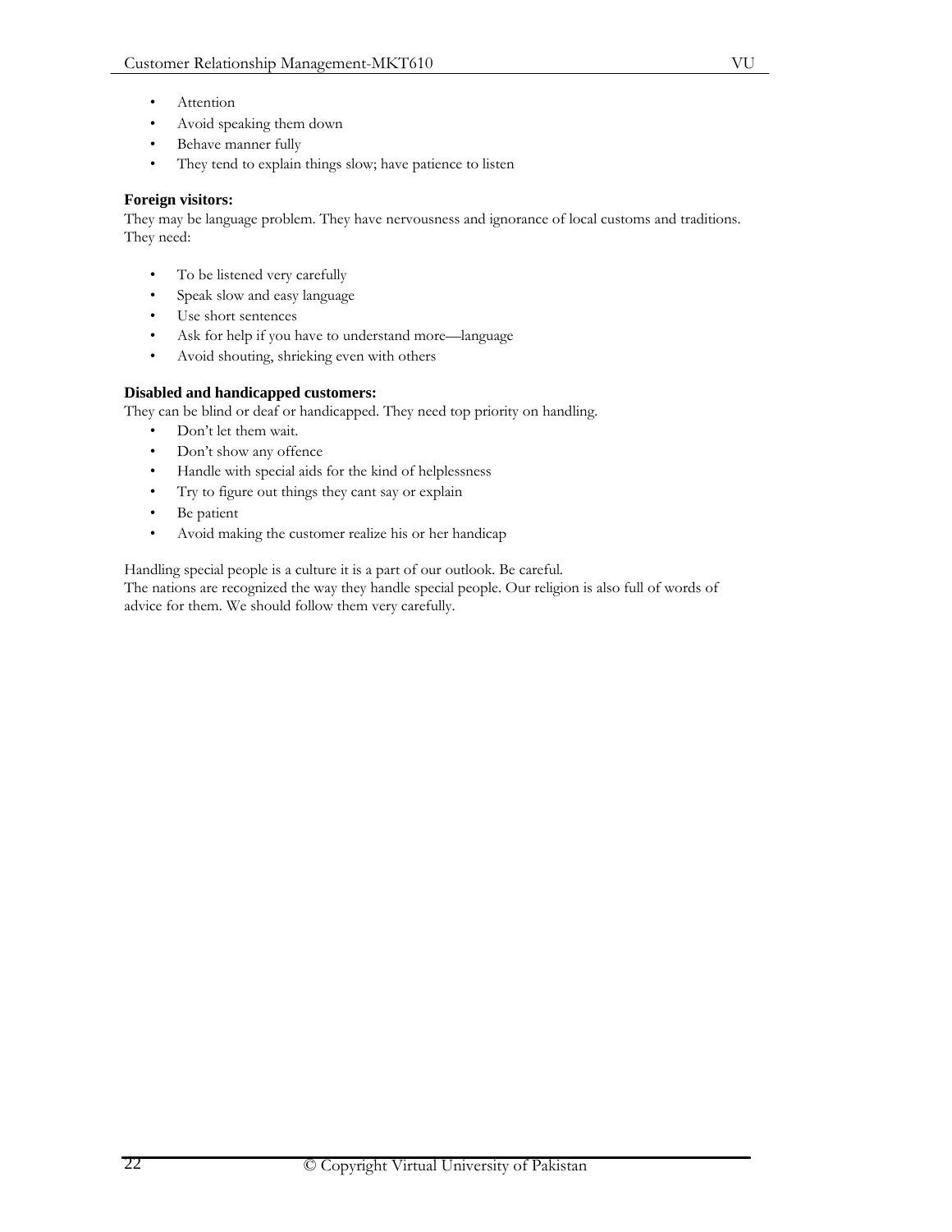- **Attention**
- Avoid speaking them down
- Behave manner fully
- They tend to explain things slow; have patience to listen

# **Foreign visitors:**

They may be language problem. They have nervousness and ignorance of local customs and traditions. They need:

- To be listened very carefully
- Speak slow and easy language
- Use short sentences
- Ask for help if you have to understand more-language
- Avoid shouting, shrieking even with others

# **Disabled and handicapped customers:**

They can be blind or deaf or handicapped. They need top priority on handling.

- Don't let them wait.
- Don't show any offence
- Handle with special aids for the kind of helplessness
- Try to figure out things they cant say or explain
- Be patient
- Avoid making the customer realize his or her handicap

Handling special people is a culture it is a part of our outlook. Be careful.

The nations are recognized the way they handle special people. Our religion is also full of words of advice for them. We should follow them very carefully.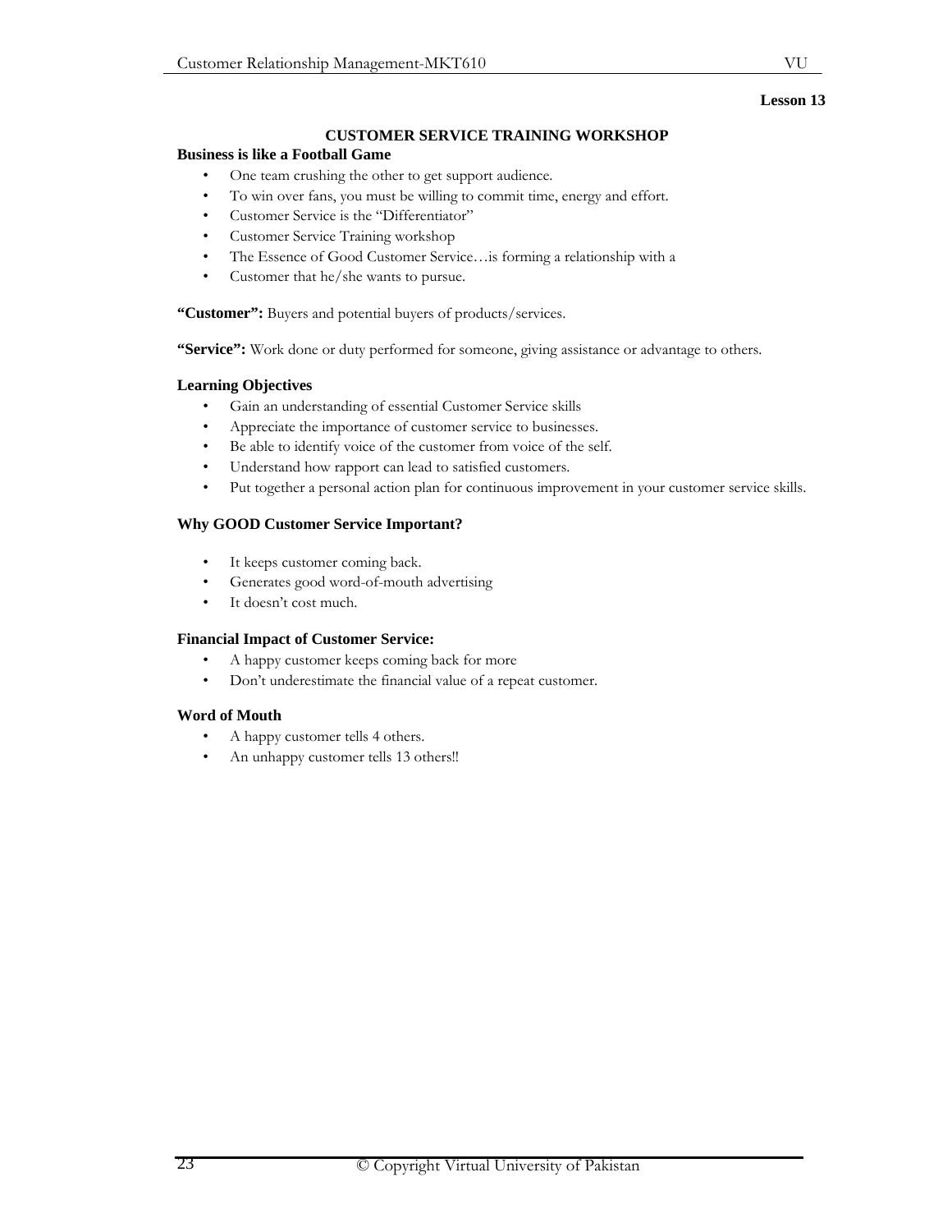# **Lesson 13**

# **CUSTOMER SERVICE TRAINING WORKSHOP**

# **Business is like a Football Game**

- One team crushing the other to get support audience.
- To win over fans, you must be willing to commit time, energy and effort.
- Customer Service is the "Differentiator"
- Customer Service Training workshop
- The Essence of Good Customer Service…is forming a relationship with a
- Customer that he/she wants to pursue.

**"Customer":** Buyers and potential buyers of products/services.

**"Service":** Work done or duty performed for someone, giving assistance or advantage to others.

## **Learning Objectives**

- Gain an understanding of essential Customer Service skills
- Appreciate the importance of customer service to businesses.
- Be able to identify voice of the customer from voice of the self.
- Understand how rapport can lead to satisfied customers.
- Put together a personal action plan for continuous improvement in your customer service skills.

# **Why GOOD Customer Service Important?**

- It keeps customer coming back.
- Generates good word-of-mouth advertising
- It doesn't cost much.

## **Financial Impact of Customer Service:**

- A happy customer keeps coming back for more
- Don't underestimate the financial value of a repeat customer.

# **Word of Mouth**

- A happy customer tells 4 others.
- An unhappy customer tells 13 others!!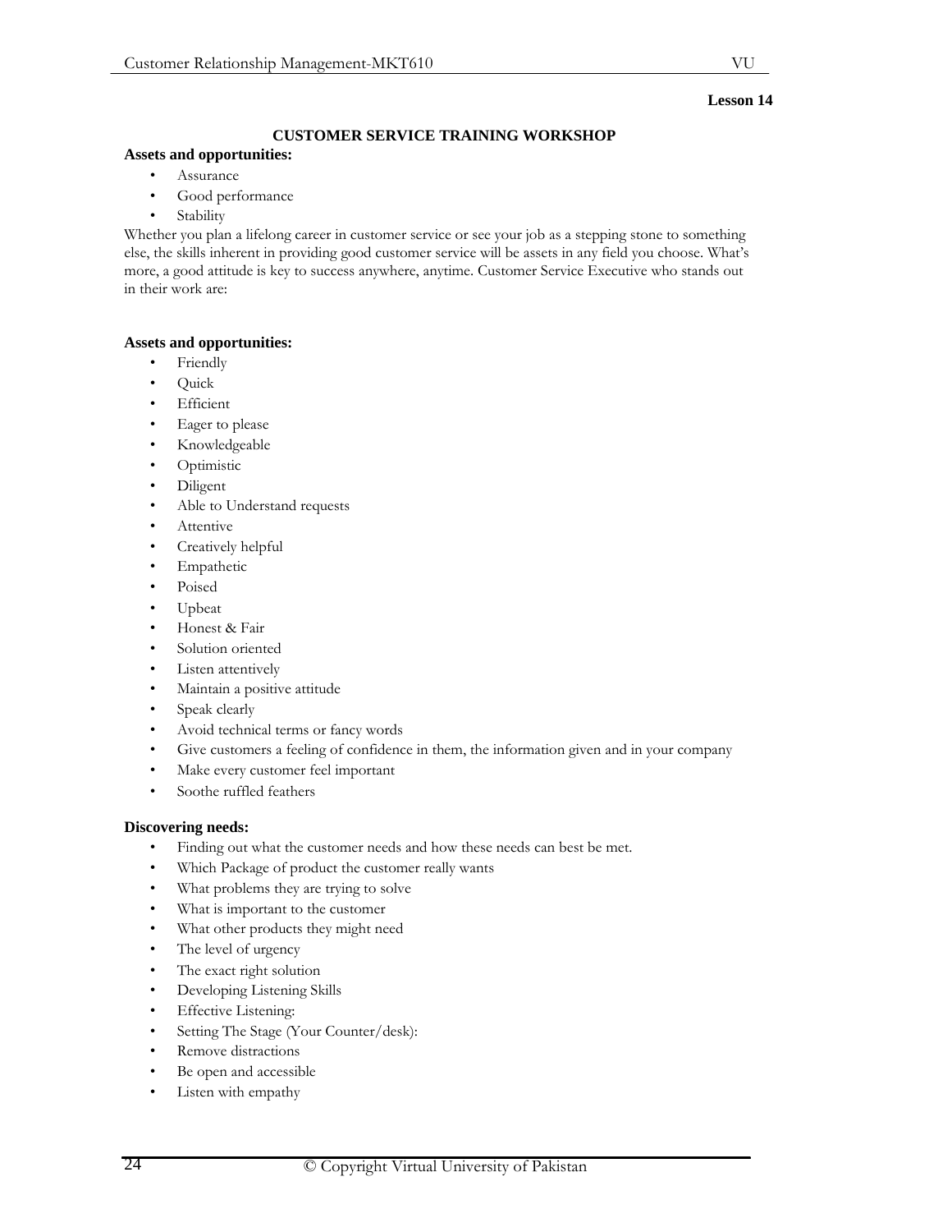# **Lesson 14**

# **CUSTOMER SERVICE TRAINING WORKSHOP**

# **Assets and opportunities:**

- Assurance
- Good performance
- **Stability**

Whether you plan a lifelong career in customer service or see your job as a stepping stone to something else, the skills inherent in providing good customer service will be assets in any field you choose. What's more, a good attitude is key to success anywhere, anytime. Customer Service Executive who stands out in their work are:

# **Assets and opportunities:**

- Friendly
- Quick
- **Efficient**
- Eager to please
- Knowledgeable
- Optimistic
- Diligent
- Able to Understand requests
- **Attentive**
- Creatively helpful
- **Empathetic**
- Poised
- Upbeat
- Honest & Fair
- Solution oriented
- Listen attentively
- Maintain a positive attitude
- Speak clearly
- Avoid technical terms or fancy words
- Give customers a feeling of confidence in them, the information given and in your company
- Make every customer feel important
- Soothe ruffled feathers

## **Discovering needs:**

- Finding out what the customer needs and how these needs can best be met.
- Which Package of product the customer really wants
- What problems they are trying to solve
- What is important to the customer
- What other products they might need
- The level of urgency
- The exact right solution
- Developing Listening Skills
- **Effective Listening:**
- Setting The Stage (Your Counter/desk):
- Remove distractions
- Be open and accessible
- Listen with empathy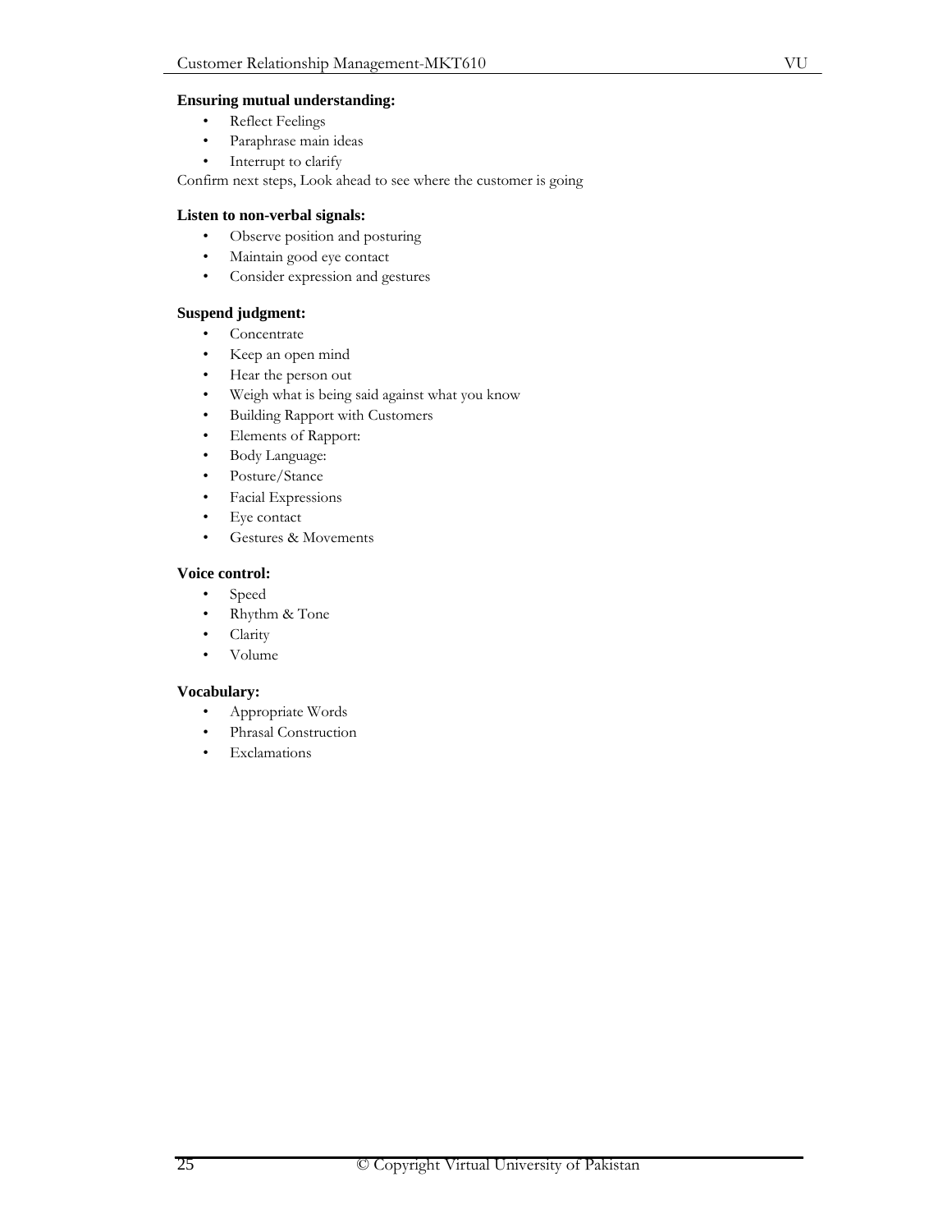- Reflect Feelings
- Paraphrase main ideas
- Interrupt to clarify

Confirm next steps, Look ahead to see where the customer is going

# **Listen to non-verbal signals:**

- Observe position and posturing
- Maintain good eye contact
- Consider expression and gestures

# **Suspend judgment:**

- Concentrate
- Keep an open mind
- Hear the person out
- Weigh what is being said against what you know
- Building Rapport with Customers
- Elements of Rapport:
- Body Language:
- Posture/Stance
- Facial Expressions
- Eye contact
- Gestures & Movements

# **Voice control:**

- Speed
- Rhythm & Tone
- Clarity
- Volume

## **Vocabulary:**

- Appropriate Words
- Phrasal Construction
- Exclamations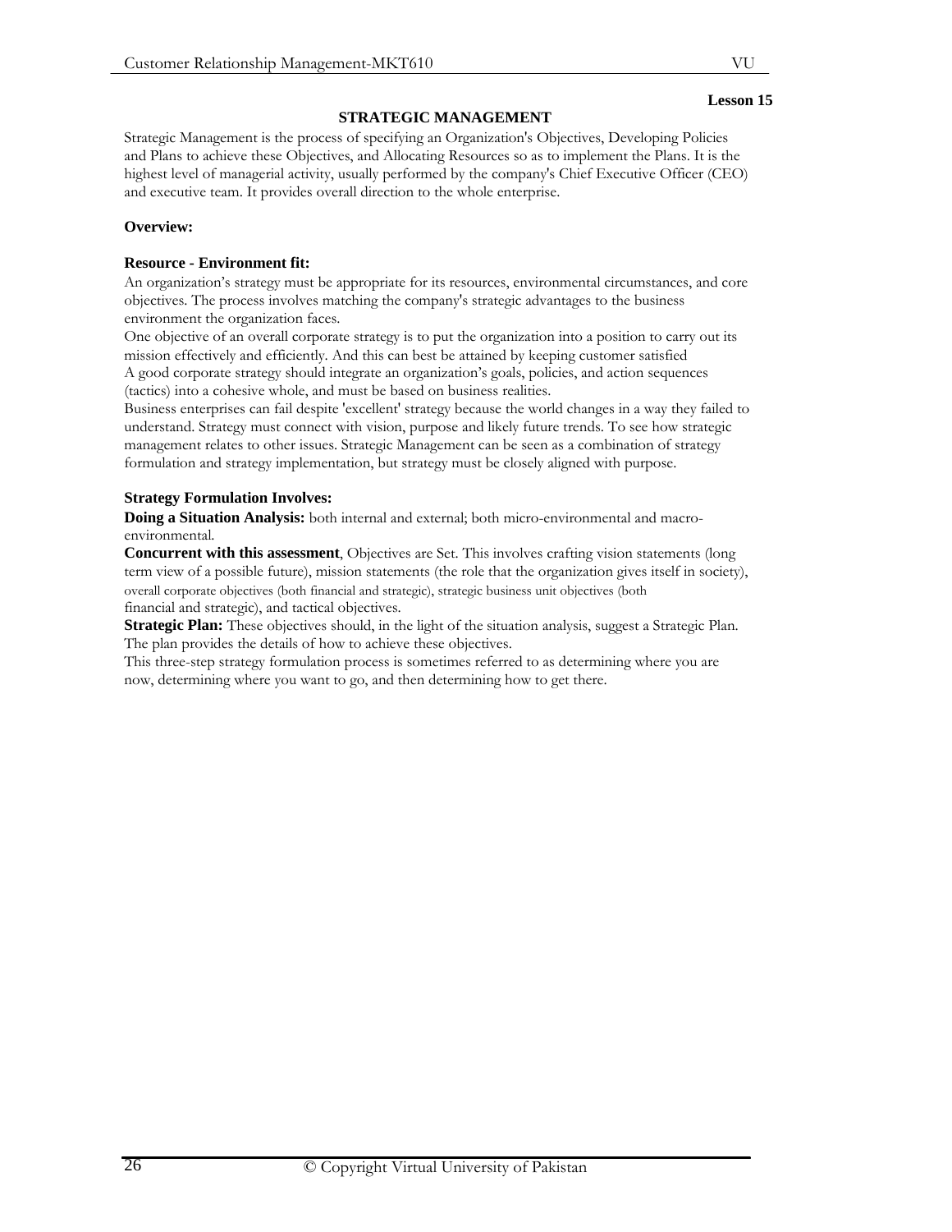# **STRATEGIC MANAGEMENT**

Strategic Management is the process of specifying an Organization's Objectives, Developing Policies and Plans to achieve these Objectives, and Allocating Resources so as to implement the Plans. It is the highest level of managerial activity, usually performed by the company's Chief Executive Officer (CEO) and executive team. It provides overall direction to the whole enterprise.

# **Overview:**

# **Resource - Environment fit:**

An organization's strategy must be appropriate for its resources, environmental circumstances, and core objectives. The process involves matching the company's strategic advantages to the business environment the organization faces.

One objective of an overall corporate strategy is to put the organization into a position to carry out its mission effectively and efficiently. And this can best be attained by keeping customer satisfied

A good corporate strategy should integrate an organization's goals, policies, and action sequences (tactics) into a cohesive whole, and must be based on business realities.

Business enterprises can fail despite 'excellent' strategy because the world changes in a way they failed to understand. Strategy must connect with vision, purpose and likely future trends. To see how strategic management relates to other issues. Strategic Management can be seen as a combination of strategy formulation and strategy implementation, but strategy must be closely aligned with purpose.

# **Strategy Formulation Involves:**

**Doing a Situation Analysis:** both internal and external; both micro-environmental and macroenvironmental.

**Concurrent with this assessment**, Objectives are Set. This involves crafting vision statements (long term view of a possible future), mission statements (the role that the organization gives itself in society), overall corporate objectives (both financial and strategic), strategic business unit objectives (both financial and strategic), and tactical objectives.

**Strategic Plan:** These objectives should, in the light of the situation analysis, suggest a Strategic Plan. The plan provides the details of how to achieve these objectives.

This three-step strategy formulation process is sometimes referred to as determining where you are now, determining where you want to go, and then determining how to get there.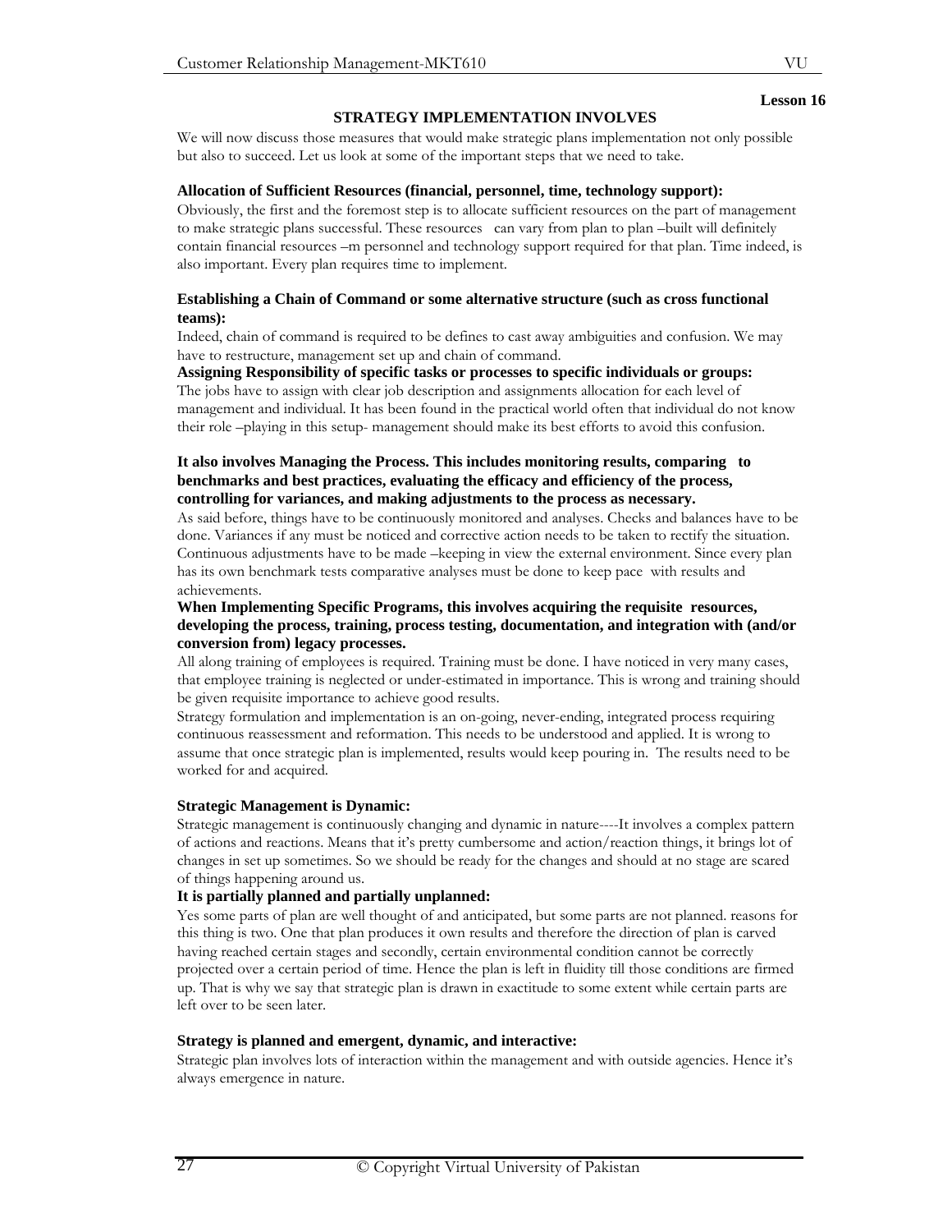# **STRATEGY IMPLEMENTATION INVOLVES**

We will now discuss those measures that would make strategic plans implementation not only possible but also to succeed. Let us look at some of the important steps that we need to take.

#### **Allocation of Sufficient Resources (financial, personnel, time, technology support):**

Obviously, the first and the foremost step is to allocate sufficient resources on the part of management to make strategic plans successful. These resources can vary from plan to plan –built will definitely contain financial resources –m personnel and technology support required for that plan. Time indeed, is also important. Every plan requires time to implement.

# **Establishing a Chain of Command or some alternative structure (such as cross functional teams):**

Indeed, chain of command is required to be defines to cast away ambiguities and confusion. We may have to restructure, management set up and chain of command.

**Assigning Responsibility of specific tasks or processes to specific individuals or groups:** 

The jobs have to assign with clear job description and assignments allocation for each level of management and individual. It has been found in the practical world often that individual do not know their role –playing in this setup- management should make its best efforts to avoid this confusion.

# **It also involves Managing the Process. This includes monitoring results, comparing to benchmarks and best practices, evaluating the efficacy and efficiency of the process, controlling for variances, and making adjustments to the process as necessary.**

As said before, things have to be continuously monitored and analyses. Checks and balances have to be done. Variances if any must be noticed and corrective action needs to be taken to rectify the situation. Continuous adjustments have to be made –keeping in view the external environment. Since every plan has its own benchmark tests comparative analyses must be done to keep pace with results and achievements.

#### **When Implementing Specific Programs, this involves acquiring the requisite resources, developing the process, training, process testing, documentation, and integration with (and/or conversion from) legacy processes.**

All along training of employees is required. Training must be done. I have noticed in very many cases, that employee training is neglected or under-estimated in importance. This is wrong and training should be given requisite importance to achieve good results.

Strategy formulation and implementation is an on-going, never-ending, integrated process requiring continuous reassessment and reformation. This needs to be understood and applied. It is wrong to assume that once strategic plan is implemented, results would keep pouring in. The results need to be worked for and acquired.

## **Strategic Management is Dynamic:**

Strategic management is continuously changing and dynamic in nature----It involves a complex pattern of actions and reactions. Means that it's pretty cumbersome and action/reaction things, it brings lot of changes in set up sometimes. So we should be ready for the changes and should at no stage are scared of things happening around us.

#### **It is partially planned and partially unplanned:**

Yes some parts of plan are well thought of and anticipated, but some parts are not planned. reasons for this thing is two. One that plan produces it own results and therefore the direction of plan is carved having reached certain stages and secondly, certain environmental condition cannot be correctly projected over a certain period of time. Hence the plan is left in fluidity till those conditions are firmed up. That is why we say that strategic plan is drawn in exactitude to some extent while certain parts are left over to be seen later.

## **Strategy is planned and emergent, dynamic, and interactive:**

Strategic plan involves lots of interaction within the management and with outside agencies. Hence it's always emergence in nature.

## **Lesson 16**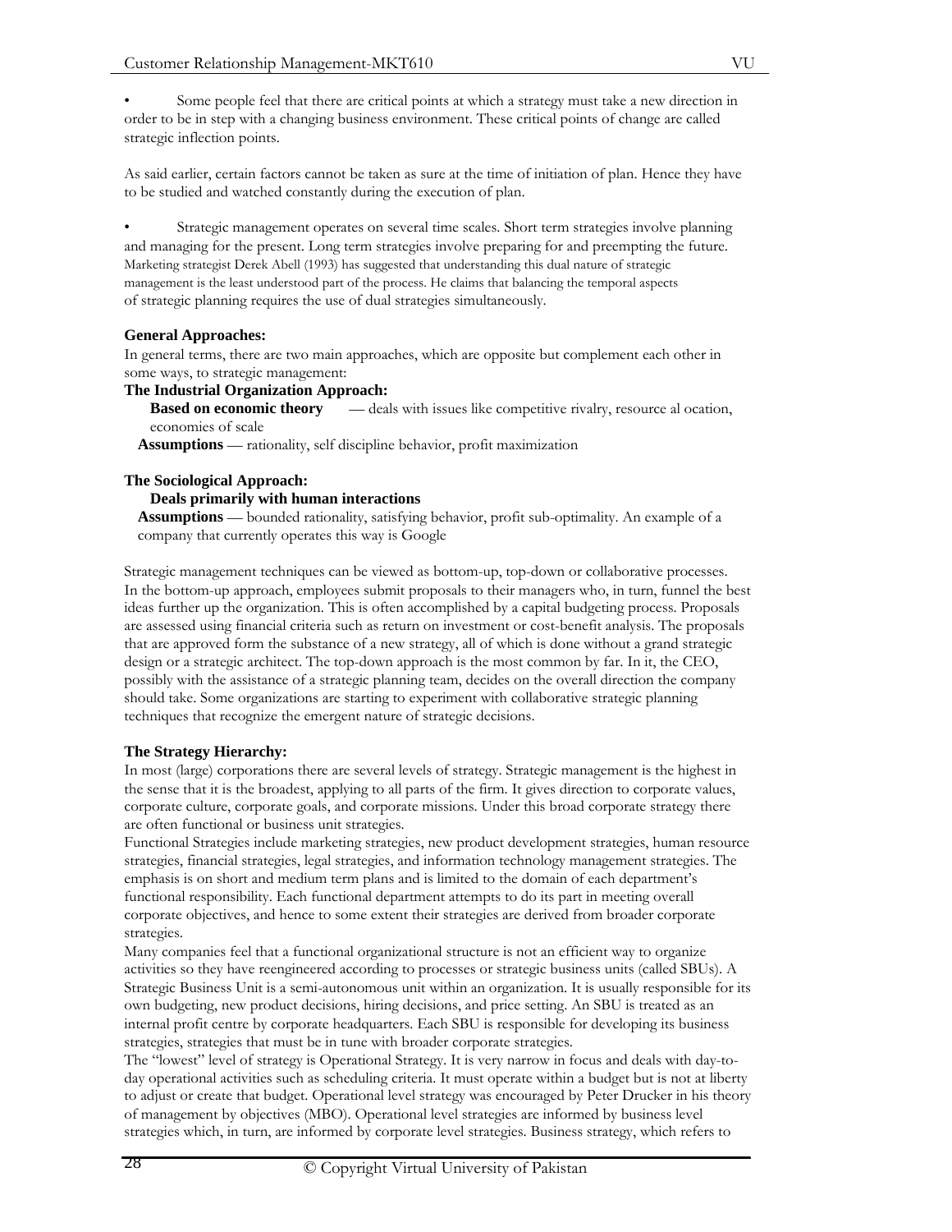• Some people feel that there are critical points at which a strategy must take a new direction in order to be in step with a changing business environment. These critical points of change are called strategic inflection points.

As said earlier, certain factors cannot be taken as sure at the time of initiation of plan. Hence they have to be studied and watched constantly during the execution of plan.

Strategic management operates on several time scales. Short term strategies involve planning and managing for the present. Long term strategies involve preparing for and preempting the future. Marketing strategist Derek Abell (1993) has suggested that understanding this dual nature of strategic management is the least understood part of the process. He claims that balancing the temporal aspects of strategic planning requires the use of dual strategies simultaneously.

# **General Approaches:**

In general terms, there are two main approaches, which are opposite but complement each other in some ways, to strategic management:

# **The Industrial Organization Approach:**

**Based on economic theory** — deals with issues like competitive rivalry, resource al ocation, economies of scale

**Assumptions** — rationality, self discipline behavior, profit maximization

## **The Sociological Approach:**

## **Deals primarily with human interactions**

**Assumptions** — bounded rationality, satisfying behavior, profit sub-optimality. An example of a company that currently operates this way is Google

Strategic management techniques can be viewed as bottom-up, top-down or collaborative processes. In the bottom-up approach, employees submit proposals to their managers who, in turn, funnel the best ideas further up the organization. This is often accomplished by a capital budgeting process. Proposals are assessed using financial criteria such as return on investment or cost-benefit analysis. The proposals that are approved form the substance of a new strategy, all of which is done without a grand strategic design or a strategic architect. The top-down approach is the most common by far. In it, the CEO, possibly with the assistance of a strategic planning team, decides on the overall direction the company should take. Some organizations are starting to experiment with collaborative strategic planning techniques that recognize the emergent nature of strategic decisions.

## **The Strategy Hierarchy:**

In most (large) corporations there are several levels of strategy. Strategic management is the highest in the sense that it is the broadest, applying to all parts of the firm. It gives direction to corporate values, corporate culture, corporate goals, and corporate missions. Under this broad corporate strategy there are often functional or business unit strategies.

Functional Strategies include marketing strategies, new product development strategies, human resource strategies, financial strategies, legal strategies, and information technology management strategies. The emphasis is on short and medium term plans and is limited to the domain of each department's functional responsibility. Each functional department attempts to do its part in meeting overall corporate objectives, and hence to some extent their strategies are derived from broader corporate strategies.

Many companies feel that a functional organizational structure is not an efficient way to organize activities so they have reengineered according to processes or strategic business units (called SBUs). A Strategic Business Unit is a semi-autonomous unit within an organization. It is usually responsible for its own budgeting, new product decisions, hiring decisions, and price setting. An SBU is treated as an internal profit centre by corporate headquarters. Each SBU is responsible for developing its business strategies, strategies that must be in tune with broader corporate strategies.

The "lowest" level of strategy is Operational Strategy. It is very narrow in focus and deals with day-today operational activities such as scheduling criteria. It must operate within a budget but is not at liberty to adjust or create that budget. Operational level strategy was encouraged by Peter Drucker in his theory of management by objectives (MBO). Operational level strategies are informed by business level strategies which, in turn, are informed by corporate level strategies. Business strategy, which refers to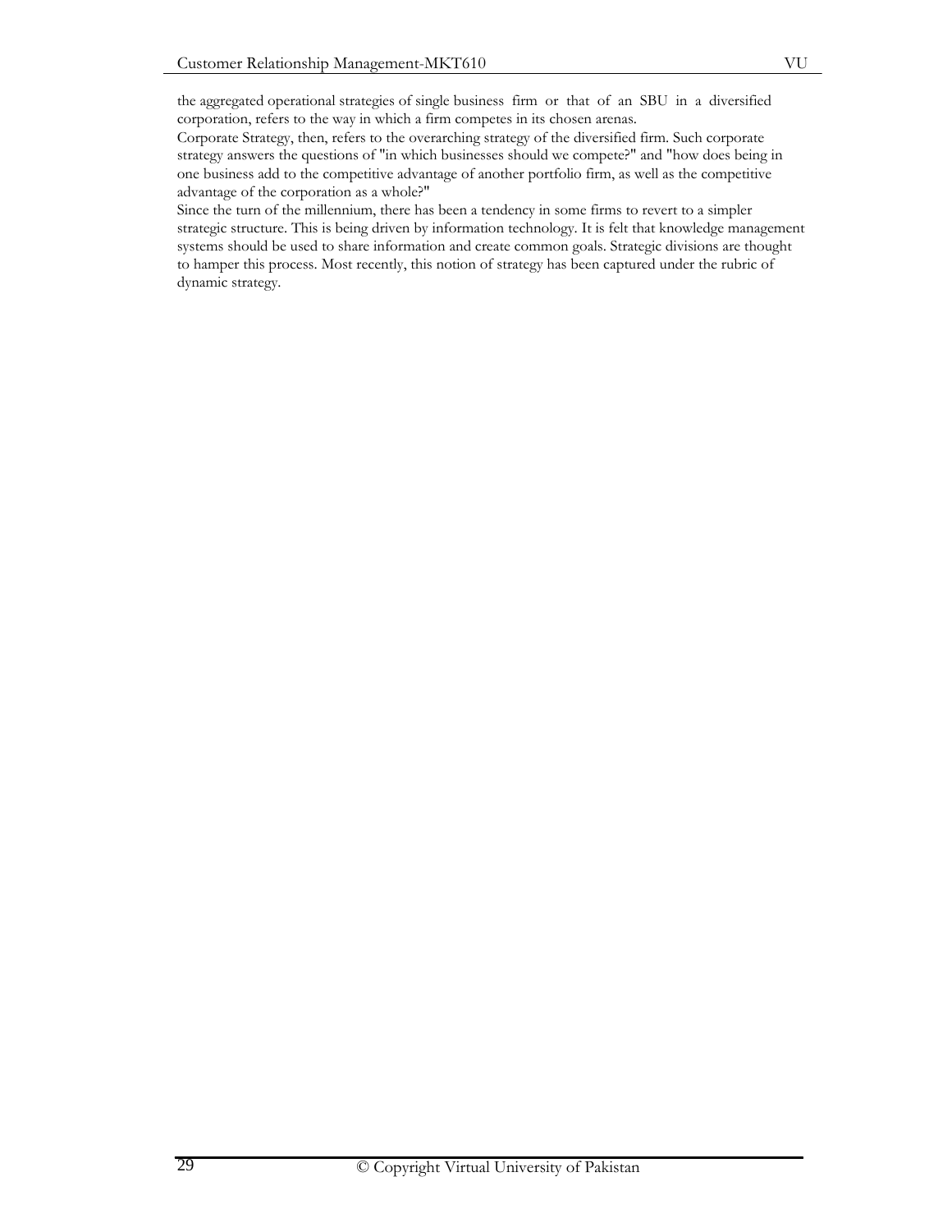the aggregated operational strategies of single business firm or that of an SBU in a diversified corporation, refers to the way in which a firm competes in its chosen arenas.

Corporate Strategy, then, refers to the overarching strategy of the diversified firm. Such corporate strategy answers the questions of "in which businesses should we compete?" and "how does being in one business add to the competitive advantage of another portfolio firm, as well as the competitive advantage of the corporation as a whole?"

Since the turn of the millennium, there has been a tendency in some firms to revert to a simpler strategic structure. This is being driven by information technology. It is felt that knowledge management systems should be used to share information and create common goals. Strategic divisions are thought to hamper this process. Most recently, this notion of strategy has been captured under the rubric of dynamic strategy.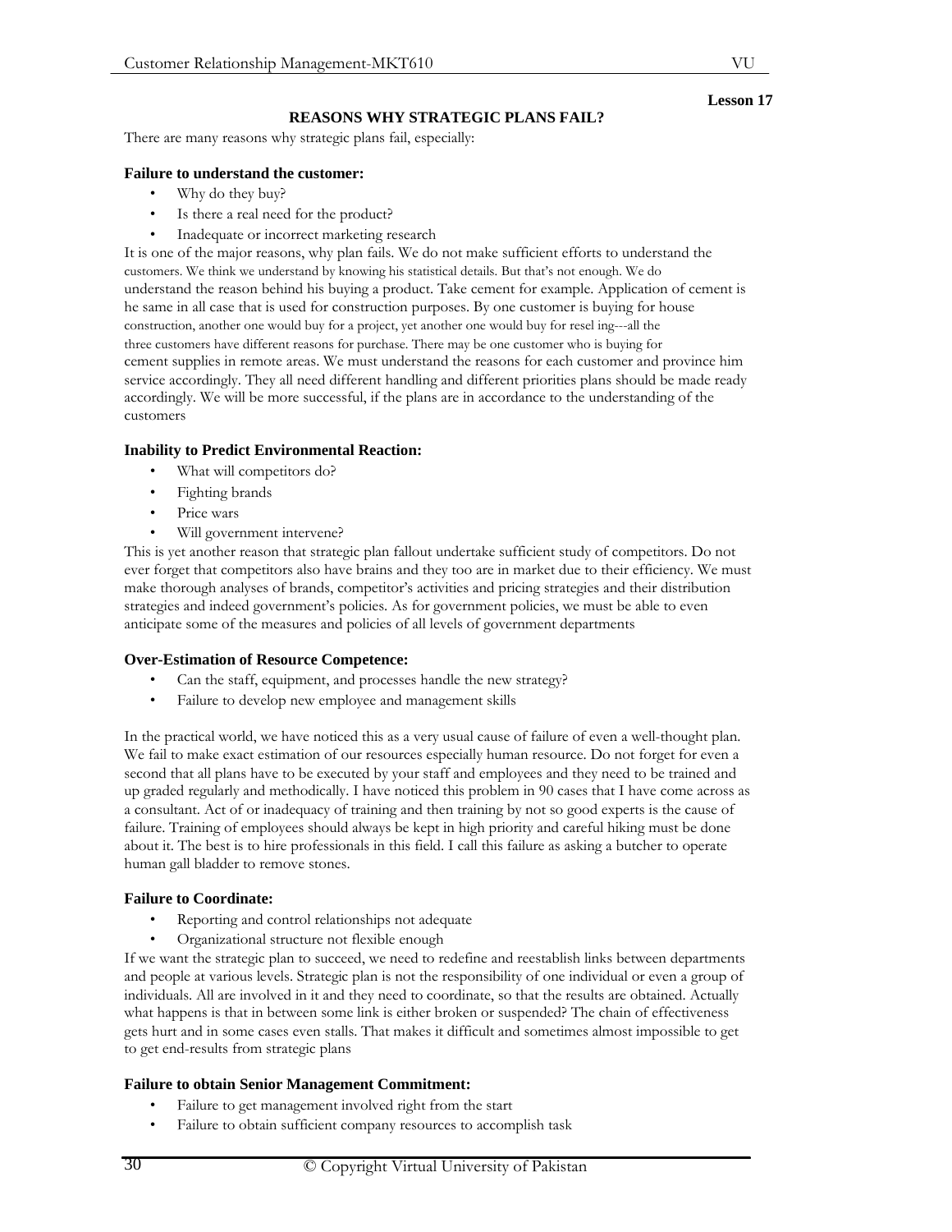#### **Lesson 17**

#### **REASONS WHY STRATEGIC PLANS FAIL?**

There are many reasons why strategic plans fail, especially:

## **Failure to understand the customer:**

- Why do they buy?
- Is there a real need for the product?
- Inadequate or incorrect marketing research

It is one of the major reasons, why plan fails. We do not make sufficient efforts to understand the customers. We think we understand by knowing his statistical details. But that's not enough. We do understand the reason behind his buying a product. Take cement for example. Application of cement is he same in all case that is used for construction purposes. By one customer is buying for house construction, another one would buy for a project, yet another one would buy for resel ing---all the three customers have different reasons for purchase. There may be one customer who is buying for cement supplies in remote areas. We must understand the reasons for each customer and province him service accordingly. They all need different handling and different priorities plans should be made ready accordingly. We will be more successful, if the plans are in accordance to the understanding of the customers

#### **Inability to Predict Environmental Reaction:**

- What will competitors do?
- Fighting brands
- Price wars
- Will government intervene?

This is yet another reason that strategic plan fallout undertake sufficient study of competitors. Do not ever forget that competitors also have brains and they too are in market due to their efficiency. We must make thorough analyses of brands, competitor's activities and pricing strategies and their distribution strategies and indeed government's policies. As for government policies, we must be able to even anticipate some of the measures and policies of all levels of government departments

#### **Over-Estimation of Resource Competence:**

- Can the staff, equipment, and processes handle the new strategy?
- Failure to develop new employee and management skills

In the practical world, we have noticed this as a very usual cause of failure of even a well-thought plan. We fail to make exact estimation of our resources especially human resource. Do not forget for even a second that all plans have to be executed by your staff and employees and they need to be trained and up graded regularly and methodically. I have noticed this problem in 90 cases that I have come across as a consultant. Act of or inadequacy of training and then training by not so good experts is the cause of failure. Training of employees should always be kept in high priority and careful hiking must be done about it. The best is to hire professionals in this field. I call this failure as asking a butcher to operate human gall bladder to remove stones.

## **Failure to Coordinate:**

- Reporting and control relationships not adequate
- Organizational structure not flexible enough

If we want the strategic plan to succeed, we need to redefine and reestablish links between departments and people at various levels. Strategic plan is not the responsibility of one individual or even a group of individuals. All are involved in it and they need to coordinate, so that the results are obtained. Actually what happens is that in between some link is either broken or suspended? The chain of effectiveness gets hurt and in some cases even stalls. That makes it difficult and sometimes almost impossible to get to get end-results from strategic plans

#### **Failure to obtain Senior Management Commitment:**

- Failure to get management involved right from the start
- Failure to obtain sufficient company resources to accomplish task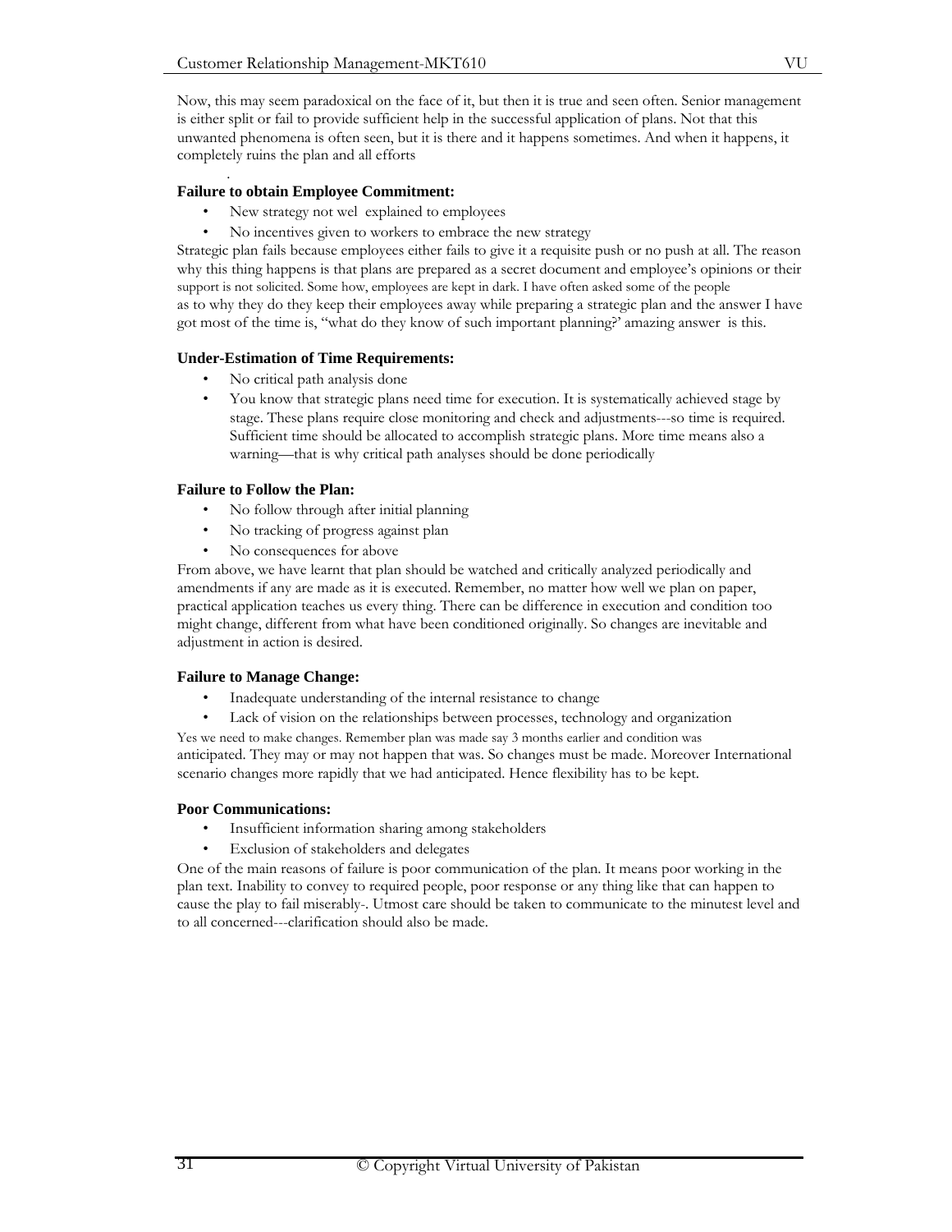Now, this may seem paradoxical on the face of it, but then it is true and seen often. Senior management is either split or fail to provide sufficient help in the successful application of plans. Not that this unwanted phenomena is often seen, but it is there and it happens sometimes. And when it happens, it completely ruins the plan and all efforts

#### . **Failure to obtain Employee Commitment:**

- New strategy not wel explained to employees
- No incentives given to workers to embrace the new strategy

Strategic plan fails because employees either fails to give it a requisite push or no push at all. The reason why this thing happens is that plans are prepared as a secret document and employee's opinions or their support is not solicited. Some how, employees are kept in dark. I have often asked some of the people as to why they do they keep their employees away while preparing a strategic plan and the answer I have got most of the time is, "what do they know of such important planning?' amazing answer is this.

#### **Under-Estimation of Time Requirements:**

- No critical path analysis done
- You know that strategic plans need time for execution. It is systematically achieved stage by stage. These plans require close monitoring and check and adjustments---so time is required. Sufficient time should be allocated to accomplish strategic plans. More time means also a warning—that is why critical path analyses should be done periodically

#### **Failure to Follow the Plan:**

- No follow through after initial planning
- No tracking of progress against plan
- No consequences for above

From above, we have learnt that plan should be watched and critically analyzed periodically and amendments if any are made as it is executed. Remember, no matter how well we plan on paper, practical application teaches us every thing. There can be difference in execution and condition too might change, different from what have been conditioned originally. So changes are inevitable and adjustment in action is desired.

#### **Failure to Manage Change:**

- Inadequate understanding of the internal resistance to change
- Lack of vision on the relationships between processes, technology and organization

Yes we need to make changes. Remember plan was made say 3 months earlier and condition was anticipated. They may or may not happen that was. So changes must be made. Moreover International scenario changes more rapidly that we had anticipated. Hence flexibility has to be kept.

#### **Poor Communications:**

- Insufficient information sharing among stakeholders
- Exclusion of stakeholders and delegates

One of the main reasons of failure is poor communication of the plan. It means poor working in the plan text. Inability to convey to required people, poor response or any thing like that can happen to cause the play to fail miserably-. Utmost care should be taken to communicate to the minutest level and to all concerned---clarification should also be made.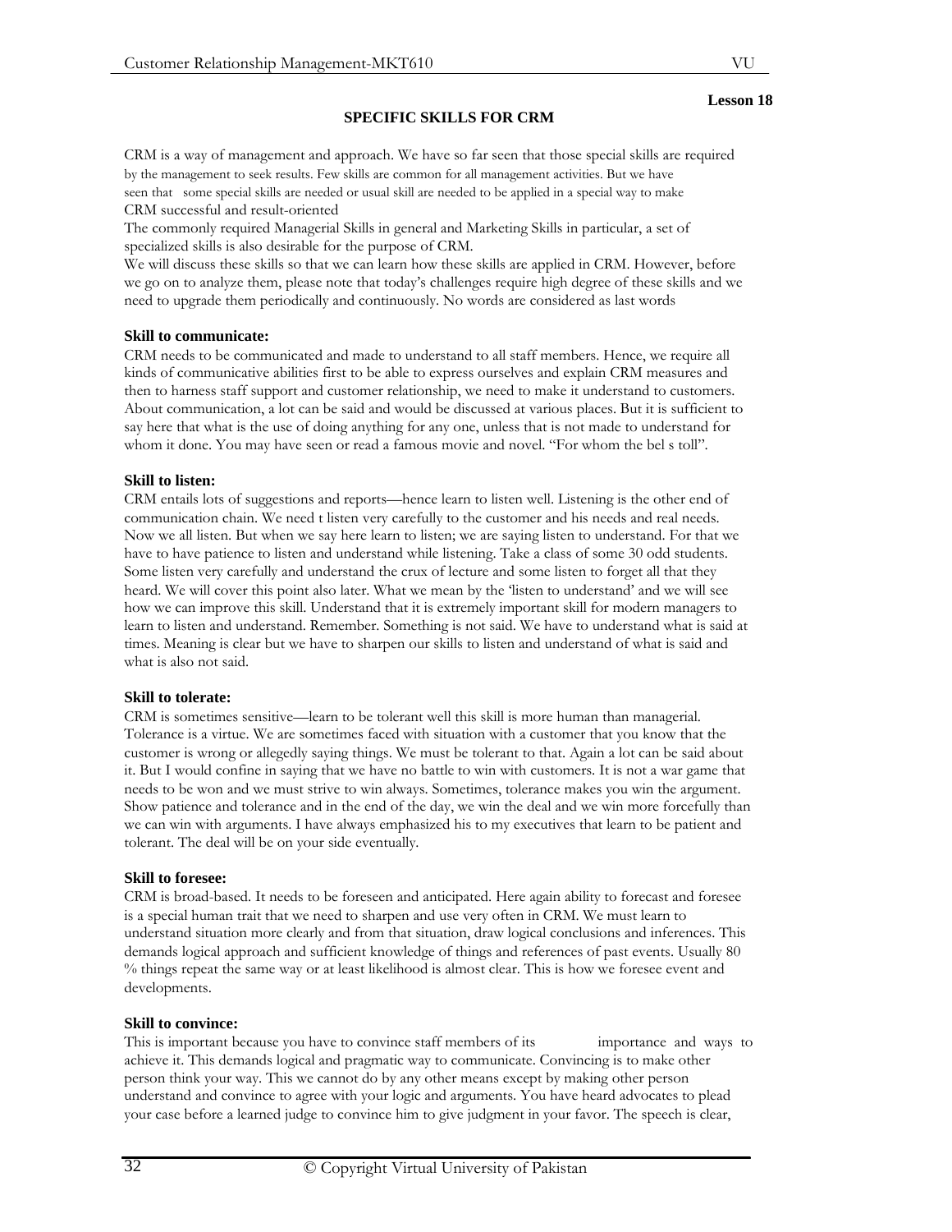# **SPECIFIC SKILLS FOR CRM**

CRM is a way of management and approach. We have so far seen that those special skills are required by the management to seek results. Few skills are common for all management activities. But we have seen that some special skills are needed or usual skill are needed to be applied in a special way to make CRM successful and result-oriented

The commonly required Managerial Skills in general and Marketing Skills in particular, a set of specialized skills is also desirable for the purpose of CRM.

We will discuss these skills so that we can learn how these skills are applied in CRM. However, before we go on to analyze them, please note that today's challenges require high degree of these skills and we need to upgrade them periodically and continuously. No words are considered as last words

#### **Skill to communicate:**

CRM needs to be communicated and made to understand to all staff members. Hence, we require all kinds of communicative abilities first to be able to express ourselves and explain CRM measures and then to harness staff support and customer relationship, we need to make it understand to customers. About communication, a lot can be said and would be discussed at various places. But it is sufficient to say here that what is the use of doing anything for any one, unless that is not made to understand for whom it done. You may have seen or read a famous movie and novel. "For whom the bel s toll".

#### **Skill to listen:**

CRM entails lots of suggestions and reports—hence learn to listen well. Listening is the other end of communication chain. We need t listen very carefully to the customer and his needs and real needs. Now we all listen. But when we say here learn to listen; we are saying listen to understand. For that we have to have patience to listen and understand while listening. Take a class of some 30 odd students. Some listen very carefully and understand the crux of lecture and some listen to forget all that they heard. We will cover this point also later. What we mean by the 'listen to understand' and we will see how we can improve this skill. Understand that it is extremely important skill for modern managers to learn to listen and understand. Remember. Something is not said. We have to understand what is said at times. Meaning is clear but we have to sharpen our skills to listen and understand of what is said and what is also not said.

#### **Skill to tolerate:**

CRM is sometimes sensitive—learn to be tolerant well this skill is more human than managerial. Tolerance is a virtue. We are sometimes faced with situation with a customer that you know that the customer is wrong or allegedly saying things. We must be tolerant to that. Again a lot can be said about it. But I would confine in saying that we have no battle to win with customers. It is not a war game that needs to be won and we must strive to win always. Sometimes, tolerance makes you win the argument. Show patience and tolerance and in the end of the day, we win the deal and we win more forcefully than we can win with arguments. I have always emphasized his to my executives that learn to be patient and tolerant. The deal will be on your side eventually.

#### **Skill to foresee:**

CRM is broad-based. It needs to be foreseen and anticipated. Here again ability to forecast and foresee is a special human trait that we need to sharpen and use very often in CRM. We must learn to understand situation more clearly and from that situation, draw logical conclusions and inferences. This demands logical approach and sufficient knowledge of things and references of past events. Usually 80 % things repeat the same way or at least likelihood is almost clear. This is how we foresee event and developments.

#### **Skill to convince:**

This is important because you have to convince staff members of its importance and ways to achieve it. This demands logical and pragmatic way to communicate. Convincing is to make other person think your way. This we cannot do by any other means except by making other person understand and convince to agree with your logic and arguments. You have heard advocates to plead your case before a learned judge to convince him to give judgment in your favor. The speech is clear,

#### **Lesson 18**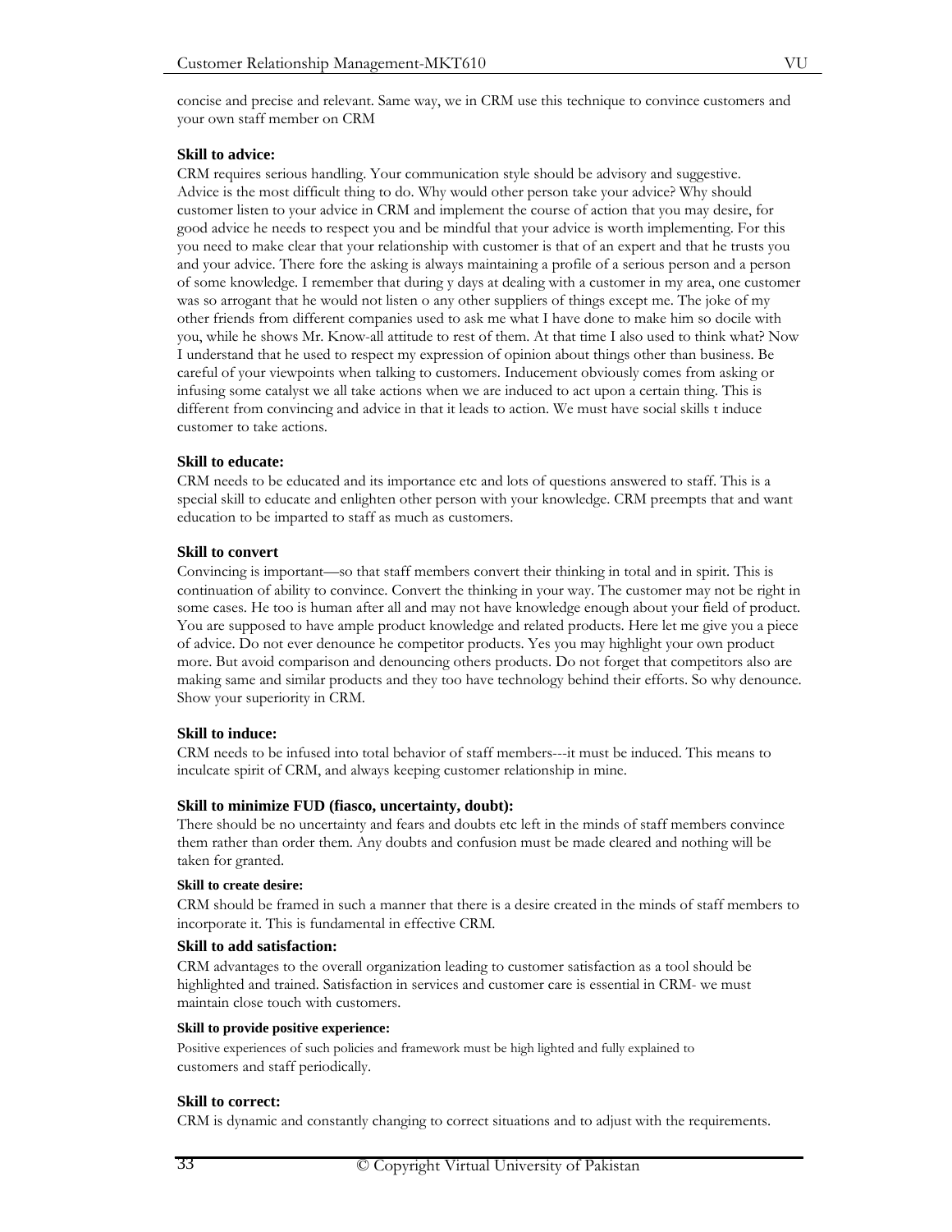concise and precise and relevant. Same way, we in CRM use this technique to convince customers and your own staff member on CRM

#### **Skill to advice:**

CRM requires serious handling. Your communication style should be advisory and suggestive. Advice is the most difficult thing to do. Why would other person take your advice? Why should customer listen to your advice in CRM and implement the course of action that you may desire, for good advice he needs to respect you and be mindful that your advice is worth implementing. For this you need to make clear that your relationship with customer is that of an expert and that he trusts you and your advice. There fore the asking is always maintaining a profile of a serious person and a person of some knowledge. I remember that during y days at dealing with a customer in my area, one customer was so arrogant that he would not listen o any other suppliers of things except me. The joke of my other friends from different companies used to ask me what I have done to make him so docile with you, while he shows Mr. Know-all attitude to rest of them. At that time I also used to think what? Now I understand that he used to respect my expression of opinion about things other than business. Be careful of your viewpoints when talking to customers. Inducement obviously comes from asking or infusing some catalyst we all take actions when we are induced to act upon a certain thing. This is different from convincing and advice in that it leads to action. We must have social skills t induce customer to take actions.

#### **Skill to educate:**

CRM needs to be educated and its importance etc and lots of questions answered to staff. This is a special skill to educate and enlighten other person with your knowledge. CRM preempts that and want education to be imparted to staff as much as customers.

#### **Skill to convert**

Convincing is important—so that staff members convert their thinking in total and in spirit. This is continuation of ability to convince. Convert the thinking in your way. The customer may not be right in some cases. He too is human after all and may not have knowledge enough about your field of product. You are supposed to have ample product knowledge and related products. Here let me give you a piece of advice. Do not ever denounce he competitor products. Yes you may highlight your own product more. But avoid comparison and denouncing others products. Do not forget that competitors also are making same and similar products and they too have technology behind their efforts. So why denounce. Show your superiority in CRM.

#### **Skill to induce:**

CRM needs to be infused into total behavior of staff members---it must be induced. This means to inculcate spirit of CRM, and always keeping customer relationship in mine.

#### **Skill to minimize FUD (fiasco, uncertainty, doubt):**

There should be no uncertainty and fears and doubts etc left in the minds of staff members convince them rather than order them. Any doubts and confusion must be made cleared and nothing will be taken for granted.

#### **Skill to create desire:**

CRM should be framed in such a manner that there is a desire created in the minds of staff members to incorporate it. This is fundamental in effective CRM.

#### **Skill to add satisfaction:**

CRM advantages to the overall organization leading to customer satisfaction as a tool should be highlighted and trained. Satisfaction in services and customer care is essential in CRM- we must maintain close touch with customers.

#### **Skill to provide positive experience:**

Positive experiences of such policies and framework must be high lighted and fully explained to customers and staff periodically.

#### **Skill to correct:**

CRM is dynamic and constantly changing to correct situations and to adjust with the requirements.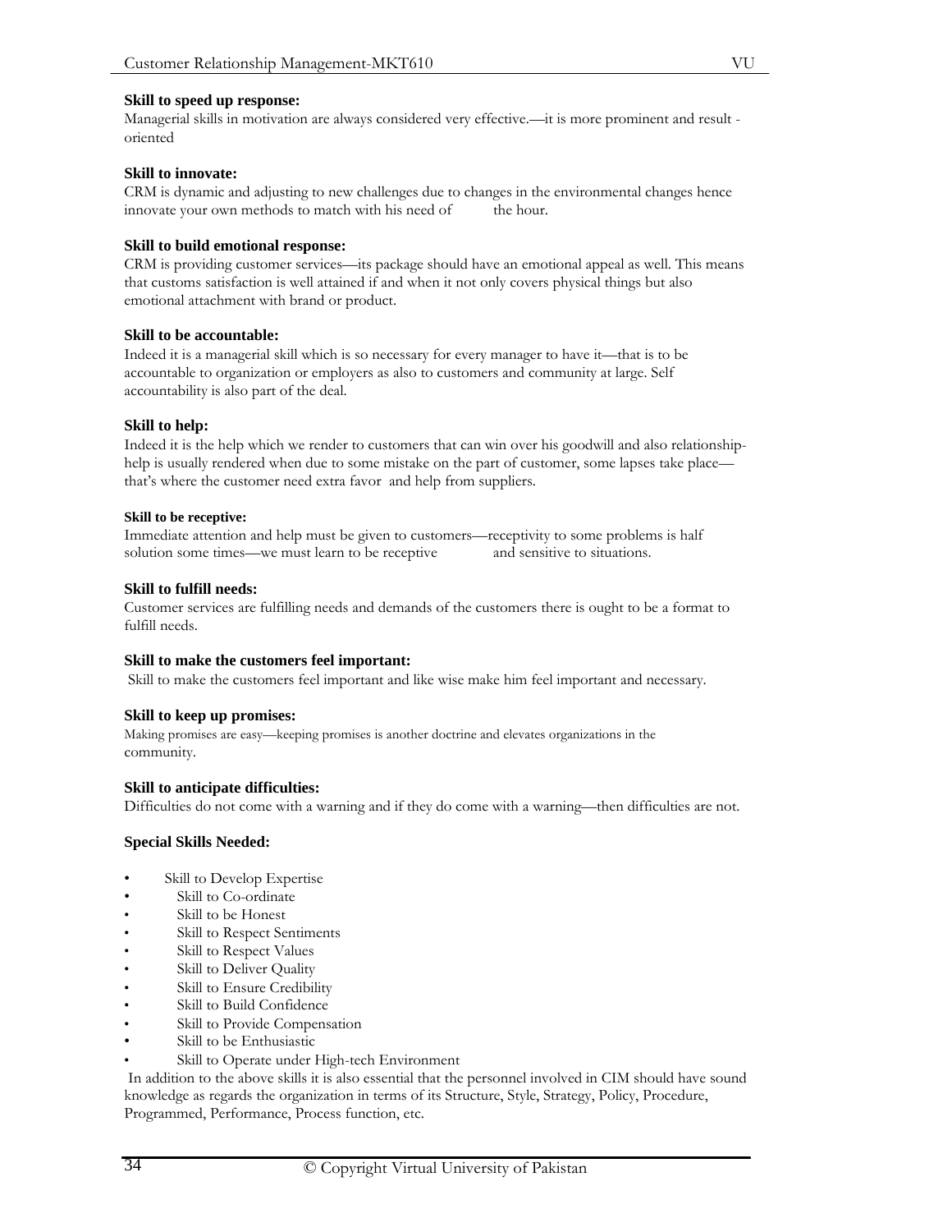#### **Skill to speed up response:**

Managerial skills in motivation are always considered very effective.—it is more prominent and result oriented

#### **Skill to innovate:**

CRM is dynamic and adjusting to new challenges due to changes in the environmental changes hence innovate your own methods to match with his need of the hour.

#### **Skill to build emotional response:**

CRM is providing customer services—its package should have an emotional appeal as well. This means that customs satisfaction is well attained if and when it not only covers physical things but also emotional attachment with brand or product.

#### **Skill to be accountable:**

Indeed it is a managerial skill which is so necessary for every manager to have it—that is to be accountable to organization or employers as also to customers and community at large. Self accountability is also part of the deal.

#### **Skill to help:**

Indeed it is the help which we render to customers that can win over his goodwill and also relationshiphelp is usually rendered when due to some mistake on the part of customer, some lapses take place that's where the customer need extra favor and help from suppliers.

#### **Skill to be receptive:**

Immediate attention and help must be given to customers—receptivity to some problems is half solution some times—we must learn to be receptive and sensitive to situations.

#### **Skill to fulfill needs:**

Customer services are fulfilling needs and demands of the customers there is ought to be a format to fulfill needs.

#### **Skill to make the customers feel important:**

Skill to make the customers feel important and like wise make him feel important and necessary.

#### **Skill to keep up promises:**

Making promises are easy—keeping promises is another doctrine and elevates organizations in the community.

## **Skill to anticipate difficulties:**

Difficulties do not come with a warning and if they do come with a warning—then difficulties are not.

#### **Special Skills Needed:**

- Skill to Develop Expertise
- Skill to Co-ordinate
- Skill to be Honest
- Skill to Respect Sentiments
- Skill to Respect Values
- Skill to Deliver Quality
- Skill to Ensure Credibility
- Skill to Build Confidence
- Skill to Provide Compensation
- Skill to be Enthusiastic
- Skill to Operate under High-tech Environment

 In addition to the above skills it is also essential that the personnel involved in CIM should have sound knowledge as regards the organization in terms of its Structure, Style, Strategy, Policy, Procedure, Programmed, Performance, Process function, etc.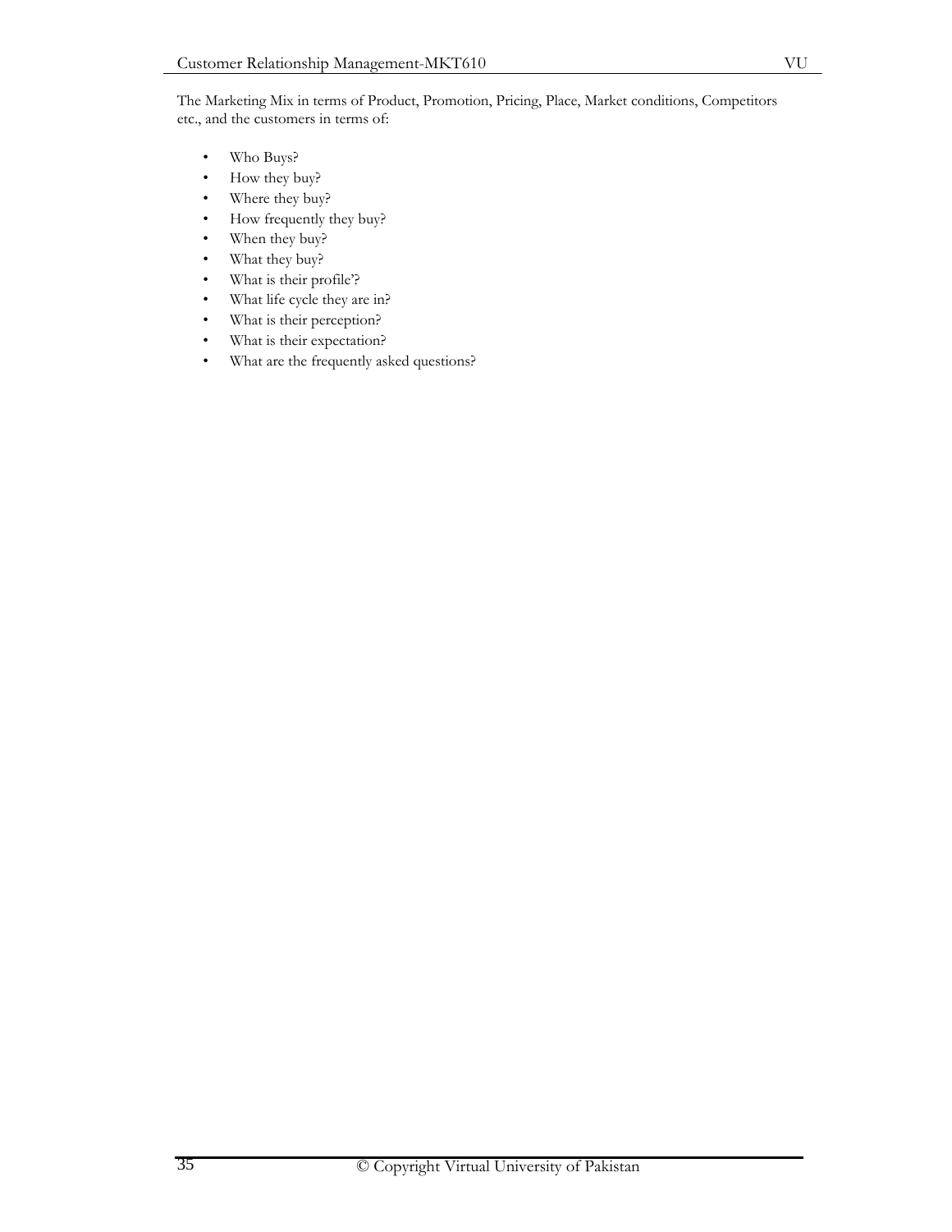The Marketing Mix in terms of Product, Promotion, Pricing, Place, Market conditions, Competitors etc., and the customers in terms of:

- Who Buys?
- How they buy?
- Where they buy?
- How frequently they buy?
- When they buy?
- What they buy?
- What is their profile'?
- What life cycle they are in?
- What is their perception?
- What is their expectation?
- What are the frequently asked questions?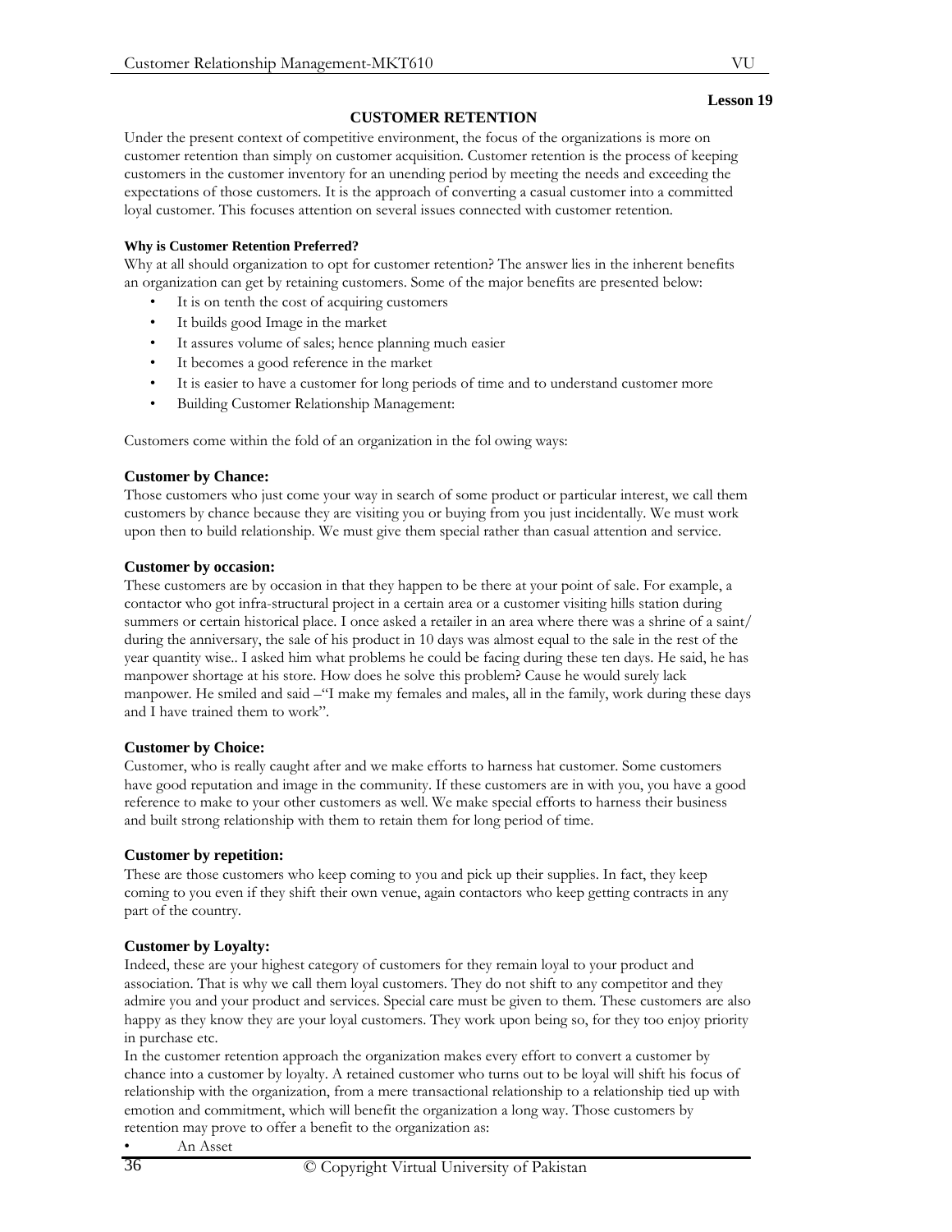# **CUSTOMER RETENTION**

Under the present context of competitive environment, the focus of the organizations is more on customer retention than simply on customer acquisition. Customer retention is the process of keeping customers in the customer inventory for an unending period by meeting the needs and exceeding the expectations of those customers. It is the approach of converting a casual customer into a committed loyal customer. This focuses attention on several issues connected with customer retention.

## **Why is Customer Retention Preferred?**

Why at all should organization to opt for customer retention? The answer lies in the inherent benefits an organization can get by retaining customers. Some of the major benefits are presented below:

- It is on tenth the cost of acquiring customers
- It builds good Image in the market
- It assures volume of sales; hence planning much easier
- It becomes a good reference in the market
- It is easier to have a customer for long periods of time and to understand customer more
- Building Customer Relationship Management:

Customers come within the fold of an organization in the fol owing ways:

# **Customer by Chance:**

Those customers who just come your way in search of some product or particular interest, we call them customers by chance because they are visiting you or buying from you just incidentally. We must work upon then to build relationship. We must give them special rather than casual attention and service.

## **Customer by occasion:**

These customers are by occasion in that they happen to be there at your point of sale. For example, a contactor who got infra-structural project in a certain area or a customer visiting hills station during summers or certain historical place. I once asked a retailer in an area where there was a shrine of a saint/ during the anniversary, the sale of his product in 10 days was almost equal to the sale in the rest of the year quantity wise.. I asked him what problems he could be facing during these ten days. He said, he has manpower shortage at his store. How does he solve this problem? Cause he would surely lack manpower. He smiled and said –"I make my females and males, all in the family, work during these days and I have trained them to work".

## **Customer by Choice:**

Customer, who is really caught after and we make efforts to harness hat customer. Some customers have good reputation and image in the community. If these customers are in with you, you have a good reference to make to your other customers as well. We make special efforts to harness their business and built strong relationship with them to retain them for long period of time.

# **Customer by repetition:**

These are those customers who keep coming to you and pick up their supplies. In fact, they keep coming to you even if they shift their own venue, again contactors who keep getting contracts in any part of the country.

# **Customer by Loyalty:**

Indeed, these are your highest category of customers for they remain loyal to your product and association. That is why we call them loyal customers. They do not shift to any competitor and they admire you and your product and services. Special care must be given to them. These customers are also happy as they know they are your loyal customers. They work upon being so, for they too enjoy priority in purchase etc.

In the customer retention approach the organization makes every effort to convert a customer by chance into a customer by loyalty. A retained customer who turns out to be loyal will shift his focus of relationship with the organization, from a mere transactional relationship to a relationship tied up with emotion and commitment, which will benefit the organization a long way. Those customers by retention may prove to offer a benefit to the organization as:

**Lesson 19**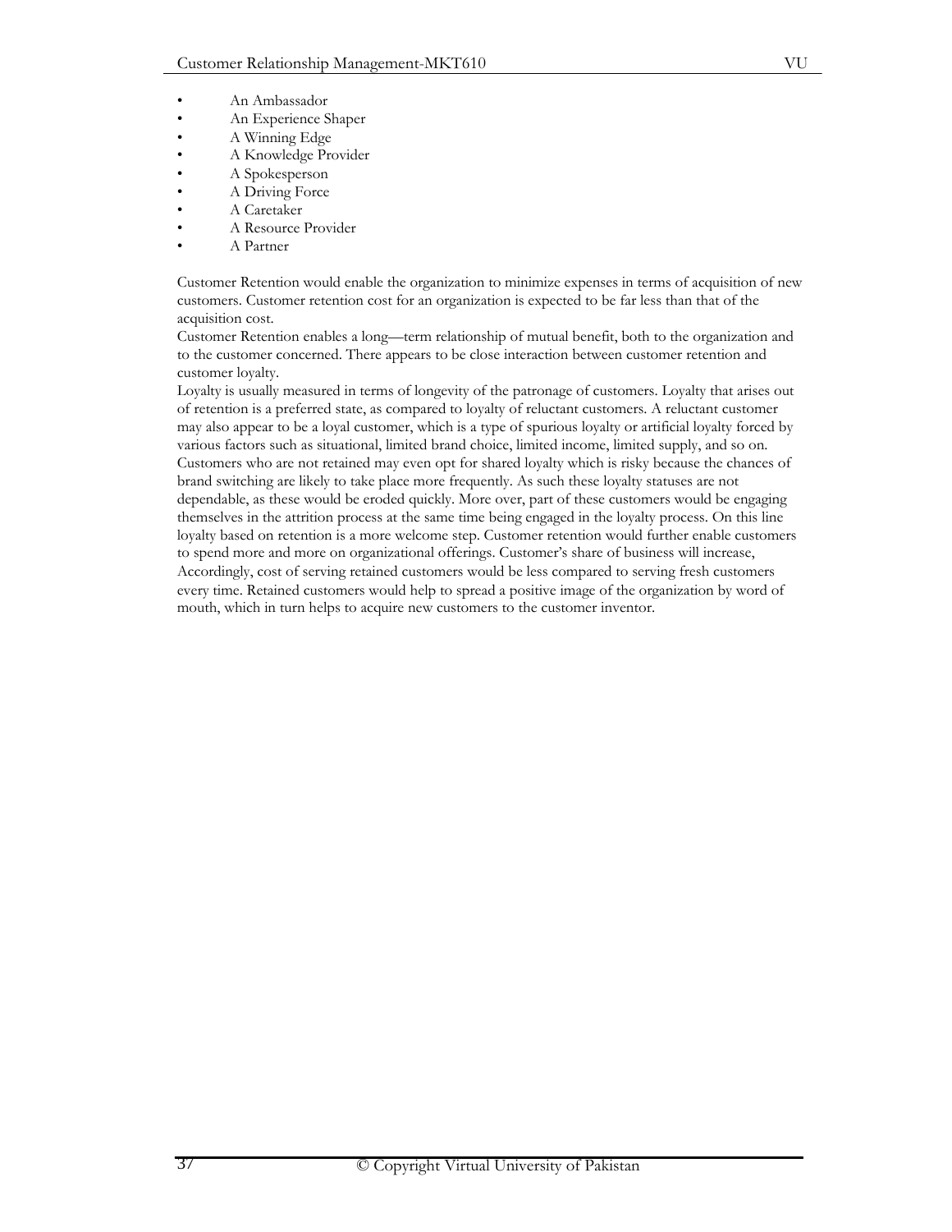- An Ambassador
- An Experience Shaper
- A Winning Edge
- A Knowledge Provider
- A Spokesperson
- A Driving Force
- A Caretaker
- A Resource Provider
- A Partner

Customer Retention would enable the organization to minimize expenses in terms of acquisition of new customers. Customer retention cost for an organization is expected to be far less than that of the acquisition cost.

Customer Retention enables a long—term relationship of mutual benefit, both to the organization and to the customer concerned. There appears to be close interaction between customer retention and customer loyalty.

Loyalty is usually measured in terms of longevity of the patronage of customers. Loyalty that arises out of retention is a preferred state, as compared to loyalty of reluctant customers. A reluctant customer may also appear to be a loyal customer, which is a type of spurious loyalty or artificial loyalty forced by various factors such as situational, limited brand choice, limited income, limited supply, and so on. Customers who are not retained may even opt for shared loyalty which is risky because the chances of brand switching are likely to take place more frequently. As such these loyalty statuses are not dependable, as these would be eroded quickly. More over, part of these customers would be engaging themselves in the attrition process at the same time being engaged in the loyalty process. On this line loyalty based on retention is a more welcome step. Customer retention would further enable customers to spend more and more on organizational offerings. Customer's share of business will increase, Accordingly, cost of serving retained customers would be less compared to serving fresh customers every time. Retained customers would help to spread a positive image of the organization by word of mouth, which in turn helps to acquire new customers to the customer inventor.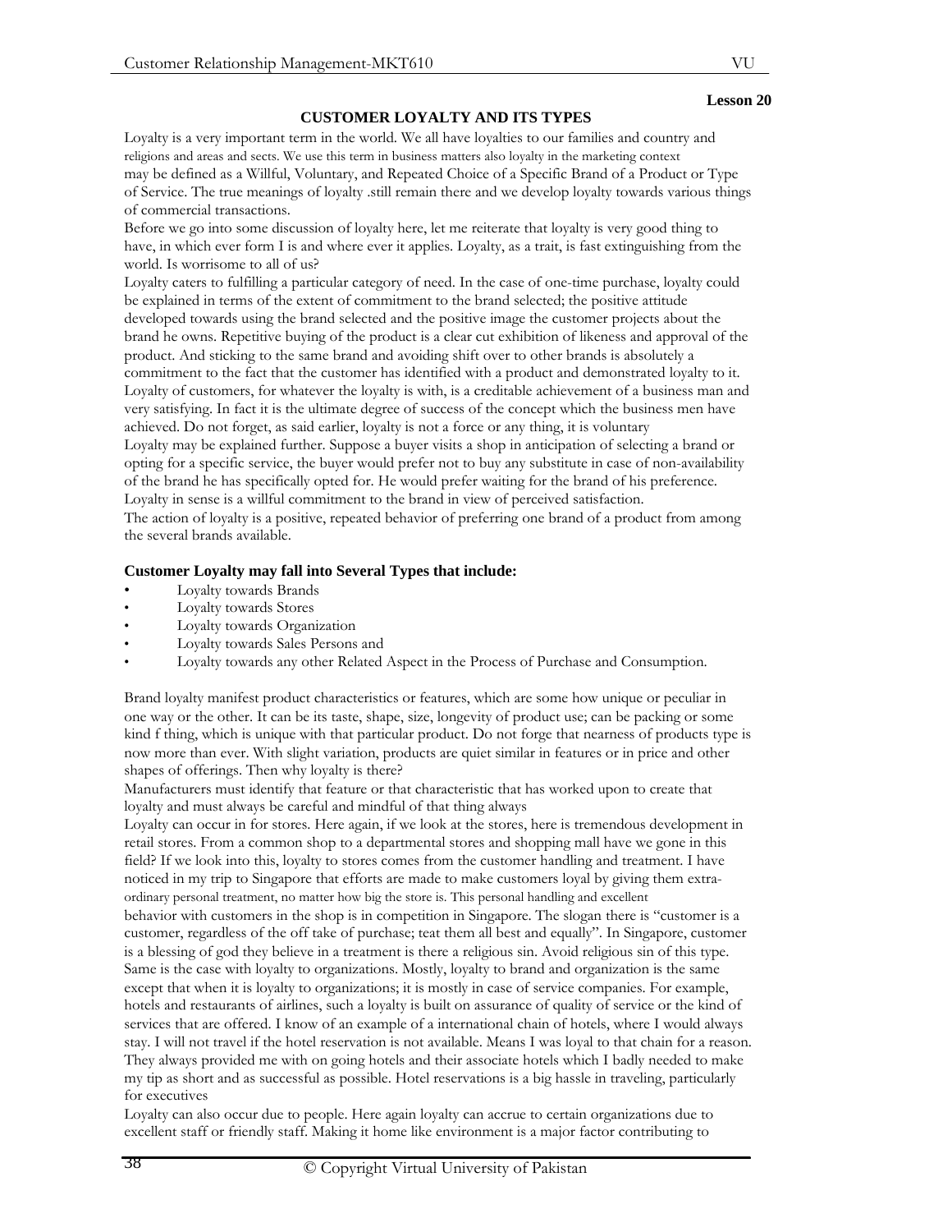## **CUSTOMER LOYALTY AND ITS TYPES**

Loyalty is a very important term in the world. We all have loyalties to our families and country and religions and areas and sects. We use this term in business matters also loyalty in the marketing context may be defined as a Willful, Voluntary, and Repeated Choice of a Specific Brand of a Product or Type of Service. The true meanings of loyalty .still remain there and we develop loyalty towards various things of commercial transactions.

Before we go into some discussion of loyalty here, let me reiterate that loyalty is very good thing to have, in which ever form I is and where ever it applies. Loyalty, as a trait, is fast extinguishing from the world. Is worrisome to all of us?

Loyalty caters to fulfilling a particular category of need. In the case of one-time purchase, loyalty could be explained in terms of the extent of commitment to the brand selected; the positive attitude developed towards using the brand selected and the positive image the customer projects about the brand he owns. Repetitive buying of the product is a clear cut exhibition of likeness and approval of the product. And sticking to the same brand and avoiding shift over to other brands is absolutely a commitment to the fact that the customer has identified with a product and demonstrated loyalty to it. Loyalty of customers, for whatever the loyalty is with, is a creditable achievement of a business man and very satisfying. In fact it is the ultimate degree of success of the concept which the business men have achieved. Do not forget, as said earlier, loyalty is not a force or any thing, it is voluntary

Loyalty may be explained further. Suppose a buyer visits a shop in anticipation of selecting a brand or opting for a specific service, the buyer would prefer not to buy any substitute in case of non-availability of the brand he has specifically opted for. He would prefer waiting for the brand of his preference. Loyalty in sense is a willful commitment to the brand in view of perceived satisfaction.

The action of loyalty is a positive, repeated behavior of preferring one brand of a product from among the several brands available.

## **Customer Loyalty may fall into Several Types that include:**

- Loyalty towards Brands
- Loyalty towards Stores
- Loyalty towards Organization
- Loyalty towards Sales Persons and
- Loyalty towards any other Related Aspect in the Process of Purchase and Consumption.

Brand loyalty manifest product characteristics or features, which are some how unique or peculiar in one way or the other. It can be its taste, shape, size, longevity of product use; can be packing or some kind f thing, which is unique with that particular product. Do not forge that nearness of products type is now more than ever. With slight variation, products are quiet similar in features or in price and other shapes of offerings. Then why loyalty is there?

Manufacturers must identify that feature or that characteristic that has worked upon to create that loyalty and must always be careful and mindful of that thing always

Loyalty can occur in for stores. Here again, if we look at the stores, here is tremendous development in retail stores. From a common shop to a departmental stores and shopping mall have we gone in this field? If we look into this, loyalty to stores comes from the customer handling and treatment. I have noticed in my trip to Singapore that efforts are made to make customers loyal by giving them extraordinary personal treatment, no matter how big the store is. This personal handling and excellent

behavior with customers in the shop is in competition in Singapore. The slogan there is "customer is a customer, regardless of the off take of purchase; teat them all best and equally". In Singapore, customer is a blessing of god they believe in a treatment is there a religious sin. Avoid religious sin of this type. Same is the case with loyalty to organizations. Mostly, loyalty to brand and organization is the same except that when it is loyalty to organizations; it is mostly in case of service companies. For example, hotels and restaurants of airlines, such a loyalty is built on assurance of quality of service or the kind of services that are offered. I know of an example of a international chain of hotels, where I would always stay. I will not travel if the hotel reservation is not available. Means I was loyal to that chain for a reason. They always provided me with on going hotels and their associate hotels which I badly needed to make my tip as short and as successful as possible. Hotel reservations is a big hassle in traveling, particularly for executives

Loyalty can also occur due to people. Here again loyalty can accrue to certain organizations due to excellent staff or friendly staff. Making it home like environment is a major factor contributing to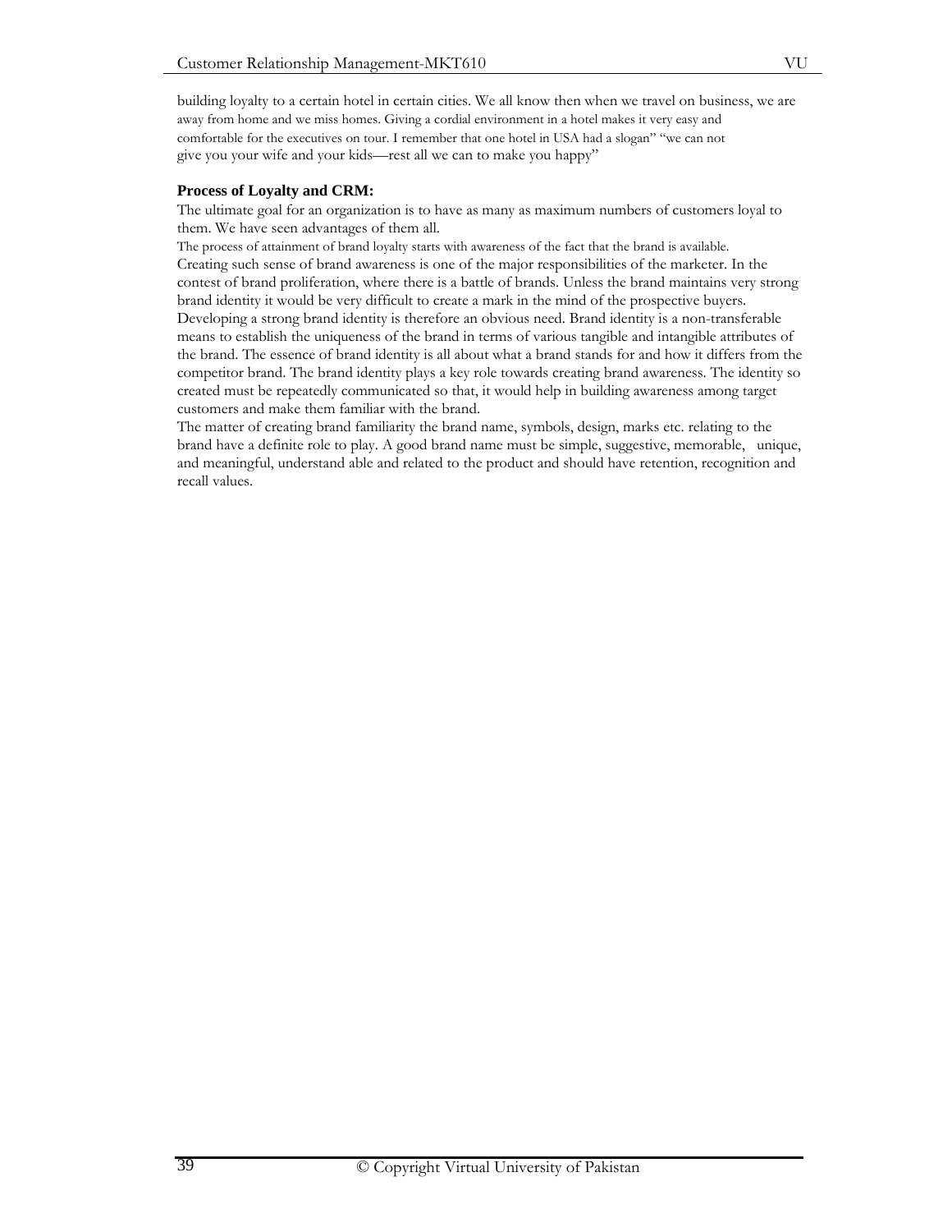building loyalty to a certain hotel in certain cities. We all know then when we travel on business, we are away from home and we miss homes. Giving a cordial environment in a hotel makes it very easy and comfortable for the executives on tour. I remember that one hotel in USA had a slogan" "we can not give you your wife and your kids—rest all we can to make you happy"

## **Process of Loyalty and CRM:**

The ultimate goal for an organization is to have as many as maximum numbers of customers loyal to them. We have seen advantages of them all.

The process of attainment of brand loyalty starts with awareness of the fact that the brand is available. Creating such sense of brand awareness is one of the major responsibilities of the marketer. In the contest of brand proliferation, where there is a battle of brands. Unless the brand maintains very strong brand identity it would be very difficult to create a mark in the mind of the prospective buyers. Developing a strong brand identity is therefore an obvious need. Brand identity is a non-transferable means to establish the uniqueness of the brand in terms of various tangible and intangible attributes of the brand. The essence of brand identity is all about what a brand stands for and how it differs from the competitor brand. The brand identity plays a key role towards creating brand awareness. The identity so created must be repeatedly communicated so that, it would help in building awareness among target customers and make them familiar with the brand.

The matter of creating brand familiarity the brand name, symbols, design, marks etc. relating to the brand have a definite role to play. A good brand name must be simple, suggestive, memorable, unique, and meaningful, understand able and related to the product and should have retention, recognition and recall values.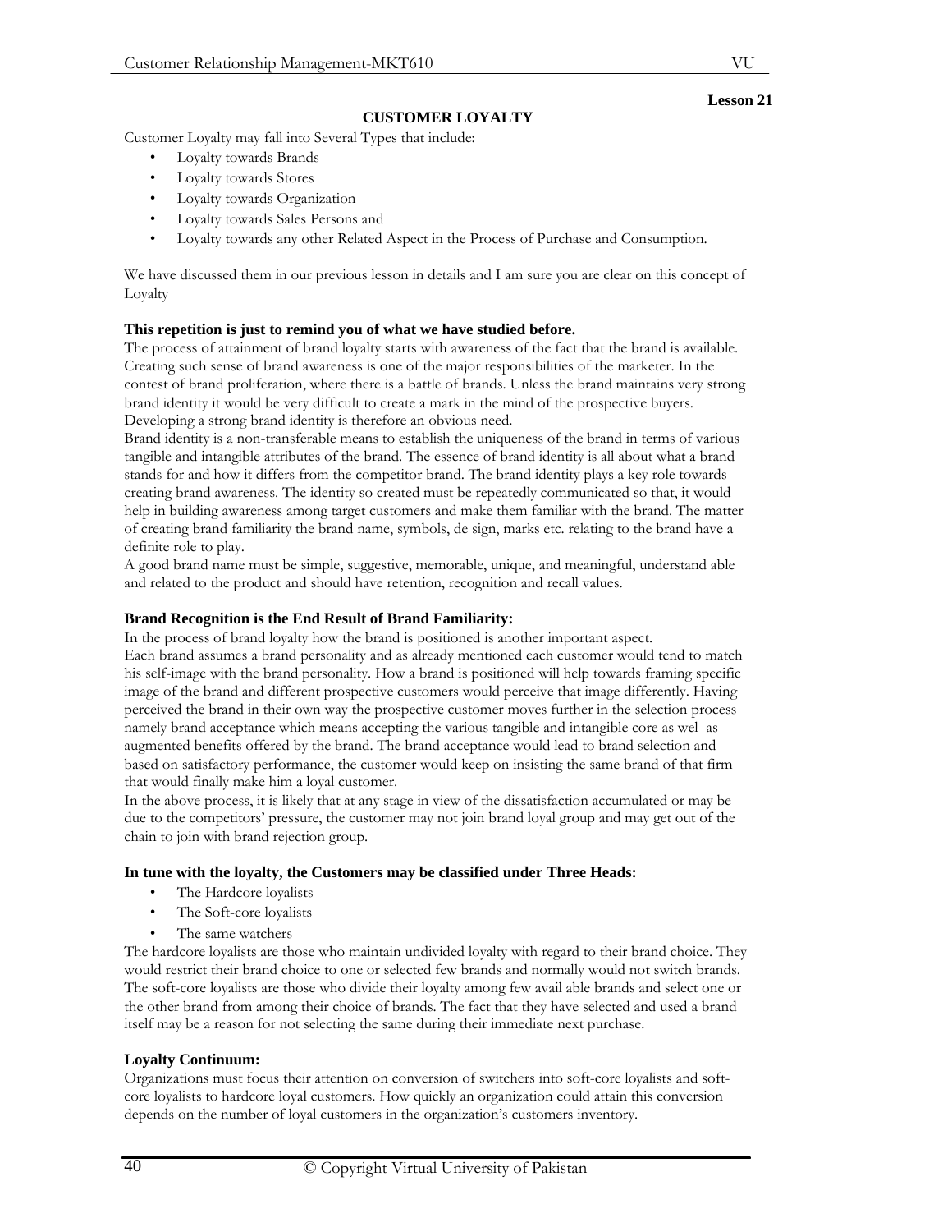## **CUSTOMER LOYALTY**

Customer Loyalty may fall into Several Types that include:

- Loyalty towards Brands
- Loyalty towards Stores
- Loyalty towards Organization
- Loyalty towards Sales Persons and
- Loyalty towards any other Related Aspect in the Process of Purchase and Consumption.

We have discussed them in our previous lesson in details and I am sure you are clear on this concept of Loyalty

## **This repetition is just to remind you of what we have studied before.**

The process of attainment of brand loyalty starts with awareness of the fact that the brand is available. Creating such sense of brand awareness is one of the major responsibilities of the marketer. In the contest of brand proliferation, where there is a battle of brands. Unless the brand maintains very strong brand identity it would be very difficult to create a mark in the mind of the prospective buyers. Developing a strong brand identity is therefore an obvious need.

Brand identity is a non-transferable means to establish the uniqueness of the brand in terms of various tangible and intangible attributes of the brand. The essence of brand identity is all about what a brand stands for and how it differs from the competitor brand. The brand identity plays a key role towards creating brand awareness. The identity so created must be repeatedly communicated so that, it would help in building awareness among target customers and make them familiar with the brand. The matter of creating brand familiarity the brand name, symbols, de sign, marks etc. relating to the brand have a definite role to play.

A good brand name must be simple, suggestive, memorable, unique, and meaningful, understand able and related to the product and should have retention, recognition and recall values.

#### **Brand Recognition is the End Result of Brand Familiarity:**

In the process of brand loyalty how the brand is positioned is another important aspect. Each brand assumes a brand personality and as already mentioned each customer would tend to match his self-image with the brand personality. How a brand is positioned will help towards framing specific image of the brand and different prospective customers would perceive that image differently. Having perceived the brand in their own way the prospective customer moves further in the selection process namely brand acceptance which means accepting the various tangible and intangible core as wel as augmented benefits offered by the brand. The brand acceptance would lead to brand selection and based on satisfactory performance, the customer would keep on insisting the same brand of that firm that would finally make him a loyal customer.

In the above process, it is likely that at any stage in view of the dissatisfaction accumulated or may be due to the competitors' pressure, the customer may not join brand loyal group and may get out of the chain to join with brand rejection group.

#### **In tune with the loyalty, the Customers may be classified under Three Heads:**

- The Hardcore loyalists
- The Soft-core loyalists
- The same watchers

The hardcore loyalists are those who maintain undivided loyalty with regard to their brand choice. They would restrict their brand choice to one or selected few brands and normally would not switch brands. The soft-core loyalists are those who divide their loyalty among few avail able brands and select one or the other brand from among their choice of brands. The fact that they have selected and used a brand itself may be a reason for not selecting the same during their immediate next purchase.

#### **Loyalty Continuum:**

Organizations must focus their attention on conversion of switchers into soft-core loyalists and softcore loyalists to hardcore loyal customers. How quickly an organization could attain this conversion depends on the number of loyal customers in the organization's customers inventory.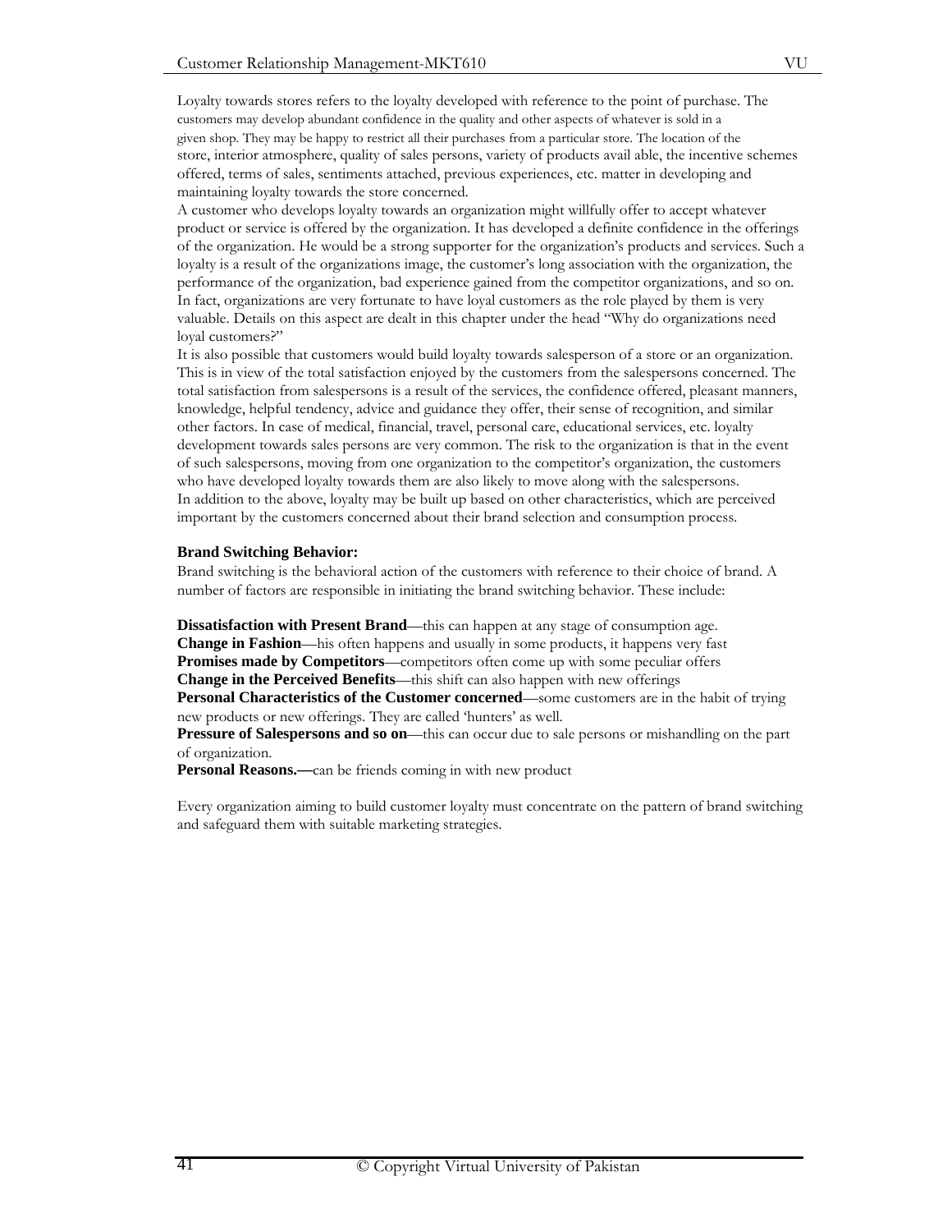Loyalty towards stores refers to the loyalty developed with reference to the point of purchase. The customers may develop abundant confidence in the quality and other aspects of whatever is sold in a given shop. They may be happy to restrict all their purchases from a particular store. The location of the store, interior atmosphere, quality of sales persons, variety of products avail able, the incentive schemes offered, terms of sales, sentiments attached, previous experiences, etc. matter in developing and maintaining loyalty towards the store concerned.

A customer who develops loyalty towards an organization might willfully offer to accept whatever product or service is offered by the organization. It has developed a definite confidence in the offerings of the organization. He would be a strong supporter for the organization's products and services. Such a loyalty is a result of the organizations image, the customer's long association with the organization, the performance of the organization, bad experience gained from the competitor organizations, and so on. In fact, organizations are very fortunate to have loyal customers as the role played by them is very valuable. Details on this aspect are dealt in this chapter under the head "Why do organizations need loyal customers?"

It is also possible that customers would build loyalty towards salesperson of a store or an organization. This is in view of the total satisfaction enjoyed by the customers from the salespersons concerned. The total satisfaction from salespersons is a result of the services, the confidence offered, pleasant manners, knowledge, helpful tendency, advice and guidance they offer, their sense of recognition, and similar other factors. In case of medical, financial, travel, personal care, educational services, etc. loyalty development towards sales persons are very common. The risk to the organization is that in the event of such salespersons, moving from one organization to the competitor's organization, the customers who have developed loyalty towards them are also likely to move along with the salespersons. In addition to the above, loyalty may be built up based on other characteristics, which are perceived important by the customers concerned about their brand selection and consumption process.

#### **Brand Switching Behavior:**

Brand switching is the behavioral action of the customers with reference to their choice of brand. A number of factors are responsible in initiating the brand switching behavior. These include:

**Dissatisfaction with Present Brand**—this can happen at any stage of consumption age. **Change in Fashion—his often happens and usually in some products, it happens very fast Promises made by Competitors**—competitors often come up with some peculiar offers **Change in the Perceived Benefits**—this shift can also happen with new offerings **Personal Characteristics of the Customer concerned—some customers are in the habit of trying** new products or new offerings. They are called 'hunters' as well.

**Pressure of Salespersons and so on**—this can occur due to sale persons or mishandling on the part of organization.

**Personal Reasons.—can** be friends coming in with new product

Every organization aiming to build customer loyalty must concentrate on the pattern of brand switching and safeguard them with suitable marketing strategies.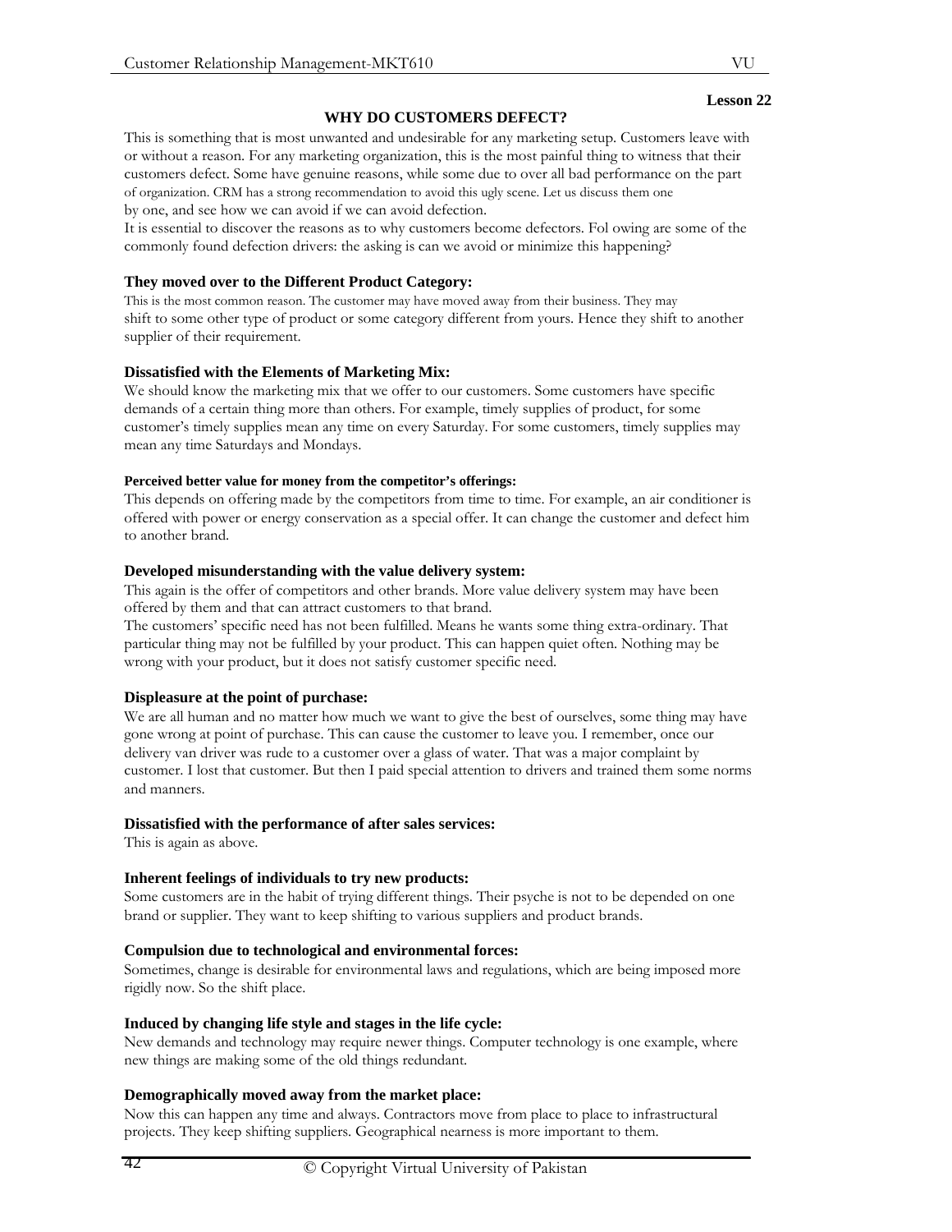## **WHY DO CUSTOMERS DEFECT?**

This is something that is most unwanted and undesirable for any marketing setup. Customers leave with or without a reason. For any marketing organization, this is the most painful thing to witness that their customers defect. Some have genuine reasons, while some due to over all bad performance on the part of organization. CRM has a strong recommendation to avoid this ugly scene. Let us discuss them one by one, and see how we can avoid if we can avoid defection.

It is essential to discover the reasons as to why customers become defectors. Fol owing are some of the commonly found defection drivers: the asking is can we avoid or minimize this happening?

## **They moved over to the Different Product Category:**

This is the most common reason. The customer may have moved away from their business. They may shift to some other type of product or some category different from yours. Hence they shift to another supplier of their requirement.

# **Dissatisfied with the Elements of Marketing Mix:**

We should know the marketing mix that we offer to our customers. Some customers have specific demands of a certain thing more than others. For example, timely supplies of product, for some customer's timely supplies mean any time on every Saturday. For some customers, timely supplies may mean any time Saturdays and Mondays.

## **Perceived better value for money from the competitor's offerings:**

This depends on offering made by the competitors from time to time. For example, an air conditioner is offered with power or energy conservation as a special offer. It can change the customer and defect him to another brand.

# **Developed misunderstanding with the value delivery system:**

This again is the offer of competitors and other brands. More value delivery system may have been offered by them and that can attract customers to that brand.

The customers' specific need has not been fulfilled. Means he wants some thing extra-ordinary. That particular thing may not be fulfilled by your product. This can happen quiet often. Nothing may be wrong with your product, but it does not satisfy customer specific need.

# **Displeasure at the point of purchase:**

We are all human and no matter how much we want to give the best of ourselves, some thing may have gone wrong at point of purchase. This can cause the customer to leave you. I remember, once our delivery van driver was rude to a customer over a glass of water. That was a major complaint by customer. I lost that customer. But then I paid special attention to drivers and trained them some norms and manners.

## **Dissatisfied with the performance of after sales services:**

This is again as above.

# **Inherent feelings of individuals to try new products:**

Some customers are in the habit of trying different things. Their psyche is not to be depended on one brand or supplier. They want to keep shifting to various suppliers and product brands.

# **Compulsion due to technological and environmental forces:**

Sometimes, change is desirable for environmental laws and regulations, which are being imposed more rigidly now. So the shift place.

## **Induced by changing life style and stages in the life cycle:**

New demands and technology may require newer things. Computer technology is one example, where new things are making some of the old things redundant.

# **Demographically moved away from the market place:**

Now this can happen any time and always. Contractors move from place to place to infrastructural projects. They keep shifting suppliers. Geographical nearness is more important to them.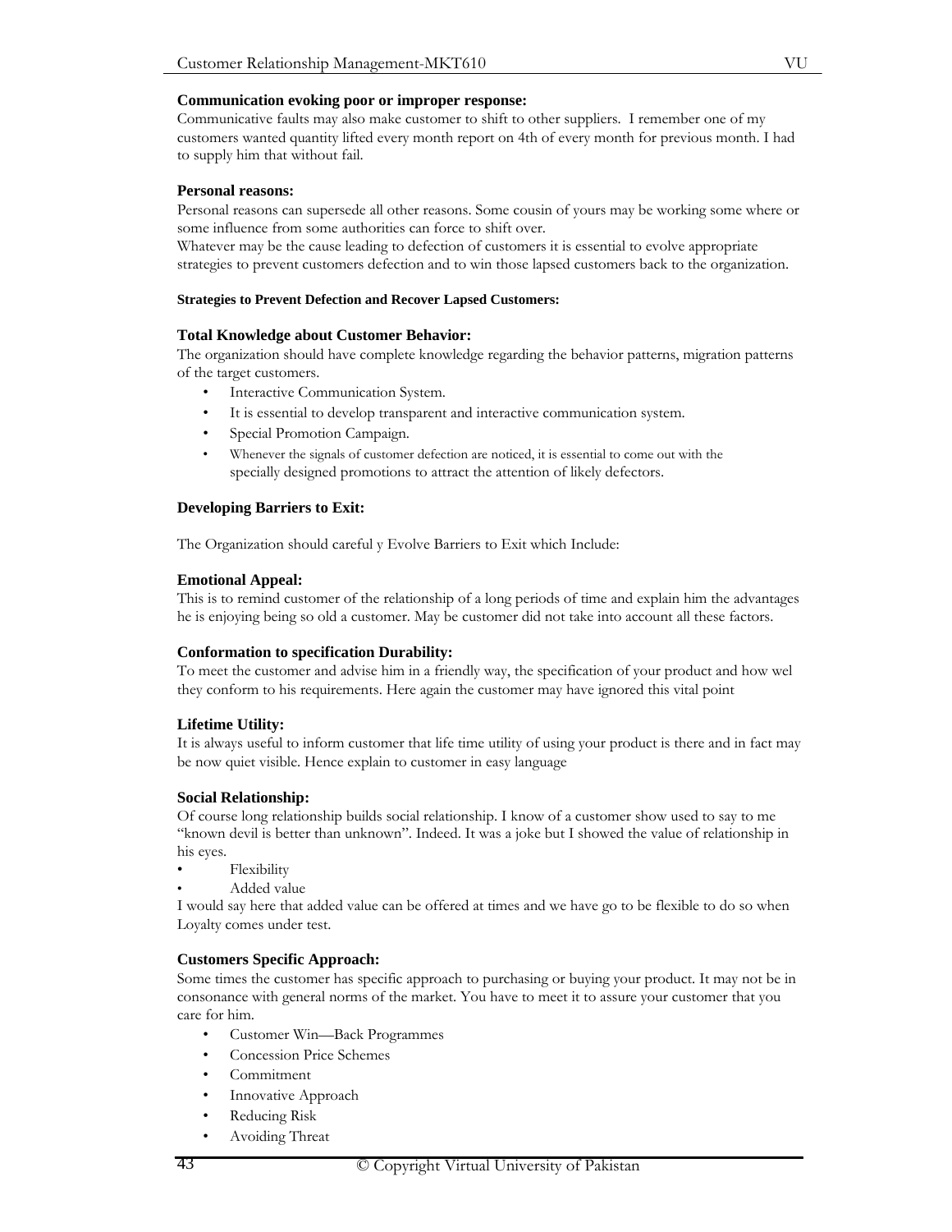#### **Communication evoking poor or improper response:**

Communicative faults may also make customer to shift to other suppliers. I remember one of my customers wanted quantity lifted every month report on 4th of every month for previous month. I had to supply him that without fail.

#### **Personal reasons:**

Personal reasons can supersede all other reasons. Some cousin of yours may be working some where or some influence from some authorities can force to shift over.

Whatever may be the cause leading to defection of customers it is essential to evolve appropriate strategies to prevent customers defection and to win those lapsed customers back to the organization.

#### **Strategies to Prevent Defection and Recover Lapsed Customers:**

#### **Total Knowledge about Customer Behavior:**

The organization should have complete knowledge regarding the behavior patterns, migration patterns of the target customers.

- Interactive Communication System.
- It is essential to develop transparent and interactive communication system.
- Special Promotion Campaign.
- Whenever the signals of customer defection are noticed, it is essential to come out with the specially designed promotions to attract the attention of likely defectors.

#### **Developing Barriers to Exit:**

The Organization should careful y Evolve Barriers to Exit which Include:

#### **Emotional Appeal:**

This is to remind customer of the relationship of a long periods of time and explain him the advantages he is enjoying being so old a customer. May be customer did not take into account all these factors.

#### **Conformation to specification Durability:**

To meet the customer and advise him in a friendly way, the specification of your product and how wel they conform to his requirements. Here again the customer may have ignored this vital point

#### **Lifetime Utility:**

It is always useful to inform customer that life time utility of using your product is there and in fact may be now quiet visible. Hence explain to customer in easy language

#### **Social Relationship:**

Of course long relationship builds social relationship. I know of a customer show used to say to me "known devil is better than unknown". Indeed. It was a joke but I showed the value of relationship in his eyes.

- Flexibility
- Added value

I would say here that added value can be offered at times and we have go to be flexible to do so when Loyalty comes under test.

## **Customers Specific Approach:**

Some times the customer has specific approach to purchasing or buying your product. It may not be in consonance with general norms of the market. You have to meet it to assure your customer that you care for him.

- Customer Win—Back Programmes
- Concession Price Schemes
- Commitment
- Innovative Approach
- Reducing Risk
- Avoiding Threat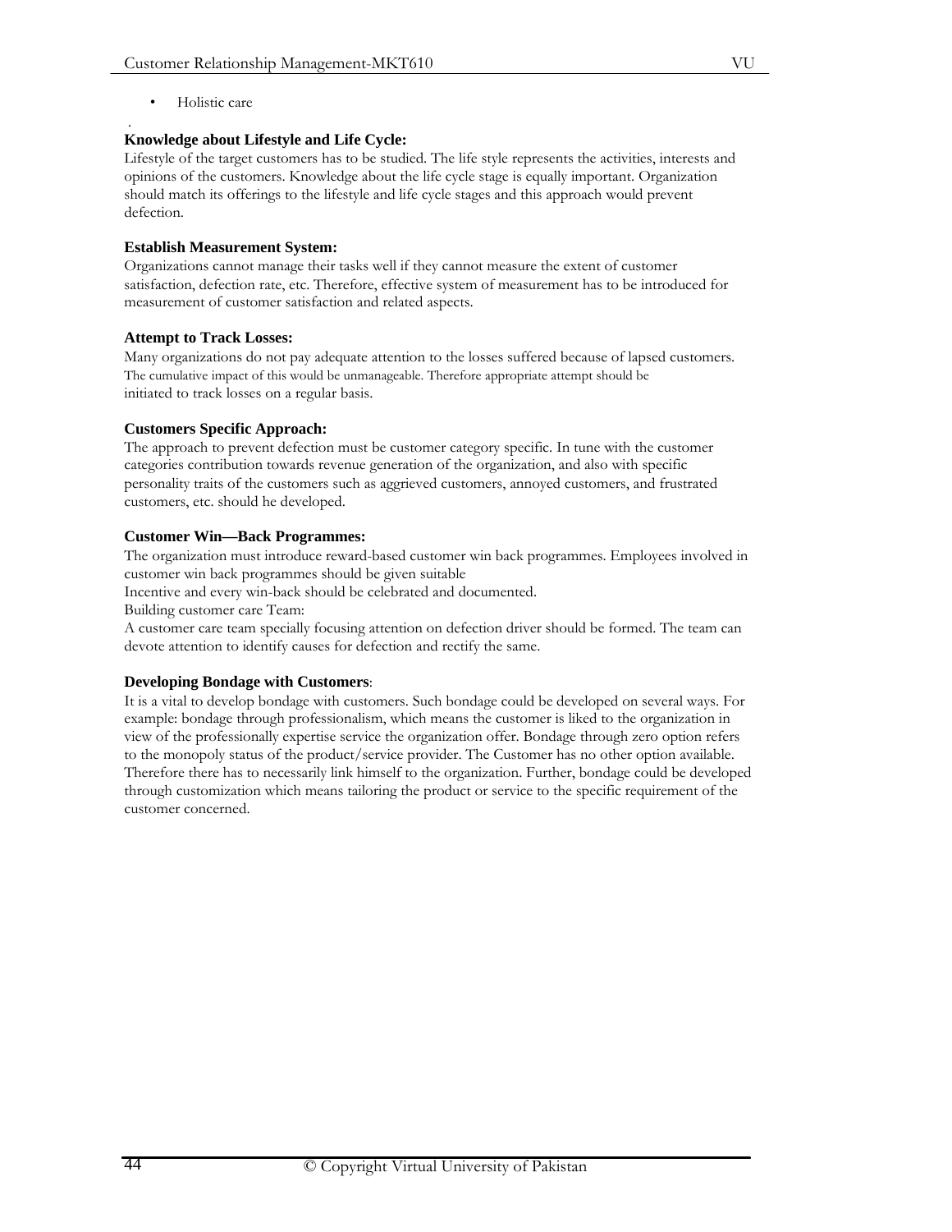#### . **Knowledge about Lifestyle and Life Cycle:**

Lifestyle of the target customers has to be studied. The life style represents the activities, interests and opinions of the customers. Knowledge about the life cycle stage is equally important. Organization should match its offerings to the lifestyle and life cycle stages and this approach would prevent defection.

# **Establish Measurement System:**

Organizations cannot manage their tasks well if they cannot measure the extent of customer satisfaction, defection rate, etc. Therefore, effective system of measurement has to be introduced for measurement of customer satisfaction and related aspects.

# **Attempt to Track Losses:**

Many organizations do not pay adequate attention to the losses suffered because of lapsed customers. The cumulative impact of this would be unmanageable. Therefore appropriate attempt should be initiated to track losses on a regular basis.

# **Customers Specific Approach:**

The approach to prevent defection must be customer category specific. In tune with the customer categories contribution towards revenue generation of the organization, and also with specific personality traits of the customers such as aggrieved customers, annoyed customers, and frustrated customers, etc. should he developed.

# **Customer Win—Back Programmes:**

The organization must introduce reward-based customer win back programmes. Employees involved in customer win back programmes should be given suitable

Incentive and every win-back should be celebrated and documented.

Building customer care Team:

A customer care team specially focusing attention on defection driver should be formed. The team can devote attention to identify causes for defection and rectify the same.

## **Developing Bondage with Customers**:

It is a vital to develop bondage with customers. Such bondage could be developed on several ways. For example: bondage through professionalism, which means the customer is liked to the organization in view of the professionally expertise service the organization offer. Bondage through zero option refers to the monopoly status of the product/service provider. The Customer has no other option available. Therefore there has to necessarily link himself to the organization. Further, bondage could be developed through customization which means tailoring the product or service to the specific requirement of the customer concerned.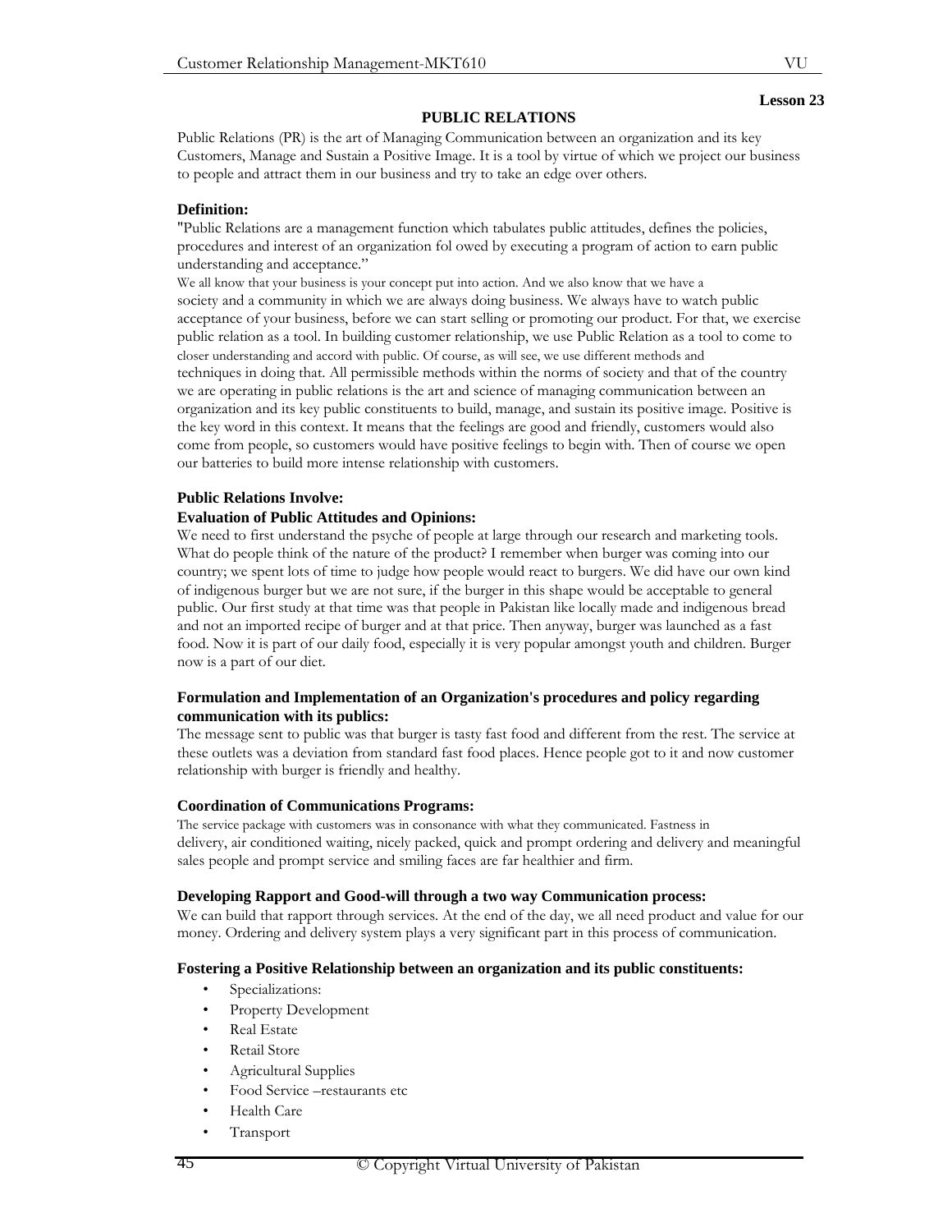#### **PUBLIC RELATIONS**

Public Relations (PR) is the art of Managing Communication between an organization and its key Customers, Manage and Sustain a Positive Image. It is a tool by virtue of which we project our business to people and attract them in our business and try to take an edge over others.

#### **Definition:**

"Public Relations are a management function which tabulates public attitudes, defines the policies, procedures and interest of an organization fol owed by executing a program of action to earn public understanding and acceptance."

We all know that your business is your concept put into action. And we also know that we have a society and a community in which we are always doing business. We always have to watch public acceptance of your business, before we can start selling or promoting our product. For that, we exercise public relation as a tool. In building customer relationship, we use Public Relation as a tool to come to closer understanding and accord with public. Of course, as will see, we use different methods and techniques in doing that. All permissible methods within the norms of society and that of the country we are operating in public relations is the art and science of managing communication between an organization and its key public constituents to build, manage, and sustain its positive image. Positive is the key word in this context. It means that the feelings are good and friendly, customers would also come from people, so customers would have positive feelings to begin with. Then of course we open our batteries to build more intense relationship with customers.

#### **Public Relations Involve:**

#### **Evaluation of Public Attitudes and Opinions:**

We need to first understand the psyche of people at large through our research and marketing tools. What do people think of the nature of the product? I remember when burger was coming into our country; we spent lots of time to judge how people would react to burgers. We did have our own kind of indigenous burger but we are not sure, if the burger in this shape would be acceptable to general public. Our first study at that time was that people in Pakistan like locally made and indigenous bread and not an imported recipe of burger and at that price. Then anyway, burger was launched as a fast food. Now it is part of our daily food, especially it is very popular amongst youth and children. Burger now is a part of our diet.

#### **Formulation and Implementation of an Organization's procedures and policy regarding communication with its publics:**

The message sent to public was that burger is tasty fast food and different from the rest. The service at these outlets was a deviation from standard fast food places. Hence people got to it and now customer relationship with burger is friendly and healthy.

#### **Coordination of Communications Programs:**

The service package with customers was in consonance with what they communicated. Fastness in delivery, air conditioned waiting, nicely packed, quick and prompt ordering and delivery and meaningful sales people and prompt service and smiling faces are far healthier and firm.

#### **Developing Rapport and Good-will through a two way Communication process:**

We can build that rapport through services. At the end of the day, we all need product and value for our money. Ordering and delivery system plays a very significant part in this process of communication.

#### **Fostering a Positive Relationship between an organization and its public constituents:**

- Specializations:
- Property Development
- Real Estate
- Retail Store
- Agricultural Supplies
- Food Service –restaurants etc
- Health Care
- **Transport**

VU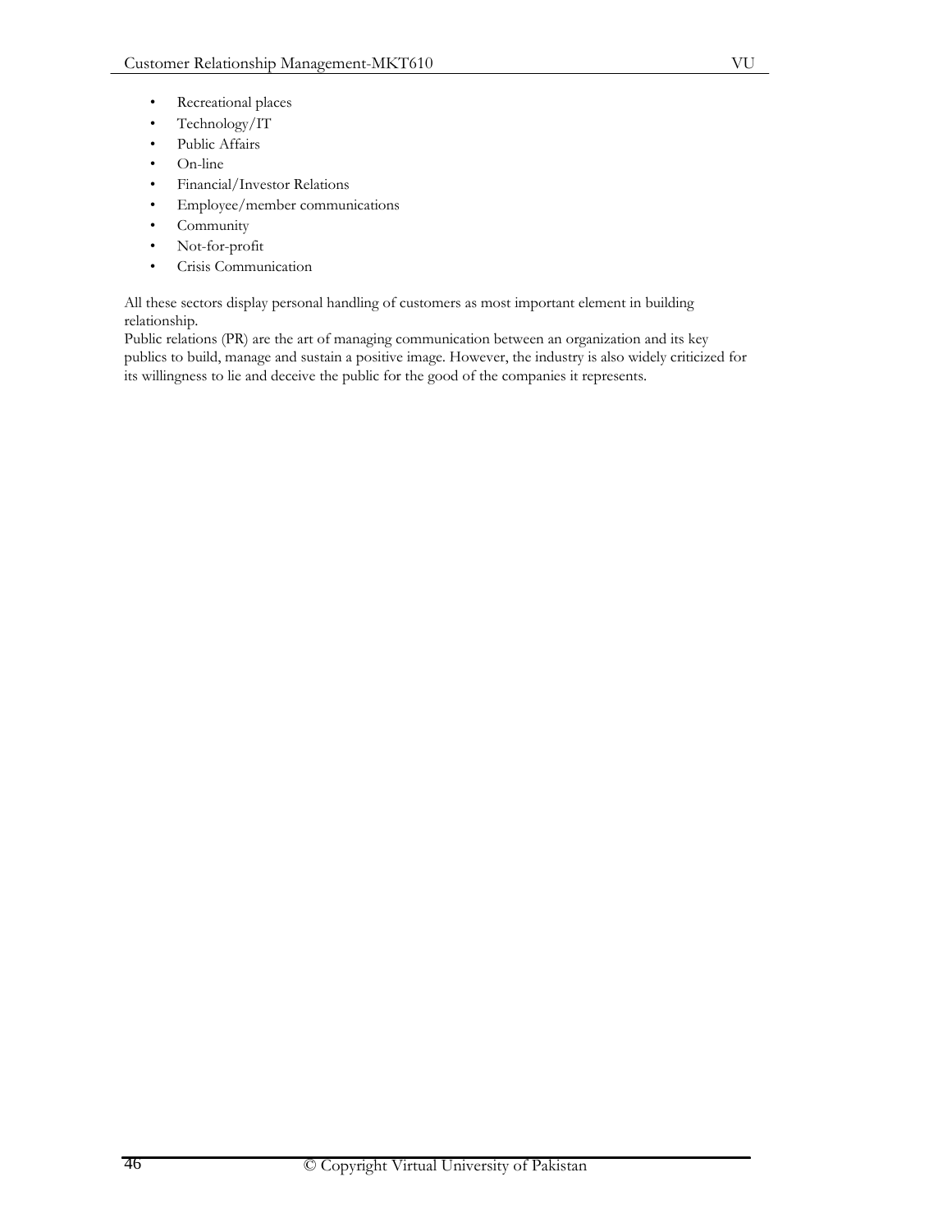- Recreational places
- Technology/IT
- Public Affairs
- On-line
- Financial/Investor Relations
- Employee/member communications
- Community
- Not-for-profit
- Crisis Communication

All these sectors display personal handling of customers as most important element in building relationship.

Public relations (PR) are the art of managing communication between an organization and its key publics to build, manage and sustain a positive image. However, the industry is also widely criticized for its willingness to lie and deceive the public for the good of the companies it represents.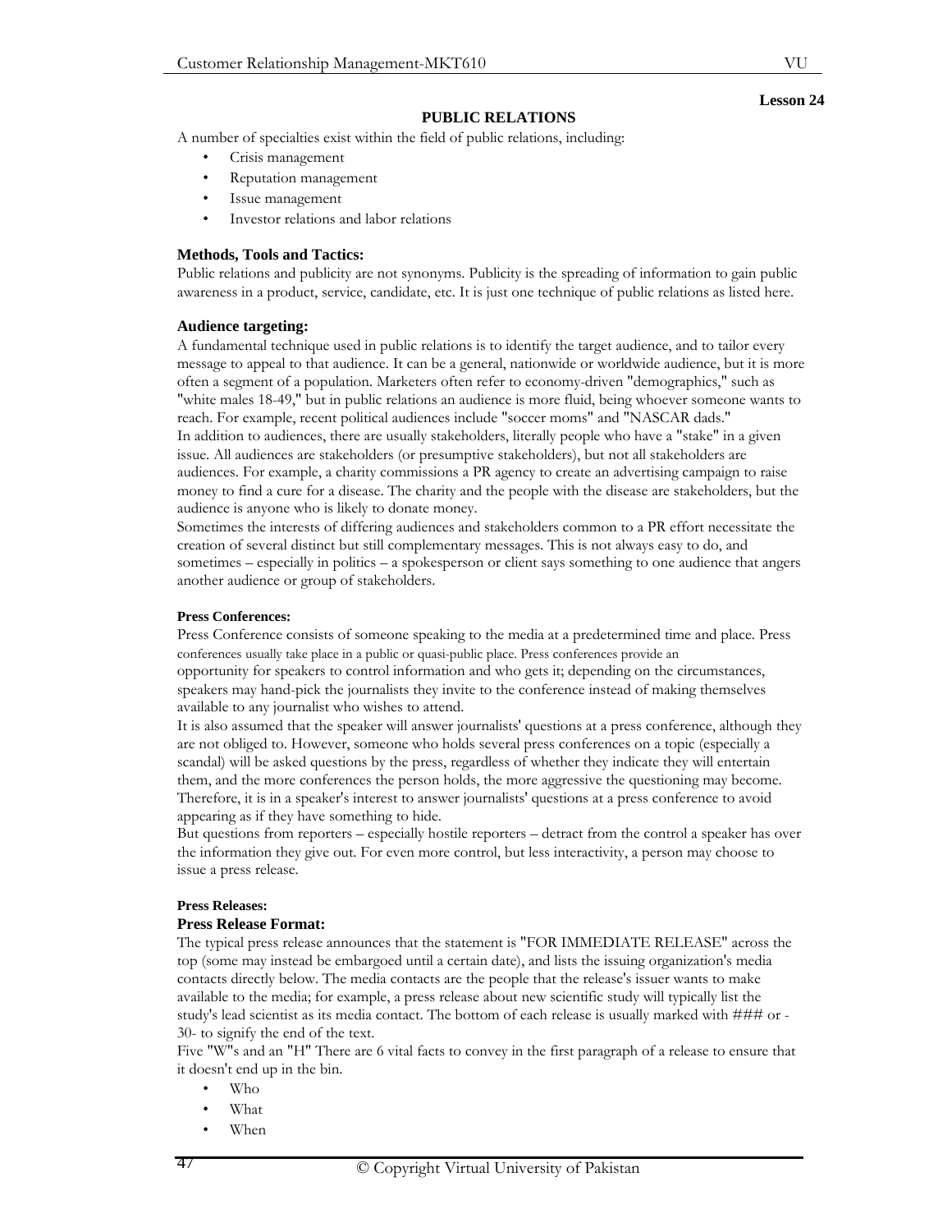#### **PUBLIC RELATIONS**

A number of specialties exist within the field of public relations, including:

- Crisis management
- Reputation management
- Issue management
- Investor relations and labor relations

#### **Methods, Tools and Tactics:**

Public relations and publicity are not synonyms. Publicity is the spreading of information to gain public awareness in a product, service, candidate, etc. It is just one technique of public relations as listed here.

#### **Audience targeting:**

A fundamental technique used in public relations is to identify the target audience, and to tailor every message to appeal to that audience. It can be a general, nationwide or worldwide audience, but it is more often a segment of a population. Marketers often refer to economy-driven "demographics," such as "white males 18-49," but in public relations an audience is more fluid, being whoever someone wants to reach. For example, recent political audiences include "soccer moms" and "NASCAR dads." In addition to audiences, there are usually stakeholders, literally people who have a "stake" in a given issue. All audiences are stakeholders (or presumptive stakeholders), but not all stakeholders are audiences. For example, a charity commissions a PR agency to create an advertising campaign to raise money to find a cure for a disease. The charity and the people with the disease are stakeholders, but the audience is anyone who is likely to donate money.

Sometimes the interests of differing audiences and stakeholders common to a PR effort necessitate the creation of several distinct but still complementary messages. This is not always easy to do, and sometimes – especially in politics – a spokesperson or client says something to one audience that angers another audience or group of stakeholders.

#### **Press Conferences:**

Press Conference consists of someone speaking to the media at a predetermined time and place. Press conferences usually take place in a public or quasi-public place. Press conferences provide an opportunity for speakers to control information and who gets it; depending on the circumstances, speakers may hand-pick the journalists they invite to the conference instead of making themselves available to any journalist who wishes to attend.

It is also assumed that the speaker will answer journalists' questions at a press conference, although they are not obliged to. However, someone who holds several press conferences on a topic (especially a scandal) will be asked questions by the press, regardless of whether they indicate they will entertain them, and the more conferences the person holds, the more aggressive the questioning may become. Therefore, it is in a speaker's interest to answer journalists' questions at a press conference to avoid appearing as if they have something to hide.

But questions from reporters – especially hostile reporters – detract from the control a speaker has over the information they give out. For even more control, but less interactivity, a person may choose to issue a press release.

#### **Press Releases:**

#### **Press Release Format:**

The typical press release announces that the statement is "FOR IMMEDIATE RELEASE" across the top (some may instead be embargoed until a certain date), and lists the issuing organization's media contacts directly below. The media contacts are the people that the release's issuer wants to make available to the media; for example, a press release about new scientific study will typically list the study's lead scientist as its media contact. The bottom of each release is usually marked with ### or - 30- to signify the end of the text.

Five "W"s and an "H" There are 6 vital facts to convey in the first paragraph of a release to ensure that it doesn't end up in the bin.

- Who
- What
- When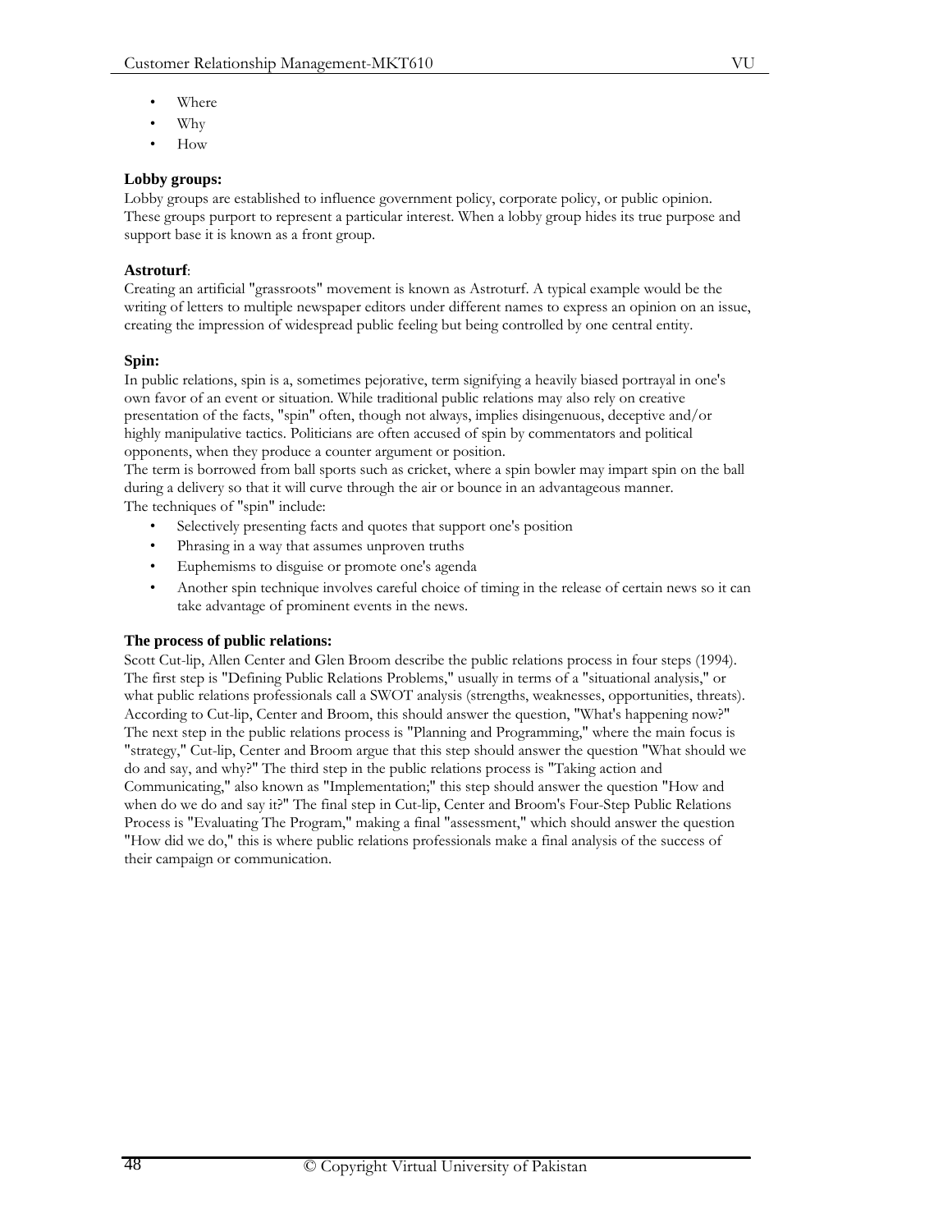- Where
- Why
- How

# **Lobby groups:**

Lobby groups are established to influence government policy, corporate policy, or public opinion. These groups purport to represent a particular interest. When a lobby group hides its true purpose and support base it is known as a front group.

# **Astroturf**:

Creating an artificial "grassroots" movement is known as Astroturf. A typical example would be the writing of letters to multiple newspaper editors under different names to express an opinion on an issue, creating the impression of widespread public feeling but being controlled by one central entity.

# **Spin:**

In public relations, spin is a, sometimes pejorative, term signifying a heavily biased portrayal in one's own favor of an event or situation. While traditional public relations may also rely on creative presentation of the facts, "spin" often, though not always, implies disingenuous, deceptive and/or highly manipulative tactics. Politicians are often accused of spin by commentators and political opponents, when they produce a counter argument or position.

The term is borrowed from ball sports such as cricket, where a spin bowler may impart spin on the ball during a delivery so that it will curve through the air or bounce in an advantageous manner. The techniques of "spin" include:

- Selectively presenting facts and quotes that support one's position
- Phrasing in a way that assumes unproven truths
- Euphemisms to disguise or promote one's agenda
- Another spin technique involves careful choice of timing in the release of certain news so it can take advantage of prominent events in the news.

# **The process of public relations:**

Scott Cut-lip, Allen Center and Glen Broom describe the public relations process in four steps (1994). The first step is "Defining Public Relations Problems," usually in terms of a "situational analysis," or what public relations professionals call a SWOT analysis (strengths, weaknesses, opportunities, threats). According to Cut-lip, Center and Broom, this should answer the question, "What's happening now?" The next step in the public relations process is "Planning and Programming," where the main focus is "strategy," Cut-lip, Center and Broom argue that this step should answer the question "What should we do and say, and why?" The third step in the public relations process is "Taking action and Communicating," also known as "Implementation;" this step should answer the question "How and when do we do and say it?" The final step in Cut-lip, Center and Broom's Four-Step Public Relations Process is "Evaluating The Program," making a final "assessment," which should answer the question "How did we do," this is where public relations professionals make a final analysis of the success of their campaign or communication.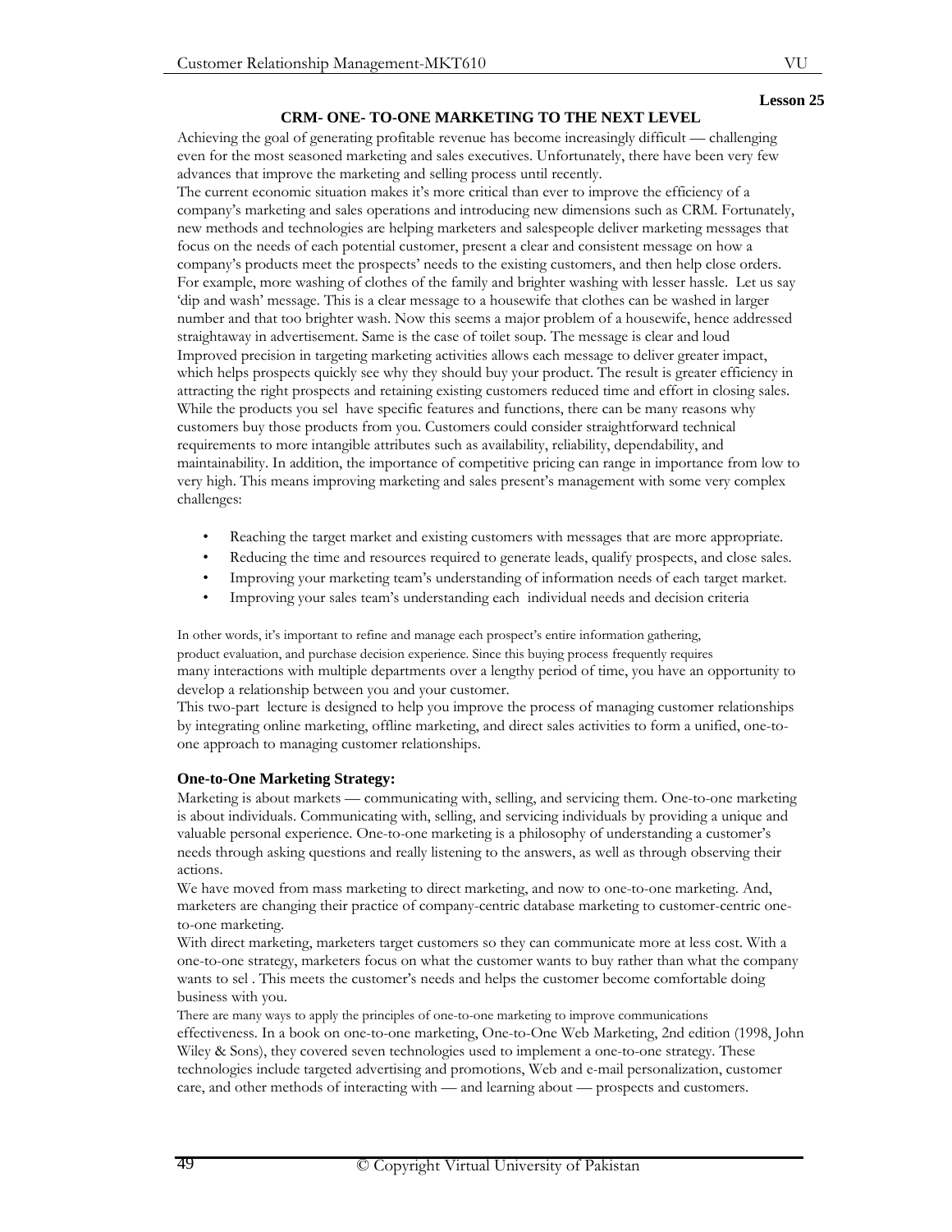## **CRM- ONE- TO-ONE MARKETING TO THE NEXT LEVEL**

Achieving the goal of generating profitable revenue has become increasingly difficult — challenging even for the most seasoned marketing and sales executives. Unfortunately, there have been very few advances that improve the marketing and selling process until recently.

The current economic situation makes it's more critical than ever to improve the efficiency of a company's marketing and sales operations and introducing new dimensions such as CRM. Fortunately, new methods and technologies are helping marketers and salespeople deliver marketing messages that focus on the needs of each potential customer, present a clear and consistent message on how a company's products meet the prospects' needs to the existing customers, and then help close orders. For example, more washing of clothes of the family and brighter washing with lesser hassle. Let us say 'dip and wash' message. This is a clear message to a housewife that clothes can be washed in larger number and that too brighter wash. Now this seems a major problem of a housewife, hence addressed straightaway in advertisement. Same is the case of toilet soup. The message is clear and loud Improved precision in targeting marketing activities allows each message to deliver greater impact, which helps prospects quickly see why they should buy your product. The result is greater efficiency in attracting the right prospects and retaining existing customers reduced time and effort in closing sales. While the products you sel have specific features and functions, there can be many reasons why customers buy those products from you. Customers could consider straightforward technical requirements to more intangible attributes such as availability, reliability, dependability, and maintainability. In addition, the importance of competitive pricing can range in importance from low to very high. This means improving marketing and sales present's management with some very complex challenges:

- Reaching the target market and existing customers with messages that are more appropriate.
- Reducing the time and resources required to generate leads, qualify prospects, and close sales.
- Improving your marketing team's understanding of information needs of each target market.
- Improving your sales team's understanding each individual needs and decision criteria

In other words, it's important to refine and manage each prospect's entire information gathering, product evaluation, and purchase decision experience. Since this buying process frequently requires many interactions with multiple departments over a lengthy period of time, you have an opportunity to develop a relationship between you and your customer.

This two-part lecture is designed to help you improve the process of managing customer relationships by integrating online marketing, offline marketing, and direct sales activities to form a unified, one-toone approach to managing customer relationships.

#### **One-to-One Marketing Strategy:**

Marketing is about markets — communicating with, selling, and servicing them. One-to-one marketing is about individuals. Communicating with, selling, and servicing individuals by providing a unique and valuable personal experience. One-to-one marketing is a philosophy of understanding a customer's needs through asking questions and really listening to the answers, as well as through observing their actions.

We have moved from mass marketing to direct marketing, and now to one-to-one marketing. And, marketers are changing their practice of company-centric database marketing to customer-centric oneto-one marketing.

With direct marketing, marketers target customers so they can communicate more at less cost. With a one-to-one strategy, marketers focus on what the customer wants to buy rather than what the company wants to sel . This meets the customer's needs and helps the customer become comfortable doing business with you.

There are many ways to apply the principles of one-to-one marketing to improve communications effectiveness. In a book on one-to-one marketing, One-to-One Web Marketing, 2nd edition (1998, John Wiley & Sons), they covered seven technologies used to implement a one-to-one strategy. These technologies include targeted advertising and promotions, Web and e-mail personalization, customer care, and other methods of interacting with — and learning about — prospects and customers.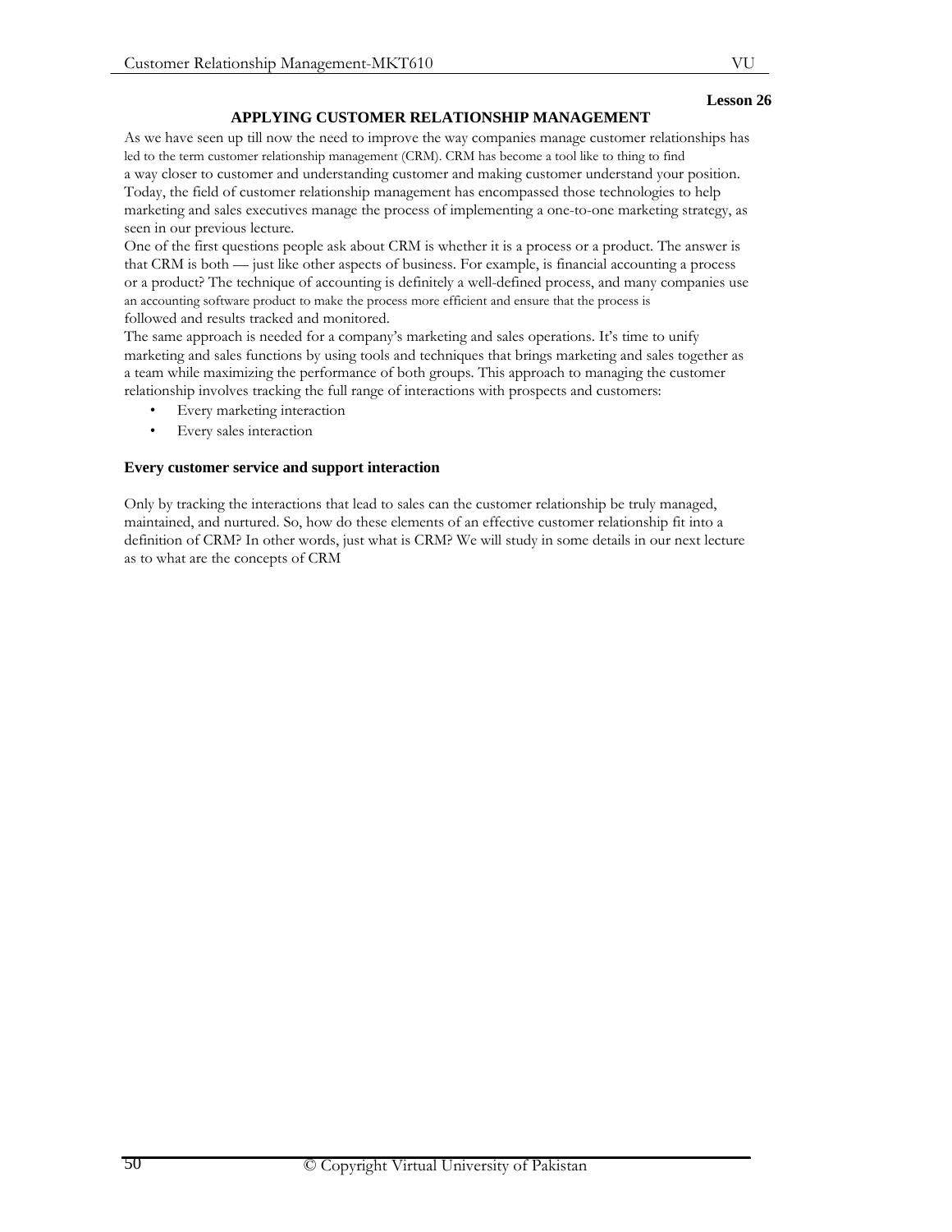## **APPLYING CUSTOMER RELATIONSHIP MANAGEMENT**

As we have seen up till now the need to improve the way companies manage customer relationships has led to the term customer relationship management (CRM). CRM has become a tool like to thing to find a way closer to customer and understanding customer and making customer understand your position. Today, the field of customer relationship management has encompassed those technologies to help marketing and sales executives manage the process of implementing a one-to-one marketing strategy, as seen in our previous lecture.

One of the first questions people ask about CRM is whether it is a process or a product. The answer is that CRM is both — just like other aspects of business. For example, is financial accounting a process or a product? The technique of accounting is definitely a well-defined process, and many companies use an accounting software product to make the process more efficient and ensure that the process is followed and results tracked and monitored.

The same approach is needed for a company's marketing and sales operations. It's time to unify marketing and sales functions by using tools and techniques that brings marketing and sales together as a team while maximizing the performance of both groups. This approach to managing the customer relationship involves tracking the full range of interactions with prospects and customers:

- Every marketing interaction
- Every sales interaction

# **Every customer service and support interaction**

Only by tracking the interactions that lead to sales can the customer relationship be truly managed, maintained, and nurtured. So, how do these elements of an effective customer relationship fit into a definition of CRM? In other words, just what is CRM? We will study in some details in our next lecture as to what are the concepts of CRM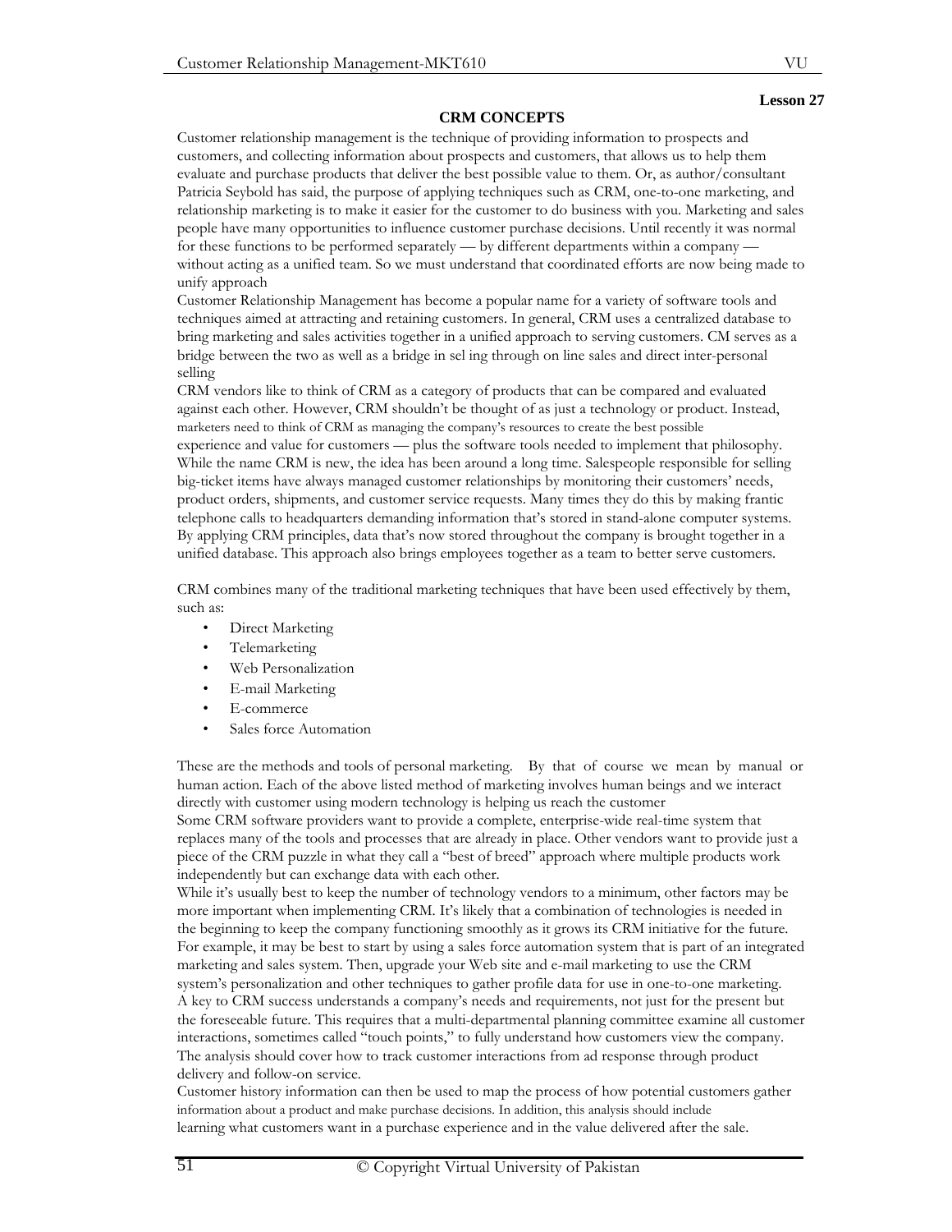# **CRM CONCEPTS**

## **Lesson 27**

Customer relationship management is the technique of providing information to prospects and customers, and collecting information about prospects and customers, that allows us to help them evaluate and purchase products that deliver the best possible value to them. Or, as author/consultant Patricia Seybold has said, the purpose of applying techniques such as CRM, one-to-one marketing, and relationship marketing is to make it easier for the customer to do business with you. Marketing and sales people have many opportunities to influence customer purchase decisions. Until recently it was normal for these functions to be performed separately — by different departments within a company without acting as a unified team. So we must understand that coordinated efforts are now being made to unify approach

Customer Relationship Management has become a popular name for a variety of software tools and techniques aimed at attracting and retaining customers. In general, CRM uses a centralized database to bring marketing and sales activities together in a unified approach to serving customers. CM serves as a bridge between the two as well as a bridge in sel ing through on line sales and direct inter-personal selling

CRM vendors like to think of CRM as a category of products that can be compared and evaluated against each other. However, CRM shouldn't be thought of as just a technology or product. Instead, marketers need to think of CRM as managing the company's resources to create the best possible experience and value for customers — plus the software tools needed to implement that philosophy. While the name CRM is new, the idea has been around a long time. Salespeople responsible for selling big-ticket items have always managed customer relationships by monitoring their customers' needs, product orders, shipments, and customer service requests. Many times they do this by making frantic telephone calls to headquarters demanding information that's stored in stand-alone computer systems. By applying CRM principles, data that's now stored throughout the company is brought together in a unified database. This approach also brings employees together as a team to better serve customers.

CRM combines many of the traditional marketing techniques that have been used effectively by them, such as:

- Direct Marketing
- Telemarketing
- Web Personalization
- E-mail Marketing
- E-commerce
- Sales force Automation

These are the methods and tools of personal marketing. By that of course we mean by manual or human action. Each of the above listed method of marketing involves human beings and we interact directly with customer using modern technology is helping us reach the customer Some CRM software providers want to provide a complete, enterprise-wide real-time system that

replaces many of the tools and processes that are already in place. Other vendors want to provide just a piece of the CRM puzzle in what they call a "best of breed" approach where multiple products work independently but can exchange data with each other.

While it's usually best to keep the number of technology vendors to a minimum, other factors may be more important when implementing CRM. It's likely that a combination of technologies is needed in the beginning to keep the company functioning smoothly as it grows its CRM initiative for the future. For example, it may be best to start by using a sales force automation system that is part of an integrated marketing and sales system. Then, upgrade your Web site and e-mail marketing to use the CRM system's personalization and other techniques to gather profile data for use in one-to-one marketing. A key to CRM success understands a company's needs and requirements, not just for the present but the foreseeable future. This requires that a multi-departmental planning committee examine all customer interactions, sometimes called "touch points," to fully understand how customers view the company. The analysis should cover how to track customer interactions from ad response through product delivery and follow-on service.

Customer history information can then be used to map the process of how potential customers gather information about a product and make purchase decisions. In addition, this analysis should include learning what customers want in a purchase experience and in the value delivered after the sale.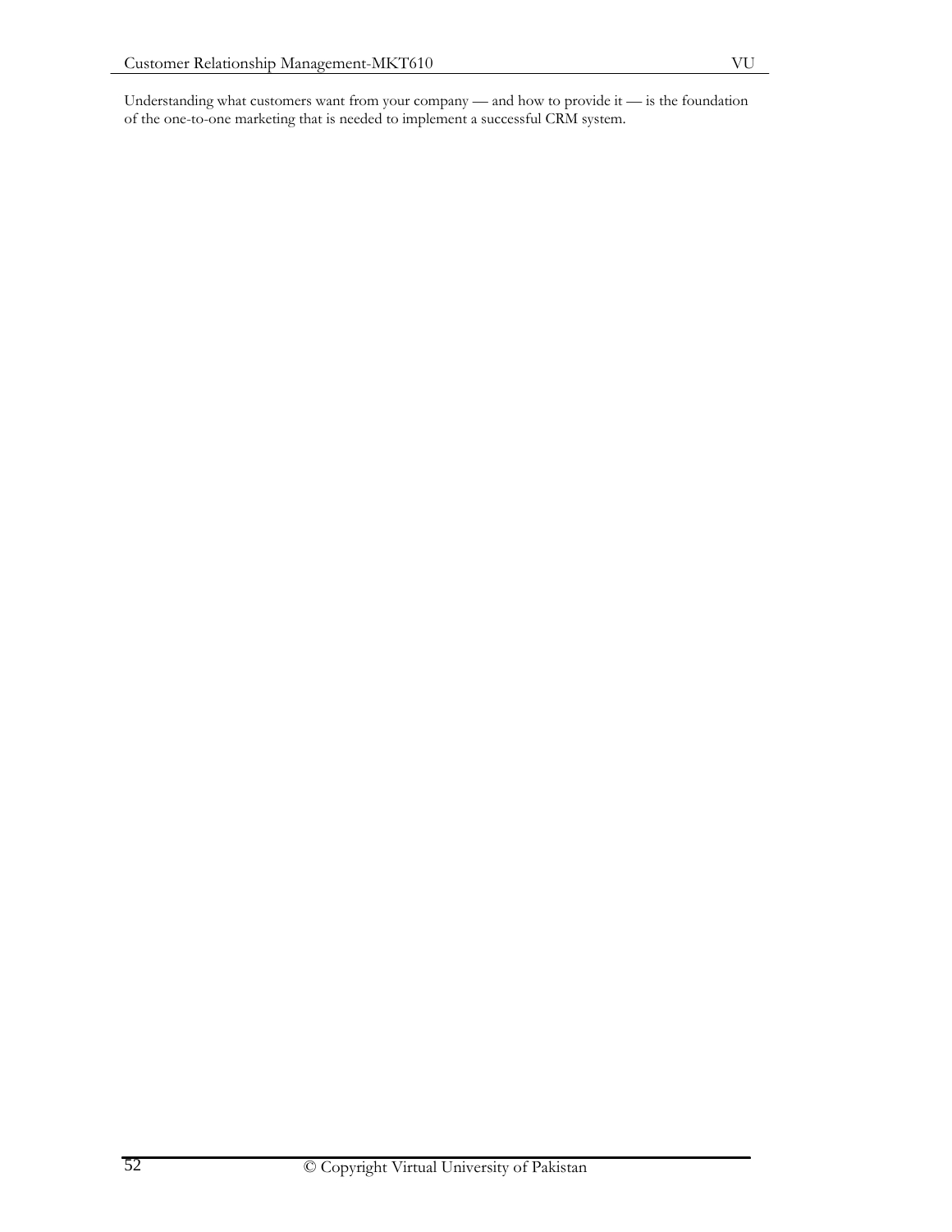Understanding what customers want from your company — and how to provide it — is the foundation of the one-to-one marketing that is needed to implement a successful CRM system.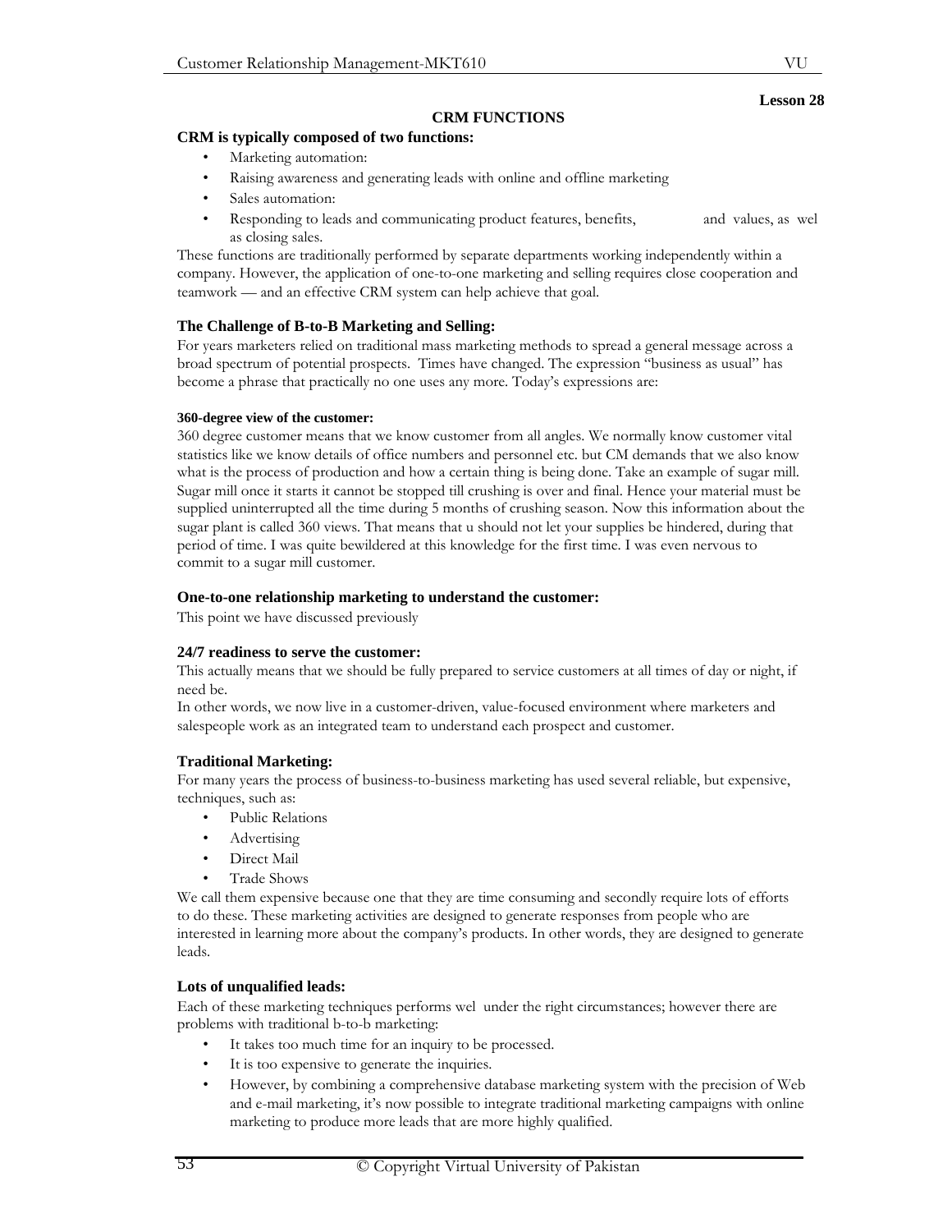## **CRM FUNCTIONS**

## **CRM is typically composed of two functions:**

- Marketing automation:
- Raising awareness and generating leads with online and offline marketing
- Sales automation:
- Responding to leads and communicating product features, benefits, as closing sales. and values, as wel

These functions are traditionally performed by separate departments working independently within a company. However, the application of one-to-one marketing and selling requires close cooperation and teamwork — and an effective CRM system can help achieve that goal.

# **The Challenge of B-to-B Marketing and Selling:**

For years marketers relied on traditional mass marketing methods to spread a general message across a broad spectrum of potential prospects. Times have changed. The expression "business as usual" has become a phrase that practically no one uses any more. Today's expressions are:

## **360-degree view of the customer:**

360 degree customer means that we know customer from all angles. We normally know customer vital statistics like we know details of office numbers and personnel etc. but CM demands that we also know what is the process of production and how a certain thing is being done. Take an example of sugar mill. Sugar mill once it starts it cannot be stopped till crushing is over and final. Hence your material must be supplied uninterrupted all the time during 5 months of crushing season. Now this information about the sugar plant is called 360 views. That means that u should not let your supplies be hindered, during that period of time. I was quite bewildered at this knowledge for the first time. I was even nervous to commit to a sugar mill customer.

## **One-to-one relationship marketing to understand the customer:**

This point we have discussed previously

## **24/7 readiness to serve the customer:**

This actually means that we should be fully prepared to service customers at all times of day or night, if need be.

In other words, we now live in a customer-driven, value-focused environment where marketers and salespeople work as an integrated team to understand each prospect and customer.

# **Traditional Marketing:**

For many years the process of business-to-business marketing has used several reliable, but expensive, techniques, such as:

- Public Relations
- Advertising
- Direct Mail
- Trade Shows

We call them expensive because one that they are time consuming and secondly require lots of efforts to do these. These marketing activities are designed to generate responses from people who are interested in learning more about the company's products. In other words, they are designed to generate leads.

## **Lots of unqualified leads:**

Each of these marketing techniques performs wel under the right circumstances; however there are problems with traditional b-to-b marketing:

- It takes too much time for an inquiry to be processed.
- It is too expensive to generate the inquiries.
- However, by combining a comprehensive database marketing system with the precision of Web and e-mail marketing, it's now possible to integrate traditional marketing campaigns with online marketing to produce more leads that are more highly qualified.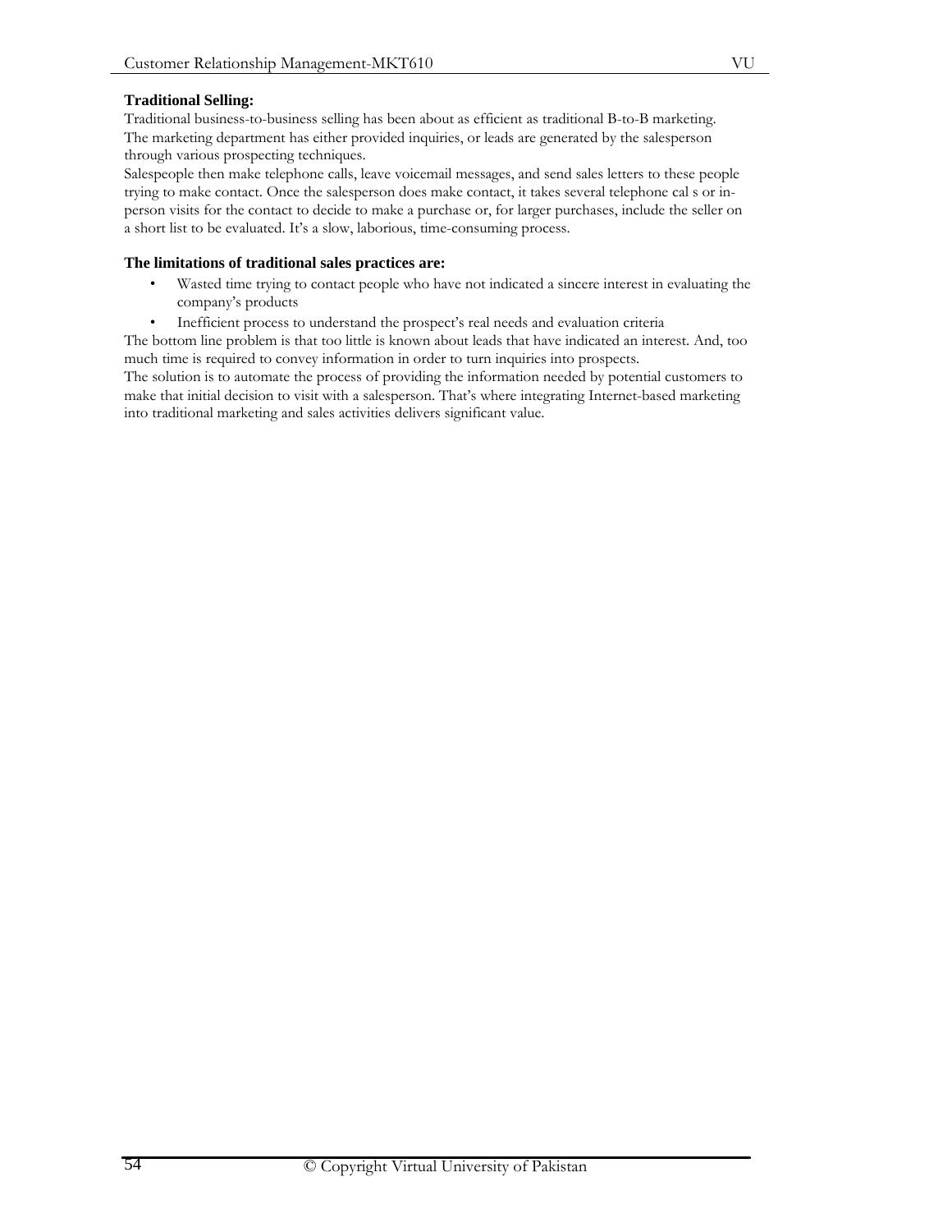# **Traditional Selling:**

Traditional business-to-business selling has been about as efficient as traditional B-to-B marketing. The marketing department has either provided inquiries, or leads are generated by the salesperson through various prospecting techniques.

Salespeople then make telephone calls, leave voicemail messages, and send sales letters to these people trying to make contact. Once the salesperson does make contact, it takes several telephone cal s or inperson visits for the contact to decide to make a purchase or, for larger purchases, include the seller on a short list to be evaluated. It's a slow, laborious, time-consuming process.

## **The limitations of traditional sales practices are:**

- Wasted time trying to contact people who have not indicated a sincere interest in evaluating the company's products
- Inefficient process to understand the prospect's real needs and evaluation criteria

The bottom line problem is that too little is known about leads that have indicated an interest. And, too much time is required to convey information in order to turn inquiries into prospects.

The solution is to automate the process of providing the information needed by potential customers to make that initial decision to visit with a salesperson. That's where integrating Internet-based marketing into traditional marketing and sales activities delivers significant value.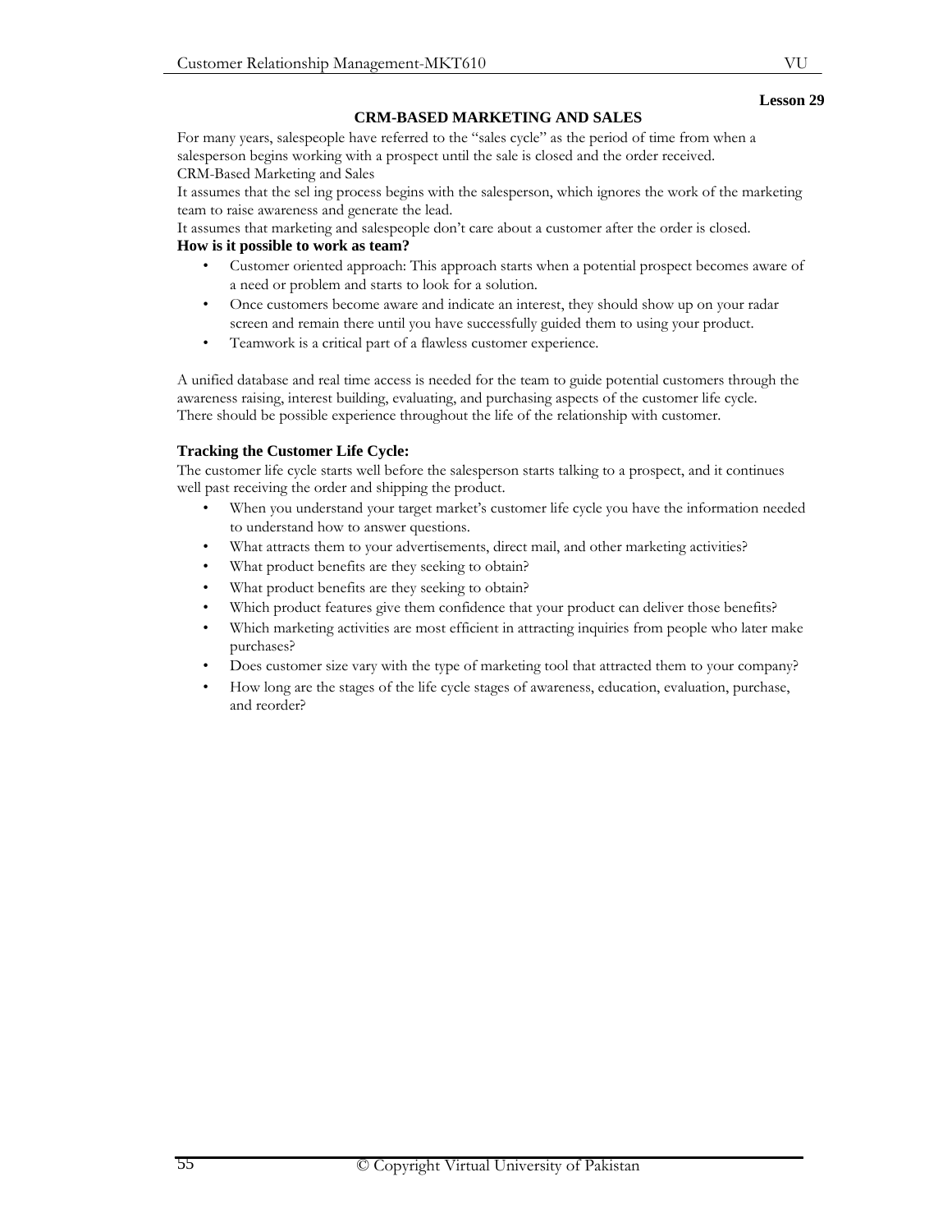## **CRM-BASED MARKETING AND SALES**

For many years, salespeople have referred to the "sales cycle" as the period of time from when a salesperson begins working with a prospect until the sale is closed and the order received. CRM-Based Marketing and Sales

It assumes that the sel ing process begins with the salesperson, which ignores the work of the marketing team to raise awareness and generate the lead.

It assumes that marketing and salespeople don't care about a customer after the order is closed.

# **How is it possible to work as team?**

- Customer oriented approach: This approach starts when a potential prospect becomes aware of a need or problem and starts to look for a solution.
- Once customers become aware and indicate an interest, they should show up on your radar screen and remain there until you have successfully guided them to using your product.
- Teamwork is a critical part of a flawless customer experience.

A unified database and real time access is needed for the team to guide potential customers through the awareness raising, interest building, evaluating, and purchasing aspects of the customer life cycle. There should be possible experience throughout the life of the relationship with customer.

# **Tracking the Customer Life Cycle:**

The customer life cycle starts well before the salesperson starts talking to a prospect, and it continues well past receiving the order and shipping the product.

- When you understand your target market's customer life cycle you have the information needed to understand how to answer questions.
- What attracts them to your advertisements, direct mail, and other marketing activities?
- What product benefits are they seeking to obtain?
- What product benefits are they seeking to obtain?
- Which product features give them confidence that your product can deliver those benefits?
- Which marketing activities are most efficient in attracting inquiries from people who later make purchases?
- Does customer size vary with the type of marketing tool that attracted them to your company?
- How long are the stages of the life cycle stages of awareness, education, evaluation, purchase, and reorder?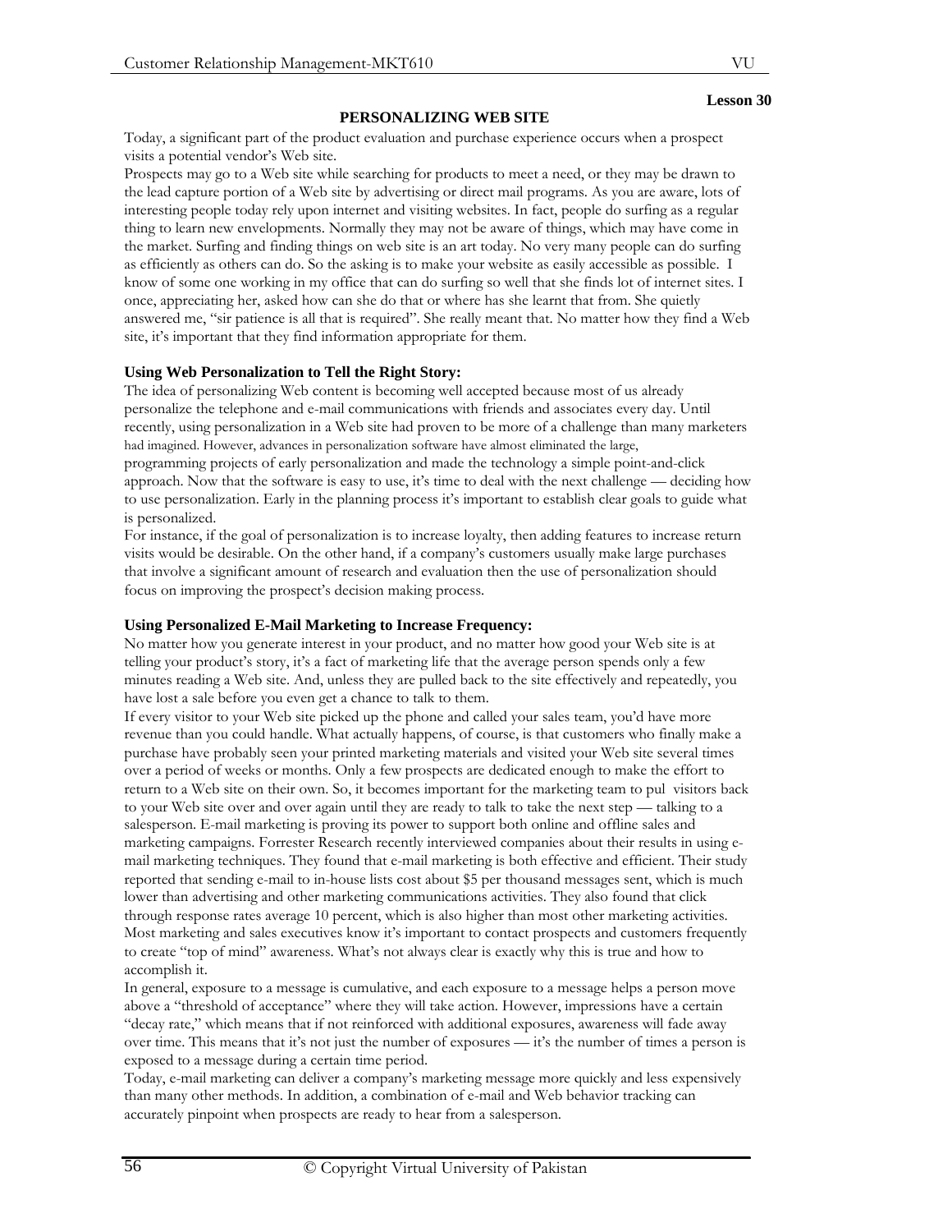# **PERSONALIZING WEB SITE**

Today, a significant part of the product evaluation and purchase experience occurs when a prospect visits a potential vendor's Web site.

Prospects may go to a Web site while searching for products to meet a need, or they may be drawn to the lead capture portion of a Web site by advertising or direct mail programs. As you are aware, lots of interesting people today rely upon internet and visiting websites. In fact, people do surfing as a regular thing to learn new envelopments. Normally they may not be aware of things, which may have come in the market. Surfing and finding things on web site is an art today. No very many people can do surfing as efficiently as others can do. So the asking is to make your website as easily accessible as possible. I know of some one working in my office that can do surfing so well that she finds lot of internet sites. I once, appreciating her, asked how can she do that or where has she learnt that from. She quietly answered me, "sir patience is all that is required". She really meant that. No matter how they find a Web site, it's important that they find information appropriate for them.

# **Using Web Personalization to Tell the Right Story:**

The idea of personalizing Web content is becoming well accepted because most of us already personalize the telephone and e-mail communications with friends and associates every day. Until recently, using personalization in a Web site had proven to be more of a challenge than many marketers had imagined. However, advances in personalization software have almost eliminated the large, programming projects of early personalization and made the technology a simple point-and-click approach. Now that the software is easy to use, it's time to deal with the next challenge — deciding how to use personalization. Early in the planning process it's important to establish clear goals to guide what is personalized.

For instance, if the goal of personalization is to increase loyalty, then adding features to increase return visits would be desirable. On the other hand, if a company's customers usually make large purchases that involve a significant amount of research and evaluation then the use of personalization should focus on improving the prospect's decision making process.

# **Using Personalized E-Mail Marketing to Increase Frequency:**

No matter how you generate interest in your product, and no matter how good your Web site is at telling your product's story, it's a fact of marketing life that the average person spends only a few minutes reading a Web site. And, unless they are pulled back to the site effectively and repeatedly, you have lost a sale before you even get a chance to talk to them.

If every visitor to your Web site picked up the phone and called your sales team, you'd have more revenue than you could handle. What actually happens, of course, is that customers who finally make a purchase have probably seen your printed marketing materials and visited your Web site several times over a period of weeks or months. Only a few prospects are dedicated enough to make the effort to return to a Web site on their own. So, it becomes important for the marketing team to pul visitors back to your Web site over and over again until they are ready to talk to take the next step — talking to a salesperson. E-mail marketing is proving its power to support both online and offline sales and marketing campaigns. Forrester Research recently interviewed companies about their results in using email marketing techniques. They found that e-mail marketing is both effective and efficient. Their study reported that sending e-mail to in-house lists cost about \$5 per thousand messages sent, which is much lower than advertising and other marketing communications activities. They also found that click through response rates average 10 percent, which is also higher than most other marketing activities. Most marketing and sales executives know it's important to contact prospects and customers frequently to create "top of mind" awareness. What's not always clear is exactly why this is true and how to accomplish it.

In general, exposure to a message is cumulative, and each exposure to a message helps a person move above a "threshold of acceptance" where they will take action. However, impressions have a certain "decay rate," which means that if not reinforced with additional exposures, awareness will fade away over time. This means that it's not just the number of exposures — it's the number of times a person is exposed to a message during a certain time period.

Today, e-mail marketing can deliver a company's marketing message more quickly and less expensively than many other methods. In addition, a combination of e-mail and Web behavior tracking can accurately pinpoint when prospects are ready to hear from a salesperson.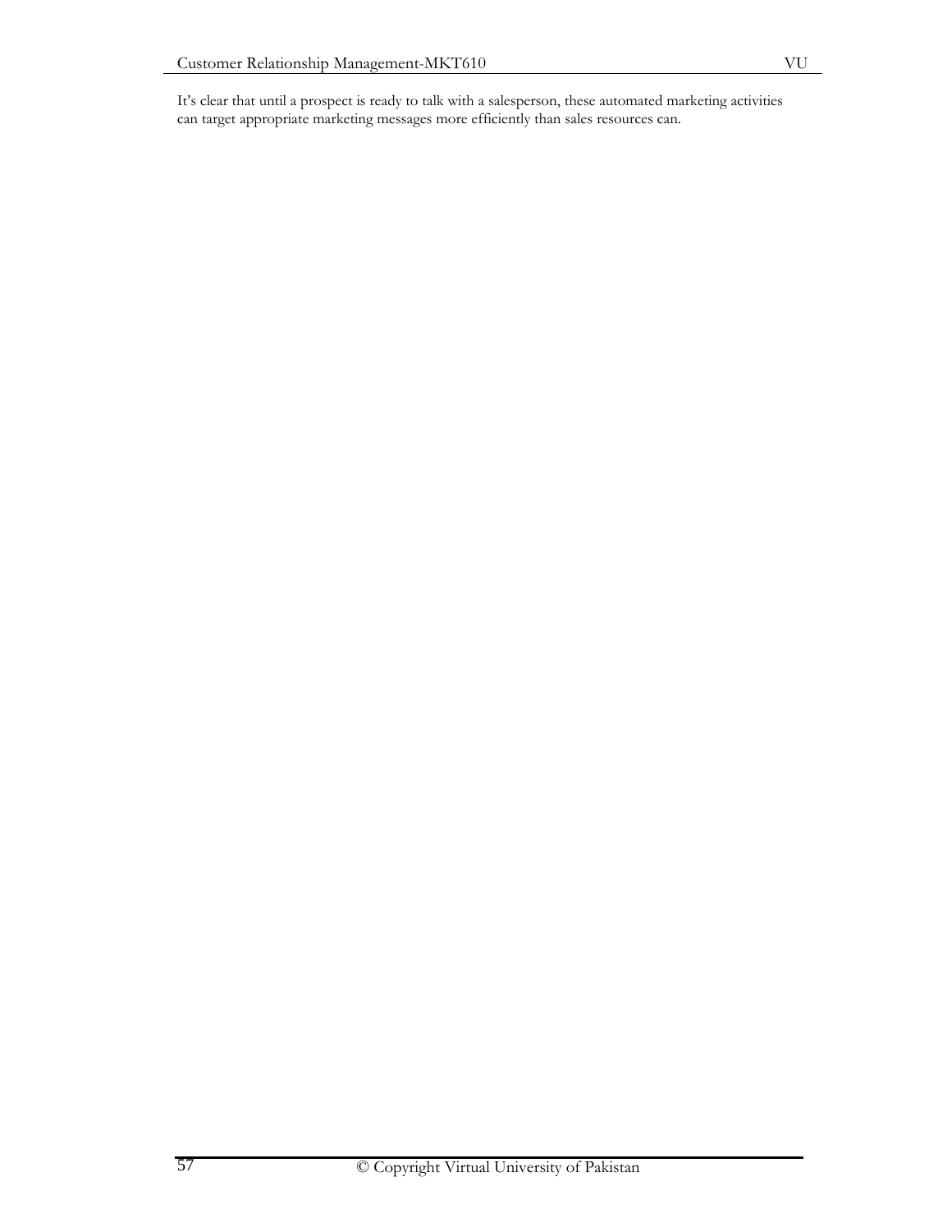It's clear that until a prospect is ready to talk with a salesperson, these automated marketing activities can target appropriate marketing messages more efficiently than sales resources can.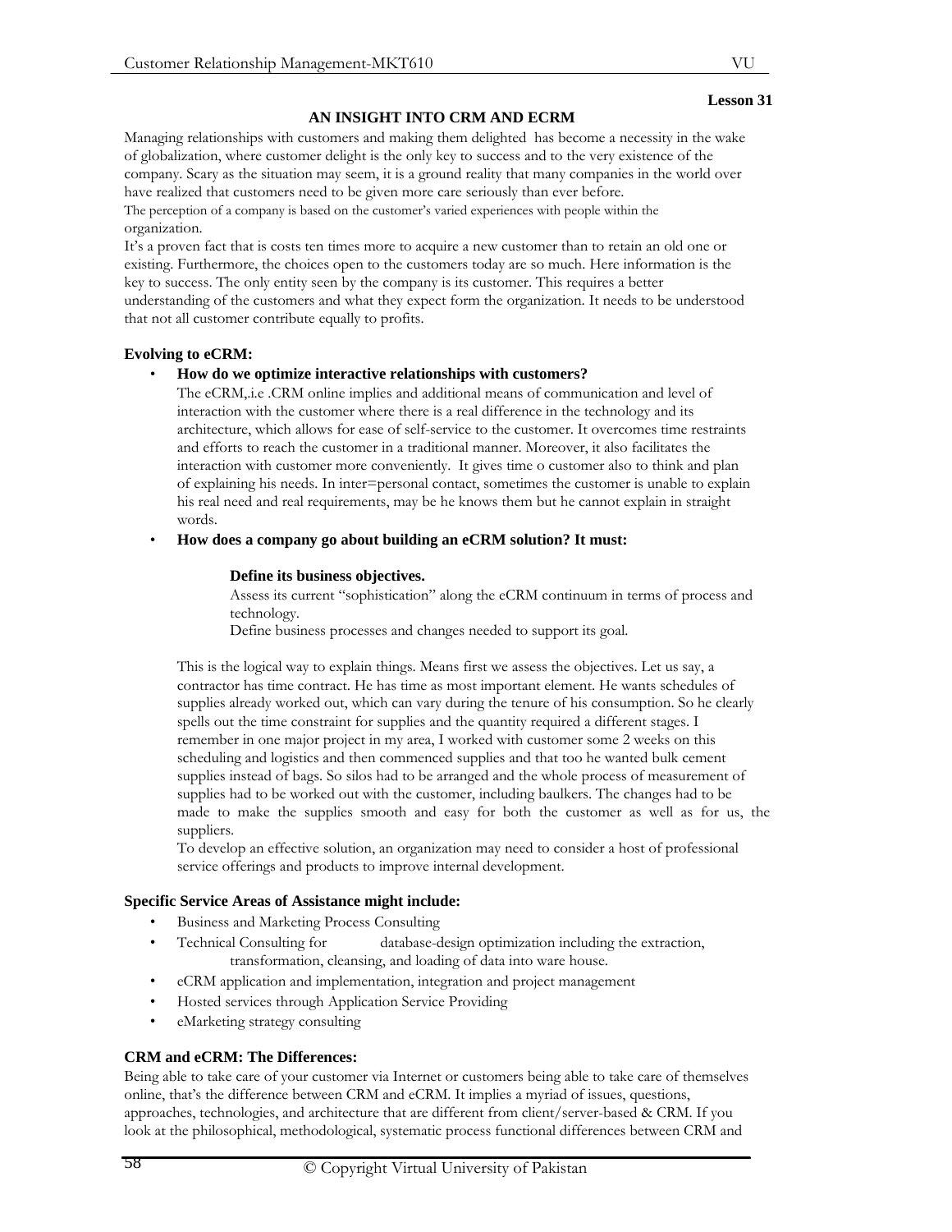# **AN INSIGHT INTO CRM AND ECRM**

Managing relationships with customers and making them delighted has become a necessity in the wake of globalization, where customer delight is the only key to success and to the very existence of the company. Scary as the situation may seem, it is a ground reality that many companies in the world over have realized that customers need to be given more care seriously than ever before.

The perception of a company is based on the customer's varied experiences with people within the organization.

It's a proven fact that is costs ten times more to acquire a new customer than to retain an old one or existing. Furthermore, the choices open to the customers today are so much. Here information is the key to success. The only entity seen by the company is its customer. This requires a better understanding of the customers and what they expect form the organization. It needs to be understood that not all customer contribute equally to profits.

## **Evolving to eCRM:**

## • **How do we optimize interactive relationships with customers?**

The eCRM,.i.e .CRM online implies and additional means of communication and level of interaction with the customer where there is a real difference in the technology and its architecture, which allows for ease of self-service to the customer. It overcomes time restraints and efforts to reach the customer in a traditional manner. Moreover, it also facilitates the interaction with customer more conveniently. It gives time o customer also to think and plan of explaining his needs. In inter=personal contact, sometimes the customer is unable to explain his real need and real requirements, may be he knows them but he cannot explain in straight words.

• **How does a company go about building an eCRM solution? It must:**

## **Define its business objectives.**

Assess its current "sophistication" along the eCRM continuum in terms of process and technology.

Define business processes and changes needed to support its goal.

This is the logical way to explain things. Means first we assess the objectives. Let us say, a contractor has time contract. He has time as most important element. He wants schedules of supplies already worked out, which can vary during the tenure of his consumption. So he clearly spells out the time constraint for supplies and the quantity required a different stages. I remember in one major project in my area, I worked with customer some 2 weeks on this scheduling and logistics and then commenced supplies and that too he wanted bulk cement supplies instead of bags. So silos had to be arranged and the whole process of measurement of supplies had to be worked out with the customer, including baulkers. The changes had to be made to make the supplies smooth and easy for both the customer as well as for us, the suppliers.

To develop an effective solution, an organization may need to consider a host of professional service offerings and products to improve internal development.

## **Specific Service Areas of Assistance might include:**

- Business and Marketing Process Consulting
- Technical Consulting for database-design optimization including the extraction, transformation, cleansing, and loading of data into ware house.
- eCRM application and implementation, integration and project management
- Hosted services through Application Service Providing
- eMarketing strategy consulting

# **CRM and eCRM: The Differences:**

Being able to take care of your customer via Internet or customers being able to take care of themselves online, that's the difference between CRM and eCRM. It implies a myriad of issues, questions, approaches, technologies, and architecture that are different from client/server-based & CRM. If you look at the philosophical, methodological, systematic process functional differences between CRM and

#### **Lesson 31**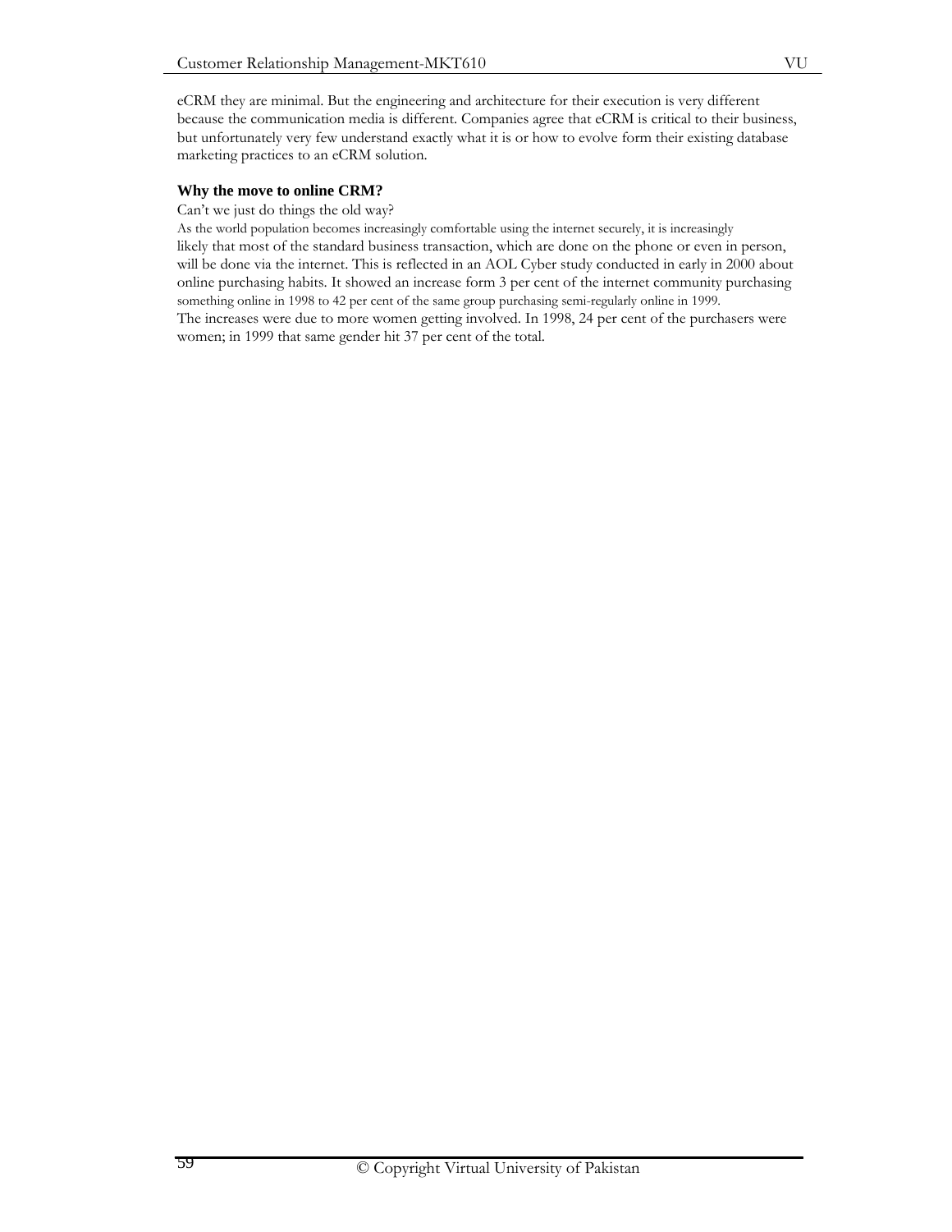eCRM they are minimal. But the engineering and architecture for their execution is very different because the communication media is different. Companies agree that eCRM is critical to their business, but unfortunately very few understand exactly what it is or how to evolve form their existing database marketing practices to an eCRM solution.

#### **Why the move to online CRM?**

Can't we just do things the old way?

As the world population becomes increasingly comfortable using the internet securely, it is increasingly likely that most of the standard business transaction, which are done on the phone or even in person, will be done via the internet. This is reflected in an AOL Cyber study conducted in early in 2000 about online purchasing habits. It showed an increase form 3 per cent of the internet community purchasing something online in 1998 to 42 per cent of the same group purchasing semi-regularly online in 1999. The increases were due to more women getting involved. In 1998, 24 per cent of the purchasers were women; in 1999 that same gender hit 37 per cent of the total.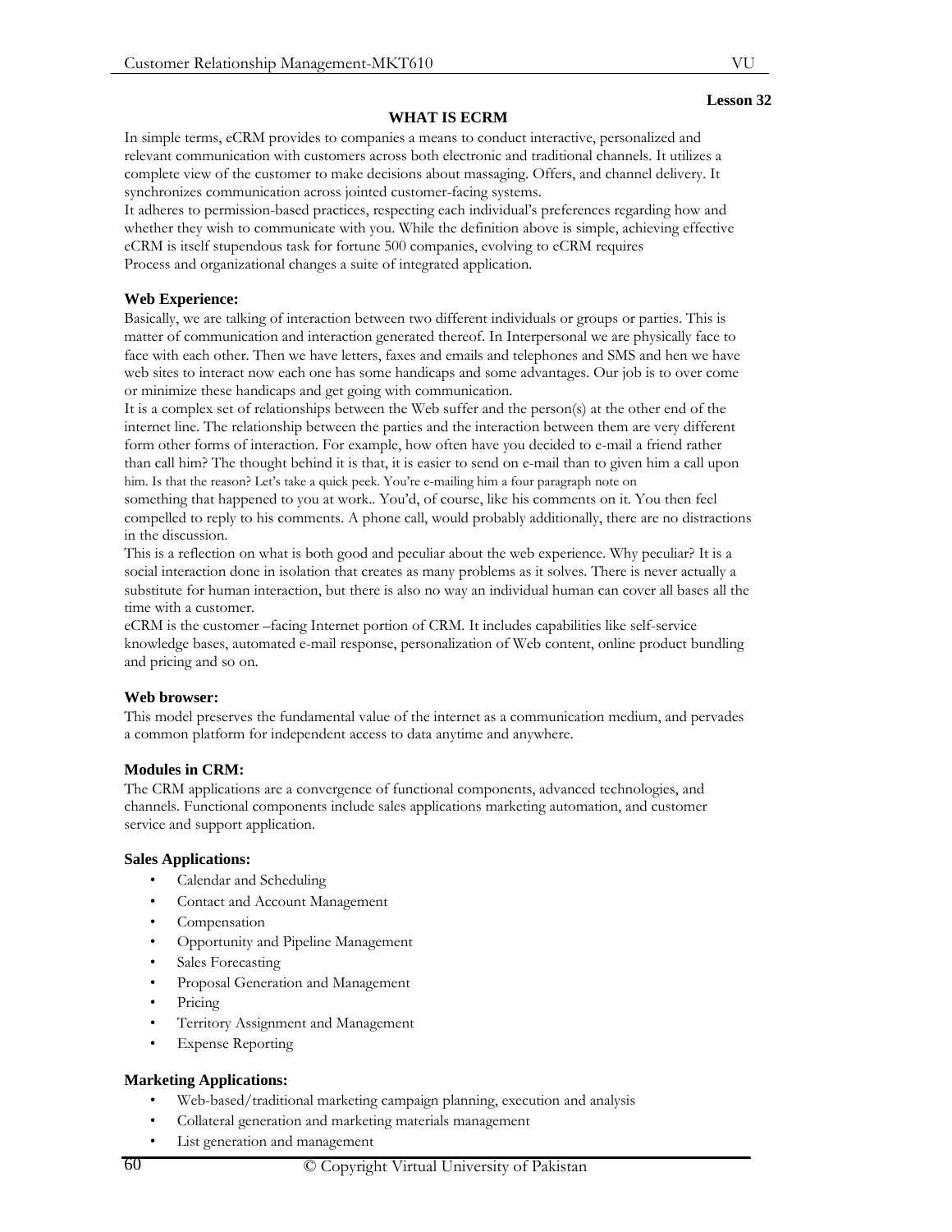# **WHAT IS ECRM**

In simple terms, eCRM provides to companies a means to conduct interactive, personalized and relevant communication with customers across both electronic and traditional channels. It utilizes a complete view of the customer to make decisions about massaging. Offers, and channel delivery. It synchronizes communication across jointed customer-facing systems.

It adheres to permission-based practices, respecting each individual's preferences regarding how and whether they wish to communicate with you. While the definition above is simple, achieving effective eCRM is itself stupendous task for fortune 500 companies, evolving to eCRM requires Process and organizational changes a suite of integrated application.

# **Web Experience:**

Basically, we are talking of interaction between two different individuals or groups or parties. This is matter of communication and interaction generated thereof. In Interpersonal we are physically face to face with each other. Then we have letters, faxes and emails and telephones and SMS and hen we have web sites to interact now each one has some handicaps and some advantages. Our job is to over come or minimize these handicaps and get going with communication.

It is a complex set of relationships between the Web suffer and the person(s) at the other end of the internet line. The relationship between the parties and the interaction between them are very different form other forms of interaction. For example, how often have you decided to e-mail a friend rather than call him? The thought behind it is that, it is easier to send on e-mail than to given him a call upon him. Is that the reason? Let's take a quick peek. You're e-mailing him a four paragraph note on

something that happened to you at work.. You'd, of course, like his comments on it. You then feel compelled to reply to his comments. A phone call, would probably additionally, there are no distractions in the discussion.

This is a reflection on what is both good and peculiar about the web experience. Why peculiar? It is a social interaction done in isolation that creates as many problems as it solves. There is never actually a substitute for human interaction, but there is also no way an individual human can cover all bases all the time with a customer.

eCRM is the customer –facing Internet portion of CRM. It includes capabilities like self-service knowledge bases, automated e-mail response, personalization of Web content, online product bundling and pricing and so on.

## **Web browser:**

This model preserves the fundamental value of the internet as a communication medium, and pervades a common platform for independent access to data anytime and anywhere.

## **Modules in CRM:**

The CRM applications are a convergence of functional components, advanced technologies, and channels. Functional components include sales applications marketing automation, and customer service and support application.

## **Sales Applications:**

- Calendar and Scheduling
- Contact and Account Management
- Compensation
- Opportunity and Pipeline Management
- Sales Forecasting
- Proposal Generation and Management
- Pricing
- Territory Assignment and Management
- **Expense Reporting**

## **Marketing Applications:**

- Web-based/traditional marketing campaign planning, execution and analysis
- Collateral generation and marketing materials management
- List generation and management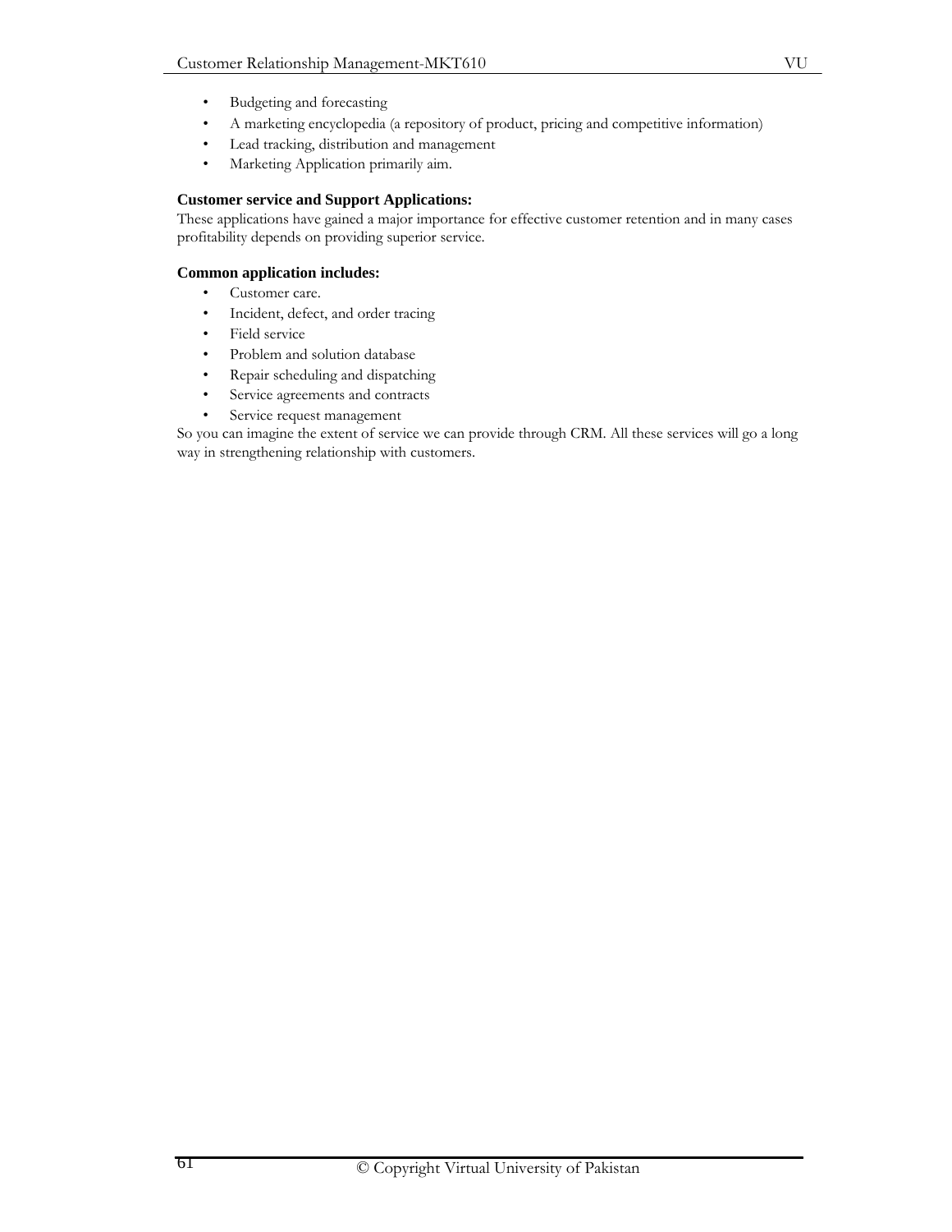- Budgeting and forecasting
- A marketing encyclopedia (a repository of product, pricing and competitive information)
- Lead tracking, distribution and management
- Marketing Application primarily aim.

## **Customer service and Support Applications:**

These applications have gained a major importance for effective customer retention and in many cases profitability depends on providing superior service.

## **Common application includes:**

- Customer care.
- Incident, defect, and order tracing
- Field service
- Problem and solution database
- Repair scheduling and dispatching
- Service agreements and contracts
- Service request management

So you can imagine the extent of service we can provide through CRM. All these services will go a long way in strengthening relationship with customers.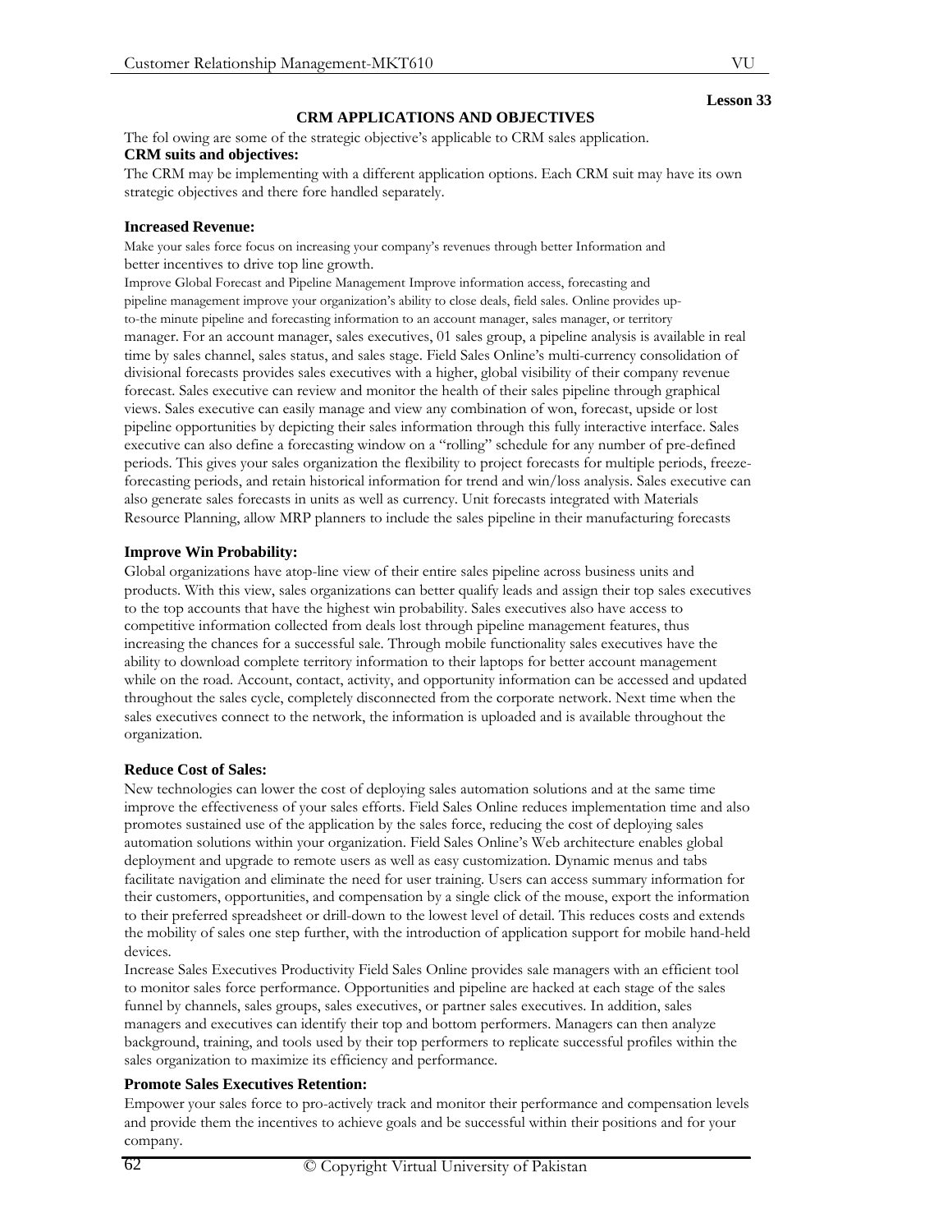# **CRM APPLICATIONS AND OBJECTIVES**

The fol owing are some of the strategic objective's applicable to CRM sales application. **CRM suits and objectives:**

The CRM may be implementing with a different application options. Each CRM suit may have its own strategic objectives and there fore handled separately.

## **Increased Revenue:**

Make your sales force focus on increasing your company's revenues through better Information and better incentives to drive top line growth.

Improve Global Forecast and Pipeline Management Improve information access, forecasting and pipeline management improve your organization's ability to close deals, field sales. Online provides upto-the minute pipeline and forecasting information to an account manager, sales manager, or territory manager. For an account manager, sales executives, 01 sales group, a pipeline analysis is available in real time by sales channel, sales status, and sales stage. Field Sales Online's multi-currency consolidation of divisional forecasts provides sales executives with a higher, global visibility of their company revenue forecast. Sales executive can review and monitor the health of their sales pipeline through graphical views. Sales executive can easily manage and view any combination of won, forecast, upside or lost pipeline opportunities by depicting their sales information through this fully interactive interface. Sales executive can also define a forecasting window on a "rolling" schedule for any number of pre-defined periods. This gives your sales organization the flexibility to project forecasts for multiple periods, freezeforecasting periods, and retain historical information for trend and win/loss analysis. Sales executive can also generate sales forecasts in units as well as currency. Unit forecasts integrated with Materials Resource Planning, allow MRP planners to include the sales pipeline in their manufacturing forecasts

## **Improve Win Probability:**

Global organizations have atop-line view of their entire sales pipeline across business units and products. With this view, sales organizations can better qualify leads and assign their top sales executives to the top accounts that have the highest win probability. Sales executives also have access to competitive information collected from deals lost through pipeline management features, thus increasing the chances for a successful sale. Through mobile functionality sales executives have the ability to download complete territory information to their laptops for better account management while on the road. Account, contact, activity, and opportunity information can be accessed and updated throughout the sales cycle, completely disconnected from the corporate network. Next time when the sales executives connect to the network, the information is uploaded and is available throughout the organization.

## **Reduce Cost of Sales:**

New technologies can lower the cost of deploying sales automation solutions and at the same time improve the effectiveness of your sales efforts. Field Sales Online reduces implementation time and also promotes sustained use of the application by the sales force, reducing the cost of deploying sales automation solutions within your organization. Field Sales Online's Web architecture enables global deployment and upgrade to remote users as well as easy customization. Dynamic menus and tabs facilitate navigation and eliminate the need for user training. Users can access summary information for their customers, opportunities, and compensation by a single click of the mouse, export the information to their preferred spreadsheet or drill-down to the lowest level of detail. This reduces costs and extends the mobility of sales one step further, with the introduction of application support for mobile hand-held devices.

Increase Sales Executives Productivity Field Sales Online provides sale managers with an efficient tool to monitor sales force performance. Opportunities and pipeline are hacked at each stage of the sales funnel by channels, sales groups, sales executives, or partner sales executives. In addition, sales managers and executives can identify their top and bottom performers. Managers can then analyze background, training, and tools used by their top performers to replicate successful profiles within the sales organization to maximize its efficiency and performance.

## **Promote Sales Executives Retention:**

Empower your sales force to pro-actively track and monitor their performance and compensation levels and provide them the incentives to achieve goals and be successful within their positions and for your company.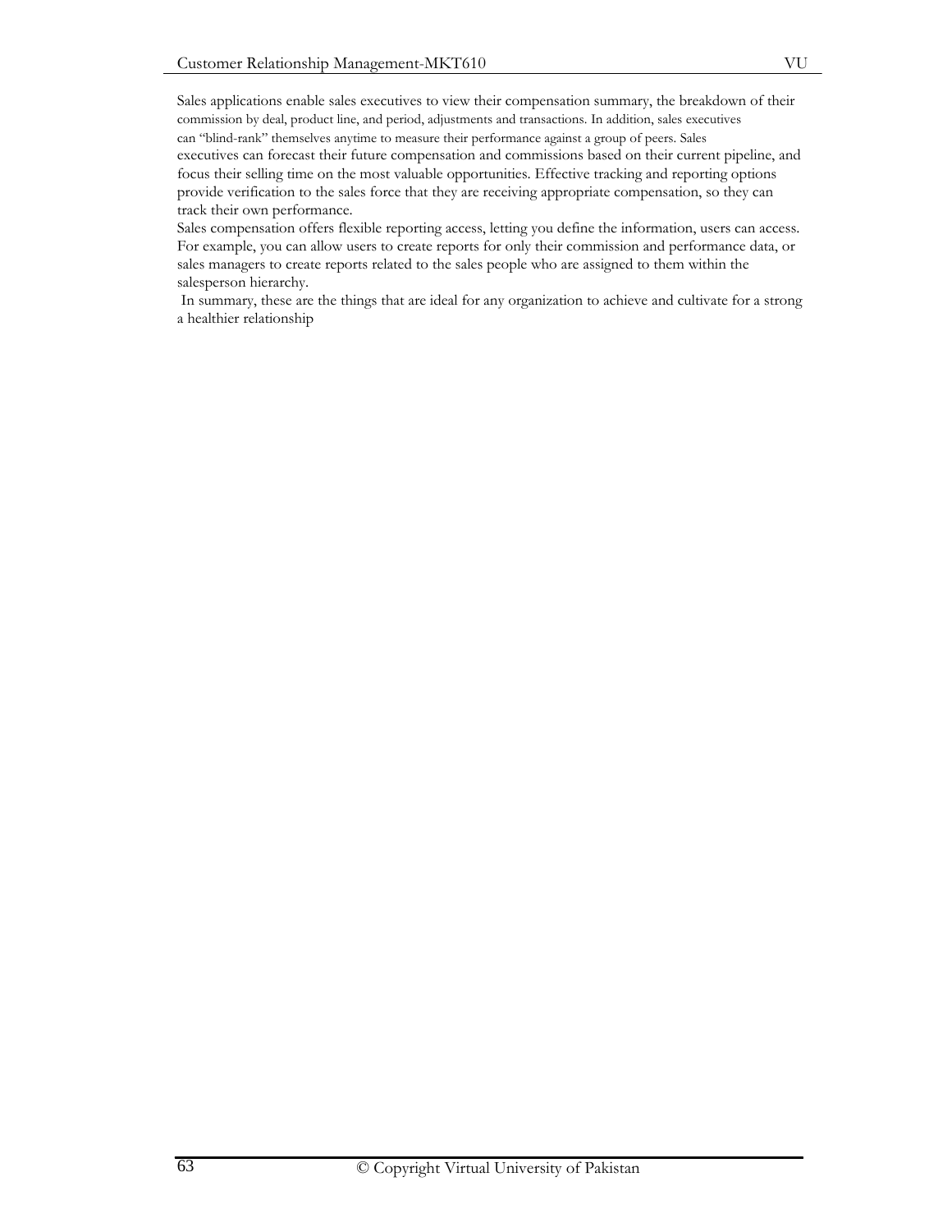Sales applications enable sales executives to view their compensation summary, the breakdown of their commission by deal, product line, and period, adjustments and transactions. In addition, sales executives can "blind-rank" themselves anytime to measure their performance against a group of peers. Sales executives can forecast their future compensation and commissions based on their current pipeline, and focus their selling time on the most valuable opportunities. Effective tracking and reporting options provide verification to the sales force that they are receiving appropriate compensation, so they can track their own performance.

Sales compensation offers flexible reporting access, letting you define the information, users can access. For example, you can allow users to create reports for only their commission and performance data, or sales managers to create reports related to the sales people who are assigned to them within the salesperson hierarchy.

 In summary, these are the things that are ideal for any organization to achieve and cultivate for a strong a healthier relationship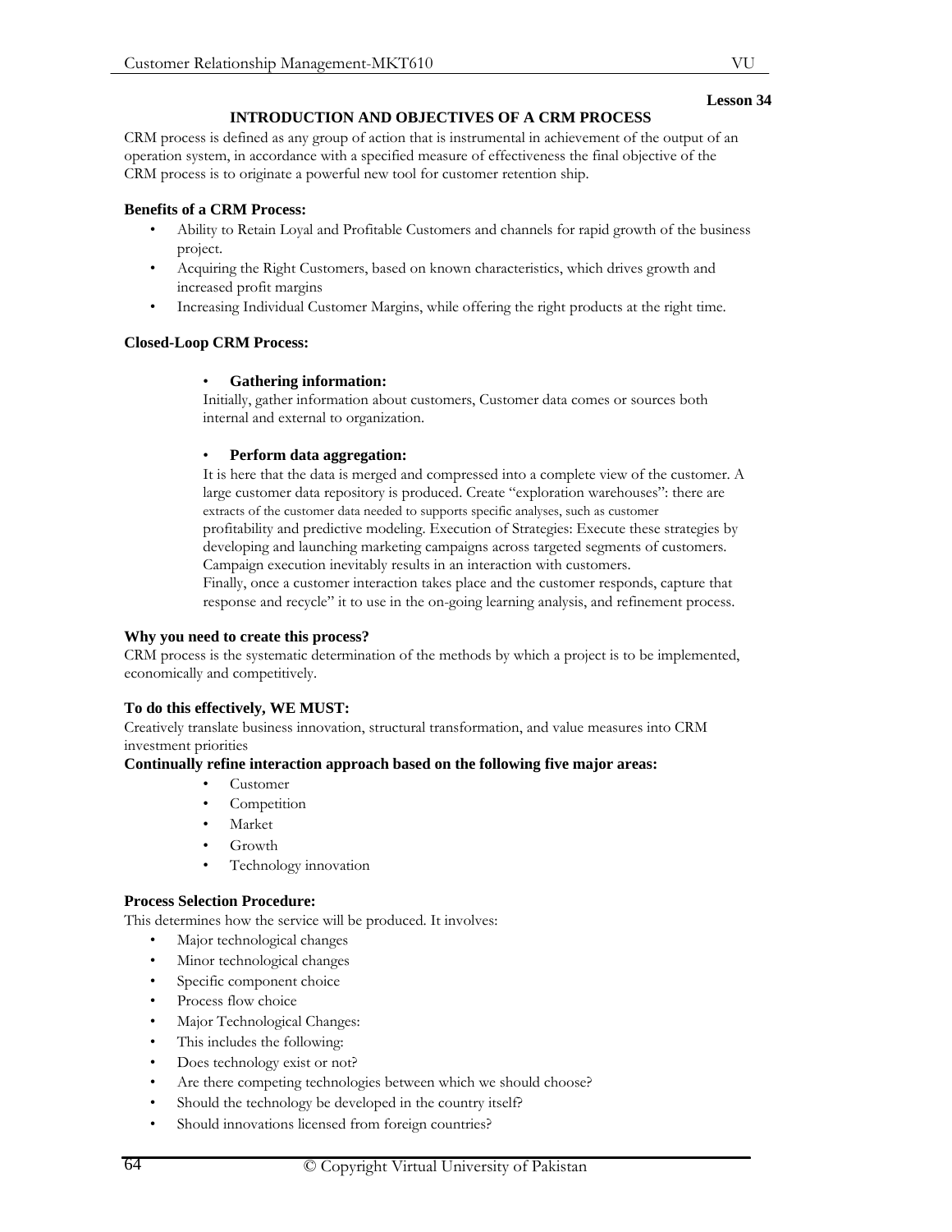# **INTRODUCTION AND OBJECTIVES OF A CRM PROCESS**

CRM process is defined as any group of action that is instrumental in achievement of the output of an operation system, in accordance with a specified measure of effectiveness the final objective of the CRM process is to originate a powerful new tool for customer retention ship.

# **Benefits of a CRM Process:**

- Ability to Retain Loyal and Profitable Customers and channels for rapid growth of the business project.
- Acquiring the Right Customers, based on known characteristics, which drives growth and increased profit margins
- Increasing Individual Customer Margins, while offering the right products at the right time.

# **Closed-Loop CRM Process:**

# • **Gathering information:**

Initially, gather information about customers, Customer data comes or sources both internal and external to organization.

## • **Perform data aggregation:**

It is here that the data is merged and compressed into a complete view of the customer. A large customer data repository is produced. Create "exploration warehouses": there are extracts of the customer data needed to supports specific analyses, such as customer profitability and predictive modeling. Execution of Strategies: Execute these strategies by developing and launching marketing campaigns across targeted segments of customers. Campaign execution inevitably results in an interaction with customers.

Finally, once a customer interaction takes place and the customer responds, capture that response and recycle" it to use in the on-going learning analysis, and refinement process.

## **Why you need to create this process?**

CRM process is the systematic determination of the methods by which a project is to be implemented, economically and competitively.

## **To do this effectively, WE MUST:**

Creatively translate business innovation, structural transformation, and value measures into CRM investment priorities

## **Continually refine interaction approach based on the following five major areas:**

- Customer
- **Competition**
- Market
- Growth
- Technology innovation

## **Process Selection Procedure:**

This determines how the service will be produced. It involves:

- Major technological changes
- Minor technological changes
- Specific component choice
- Process flow choice
- Major Technological Changes:
- This includes the following:
- Does technology exist or not?
- Are there competing technologies between which we should choose?
- Should the technology be developed in the country itself?
- Should innovations licensed from foreign countries?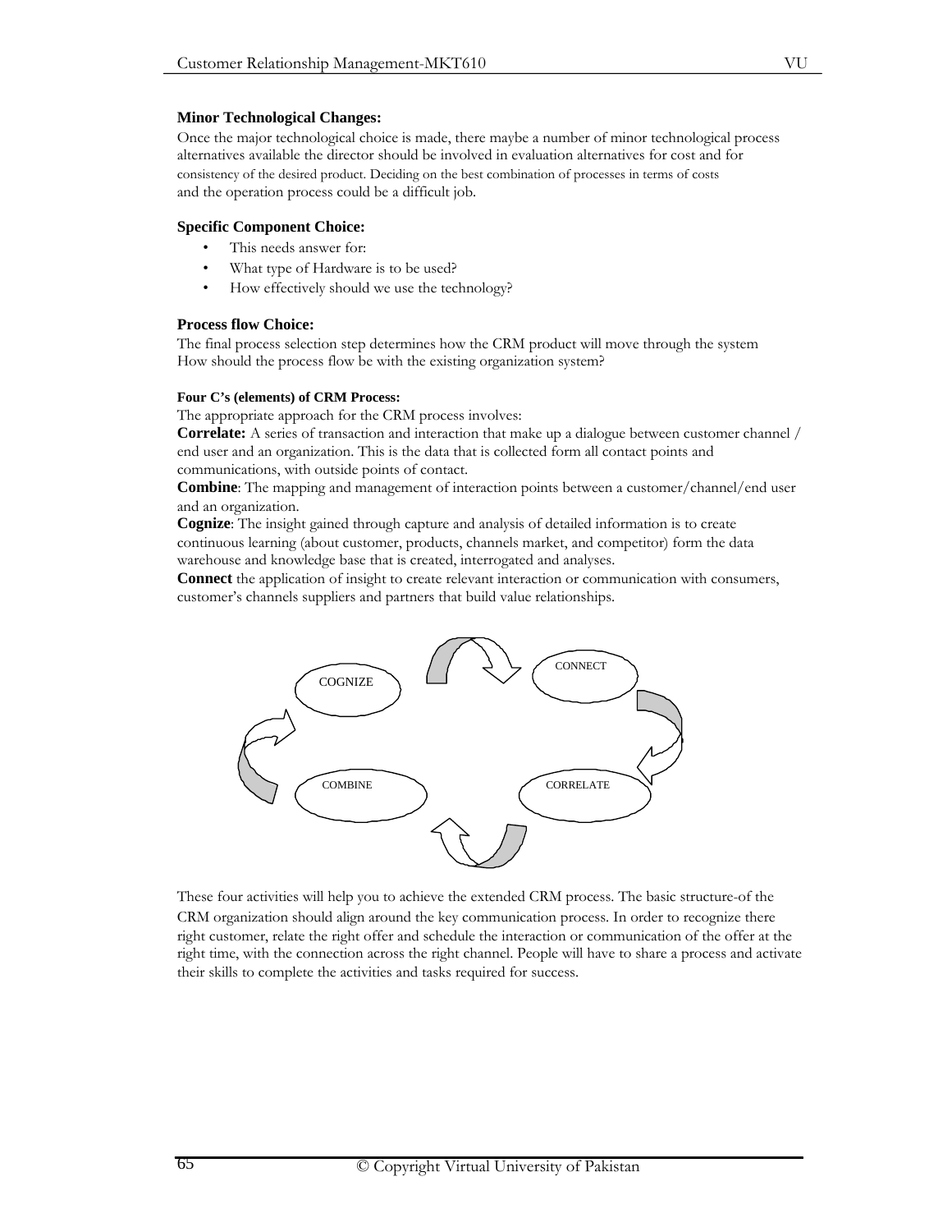#### **Minor Technological Changes:**

Once the major technological choice is made, there maybe a number of minor technological process alternatives available the director should be involved in evaluation alternatives for cost and for consistency of the desired product. Deciding on the best combination of processes in terms of costs and the operation process could be a difficult job.

#### **Specific Component Choice:**

- This needs answer for:
- What type of Hardware is to be used?
- How effectively should we use the technology?

#### **Process flow Choice:**

The final process selection step determines how the CRM product will move through the system How should the process flow be with the existing organization system?

#### **Four C's (elements) of CRM Process:**

The appropriate approach for the CRM process involves:

**Correlate:** A series of transaction and interaction that make up a dialogue between customer channel / end user and an organization. This is the data that is collected form all contact points and communications, with outside points of contact.

**Combine**: The mapping and management of interaction points between a customer/channel/end user and an organization.

**Cognize**: The insight gained through capture and analysis of detailed information is to create continuous learning (about customer, products, channels market, and competitor) form the data warehouse and knowledge base that is created, interrogated and analyses.

**Connect** the application of insight to create relevant interaction or communication with consumers, customer's channels suppliers and partners that build value relationships.



These four activities will help you to achieve the extended CRM process. The basic structure-of the CRM organization should align around the key communication process. In order to recognize there right customer, relate the right offer and schedule the interaction or communication of the offer at the right time, with the connection across the right channel. People will have to share a process and activate their skills to complete the activities and tasks required for success.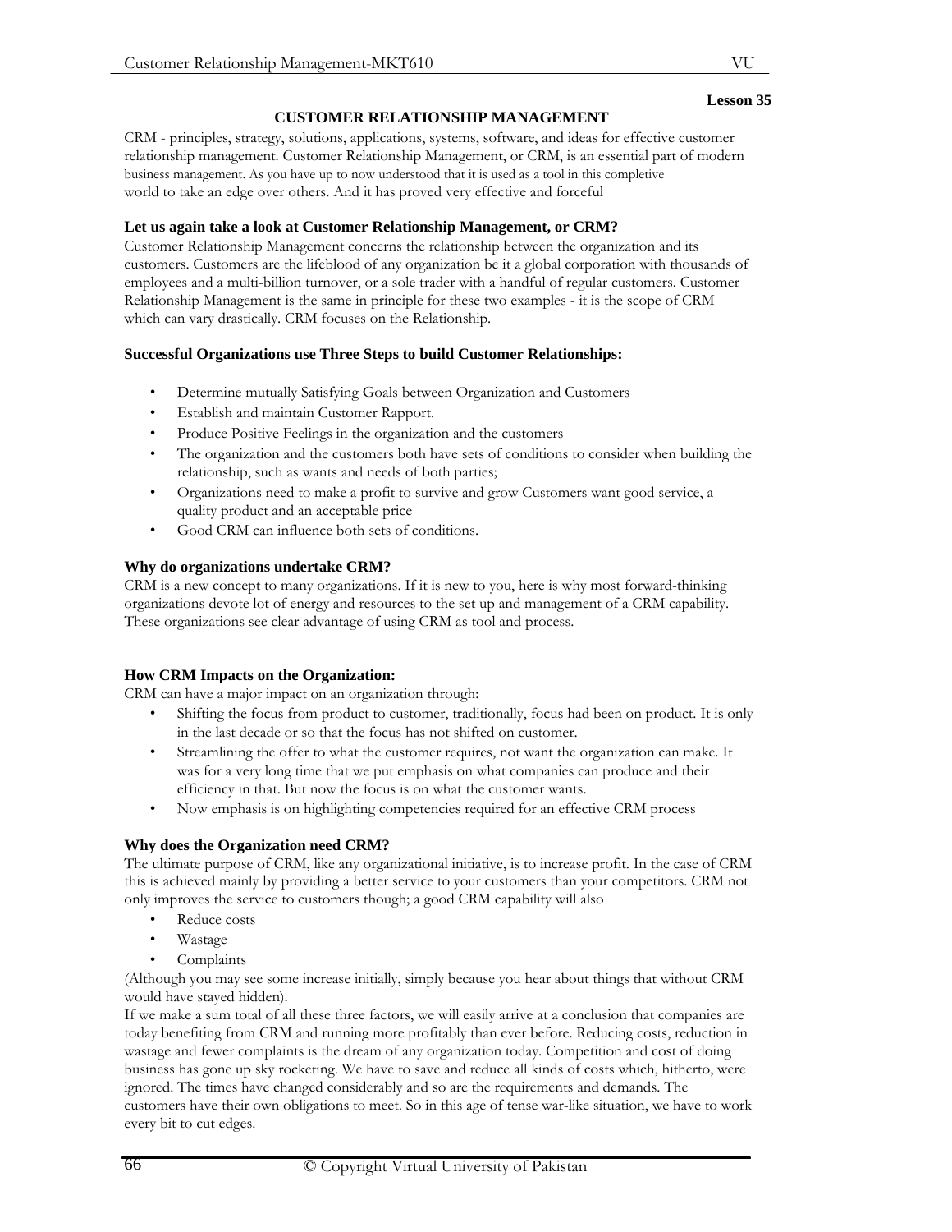# **CUSTOMER RELATIONSHIP MANAGEMENT**

CRM - principles, strategy, solutions, applications, systems, software, and ideas for effective customer relationship management. Customer Relationship Management, or CRM, is an essential part of modern business management. As you have up to now understood that it is used as a tool in this completive world to take an edge over others. And it has proved very effective and forceful

# **Let us again take a look at Customer Relationship Management, or CRM?**

Customer Relationship Management concerns the relationship between the organization and its customers. Customers are the lifeblood of any organization be it a global corporation with thousands of employees and a multi-billion turnover, or a sole trader with a handful of regular customers. Customer Relationship Management is the same in principle for these two examples - it is the scope of CRM which can vary drastically. CRM focuses on the Relationship.

# **Successful Organizations use Three Steps to build Customer Relationships:**

- Determine mutually Satisfying Goals between Organization and Customers
- Establish and maintain Customer Rapport.
- Produce Positive Feelings in the organization and the customers
- The organization and the customers both have sets of conditions to consider when building the relationship, such as wants and needs of both parties;
- Organizations need to make a profit to survive and grow Customers want good service, a quality product and an acceptable price
- Good CRM can influence both sets of conditions.

# **Why do organizations undertake CRM?**

CRM is a new concept to many organizations. If it is new to you, here is why most forward-thinking organizations devote lot of energy and resources to the set up and management of a CRM capability. These organizations see clear advantage of using CRM as tool and process.

# **How CRM Impacts on the Organization:**

CRM can have a major impact on an organization through:

- Shifting the focus from product to customer, traditionally, focus had been on product. It is only in the last decade or so that the focus has not shifted on customer.
- Streamlining the offer to what the customer requires, not want the organization can make. It was for a very long time that we put emphasis on what companies can produce and their efficiency in that. But now the focus is on what the customer wants.
- Now emphasis is on highlighting competencies required for an effective CRM process

## **Why does the Organization need CRM?**

The ultimate purpose of CRM, like any organizational initiative, is to increase profit. In the case of CRM this is achieved mainly by providing a better service to your customers than your competitors. CRM not only improves the service to customers though; a good CRM capability will also

- Reduce costs
- Wastage
- **Complaints**

(Although you may see some increase initially, simply because you hear about things that without CRM would have stayed hidden).

If we make a sum total of all these three factors, we will easily arrive at a conclusion that companies are today benefiting from CRM and running more profitably than ever before. Reducing costs, reduction in wastage and fewer complaints is the dream of any organization today. Competition and cost of doing business has gone up sky rocketing. We have to save and reduce all kinds of costs which, hitherto, were ignored. The times have changed considerably and so are the requirements and demands. The customers have their own obligations to meet. So in this age of tense war-like situation, we have to work every bit to cut edges.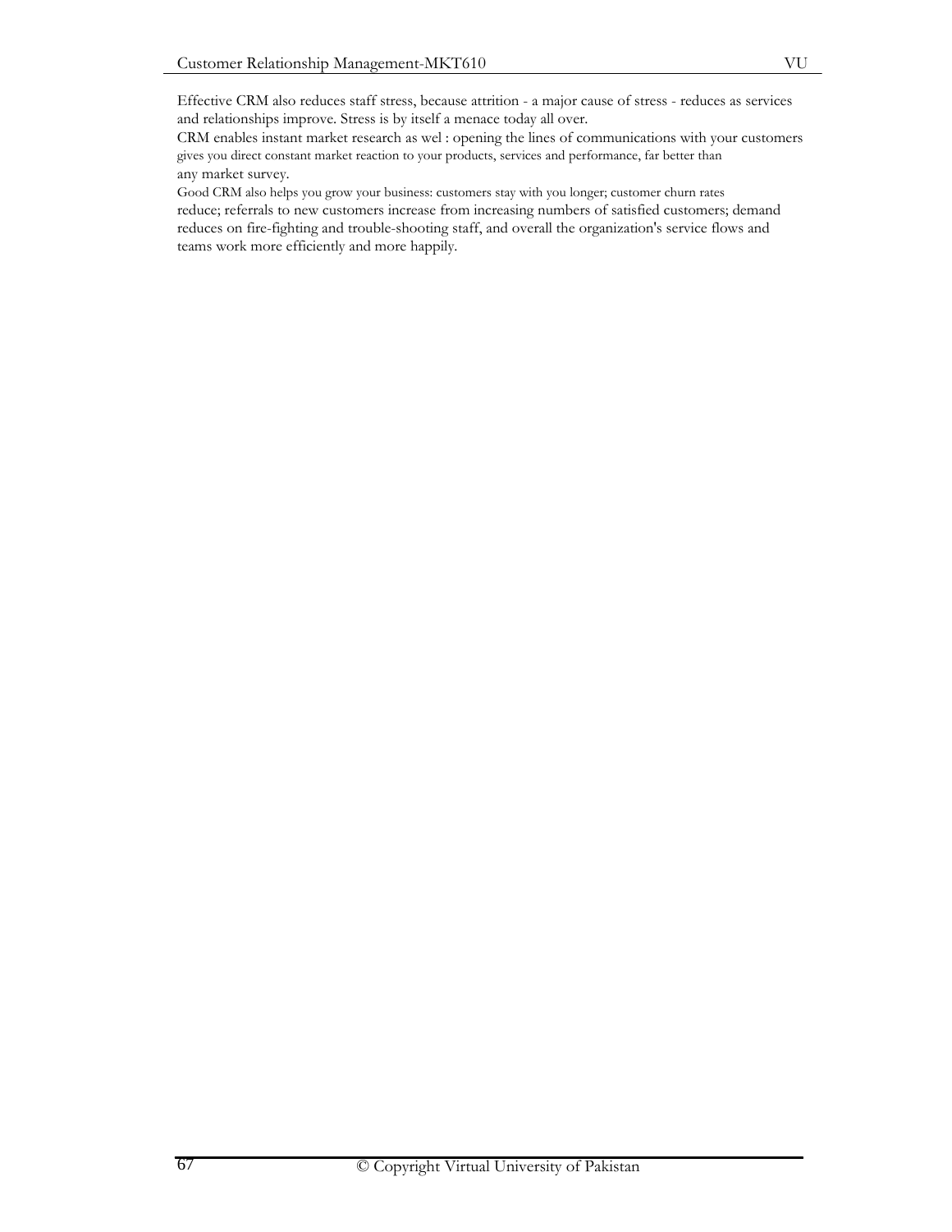Effective CRM also reduces staff stress, because attrition - a major cause of stress - reduces as services and relationships improve. Stress is by itself a menace today all over.

CRM enables instant market research as wel : opening the lines of communications with your customers gives you direct constant market reaction to your products, services and performance, far better than any market survey.

Good CRM also helps you grow your business: customers stay with you longer; customer churn rates reduce; referrals to new customers increase from increasing numbers of satisfied customers; demand reduces on fire-fighting and trouble-shooting staff, and overall the organization's service flows and teams work more efficiently and more happily.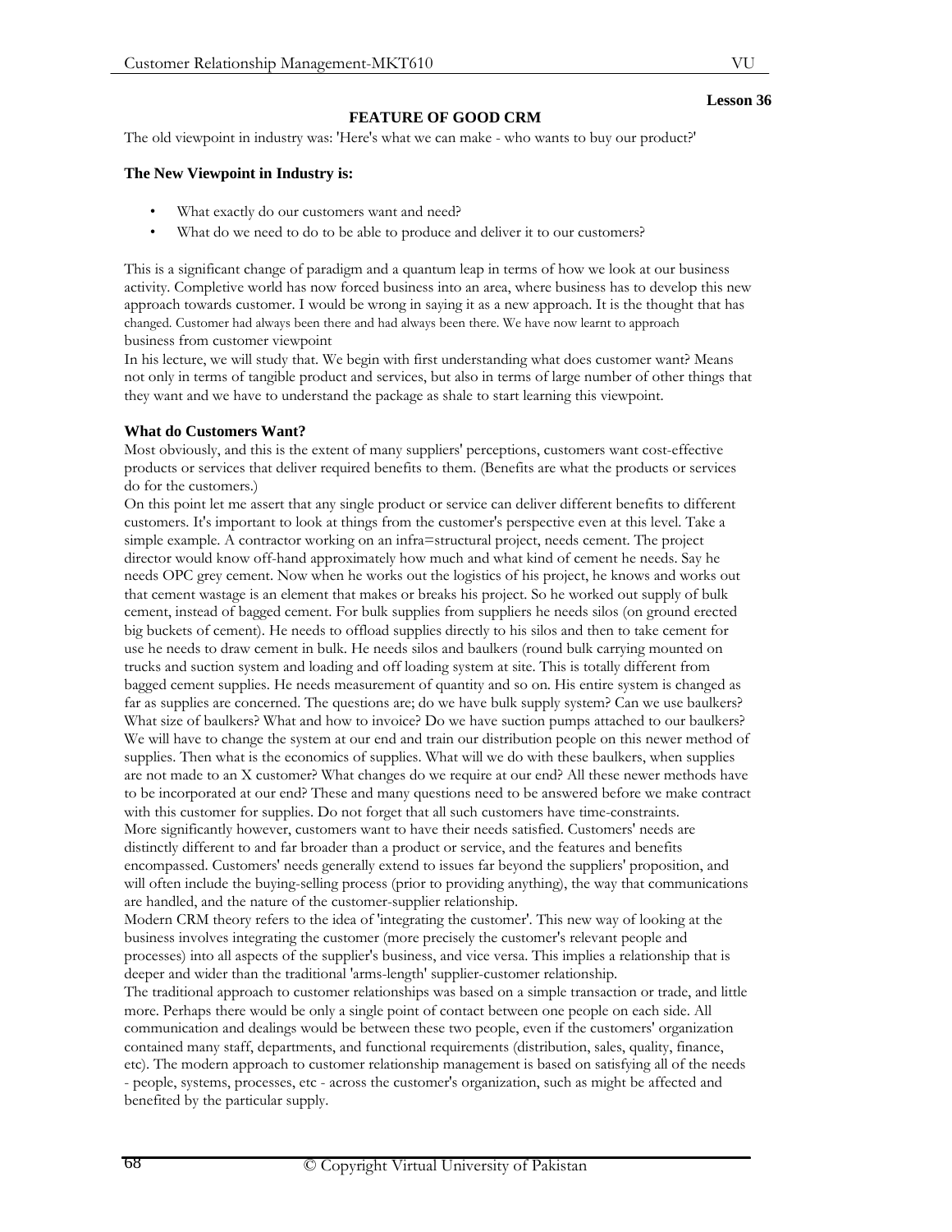# **FEATURE OF GOOD CRM**

The old viewpoint in industry was: 'Here's what we can make - who wants to buy our product?'

#### **The New Viewpoint in Industry is:**

- What exactly do our customers want and need?
- What do we need to do to be able to produce and deliver it to our customers?

This is a significant change of paradigm and a quantum leap in terms of how we look at our business activity. Completive world has now forced business into an area, where business has to develop this new approach towards customer. I would be wrong in saying it as a new approach. It is the thought that has changed. Customer had always been there and had always been there. We have now learnt to approach business from customer viewpoint

In his lecture, we will study that. We begin with first understanding what does customer want? Means not only in terms of tangible product and services, but also in terms of large number of other things that they want and we have to understand the package as shale to start learning this viewpoint.

#### **What do Customers Want?**

Most obviously, and this is the extent of many suppliers' perceptions, customers want cost-effective products or services that deliver required benefits to them. (Benefits are what the products or services do for the customers.)

On this point let me assert that any single product or service can deliver different benefits to different customers. It's important to look at things from the customer's perspective even at this level. Take a simple example. A contractor working on an infra=structural project, needs cement. The project director would know off-hand approximately how much and what kind of cement he needs. Say he needs OPC grey cement. Now when he works out the logistics of his project, he knows and works out that cement wastage is an element that makes or breaks his project. So he worked out supply of bulk cement, instead of bagged cement. For bulk supplies from suppliers he needs silos (on ground erected big buckets of cement). He needs to offload supplies directly to his silos and then to take cement for use he needs to draw cement in bulk. He needs silos and baulkers (round bulk carrying mounted on trucks and suction system and loading and off loading system at site. This is totally different from bagged cement supplies. He needs measurement of quantity and so on. His entire system is changed as far as supplies are concerned. The questions are; do we have bulk supply system? Can we use baulkers? What size of baulkers? What and how to invoice? Do we have suction pumps attached to our baulkers? We will have to change the system at our end and train our distribution people on this newer method of supplies. Then what is the economics of supplies. What will we do with these baulkers, when supplies are not made to an X customer? What changes do we require at our end? All these newer methods have to be incorporated at our end? These and many questions need to be answered before we make contract with this customer for supplies. Do not forget that all such customers have time-constraints. More significantly however, customers want to have their needs satisfied. Customers' needs are distinctly different to and far broader than a product or service, and the features and benefits encompassed. Customers' needs generally extend to issues far beyond the suppliers' proposition, and will often include the buying-selling process (prior to providing anything), the way that communications are handled, and the nature of the customer-supplier relationship.

Modern CRM theory refers to the idea of 'integrating the customer'. This new way of looking at the business involves integrating the customer (more precisely the customer's relevant people and processes) into all aspects of the supplier's business, and vice versa. This implies a relationship that is deeper and wider than the traditional 'arms-length' supplier-customer relationship.

The traditional approach to customer relationships was based on a simple transaction or trade, and little more. Perhaps there would be only a single point of contact between one people on each side. All communication and dealings would be between these two people, even if the customers' organization contained many staff, departments, and functional requirements (distribution, sales, quality, finance, etc). The modern approach to customer relationship management is based on satisfying all of the needs - people, systems, processes, etc - across the customer's organization, such as might be affected and benefited by the particular supply.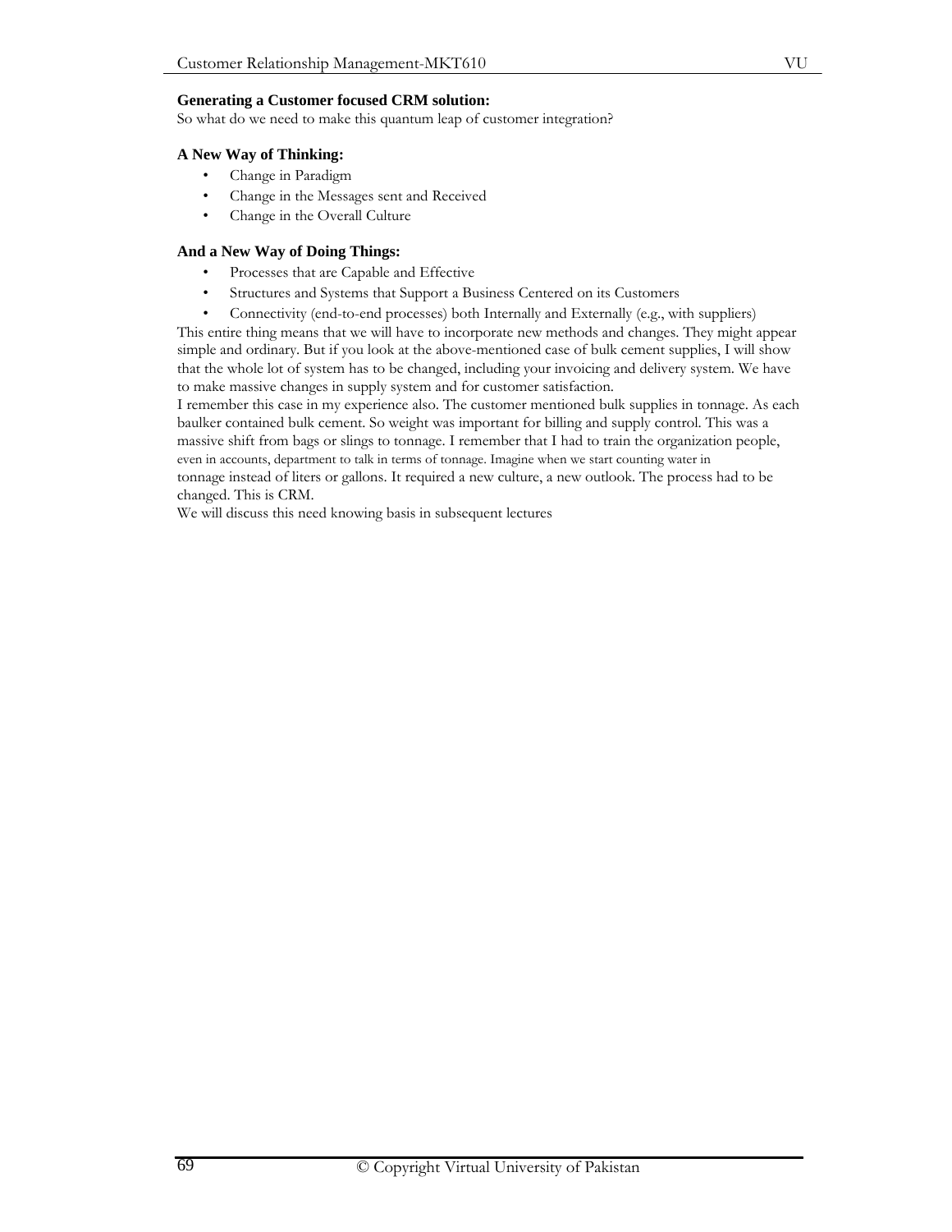#### **Generating a Customer focused CRM solution:**

So what do we need to make this quantum leap of customer integration?

#### **A New Way of Thinking:**

- Change in Paradigm
- Change in the Messages sent and Received
- Change in the Overall Culture

#### **And a New Way of Doing Things:**

- Processes that are Capable and Effective
- Structures and Systems that Support a Business Centered on its Customers
- Connectivity (end-to-end processes) both Internally and Externally (e.g., with suppliers)

This entire thing means that we will have to incorporate new methods and changes. They might appear simple and ordinary. But if you look at the above-mentioned case of bulk cement supplies, I will show that the whole lot of system has to be changed, including your invoicing and delivery system. We have to make massive changes in supply system and for customer satisfaction.

I remember this case in my experience also. The customer mentioned bulk supplies in tonnage. As each baulker contained bulk cement. So weight was important for billing and supply control. This was a massive shift from bags or slings to tonnage. I remember that I had to train the organization people, even in accounts, department to talk in terms of tonnage. Imagine when we start counting water in tonnage instead of liters or gallons. It required a new culture, a new outlook. The process had to be changed. This is CRM.

We will discuss this need knowing basis in subsequent lectures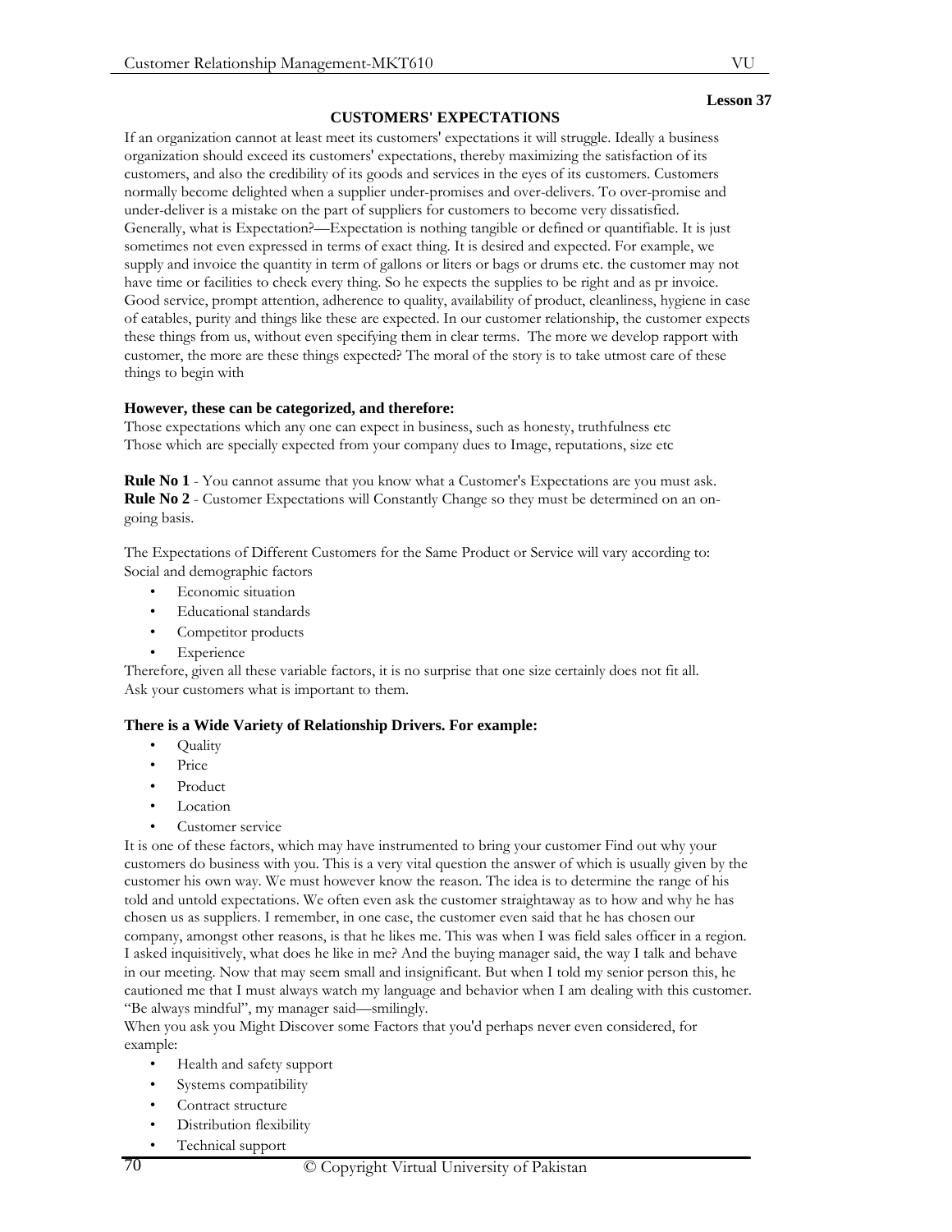#### **CUSTOMERS' EXPECTATIONS**

If an organization cannot at least meet its customers' expectations it will struggle. Ideally a business organization should exceed its customers' expectations, thereby maximizing the satisfaction of its customers, and also the credibility of its goods and services in the eyes of its customers. Customers normally become delighted when a supplier under-promises and over-delivers. To over-promise and under-deliver is a mistake on the part of suppliers for customers to become very dissatisfied. Generally, what is Expectation?—Expectation is nothing tangible or defined or quantifiable. It is just sometimes not even expressed in terms of exact thing. It is desired and expected. For example, we supply and invoice the quantity in term of gallons or liters or bags or drums etc. the customer may not have time or facilities to check every thing. So he expects the supplies to be right and as pr invoice. Good service, prompt attention, adherence to quality, availability of product, cleanliness, hygiene in case of eatables, purity and things like these are expected. In our customer relationship, the customer expects these things from us, without even specifying them in clear terms. The more we develop rapport with customer, the more are these things expected? The moral of the story is to take utmost care of these things to begin with

#### **However, these can be categorized, and therefore:**

Those expectations which any one can expect in business, such as honesty, truthfulness etc Those which are specially expected from your company dues to Image, reputations, size etc

**Rule No 1** - You cannot assume that you know what a Customer's Expectations are you must ask. **Rule No 2** - Customer Expectations will Constantly Change so they must be determined on an ongoing basis.

The Expectations of Different Customers for the Same Product or Service will vary according to: Social and demographic factors

- Economic situation
- Educational standards
- Competitor products
- **Experience**

Therefore, given all these variable factors, it is no surprise that one size certainly does not fit all. Ask your customers what is important to them.

## **There is a Wide Variety of Relationship Drivers. For example:**

- Quality
- Price
- Product
- **Location**
- Customer service

It is one of these factors, which may have instrumented to bring your customer Find out why your customers do business with you. This is a very vital question the answer of which is usually given by the customer his own way. We must however know the reason. The idea is to determine the range of his told and untold expectations. We often even ask the customer straightaway as to how and why he has chosen us as suppliers. I remember, in one case, the customer even said that he has chosen our company, amongst other reasons, is that he likes me. This was when I was field sales officer in a region. I asked inquisitively, what does he like in me? And the buying manager said, the way I talk and behave in our meeting. Now that may seem small and insignificant. But when I told my senior person this, he cautioned me that I must always watch my language and behavior when I am dealing with this customer. "Be always mindful", my manager said—smilingly.

When you ask you Might Discover some Factors that you'd perhaps never even considered, for example:

- Health and safety support
- Systems compatibility
- Contract structure
- Distribution flexibility
- Technical support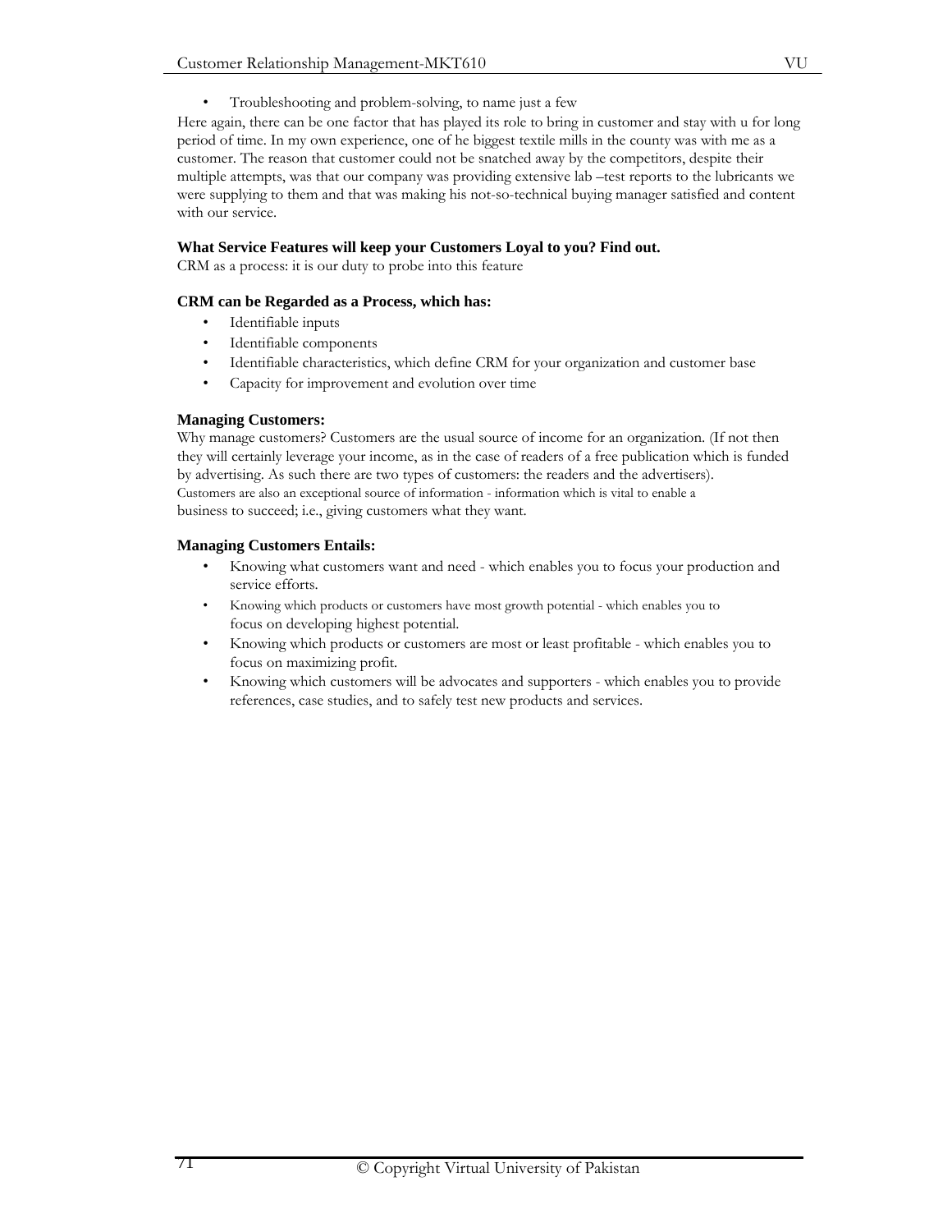VU

• Troubleshooting and problem-solving, to name just a few

Here again, there can be one factor that has played its role to bring in customer and stay with u for long period of time. In my own experience, one of he biggest textile mills in the county was with me as a customer. The reason that customer could not be snatched away by the competitors, despite their multiple attempts, was that our company was providing extensive lab –test reports to the lubricants we were supplying to them and that was making his not-so-technical buying manager satisfied and content with our service.

# **What Service Features will keep your Customers Loyal to you? Find out.**

CRM as a process: it is our duty to probe into this feature

# **CRM can be Regarded as a Process, which has:**

- Identifiable inputs
- Identifiable components
- Identifiable characteristics, which define CRM for your organization and customer base
- Capacity for improvement and evolution over time

# **Managing Customers:**

Why manage customers? Customers are the usual source of income for an organization. (If not then they will certainly leverage your income, as in the case of readers of a free publication which is funded by advertising. As such there are two types of customers: the readers and the advertisers). Customers are also an exceptional source of information - information which is vital to enable a business to succeed; i.e., giving customers what they want.

# **Managing Customers Entails:**

- Knowing what customers want and need which enables you to focus your production and service efforts.
- Knowing which products or customers have most growth potential which enables you to focus on developing highest potential.
- Knowing which products or customers are most or least profitable which enables you to focus on maximizing profit.
- Knowing which customers will be advocates and supporters which enables you to provide references, case studies, and to safely test new products and services.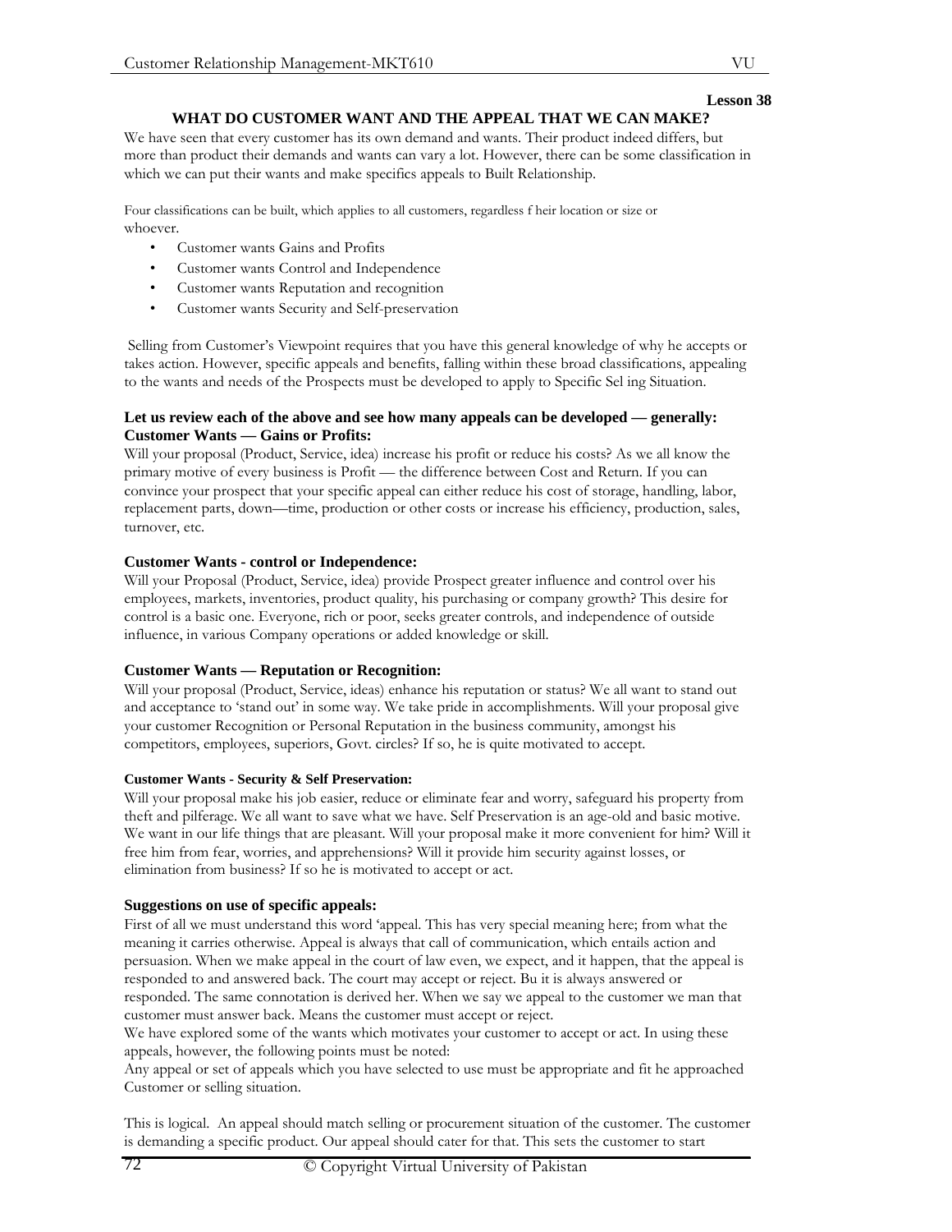# **WHAT DO CUSTOMER WANT AND THE APPEAL THAT WE CAN MAKE?**

We have seen that every customer has its own demand and wants. Their product indeed differs, but more than product their demands and wants can vary a lot. However, there can be some classification in which we can put their wants and make specifics appeals to Built Relationship.

Four classifications can be built, which applies to all customers, regardless f heir location or size or whoever.

- Customer wants Gains and Profits
- Customer wants Control and Independence
- Customer wants Reputation and recognition
- Customer wants Security and Self-preservation

 Selling from Customer's Viewpoint requires that you have this general knowledge of why he accepts or takes action. However, specific appeals and benefits, falling within these broad classifications, appealing to the wants and needs of the Prospects must be developed to apply to Specific Sel ing Situation.

## Let us review each of the above and see how many appeals can be developed — generally: **Customer Wants — Gains or Profits:**

Will your proposal (Product, Service, idea) increase his profit or reduce his costs? As we all know the primary motive of every business is Profit — the difference between Cost and Return. If you can convince your prospect that your specific appeal can either reduce his cost of storage, handling, labor, replacement parts, down—time, production or other costs or increase his efficiency, production, sales, turnover, etc.

# **Customer Wants - control or Independence:**

Will your Proposal (Product, Service, idea) provide Prospect greater influence and control over his employees, markets, inventories, product quality, his purchasing or company growth? This desire for control is a basic one. Everyone, rich or poor, seeks greater controls, and independence of outside influence, in various Company operations or added knowledge or skill.

## **Customer Wants — Reputation or Recognition:**

Will your proposal (Product, Service, ideas) enhance his reputation or status? We all want to stand out and acceptance to 'stand out' in some way. We take pride in accomplishments. Will your proposal give your customer Recognition or Personal Reputation in the business community, amongst his competitors, employees, superiors, Govt. circles? If so, he is quite motivated to accept.

## **Customer Wants - Security & Self Preservation:**

Will your proposal make his job easier, reduce or eliminate fear and worry, safeguard his property from theft and pilferage. We all want to save what we have. Self Preservation is an age-old and basic motive. We want in our life things that are pleasant. Will your proposal make it more convenient for him? Will it free him from fear, worries, and apprehensions? Will it provide him security against losses, or elimination from business? If so he is motivated to accept or act.

## **Suggestions on use of specific appeals:**

First of all we must understand this word 'appeal. This has very special meaning here; from what the meaning it carries otherwise. Appeal is always that call of communication, which entails action and persuasion. When we make appeal in the court of law even, we expect, and it happen, that the appeal is responded to and answered back. The court may accept or reject. Bu it is always answered or responded. The same connotation is derived her. When we say we appeal to the customer we man that customer must answer back. Means the customer must accept or reject.

We have explored some of the wants which motivates your customer to accept or act. In using these appeals, however, the following points must be noted:

Any appeal or set of appeals which you have selected to use must be appropriate and fit he approached Customer or selling situation.

This is logical. An appeal should match selling or procurement situation of the customer. The customer is demanding a specific product. Our appeal should cater for that. This sets the customer to start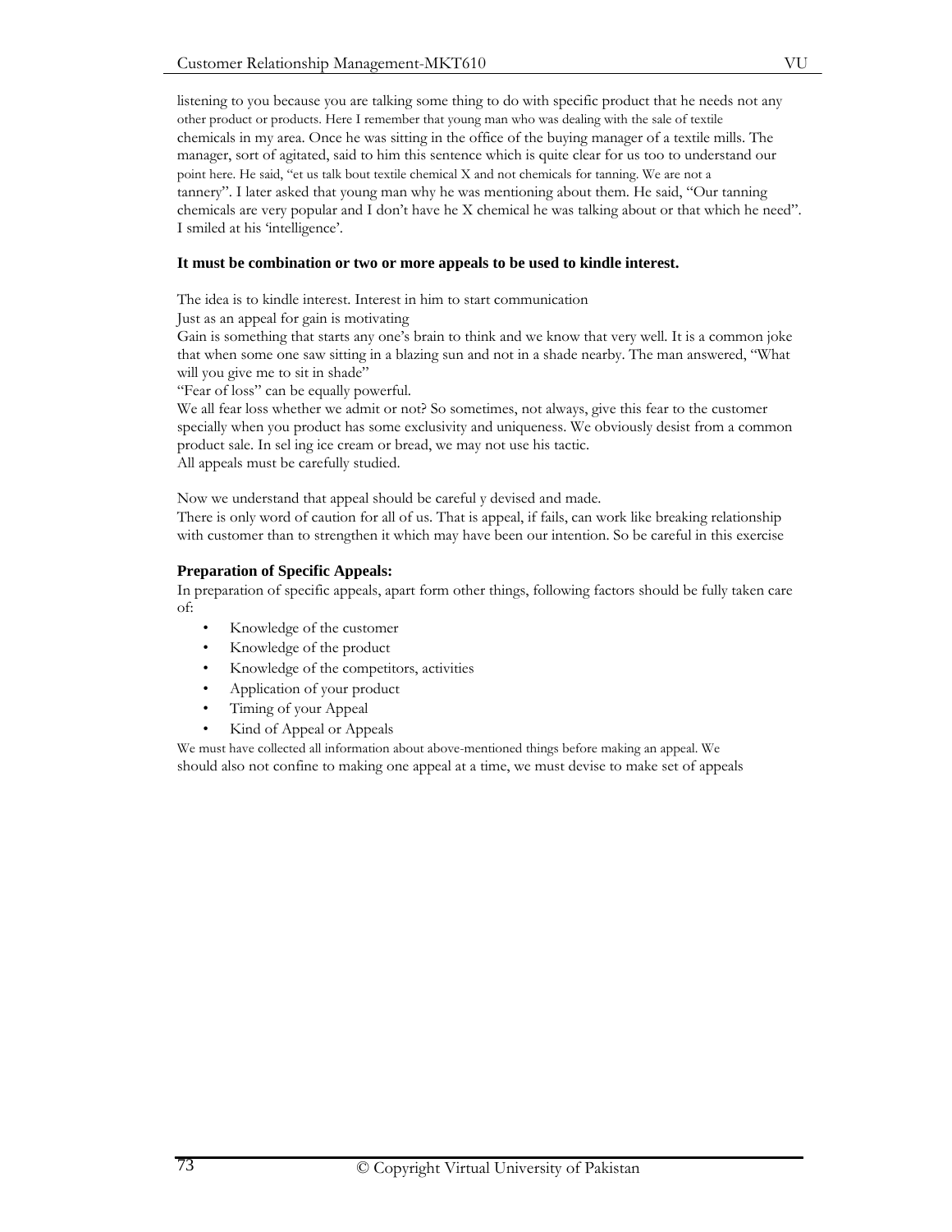listening to you because you are talking some thing to do with specific product that he needs not any other product or products. Here I remember that young man who was dealing with the sale of textile chemicals in my area. Once he was sitting in the office of the buying manager of a textile mills. The manager, sort of agitated, said to him this sentence which is quite clear for us too to understand our point here. He said, "et us talk bout textile chemical X and not chemicals for tanning. We are not a tannery". I later asked that young man why he was mentioning about them. He said, "Our tanning chemicals are very popular and I don't have he X chemical he was talking about or that which he need". I smiled at his 'intelligence'.

## **It must be combination or two or more appeals to be used to kindle interest.**

The idea is to kindle interest. Interest in him to start communication

Just as an appeal for gain is motivating

Gain is something that starts any one's brain to think and we know that very well. It is a common joke that when some one saw sitting in a blazing sun and not in a shade nearby. The man answered, "What will you give me to sit in shade"

"Fear of loss" can be equally powerful.

We all fear loss whether we admit or not? So sometimes, not always, give this fear to the customer specially when you product has some exclusivity and uniqueness. We obviously desist from a common product sale. In sel ing ice cream or bread, we may not use his tactic. All appeals must be carefully studied.

Now we understand that appeal should be careful y devised and made.

There is only word of caution for all of us. That is appeal, if fails, can work like breaking relationship with customer than to strengthen it which may have been our intention. So be careful in this exercise

## **Preparation of Specific Appeals:**

In preparation of specific appeals, apart form other things, following factors should be fully taken care of:

- Knowledge of the customer
- Knowledge of the product
- Knowledge of the competitors, activities
- Application of your product
- Timing of your Appeal
- Kind of Appeal or Appeals

We must have collected all information about above-mentioned things before making an appeal. We should also not confine to making one appeal at a time, we must devise to make set of appeals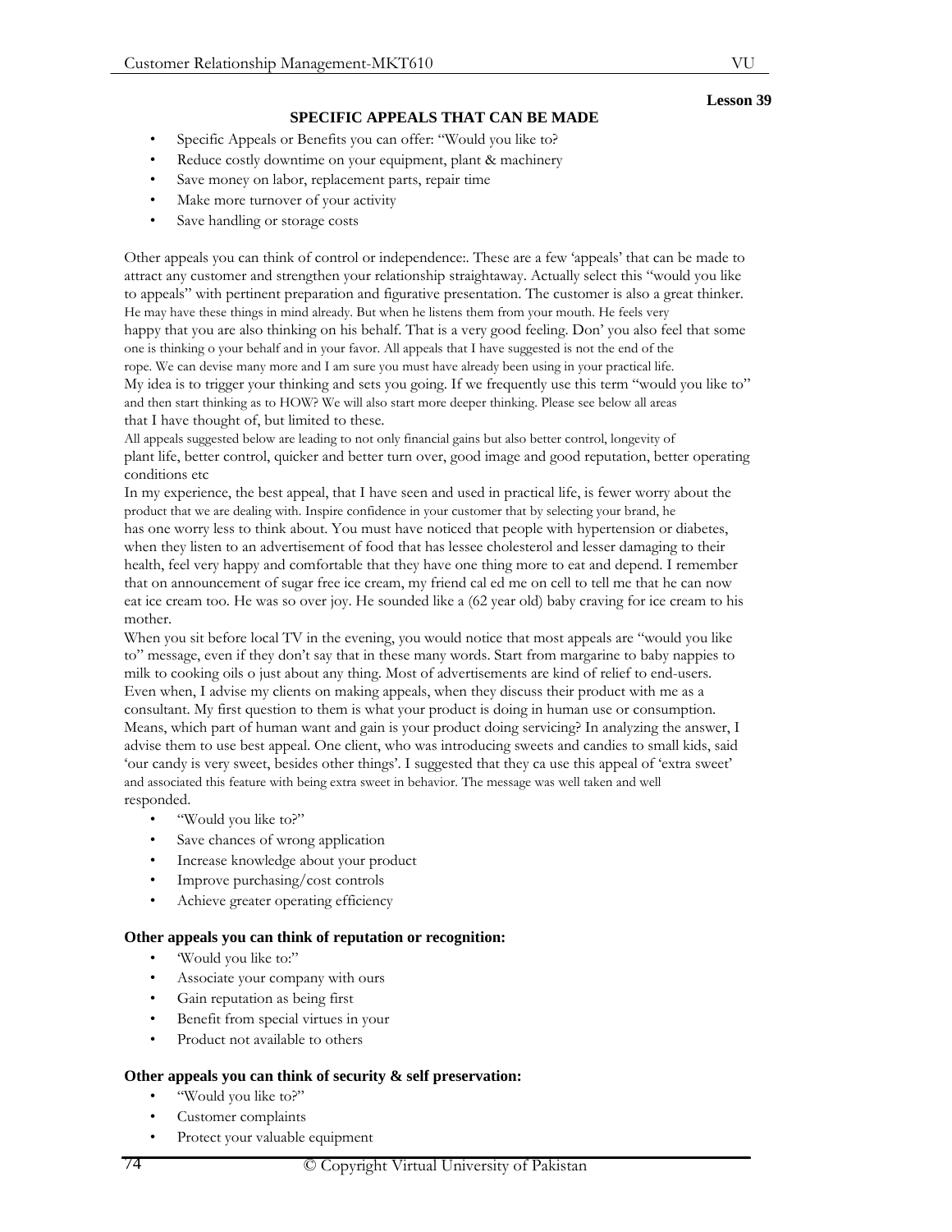## **SPECIFIC APPEALS THAT CAN BE MADE**

- Specific Appeals or Benefits you can offer: "Would you like to?
- Reduce costly downtime on your equipment, plant & machinery
- Save money on labor, replacement parts, repair time
- Make more turnover of your activity
- Save handling or storage costs

Other appeals you can think of control or independence:. These are a few 'appeals' that can be made to attract any customer and strengthen your relationship straightaway. Actually select this "would you like to appeals" with pertinent preparation and figurative presentation. The customer is also a great thinker. He may have these things in mind already. But when he listens them from your mouth. He feels very happy that you are also thinking on his behalf. That is a very good feeling. Don' you also feel that some one is thinking o your behalf and in your favor. All appeals that I have suggested is not the end of the rope. We can devise many more and I am sure you must have already been using in your practical life. My idea is to trigger your thinking and sets you going. If we frequently use this term "would you like to" and then start thinking as to HOW? We will also start more deeper thinking. Please see below all areas that I have thought of, but limited to these.

All appeals suggested below are leading to not only financial gains but also better control, longevity of plant life, better control, quicker and better turn over, good image and good reputation, better operating conditions etc

In my experience, the best appeal, that I have seen and used in practical life, is fewer worry about the product that we are dealing with. Inspire confidence in your customer that by selecting your brand, he has one worry less to think about. You must have noticed that people with hypertension or diabetes, when they listen to an advertisement of food that has lessee cholesterol and lesser damaging to their health, feel very happy and comfortable that they have one thing more to eat and depend. I remember that on announcement of sugar free ice cream, my friend cal ed me on cell to tell me that he can now eat ice cream too. He was so over joy. He sounded like a (62 year old) baby craving for ice cream to his mother.

When you sit before local TV in the evening, you would notice that most appeals are "would you like to" message, even if they don't say that in these many words. Start from margarine to baby nappies to milk to cooking oils o just about any thing. Most of advertisements are kind of relief to end-users. Even when, I advise my clients on making appeals, when they discuss their product with me as a consultant. My first question to them is what your product is doing in human use or consumption. Means, which part of human want and gain is your product doing servicing? In analyzing the answer, I advise them to use best appeal. One client, who was introducing sweets and candies to small kids, said 'our candy is very sweet, besides other things'. I suggested that they ca use this appeal of 'extra sweet' and associated this feature with being extra sweet in behavior. The message was well taken and well responded.

- "Would you like to?"
- Save chances of wrong application
- Increase knowledge about your product
- Improve purchasing/cost controls
- Achieve greater operating efficiency

## **Other appeals you can think of reputation or recognition:**

- 'Would you like to:"
- Associate your company with ours
- Gain reputation as being first
- Benefit from special virtues in your
- Product not available to others

## **Other appeals you can think of security & self preservation:**

- "Would you like to?"
- Customer complaints
- Protect your valuable equipment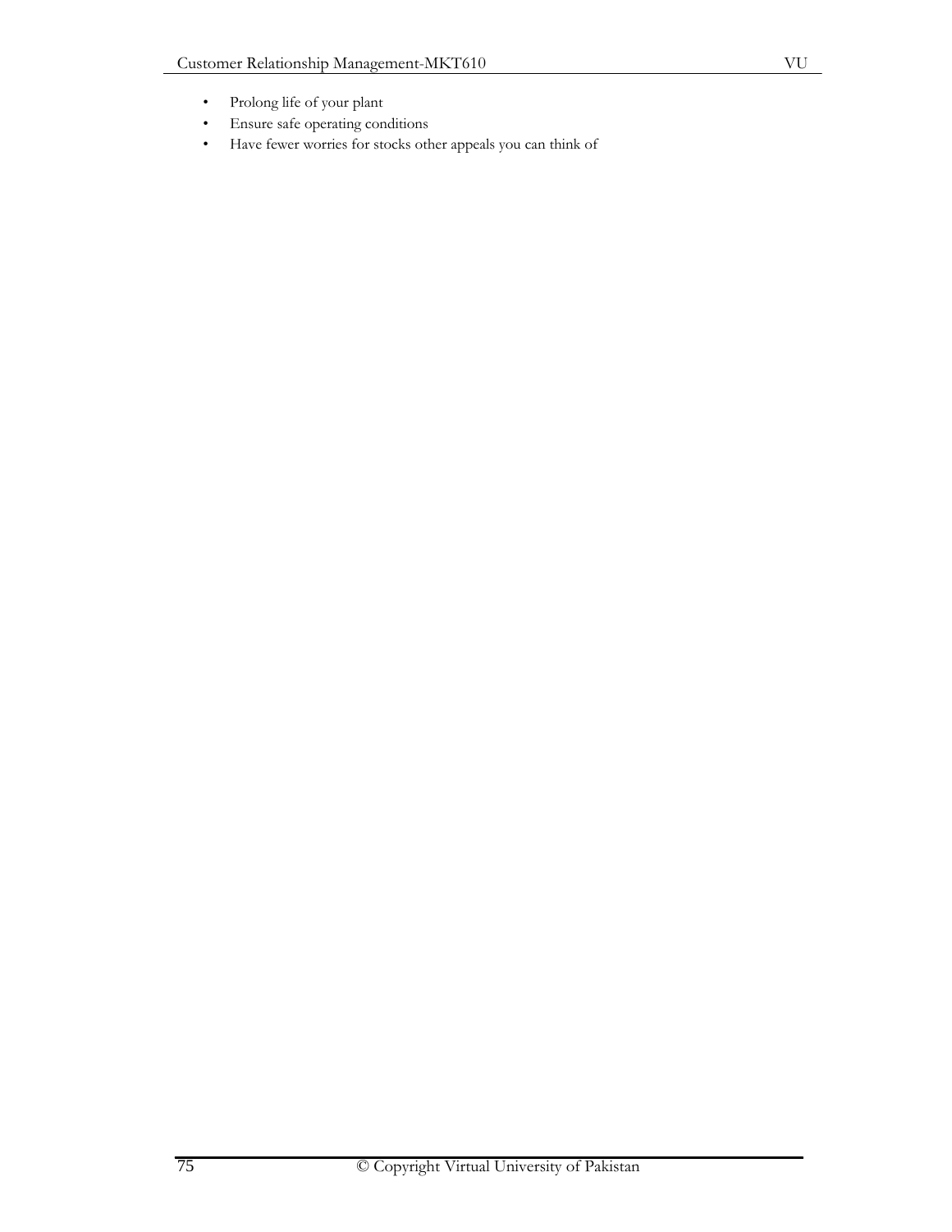- Prolong life of your plant
- Ensure safe operating conditions
- Have fewer worries for stocks other appeals you can think of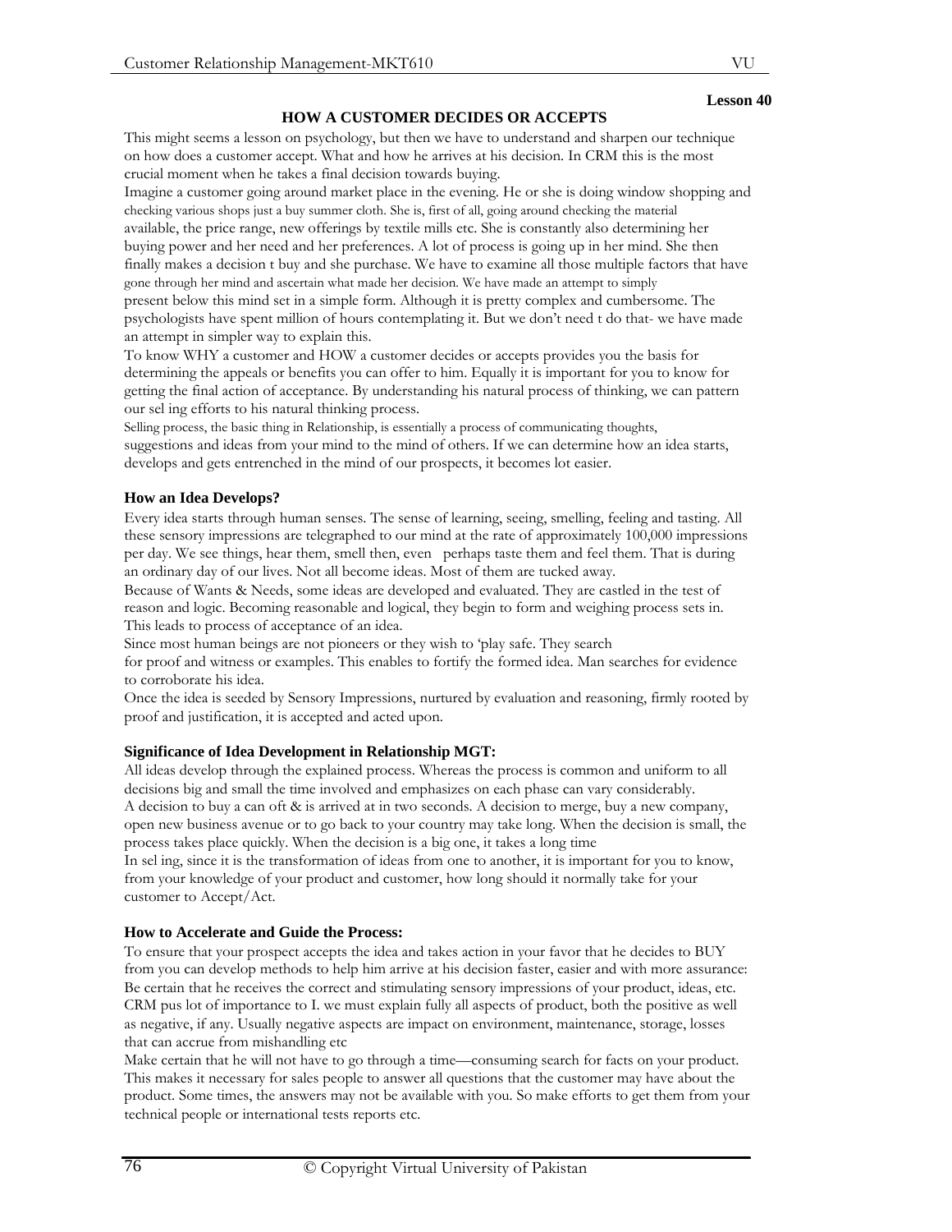## **HOW A CUSTOMER DECIDES OR ACCEPTS**

This might seems a lesson on psychology, but then we have to understand and sharpen our technique on how does a customer accept. What and how he arrives at his decision. In CRM this is the most crucial moment when he takes a final decision towards buying.

Imagine a customer going around market place in the evening. He or she is doing window shopping and checking various shops just a buy summer cloth. She is, first of all, going around checking the material available, the price range, new offerings by textile mills etc. She is constantly also determining her buying power and her need and her preferences. A lot of process is going up in her mind. She then finally makes a decision t buy and she purchase. We have to examine all those multiple factors that have gone through her mind and ascertain what made her decision. We have made an attempt to simply present below this mind set in a simple form. Although it is pretty complex and cumbersome. The psychologists have spent million of hours contemplating it. But we don't need t do that- we have made an attempt in simpler way to explain this.

To know WHY a customer and HOW a customer decides or accepts provides you the basis for determining the appeals or benefits you can offer to him. Equally it is important for you to know for getting the final action of acceptance. By understanding his natural process of thinking, we can pattern our sel ing efforts to his natural thinking process.

Selling process, the basic thing in Relationship, is essentially a process of communicating thoughts, suggestions and ideas from your mind to the mind of others. If we can determine how an idea starts, develops and gets entrenched in the mind of our prospects, it becomes lot easier.

#### **How an Idea Develops?**

Every idea starts through human senses. The sense of learning, seeing, smelling, feeling and tasting. All these sensory impressions are telegraphed to our mind at the rate of approximately 100,000 impressions per day. We see things, hear them, smell then, even perhaps taste them and feel them. That is during an ordinary day of our lives. Not all become ideas. Most of them are tucked away.

Because of Wants & Needs, some ideas are developed and evaluated. They are castled in the test of reason and logic. Becoming reasonable and logical, they begin to form and weighing process sets in. This leads to process of acceptance of an idea.

Since most human beings are not pioneers or they wish to 'play safe. They search

for proof and witness or examples. This enables to fortify the formed idea. Man searches for evidence to corroborate his idea.

Once the idea is seeded by Sensory Impressions, nurtured by evaluation and reasoning, firmly rooted by proof and justification, it is accepted and acted upon.

## **Significance of Idea Development in Relationship MGT:**

All ideas develop through the explained process. Whereas the process is common and uniform to all decisions big and small the time involved and emphasizes on each phase can vary considerably. A decision to buy a can oft  $\&$  is arrived at in two seconds. A decision to merge, buy a new company, open new business avenue or to go back to your country may take long. When the decision is small, the

process takes place quickly. When the decision is a big one, it takes a long time In sel ing, since it is the transformation of ideas from one to another, it is important for you to know,

from your knowledge of your product and customer, how long should it normally take for your customer to Accept/Act.

#### **How to Accelerate and Guide the Process:**

To ensure that your prospect accepts the idea and takes action in your favor that he decides to BUY from you can develop methods to help him arrive at his decision faster, easier and with more assurance: Be certain that he receives the correct and stimulating sensory impressions of your product, ideas, etc. CRM pus lot of importance to I. we must explain fully all aspects of product, both the positive as well as negative, if any. Usually negative aspects are impact on environment, maintenance, storage, losses that can accrue from mishandling etc

Make certain that he will not have to go through a time—consuming search for facts on your product. This makes it necessary for sales people to answer all questions that the customer may have about the product. Some times, the answers may not be available with you. So make efforts to get them from your technical people or international tests reports etc.

VU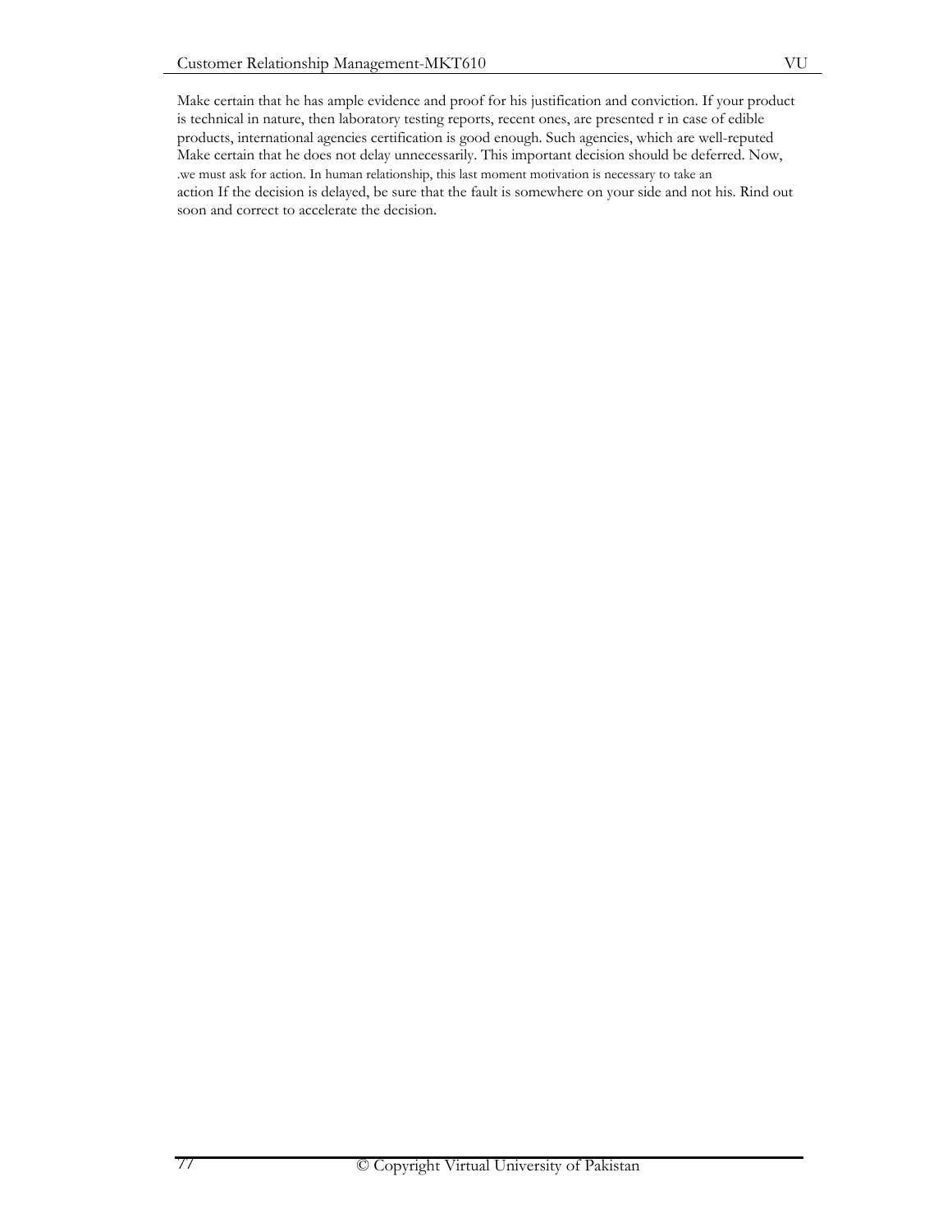Make certain that he has ample evidence and proof for his justification and conviction. If your product is technical in nature, then laboratory testing reports, recent ones, are presented r in case of edible products, international agencies certification is good enough. Such agencies, which are well-reputed Make certain that he does not delay unnecessarily. This important decision should be deferred. Now, .we must ask for action. In human relationship, this last moment motivation is necessary to take an action If the decision is delayed, be sure that the fault is somewhere on your side and not his. Rind out soon and correct to accelerate the decision.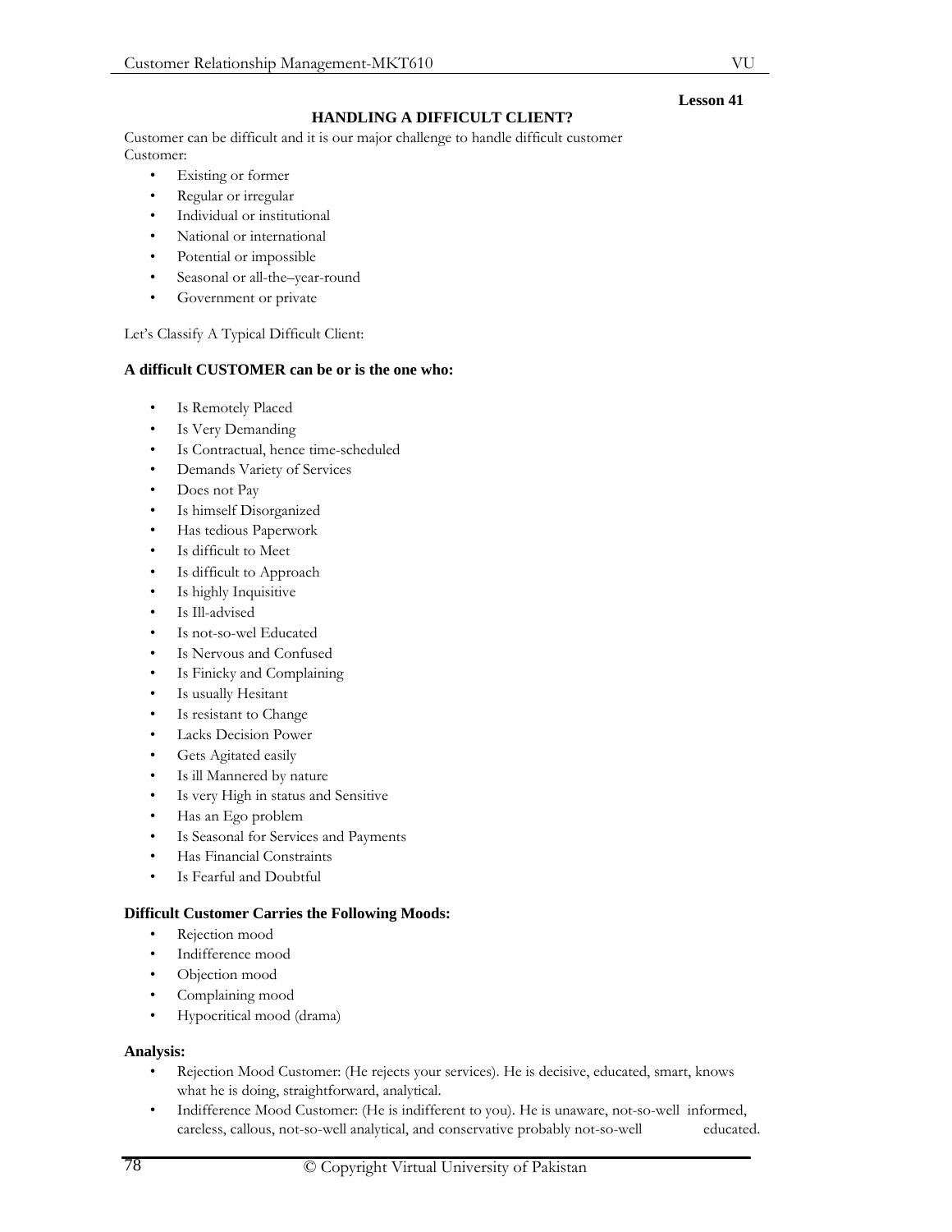# **HANDLING A DIFFICULT CLIENT?**

Customer can be difficult and it is our major challenge to handle difficult customer Customer:

- Existing or former
- Regular or irregular
- Individual or institutional
- National or international
- Potential or impossible
- Seasonal or all-the-year-round
- Government or private

# Let's Classify A Typical Difficult Client:

# **A difficult CUSTOMER can be or is the one who:**

- Is Remotely Placed
- Is Very Demanding
- Is Contractual, hence time-scheduled
- Demands Variety of Services
- Does not Pay
- Is himself Disorganized
- Has tedious Paperwork
- Is difficult to Meet
- Is difficult to Approach
- Is highly Inquisitive
- Is Ill-advised
- Is not-so-wel Educated
- Is Nervous and Confused
- Is Finicky and Complaining
- Is usually Hesitant
- Is resistant to Change
- Lacks Decision Power
- Gets Agitated easily
- Is ill Mannered by nature
- Is very High in status and Sensitive
- Has an Ego problem
- Is Seasonal for Services and Payments
- Has Financial Constraints
- Is Fearful and Doubtful

# **Difficult Customer Carries the Following Moods:**

- Rejection mood
- Indifference mood
- Objection mood
- Complaining mood
- Hypocritical mood (drama)

## **Analysis:**

- Rejection Mood Customer: (He rejects your services). He is decisive, educated, smart, knows what he is doing, straightforward, analytical.
- Indifference Mood Customer: (He is indifferent to you). He is unaware, not-so-well informed, careless, callous, not-so-well analytical, and conservative probably not-so-well educated.

**Lesson 41** 

VU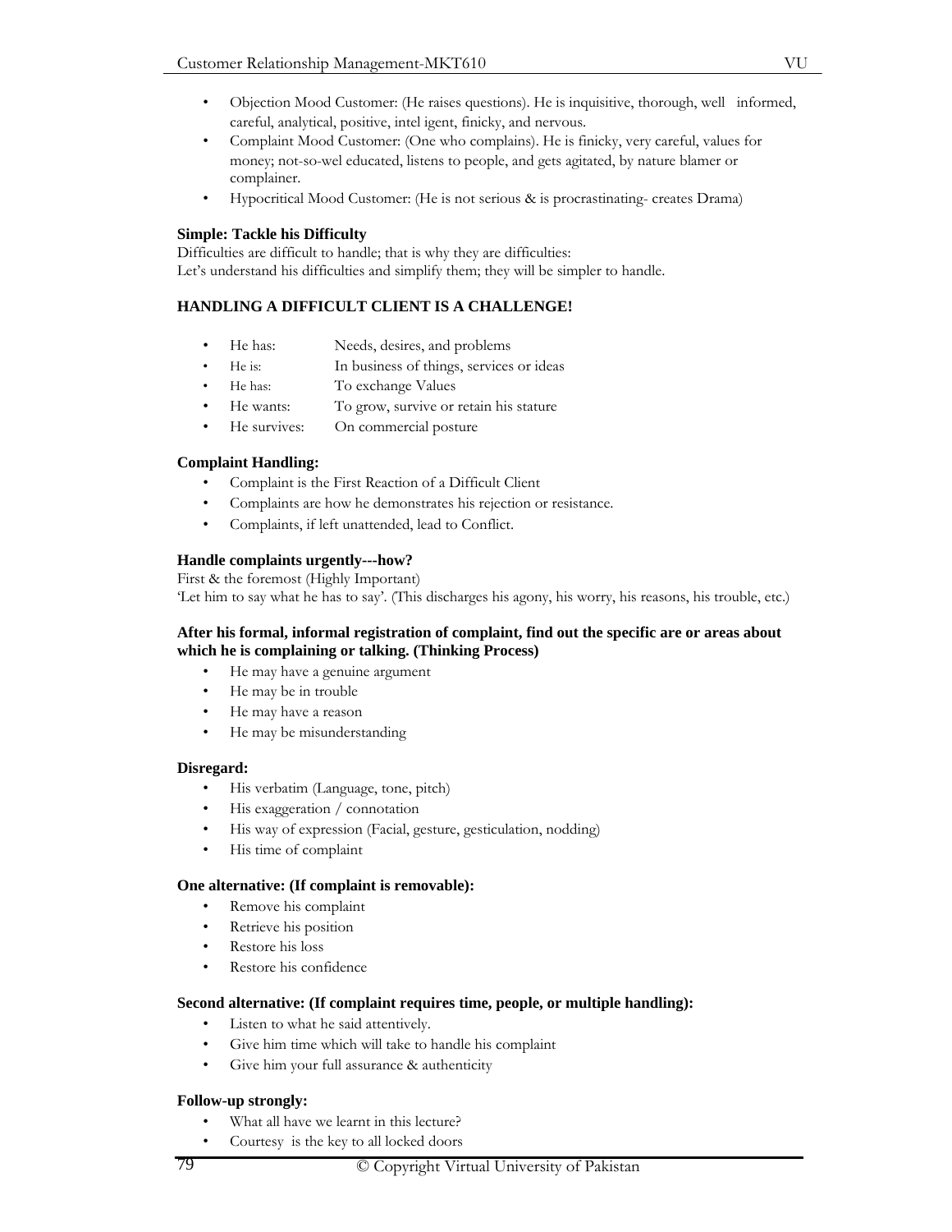- Objection Mood Customer: (He raises questions). He is inquisitive, thorough, well informed, careful, analytical, positive, intel igent, finicky, and nervous.
- Complaint Mood Customer: (One who complains). He is finicky, very careful, values for money; not-so-wel educated, listens to people, and gets agitated, by nature blamer or complainer.
- Hypocritical Mood Customer: (He is not serious & is procrastinating- creates Drama)

# **Simple: Tackle his Difficulty**

Difficulties are difficult to handle; that is why they are difficulties: Let's understand his difficulties and simplify them; they will be simpler to handle.

# **HANDLING A DIFFICULT CLIENT IS A CHALLENGE!**

- He has: Needs, desires, and problems
- He is: In business of things, services or ideas
- He has: To exchange Values
- He wants: To grow, survive or retain his stature
- He survives: On commercial posture

# **Complaint Handling:**

- Complaint is the First Reaction of a Difficult Client
- Complaints are how he demonstrates his rejection or resistance.
- Complaints, if left unattended, lead to Conflict.

# **Handle complaints urgently---how?**

First & the foremost (Highly Important) 'Let him to say what he has to say'. (This discharges his agony, his worry, his reasons, his trouble, etc.)

## **After his formal, informal registration of complaint, find out the specific are or areas about which he is complaining or talking. (Thinking Process)**

- He may have a genuine argument
- He may be in trouble
- He may have a reason
- He may be misunderstanding

## **Disregard:**

- His verbatim (Language, tone, pitch)
- His exaggeration / connotation
- His way of expression (Facial, gesture, gesticulation, nodding)
- His time of complaint

## **One alternative: (If complaint is removable):**

- Remove his complaint
- Retrieve his position
- Restore his loss
- Restore his confidence

## **Second alternative: (If complaint requires time, people, or multiple handling):**

- Listen to what he said attentively.
- Give him time which will take to handle his complaint
- Give him your full assurance & authenticity

## **Follow-up strongly:**

- What all have we learnt in this lecture?
- Courtesy is the key to all locked doors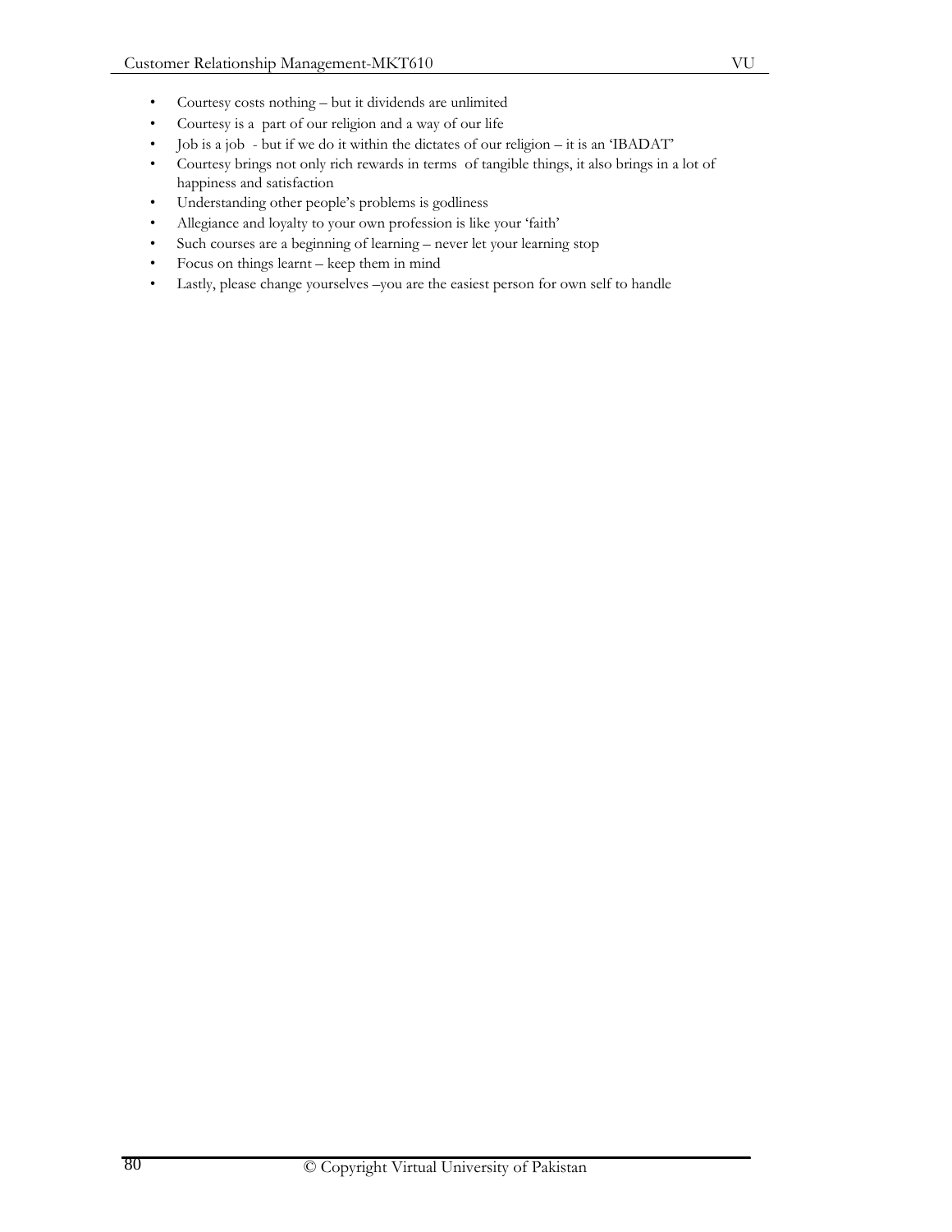- Courtesy costs nothing but it dividends are unlimited
- Courtesy is a part of our religion and a way of our life
- Job is a job but if we do it within the dictates of our religion it is an 'IBADAT'
- Courtesy brings not only rich rewards in terms of tangible things, it also brings in a lot of happiness and satisfaction
- Understanding other people's problems is godliness
- Allegiance and loyalty to your own profession is like your 'faith'
- Such courses are a beginning of learning never let your learning stop
- Focus on things learnt keep them in mind
- Lastly, please change yourselves –you are the easiest person for own self to handle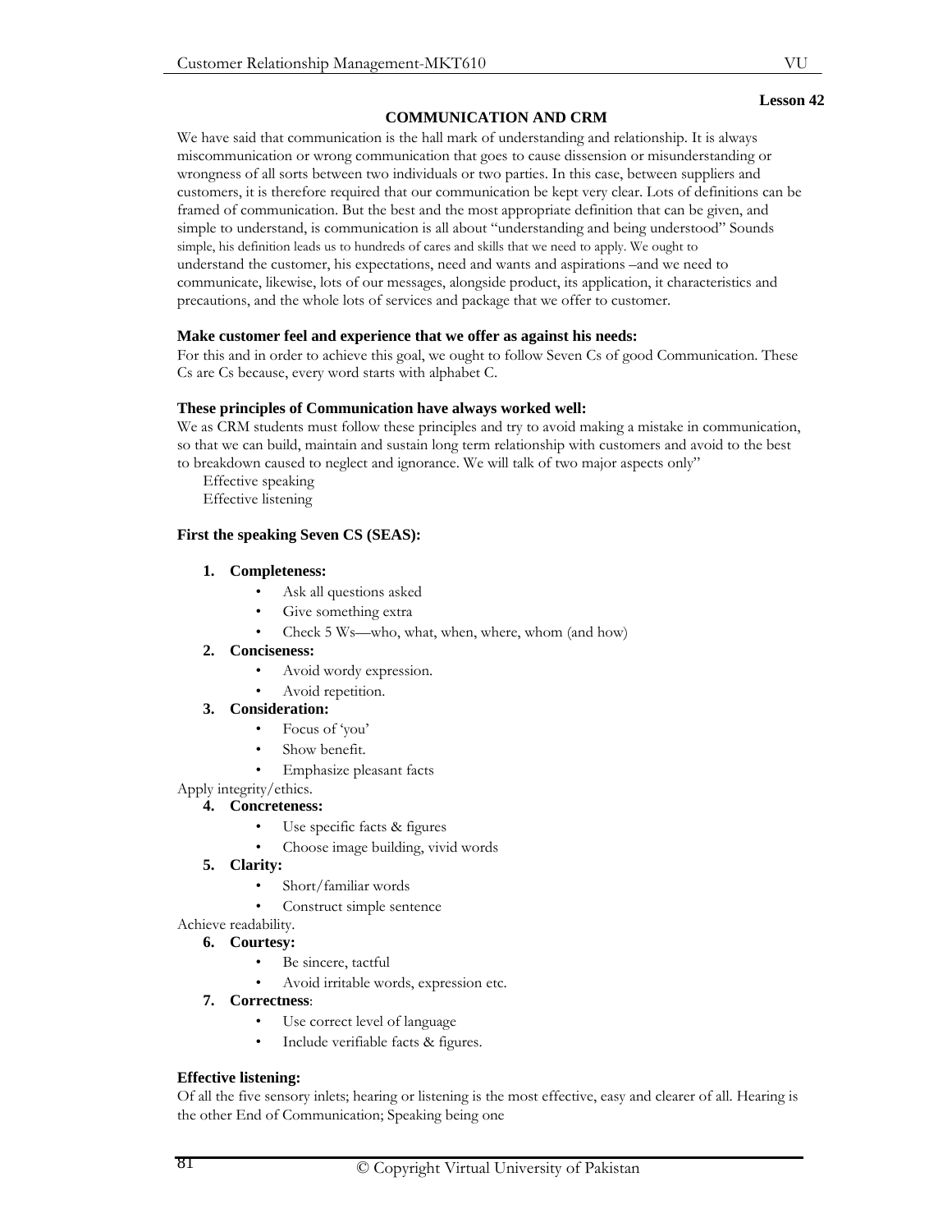We have said that communication is the hall mark of understanding and relationship. It is always miscommunication or wrong communication that goes to cause dissension or misunderstanding or wrongness of all sorts between two individuals or two parties. In this case, between suppliers and customers, it is therefore required that our communication be kept very clear. Lots of definitions can be framed of communication. But the best and the most appropriate definition that can be given, and simple to understand, is communication is all about "understanding and being understood" Sounds simple, his definition leads us to hundreds of cares and skills that we need to apply. We ought to understand the customer, his expectations, need and wants and aspirations –and we need to communicate, likewise, lots of our messages, alongside product, its application, it characteristics and precautions, and the whole lots of services and package that we offer to customer.

# **Make customer feel and experience that we offer as against his needs:**

For this and in order to achieve this goal, we ought to follow Seven Cs of good Communication. These Cs are Cs because, every word starts with alphabet C.

## **These principles of Communication have always worked well:**

We as CRM students must follow these principles and try to avoid making a mistake in communication, so that we can build, maintain and sustain long term relationship with customers and avoid to the best to breakdown caused to neglect and ignorance. We will talk of two major aspects only"

Effective speaking Effective listening

# **First the speaking Seven CS (SEAS):**

# **1. Completeness:**

- Ask all questions asked
- Give something extra
- Check 5 Ws—who, what, when, where, whom (and how)

## **2. Conciseness:**

- Avoid wordy expression.
- Avoid repetition.

## **3. Consideration:**

- Focus of 'you'
- Show benefit.
	- Emphasize pleasant facts

# Apply integrity/ethics.

## **4. Concreteness:**

- Use specific facts & figures
- Choose image building, vivid words

## **5. Clarity:**

- Short/familiar words
- Construct simple sentence

# Achieve readability.

**6. Courtesy:** 

- Be sincere, tactful
- Avoid irritable words, expression etc.
- **7. Correctness**:
	- Use correct level of language
	- Include verifiable facts & figures.

# **Effective listening:**

Of all the five sensory inlets; hearing or listening is the most effective, easy and clearer of all. Hearing is the other End of Communication; Speaking being one

**Lesson 42**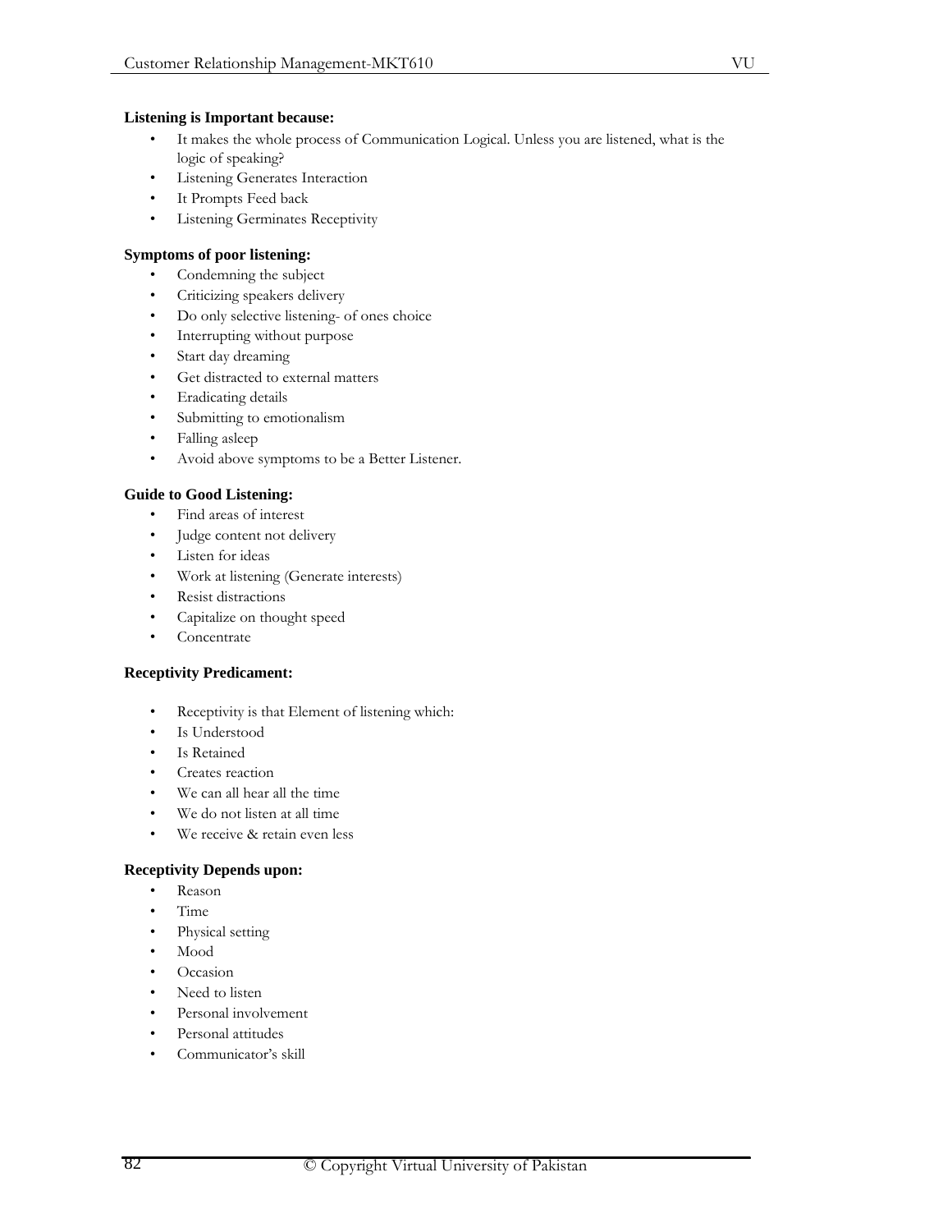- It makes the whole process of Communication Logical. Unless you are listened, what is the logic of speaking?
- **Listening Generates Interaction**
- It Prompts Feed back
- Listening Germinates Receptivity

# **Symptoms of poor listening:**

- Condemning the subject
- Criticizing speakers delivery
- Do only selective listening- of ones choice
- Interrupting without purpose
- Start day dreaming
- Get distracted to external matters
- Eradicating details
- Submitting to emotionalism
- Falling asleep
- Avoid above symptoms to be a Better Listener.

# **Guide to Good Listening:**

- Find areas of interest
- Judge content not delivery
- Listen for ideas
- Work at listening (Generate interests)
- Resist distractions
- Capitalize on thought speed
- **Concentrate**

## **Receptivity Predicament:**

- Receptivity is that Element of listening which:
- Is Understood
- Is Retained
- Creates reaction
- We can all hear all the time
- We do not listen at all time
- We receive & retain even less

## **Receptivity Depends upon:**

- Reason
- Time
- Physical setting
- Mood
- Occasion
- Need to listen
- Personal involvement
- Personal attitudes
- Communicator's skill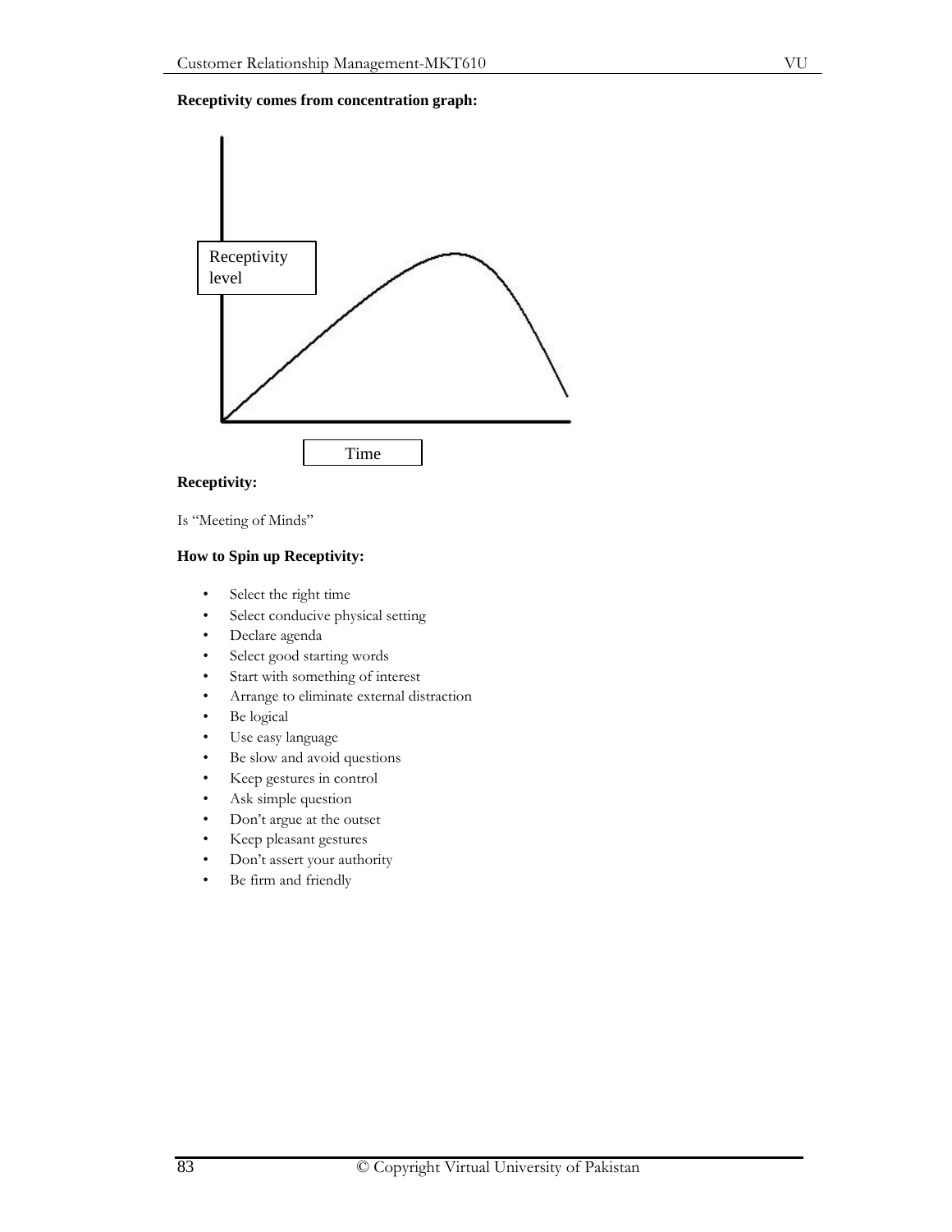

# **Receptivity:**

Is "Meeting of Minds"

# **How to Spin up Receptivity:**

- Select the right time
- Select conducive physical setting
- Declare agenda
- Select good starting words
- Start with something of interest
- Arrange to eliminate external distraction
- Be logical
- Use easy language
- Be slow and avoid questions
- Keep gestures in control
- Ask simple question
- Don't argue at the outset
- Keep pleasant gestures
- Don't assert your authority
- Be firm and friendly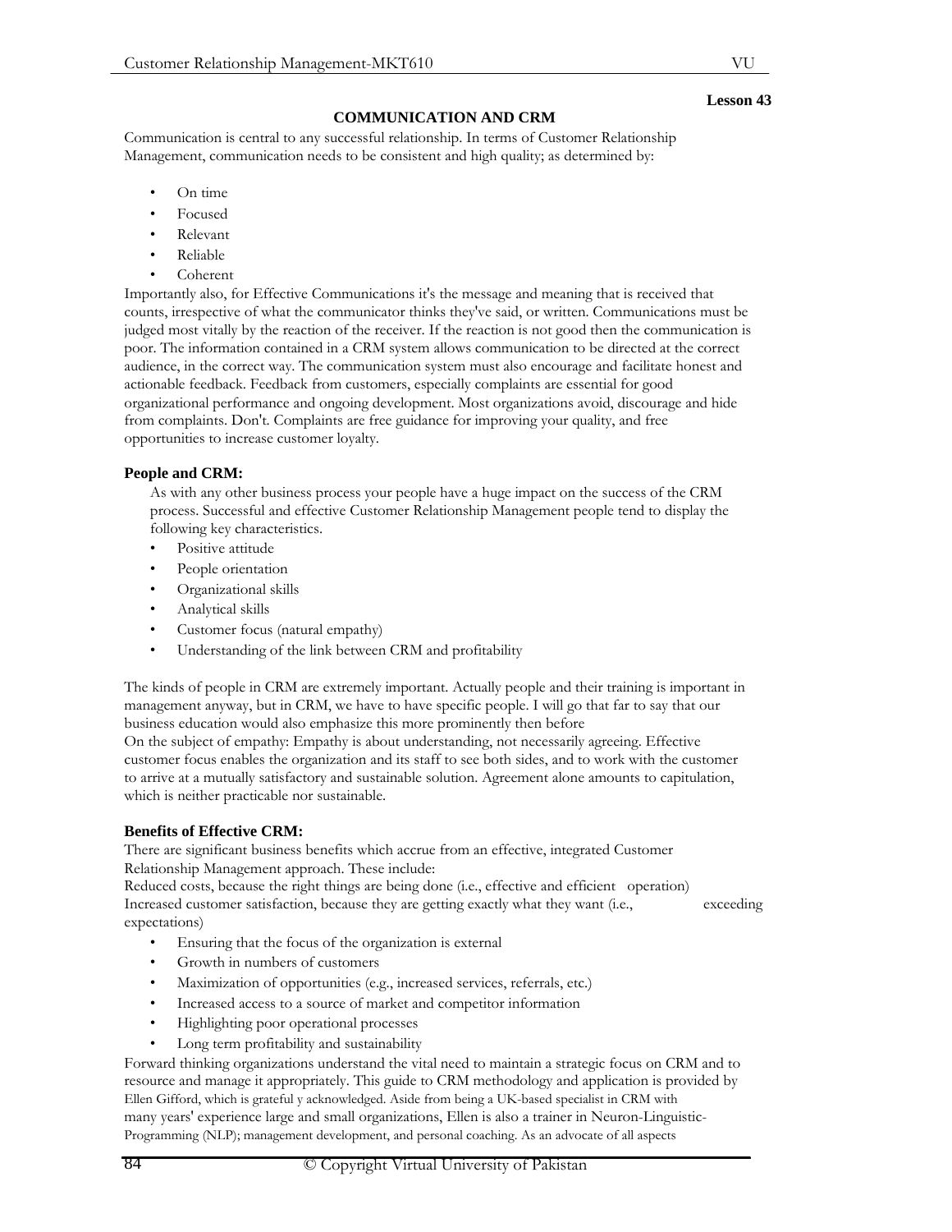exceeding

VU

# **COMMUNICATION AND CRM**

Communication is central to any successful relationship. In terms of Customer Relationship Management, communication needs to be consistent and high quality; as determined by:

- On time
- Focused
- Relevant
- Reliable
- Coherent

Importantly also, for Effective Communications it's the message and meaning that is received that counts, irrespective of what the communicator thinks they've said, or written. Communications must be judged most vitally by the reaction of the receiver. If the reaction is not good then the communication is poor. The information contained in a CRM system allows communication to be directed at the correct audience, in the correct way. The communication system must also encourage and facilitate honest and actionable feedback. Feedback from customers, especially complaints are essential for good organizational performance and ongoing development. Most organizations avoid, discourage and hide from complaints. Don't. Complaints are free guidance for improving your quality, and free opportunities to increase customer loyalty.

# **People and CRM:**

As with any other business process your people have a huge impact on the success of the CRM process. Successful and effective Customer Relationship Management people tend to display the following key characteristics.

- Positive attitude
- People orientation
- Organizational skills
- Analytical skills
- Customer focus (natural empathy)
- Understanding of the link between CRM and profitability

The kinds of people in CRM are extremely important. Actually people and their training is important in management anyway, but in CRM, we have to have specific people. I will go that far to say that our business education would also emphasize this more prominently then before

On the subject of empathy: Empathy is about understanding, not necessarily agreeing. Effective customer focus enables the organization and its staff to see both sides, and to work with the customer to arrive at a mutually satisfactory and sustainable solution. Agreement alone amounts to capitulation, which is neither practicable nor sustainable.

# **Benefits of Effective CRM:**

There are significant business benefits which accrue from an effective, integrated Customer Relationship Management approach. These include:

Reduced costs, because the right things are being done (i.e., effective and efficient operation) Increased customer satisfaction, because they are getting exactly what they want (i.e., expectations)

- Ensuring that the focus of the organization is external
- Growth in numbers of customers
- Maximization of opportunities (e.g., increased services, referrals, etc.)
- Increased access to a source of market and competitor information
- Highlighting poor operational processes
- Long term profitability and sustainability

Forward thinking organizations understand the vital need to maintain a strategic focus on CRM and to resource and manage it appropriately. This guide to CRM methodology and application is provided by Ellen Gifford, which is grateful y acknowledged. Aside from being a UK-based specialist in CRM with many years' experience large and small organizations, Ellen is also a trainer in Neuron-Linguistic-Programming (NLP); management development, and personal coaching. As an advocate of all aspects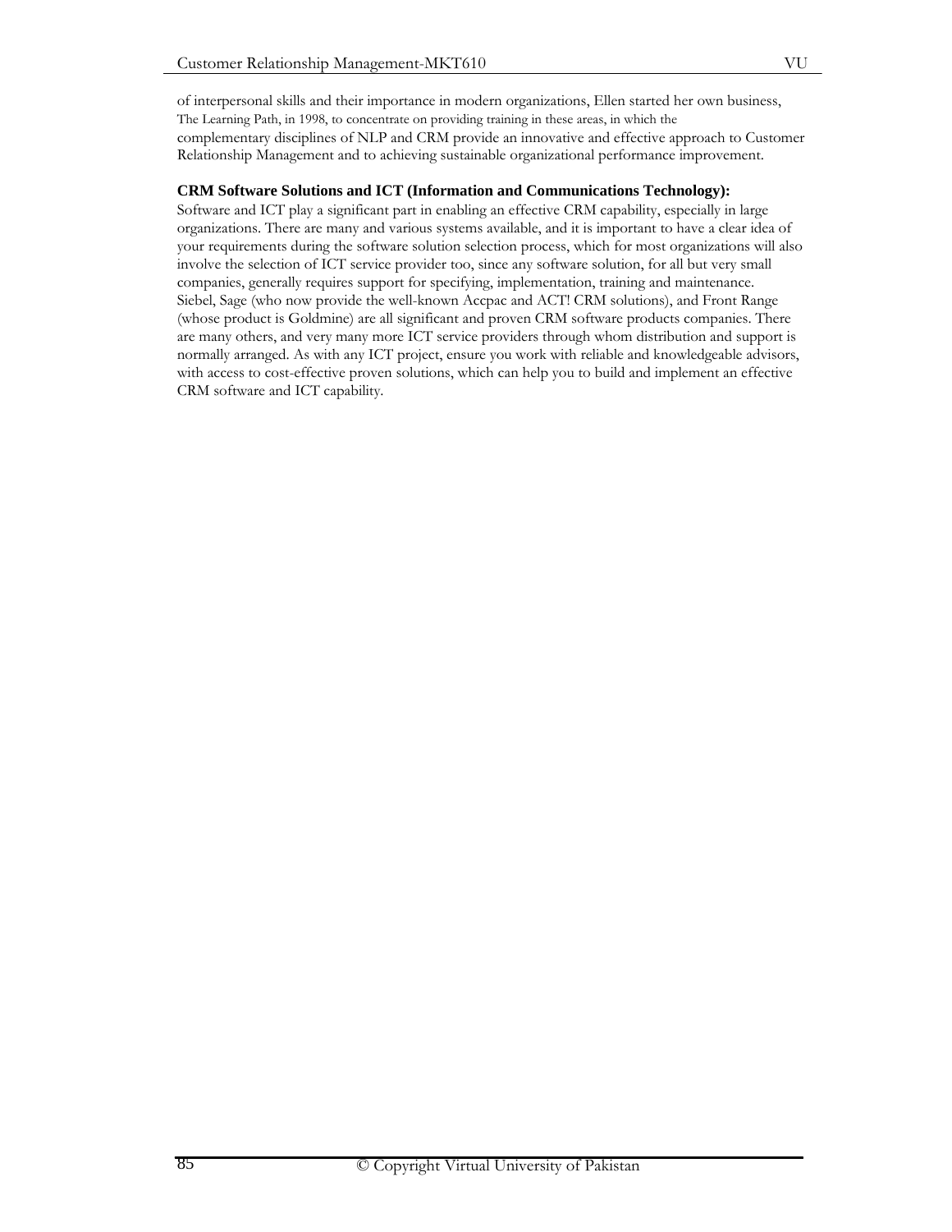of interpersonal skills and their importance in modern organizations, Ellen started her own business, The Learning Path, in 1998, to concentrate on providing training in these areas, in which the complementary disciplines of NLP and CRM provide an innovative and effective approach to Customer Relationship Management and to achieving sustainable organizational performance improvement.

# **CRM Software Solutions and ICT (Information and Communications Technology):**

Software and ICT play a significant part in enabling an effective CRM capability, especially in large organizations. There are many and various systems available, and it is important to have a clear idea of your requirements during the software solution selection process, which for most organizations will also involve the selection of ICT service provider too, since any software solution, for all but very small companies, generally requires support for specifying, implementation, training and maintenance. Siebel, Sage (who now provide the well-known Accpac and ACT! CRM solutions), and Front Range (whose product is Goldmine) are all significant and proven CRM software products companies. There are many others, and very many more ICT service providers through whom distribution and support is normally arranged. As with any ICT project, ensure you work with reliable and knowledgeable advisors, with access to cost-effective proven solutions, which can help you to build and implement an effective CRM software and ICT capability.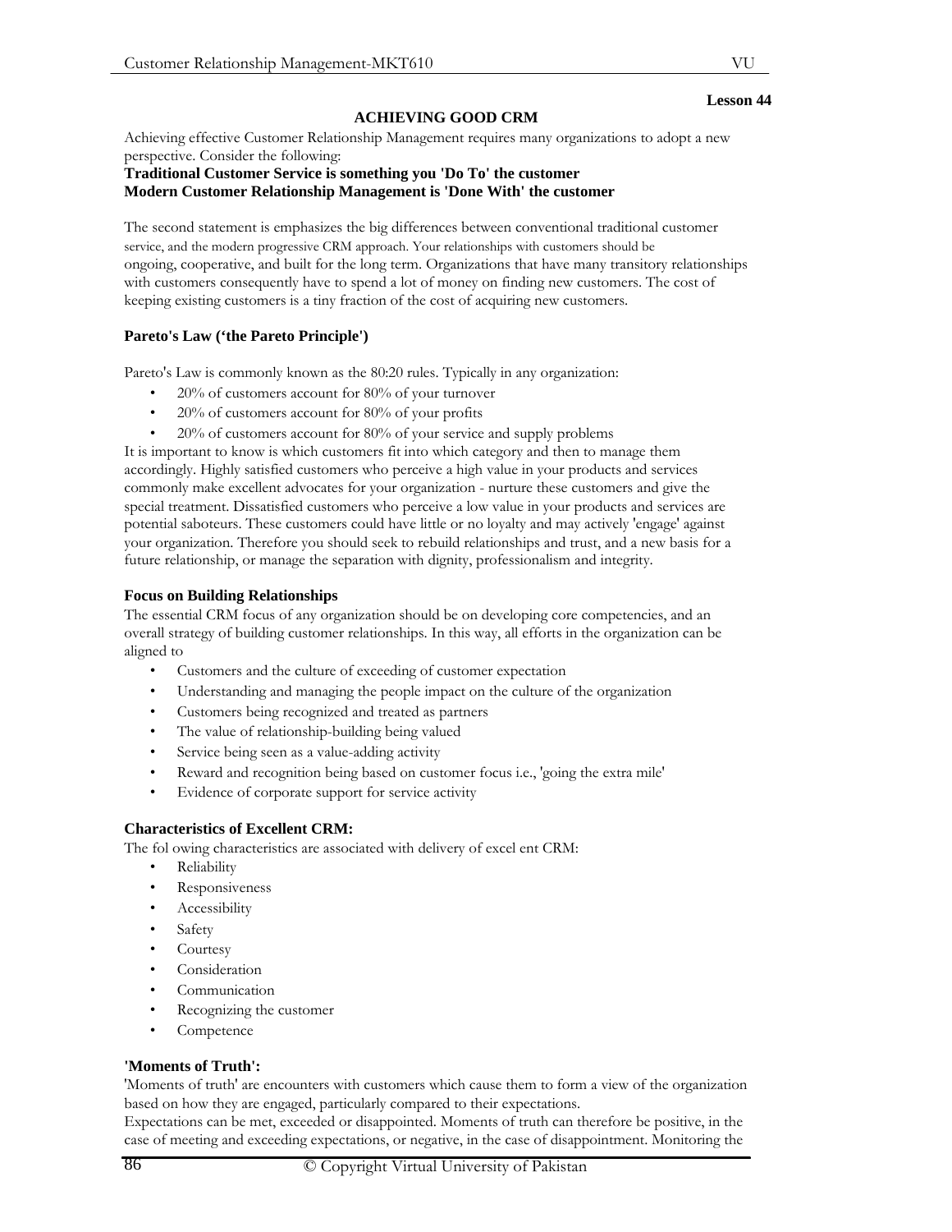## **ACHIEVING GOOD CRM**

Achieving effective Customer Relationship Management requires many organizations to adopt a new perspective. Consider the following:

#### **Traditional Customer Service is something you 'Do To' the customer Modern Customer Relationship Management is 'Done With' the customer**

The second statement is emphasizes the big differences between conventional traditional customer service, and the modern progressive CRM approach. Your relationships with customers should be ongoing, cooperative, and built for the long term. Organizations that have many transitory relationships with customers consequently have to spend a lot of money on finding new customers. The cost of keeping existing customers is a tiny fraction of the cost of acquiring new customers.

# **Pareto's Law ('the Pareto Principle')**

Pareto's Law is commonly known as the 80:20 rules. Typically in any organization:

- 20% of customers account for 80% of your turnover
- $20\%$  of customers account for  $80\%$  of your profits
- 20% of customers account for 80% of your service and supply problems

It is important to know is which customers fit into which category and then to manage them accordingly. Highly satisfied customers who perceive a high value in your products and services commonly make excellent advocates for your organization - nurture these customers and give the special treatment. Dissatisfied customers who perceive a low value in your products and services are potential saboteurs. These customers could have little or no loyalty and may actively 'engage' against your organization. Therefore you should seek to rebuild relationships and trust, and a new basis for a future relationship, or manage the separation with dignity, professionalism and integrity.

## **Focus on Building Relationships**

The essential CRM focus of any organization should be on developing core competencies, and an overall strategy of building customer relationships. In this way, all efforts in the organization can be aligned to

- Customers and the culture of exceeding of customer expectation
- Understanding and managing the people impact on the culture of the organization
- Customers being recognized and treated as partners
- The value of relationship-building being valued
- Service being seen as a value-adding activity
- Reward and recognition being based on customer focus i.e., 'going the extra mile'
- Evidence of corporate support for service activity

## **Characteristics of Excellent CRM:**

The fol owing characteristics are associated with delivery of excel ent CRM:

- Reliability
- **Responsiveness**
- **Accessibility**
- Safety
- **Courtesy**
- **Consideration**
- **Communication**
- Recognizing the customer
- Competence

## **'Moments of Truth':**

'Moments of truth' are encounters with customers which cause them to form a view of the organization based on how they are engaged, particularly compared to their expectations.

Expectations can be met, exceeded or disappointed. Moments of truth can therefore be positive, in the case of meeting and exceeding expectations, or negative, in the case of disappointment. Monitoring the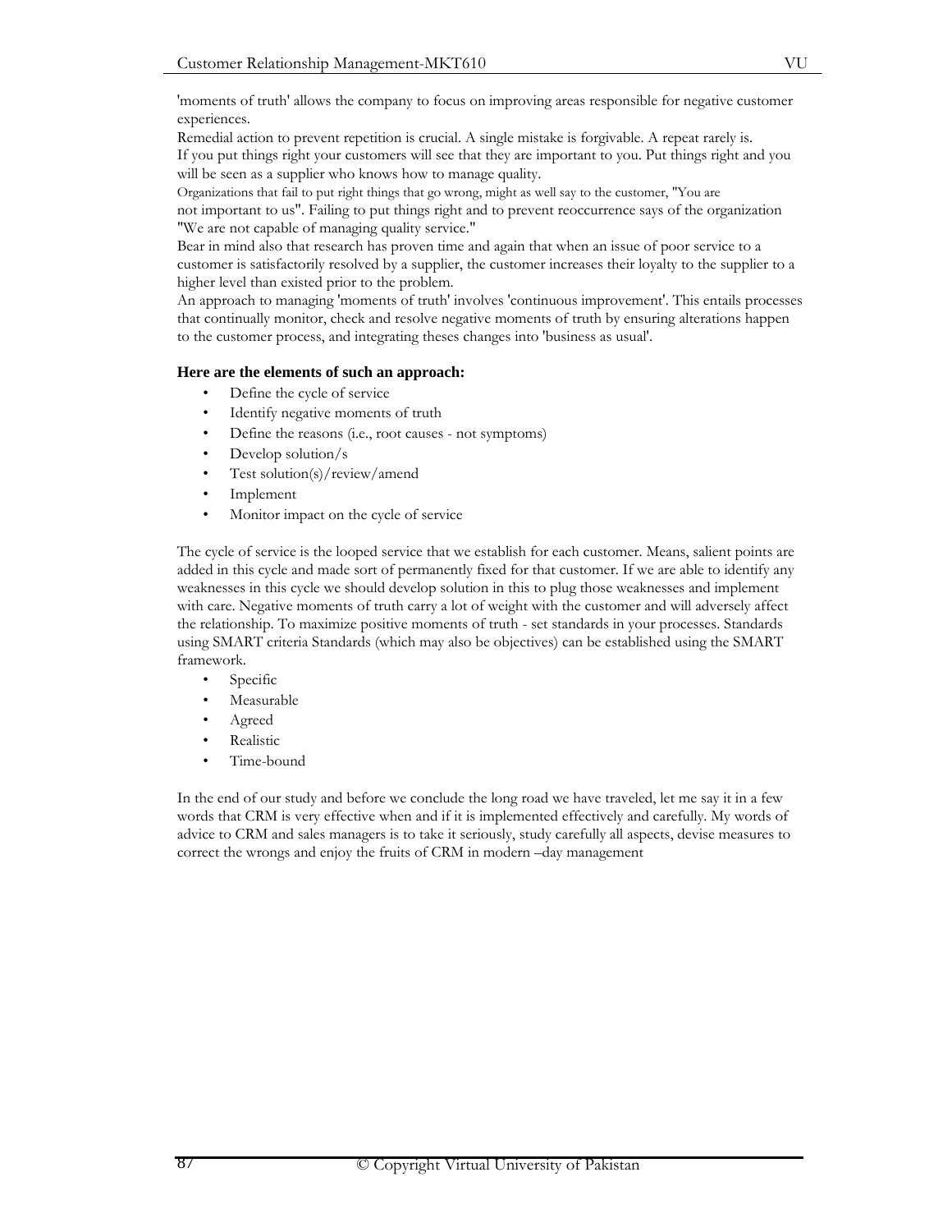'moments of truth' allows the company to focus on improving areas responsible for negative customer experiences.

Remedial action to prevent repetition is crucial. A single mistake is forgivable. A repeat rarely is. If you put things right your customers will see that they are important to you. Put things right and you will be seen as a supplier who knows how to manage quality.

Organizations that fail to put right things that go wrong, might as well say to the customer, "You are not important to us". Failing to put things right and to prevent reoccurrence says of the organization "We are not capable of managing quality service."

Bear in mind also that research has proven time and again that when an issue of poor service to a customer is satisfactorily resolved by a supplier, the customer increases their loyalty to the supplier to a higher level than existed prior to the problem.

An approach to managing 'moments of truth' involves 'continuous improvement'. This entails processes that continually monitor, check and resolve negative moments of truth by ensuring alterations happen to the customer process, and integrating theses changes into 'business as usual'.

# **Here are the elements of such an approach:**

- Define the cycle of service
- Identify negative moments of truth
- Define the reasons (i.e., root causes not symptoms)
- Develop solution/s
- Test solution(s)/review/amend
- **Implement**
- Monitor impact on the cycle of service

The cycle of service is the looped service that we establish for each customer. Means, salient points are added in this cycle and made sort of permanently fixed for that customer. If we are able to identify any weaknesses in this cycle we should develop solution in this to plug those weaknesses and implement with care. Negative moments of truth carry a lot of weight with the customer and will adversely affect the relationship. To maximize positive moments of truth - set standards in your processes. Standards using SMART criteria Standards (which may also be objectives) can be established using the SMART framework.

- Specific
- Measurable
- Agreed
- **Realistic**
- Time-bound

In the end of our study and before we conclude the long road we have traveled, let me say it in a few words that CRM is very effective when and if it is implemented effectively and carefully. My words of advice to CRM and sales managers is to take it seriously, study carefully all aspects, devise measures to correct the wrongs and enjoy the fruits of CRM in modern –day management